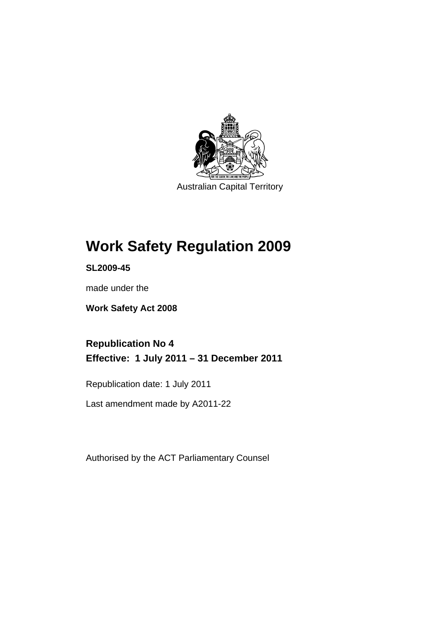

Australian Capital Territory

# **Work Safety Regulation 2009**

**SL2009-45** 

made under the

**Work Safety Act 2008** 

**Republication No 4 Effective: 1 July 2011 – 31 December 2011** 

Republication date: 1 July 2011

Last amendment made by A2011-22

Authorised by the ACT Parliamentary Counsel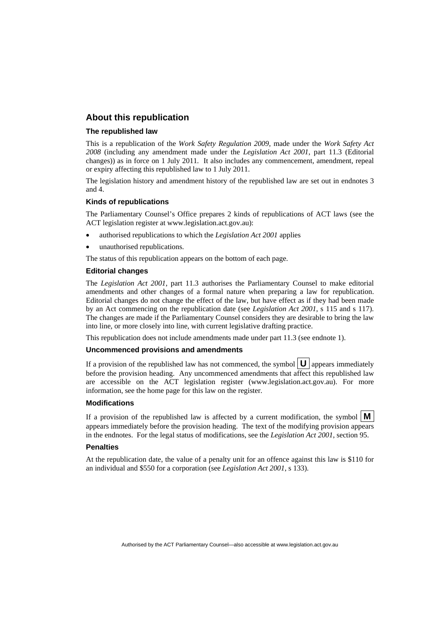#### **About this republication**

#### **The republished law**

This is a republication of the *Work Safety Regulation 2009*, made under the *Work Safety Act 2008* (including any amendment made under the *Legislation Act 2001*, part 11.3 (Editorial changes)) as in force on 1 July 2011*.* It also includes any commencement, amendment, repeal or expiry affecting this republished law to 1 July 2011.

The legislation history and amendment history of the republished law are set out in endnotes 3 and 4.

#### **Kinds of republications**

The Parliamentary Counsel's Office prepares 2 kinds of republications of ACT laws (see the ACT legislation register at www.legislation.act.gov.au):

- authorised republications to which the *Legislation Act 2001* applies
- unauthorised republications.

The status of this republication appears on the bottom of each page.

#### **Editorial changes**

The *Legislation Act 2001*, part 11.3 authorises the Parliamentary Counsel to make editorial amendments and other changes of a formal nature when preparing a law for republication. Editorial changes do not change the effect of the law, but have effect as if they had been made by an Act commencing on the republication date (see *Legislation Act 2001*, s 115 and s 117). The changes are made if the Parliamentary Counsel considers they are desirable to bring the law into line, or more closely into line, with current legislative drafting practice.

This republication does not include amendments made under part 11.3 (see endnote 1).

#### **Uncommenced provisions and amendments**

If a provision of the republished law has not commenced, the symbol  $\mathbf{U}$  appears immediately before the provision heading. Any uncommenced amendments that affect this republished law are accessible on the ACT legislation register (www.legislation.act.gov.au). For more information, see the home page for this law on the register.

#### **Modifications**

If a provision of the republished law is affected by a current modification, the symbol  $\vert \mathbf{M} \vert$ appears immediately before the provision heading. The text of the modifying provision appears in the endnotes. For the legal status of modifications, see the *Legislation Act 2001*, section 95.

#### **Penalties**

At the republication date, the value of a penalty unit for an offence against this law is \$110 for an individual and \$550 for a corporation (see *Legislation Act 2001*, s 133).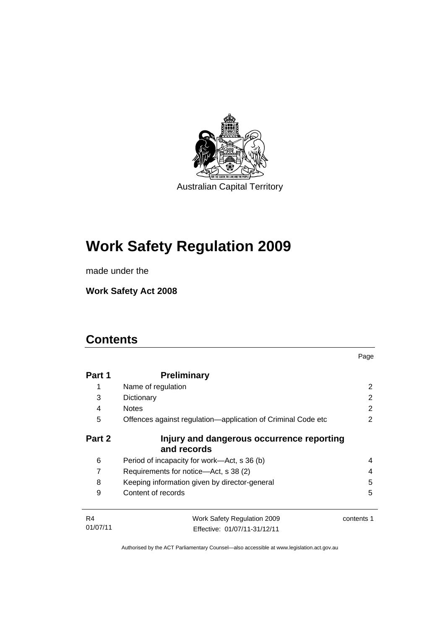

# **Work Safety Regulation 2009**

made under the

**Work Safety Act 2008** 

# **Contents**

| Part 1   | <b>Preliminary</b>                                           |            |
|----------|--------------------------------------------------------------|------------|
| 1        | Name of regulation                                           | 2          |
| 3        | Dictionary                                                   | 2          |
| 4        | <b>Notes</b>                                                 | 2          |
| 5        | Offences against regulation—application of Criminal Code etc | 2          |
| Part 2   | Injury and dangerous occurrence reporting<br>and records     |            |
| 6        | Period of incapacity for work—Act, s 36 (b)                  | 4          |
| 7        | Requirements for notice—Act, s 38 (2)                        | 4          |
| 8        | Keeping information given by director-general                | 5          |
| 9        | Content of records                                           | 5          |
| R4       | Work Safety Regulation 2009                                  | contents 1 |
| 01/07/11 | Effective: 01/07/11-31/12/11                                 |            |

Page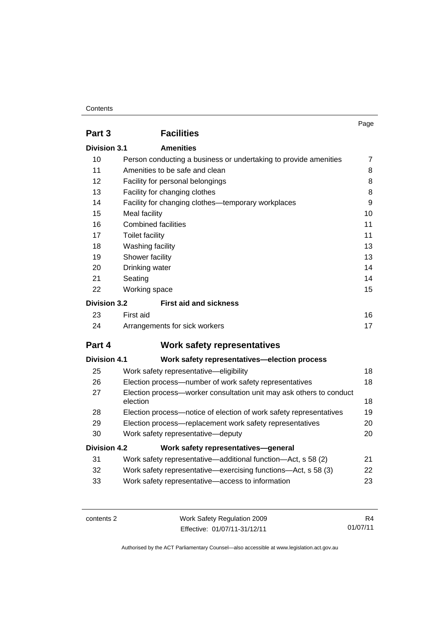#### **Contents**

|                                  |                                                                                 | Page           |  |
|----------------------------------|---------------------------------------------------------------------------------|----------------|--|
| Part 3                           | <b>Facilities</b>                                                               |                |  |
| <b>Amenities</b><br>Division 3.1 |                                                                                 |                |  |
| 10                               | Person conducting a business or undertaking to provide amenities                | $\overline{7}$ |  |
| 11                               | Amenities to be safe and clean                                                  | 8              |  |
| 12                               | Facility for personal belongings                                                | 8              |  |
| 13                               | Facility for changing clothes                                                   | 8              |  |
| 14                               | Facility for changing clothes-temporary workplaces                              | 9              |  |
| 15                               | Meal facility                                                                   | 10             |  |
| 16                               | <b>Combined facilities</b>                                                      | 11             |  |
| 17                               | <b>Toilet facility</b>                                                          | 11             |  |
| 18                               | Washing facility                                                                | 13             |  |
| 19                               | Shower facility                                                                 | 13             |  |
| 20                               | Drinking water                                                                  | 14             |  |
| 21                               | Seating<br>14                                                                   |                |  |
| 22                               | Working space                                                                   | 15             |  |
| <b>Division 3.2</b>              | <b>First aid and sickness</b>                                                   |                |  |
| 23                               | First aid                                                                       | 16             |  |
| 24                               | Arrangements for sick workers                                                   | 17             |  |
| Part 4                           | <b>Work safety representatives</b>                                              |                |  |
| Division 4.1                     | Work safety representatives-election process                                    |                |  |
| 25                               | Work safety representative-eligibility                                          | 18             |  |
| 26                               | Election process—number of work safety representatives                          | 18             |  |
| 27                               | Election process-worker consultation unit may ask others to conduct<br>election | 18             |  |
| 28                               | Election process-notice of election of work safety representatives              | 19             |  |
| 29                               | Election process-replacement work safety representatives                        | 20             |  |
| 30                               | Work safety representative-deputy                                               | 20             |  |
| <b>Division 4.2</b>              | Work safety representatives-general                                             |                |  |
| 31                               | Work safety representative—additional function—Act, s 58 (2)                    | 21             |  |
| 32                               | Work safety representative—exercising functions—Act, s 58 (3)                   | 22             |  |
| 33                               | Work safety representative-access to information                                | 23             |  |

contents 2 Work Safety Regulation 2009 Effective: 01/07/11-31/12/11

R4 01/07/11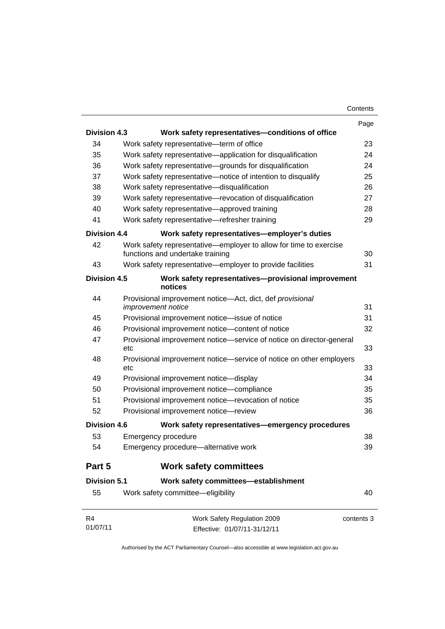|                     |                                                                                                       | Page |
|---------------------|-------------------------------------------------------------------------------------------------------|------|
| <b>Division 4.3</b> | Work safety representatives-conditions of office                                                      |      |
| 34                  | Work safety representative-term of office                                                             | 23   |
| 35                  | Work safety representative—application for disqualification                                           | 24   |
| 36                  | Work safety representative-grounds for disqualification                                               | 24   |
| 37                  | Work safety representative-notice of intention to disqualify                                          | 25   |
| 38                  | Work safety representative-disqualification                                                           | 26   |
| 39                  | Work safety representative-revocation of disqualification                                             | 27   |
| 40                  | Work safety representative-approved training                                                          | 28   |
| 41                  | Work safety representative-refresher training                                                         | 29   |
| Division 4.4        | Work safety representatives-employer's duties                                                         |      |
| 42                  | Work safety representative—employer to allow for time to exercise<br>functions and undertake training | 30   |
| 43                  | Work safety representative-employer to provide facilities                                             | 31   |
| <b>Division 4.5</b> | Work safety representatives-provisional improvement<br>notices                                        |      |
| 44                  | Provisional improvement notice-Act, dict, def provisional<br>improvement notice                       | 31   |
| 45                  | Provisional improvement notice-issue of notice                                                        | 31   |
| 46                  | Provisional improvement notice-content of notice                                                      | 32   |
| 47                  | Provisional improvement notice-service of notice on director-general<br>etc                           | 33   |
| 48                  | Provisional improvement notice—service of notice on other employers<br>etc                            | 33   |
| 49                  | Provisional improvement notice-display                                                                | 34   |
| 50                  | Provisional improvement notice-compliance                                                             | 35   |
| 51                  | Provisional improvement notice-revocation of notice                                                   | 35   |
| 52                  | Provisional improvement notice-review                                                                 | 36   |
| <b>Division 4.6</b> | Work safety representatives—emergency procedures                                                      |      |
| 53                  | Emergency procedure                                                                                   | 38   |
| 54                  | Emergency procedure-alternative work                                                                  | 39   |
| Part 5              | <b>Work safety committees</b>                                                                         |      |
| <b>Division 5.1</b> | Work safety committees-establishment                                                                  |      |
| 55                  | Work safety committee-eligibility                                                                     | 40   |
| R4                  | Work Safety Regulation 2009<br>contents 3                                                             |      |

01/07/11 Effective: 01/07/11-31/12/11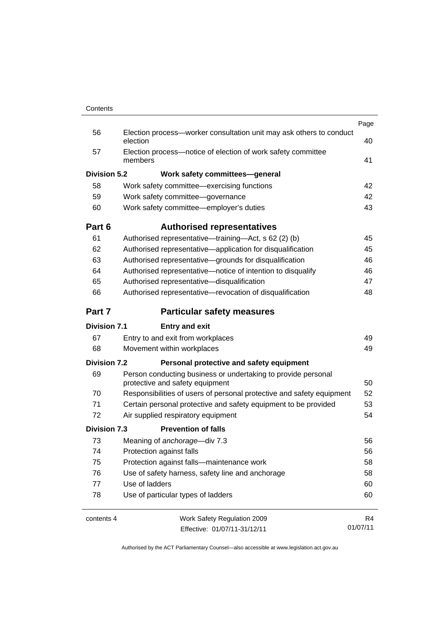|                     |                                                                                                  | Page     |
|---------------------|--------------------------------------------------------------------------------------------------|----------|
| 56                  | Election process-worker consultation unit may ask others to conduct<br>election                  | 40       |
| 57                  | Election process-notice of election of work safety committee<br>members                          | 41       |
| Division 5.2        | Work safety committees-general                                                                   |          |
| 58                  | Work safety committee—exercising functions                                                       | 42       |
| 59                  | Work safety committee-governance                                                                 | 42       |
| 60                  | Work safety committee-employer's duties                                                          | 43       |
| Part 6              | <b>Authorised representatives</b>                                                                |          |
| 61                  | Authorised representative—training—Act, s 62 (2) (b)                                             | 45       |
| 62                  | Authorised representative-application for disqualification                                       | 45       |
| 63                  | Authorised representative-grounds for disqualification                                           | 46       |
| 64                  | Authorised representative-notice of intention to disqualify                                      | 46       |
| 65                  | Authorised representative-disqualification                                                       | 47       |
| 66                  | Authorised representative-revocation of disqualification                                         | 48       |
| Part 7              | <b>Particular safety measures</b>                                                                |          |
| <b>Division 7.1</b> | <b>Entry and exit</b>                                                                            |          |
| 67                  | Entry to and exit from workplaces                                                                | 49       |
| 68                  | Movement within workplaces                                                                       | 49       |
| <b>Division 7.2</b> | Personal protective and safety equipment                                                         |          |
| 69                  | Person conducting business or undertaking to provide personal<br>protective and safety equipment | 50       |
| 70                  | Responsibilities of users of personal protective and safety equipment                            | 52       |
| 71                  | Certain personal protective and safety equipment to be provided                                  | 53       |
| 72                  | Air supplied respiratory equipment                                                               | 54       |
| <b>Division 7.3</b> | <b>Prevention of falls</b>                                                                       |          |
| 73                  | Meaning of anchorage-div 7.3                                                                     | 56       |
| 74                  | Protection against falls                                                                         | 56       |
| 75                  | Protection against falls-maintenance work                                                        | 58       |
| 76                  | Use of safety harness, safety line and anchorage                                                 | 58       |
| 77                  | Use of ladders                                                                                   | 60       |
| 78                  | Use of particular types of ladders                                                               | 60       |
| contents 4          | Work Safety Regulation 2009                                                                      | R4       |
|                     | Effective: 01/07/11-31/12/11                                                                     | 01/07/11 |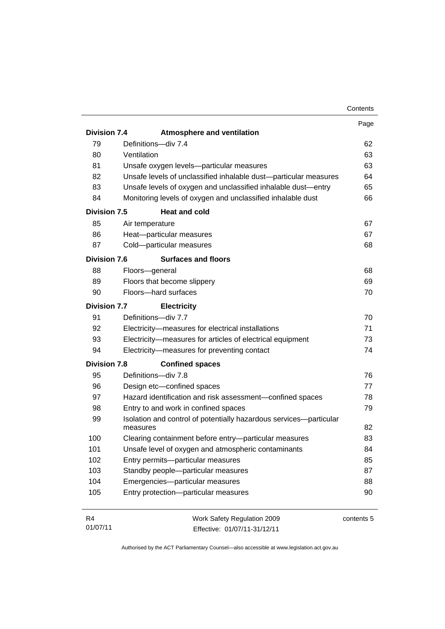|                     |                                                                    | Contents   |
|---------------------|--------------------------------------------------------------------|------------|
|                     |                                                                    | Page       |
| <b>Division 7.4</b> | <b>Atmosphere and ventilation</b>                                  |            |
| 79                  | Definitions-div 7.4                                                | 62         |
| 80                  | Ventilation                                                        | 63         |
| 81                  | Unsafe oxygen levels-particular measures                           | 63         |
| 82                  | Unsafe levels of unclassified inhalable dust-particular measures   | 64         |
| 83                  | Unsafe levels of oxygen and unclassified inhalable dust-entry      | 65         |
| 84                  | Monitoring levels of oxygen and unclassified inhalable dust        | 66         |
| <b>Division 7.5</b> | <b>Heat and cold</b>                                               |            |
| 85                  | Air temperature                                                    | 67         |
| 86                  | Heat-particular measures                                           | 67         |
| 87                  | Cold-particular measures                                           | 68         |
| Division 7.6        | <b>Surfaces and floors</b>                                         |            |
| 88                  | Floors-general                                                     | 68         |
| 89                  | Floors that become slippery                                        | 69         |
| 90                  | Floors-hard surfaces                                               | 70         |
| <b>Division 7.7</b> | <b>Electricity</b>                                                 |            |
| 91                  | Definitions-div 7.7                                                | 70         |
| 92                  | Electricity-measures for electrical installations                  | 71         |
| 93                  | Electricity-measures for articles of electrical equipment          | 73         |
| 94                  | Electricity-measures for preventing contact                        | 74         |
| <b>Division 7.8</b> | <b>Confined spaces</b>                                             |            |
| 95                  | Definitions-div 7.8                                                | 76         |
| 96                  | Design etc-confined spaces                                         | 77         |
| 97                  | Hazard identification and risk assessment-confined spaces          | 78         |
| 98                  | Entry to and work in confined spaces                               | 79         |
| 99                  | Isolation and control of potentially hazardous services-particular |            |
|                     | measures                                                           | 82         |
| 100                 | Clearing containment before entry-particular measures              | 83         |
| 101                 | Unsafe level of oxygen and atmospheric contaminants                | 84         |
| 102                 | Entry permits-particular measures                                  | 85         |
| 103                 | Standby people-particular measures                                 | 87         |
| 104                 | Emergencies-particular measures                                    | 88         |
| 105                 | Entry protection-particular measures                               | 90         |
| R4                  | Work Safety Regulation 2009                                        | contents 5 |

Authorised by the ACT Parliamentary Counsel—also accessible at www.legislation.act.gov.au

Effective: 01/07/11-31/12/11

01/07/11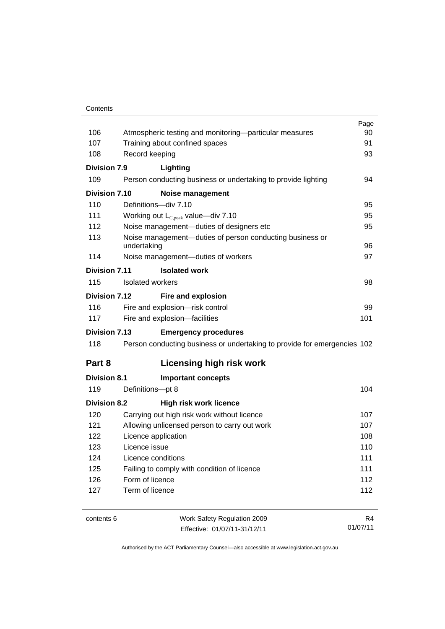#### **Contents**

|                      |                                                                          | Page     |
|----------------------|--------------------------------------------------------------------------|----------|
| 106                  | Atmospheric testing and monitoring—particular measures                   | 90       |
| 107                  | Training about confined spaces                                           | 91       |
| 108                  | Record keeping                                                           | 93       |
| Division 7.9         | Lighting                                                                 |          |
| 109                  | Person conducting business or undertaking to provide lighting            | 94       |
| <b>Division 7.10</b> | <b>Noise management</b>                                                  |          |
| 110                  | Definitions-div 7.10                                                     | 95       |
| 111                  | Working out $L_{C,peak}$ value—div 7.10                                  | 95       |
| 112                  | Noise management-duties of designers etc                                 | 95       |
| 113                  | Noise management-duties of person conducting business or<br>undertaking  | 96       |
| 114                  | Noise management-duties of workers                                       | 97       |
| Division 7.11        | <b>Isolated work</b>                                                     |          |
| 115                  | Isolated workers                                                         | 98       |
| Division 7.12        | Fire and explosion                                                       |          |
| 116                  | Fire and explosion-risk control                                          | 99       |
| 117                  | Fire and explosion-facilities                                            | 101      |
| <b>Division 7.13</b> | <b>Emergency procedures</b>                                              |          |
| 118                  | Person conducting business or undertaking to provide for emergencies 102 |          |
| Part 8               | <b>Licensing high risk work</b>                                          |          |
| <b>Division 8.1</b>  | <b>Important concepts</b>                                                |          |
| 119                  | Definitions-pt 8                                                         | 104      |
| <b>Division 8.2</b>  | <b>High risk work licence</b>                                            |          |
| 120                  | Carrying out high risk work without licence                              | 107      |
| 121                  | Allowing unlicensed person to carry out work                             | 107      |
| 122                  | Licence application                                                      | 108      |
| 123                  | Licence issue                                                            |          |
| 124                  | Licence conditions                                                       |          |
| 125                  | Failing to comply with condition of licence                              | 111      |
| 126                  | Form of licence                                                          | 112      |
| 127                  | Term of licence                                                          | 112      |
| contents 6           | Work Safety Regulation 2009                                              | R4       |
|                      | Effective: 01/07/11-31/12/11                                             | 01/07/11 |

Effective: 01/07/11-31/12/11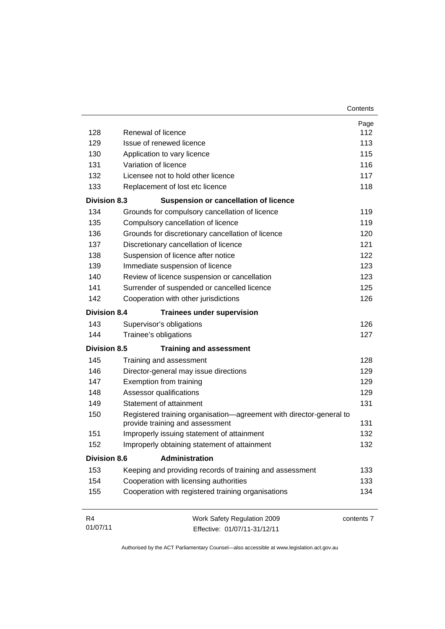| 128                 | Renewal of licence                                                                                     | Page<br>112 |  |  |
|---------------------|--------------------------------------------------------------------------------------------------------|-------------|--|--|
| 129                 | Issue of renewed licence                                                                               | 113         |  |  |
| 130                 | Application to vary licence                                                                            |             |  |  |
| 131                 | Variation of licence                                                                                   | 115<br>116  |  |  |
| 132                 | Licensee not to hold other licence                                                                     | 117         |  |  |
| 133                 | Replacement of lost etc licence                                                                        | 118         |  |  |
| <b>Division 8.3</b> | <b>Suspension or cancellation of licence</b>                                                           |             |  |  |
| 134                 | Grounds for compulsory cancellation of licence                                                         | 119         |  |  |
| 135                 | Compulsory cancellation of licence                                                                     | 119         |  |  |
| 136                 |                                                                                                        | 120         |  |  |
| 137                 | Grounds for discretionary cancellation of licence                                                      | 121         |  |  |
|                     | Discretionary cancellation of licence                                                                  | 122         |  |  |
| 138                 | Suspension of licence after notice                                                                     |             |  |  |
| 139<br>140          | Immediate suspension of licence                                                                        | 123         |  |  |
|                     | Review of licence suspension or cancellation                                                           | 123         |  |  |
| 141                 | Surrender of suspended or cancelled licence                                                            | 125         |  |  |
| 142                 | Cooperation with other jurisdictions                                                                   | 126         |  |  |
| <b>Division 8.4</b> | <b>Trainees under supervision</b>                                                                      |             |  |  |
| 143                 | Supervisor's obligations                                                                               | 126         |  |  |
| 144                 | Trainee's obligations                                                                                  | 127         |  |  |
| <b>Division 8.5</b> | <b>Training and assessment</b>                                                                         |             |  |  |
| 145                 | Training and assessment                                                                                | 128         |  |  |
| 146                 | Director-general may issue directions                                                                  | 129         |  |  |
| 147                 | Exemption from training                                                                                | 129         |  |  |
| 148                 | Assessor qualifications                                                                                | 129         |  |  |
| 149                 | Statement of attainment                                                                                | 131         |  |  |
| 150                 | Registered training organisation-agreement with director-general to<br>provide training and assessment | 131         |  |  |
| 151                 | Improperly issuing statement of attainment                                                             | 132         |  |  |
| 152                 | Improperly obtaining statement of attainment                                                           | 132         |  |  |
| <b>Division 8.6</b> | <b>Administration</b>                                                                                  |             |  |  |
| 153                 | Keeping and providing records of training and assessment                                               | 133         |  |  |
| 154                 | Cooperation with licensing authorities                                                                 | 133         |  |  |
| 155                 | Cooperation with registered training organisations                                                     | 134         |  |  |
| R <sub>4</sub>      | Work Safety Regulation 2009                                                                            | contents 7  |  |  |
| 01/07/11            | Effective: 01/07/11-31/12/11                                                                           |             |  |  |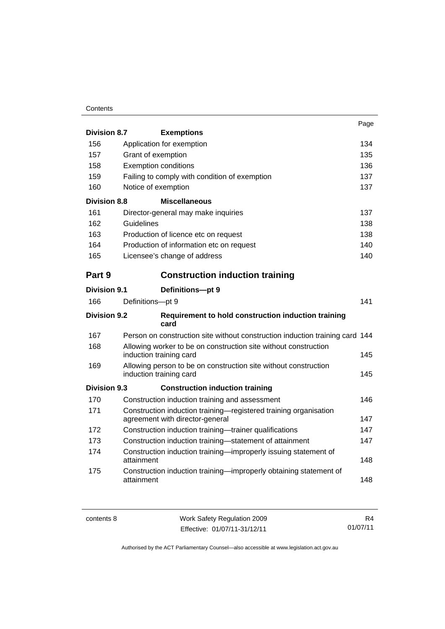#### **Contents**

|                     |                                                                                                     | Page |
|---------------------|-----------------------------------------------------------------------------------------------------|------|
| <b>Division 8.7</b> | <b>Exemptions</b>                                                                                   |      |
| 156                 | Application for exemption                                                                           | 134  |
| 157                 | Grant of exemption                                                                                  | 135  |
| 158                 | <b>Exemption conditions</b>                                                                         | 136  |
| 159                 | Failing to comply with condition of exemption                                                       | 137  |
| 160                 | Notice of exemption                                                                                 | 137  |
| <b>Division 8.8</b> | <b>Miscellaneous</b>                                                                                |      |
| 161                 | Director-general may make inquiries                                                                 | 137  |
| 162                 | Guidelines                                                                                          | 138  |
| 163                 | Production of licence etc on request                                                                | 138  |
| 164                 | Production of information etc on request                                                            | 140  |
| 165                 | Licensee's change of address                                                                        | 140  |
| Part 9              | <b>Construction induction training</b>                                                              |      |
| <b>Division 9.1</b> | Definitions-pt 9                                                                                    |      |
| 166                 | Definitions-pt 9                                                                                    | 141  |
| Division 9.2        | Requirement to hold construction induction training<br>card                                         |      |
| 167                 | Person on construction site without construction induction training card 144                        |      |
| 168                 | Allowing worker to be on construction site without construction<br>induction training card          | 145  |
| 169                 | Allowing person to be on construction site without construction<br>induction training card          | 145  |
| Division 9.3        | <b>Construction induction training</b>                                                              |      |
| 170                 | Construction induction training and assessment                                                      | 146  |
| 171                 | Construction induction training-registered training organisation<br>agreement with director-general | 147  |
| 172                 | Construction induction training-trainer qualifications                                              | 147  |
| 173                 | Construction induction training-statement of attainment                                             | 147  |
| 174                 | Construction induction training-improperly issuing statement of<br>attainment                       | 148  |
| 175                 | Construction induction training-improperly obtaining statement of<br>attainment                     | 148  |

| contents 8 | Work Safety Regulation 2009  | R4       |
|------------|------------------------------|----------|
|            | Effective: 01/07/11-31/12/11 | 01/07/11 |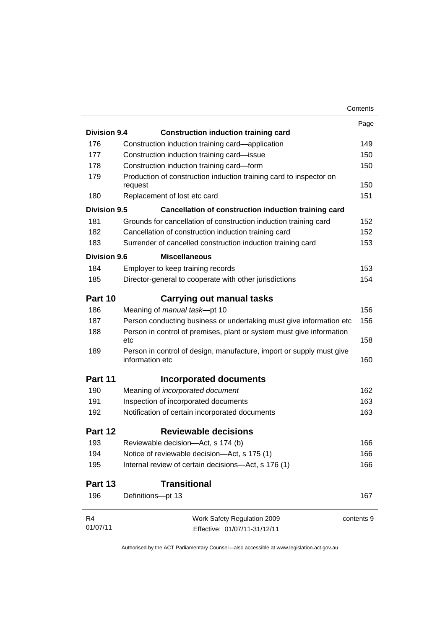|                     |                                                                                         | Contents   |
|---------------------|-----------------------------------------------------------------------------------------|------------|
|                     |                                                                                         | Page       |
| <b>Division 9.4</b> | <b>Construction induction training card</b>                                             |            |
| 176                 | Construction induction training card—application                                        | 149        |
| 177                 | Construction induction training card-issue                                              | 150        |
| 178                 | Construction induction training card-form                                               | 150        |
| 179                 | Production of construction induction training card to inspector on<br>request           | 150        |
| 180                 | Replacement of lost etc card                                                            | 151        |
| Division 9.5        | Cancellation of construction induction training card                                    |            |
| 181                 | Grounds for cancellation of construction induction training card                        | 152        |
| 182                 | Cancellation of construction induction training card                                    | 152        |
| 183                 | Surrender of cancelled construction induction training card                             | 153        |
| Division 9.6        | <b>Miscellaneous</b>                                                                    |            |
| 184                 | Employer to keep training records                                                       | 153        |
| 185                 | Director-general to cooperate with other jurisdictions                                  | 154        |
|                     |                                                                                         |            |
| Part 10             | <b>Carrying out manual tasks</b>                                                        |            |
| 186                 | Meaning of manual task-pt 10                                                            | 156        |
| 187                 | Person conducting business or undertaking must give information etc                     | 156        |
| 188                 | Person in control of premises, plant or system must give information<br>etc             | 158        |
| 189                 | Person in control of design, manufacture, import or supply must give<br>information etc | 160        |
| Part 11             | Incorporated documents                                                                  |            |
| 190                 | Meaning of incorporated document                                                        | 162        |
| 191                 | Inspection of incorporated documents                                                    | 163        |
| 192                 | Notification of certain incorporated documents                                          | 163        |
| Part 12             | <b>Reviewable decisions</b>                                                             |            |
| 193                 | Reviewable decision-Act, s 174 (b)                                                      | 166        |
| 194                 | Notice of reviewable decision-Act, s 175 (1)                                            | 166        |
| 195                 | Internal review of certain decisions-Act, s 176 (1)                                     | 166        |
| Part 13             | <b>Transitional</b>                                                                     |            |
| 196                 | Definitions-pt 13                                                                       | 167        |
| R <sub>4</sub>      | Work Safety Regulation 2009                                                             | contents 9 |
| 01/07/11            | Effective: 01/07/11-31/12/11                                                            |            |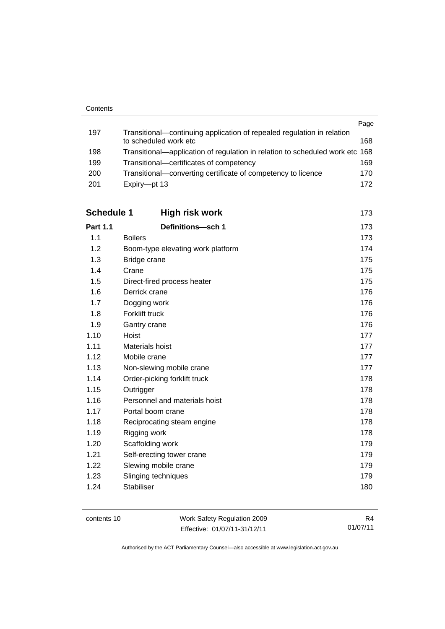|     |                                                                              | Page |
|-----|------------------------------------------------------------------------------|------|
| 197 | Transitional—continuing application of repealed regulation in relation       |      |
|     | to scheduled work etc                                                        | 168  |
| 198 | Transitional—application of regulation in relation to scheduled work etc 168 |      |
| 199 | Transitional-certificates of competency                                      | 169  |
| 200 | Transitional—converting certificate of competency to licence                 | 170  |
| 201 | Expiry-pt 13                                                                 | 172  |

| <b>Schedule 1</b> | <b>High risk work</b>             | 173 |
|-------------------|-----------------------------------|-----|
| <b>Part 1.1</b>   | Definitions-sch 1                 | 173 |
| 1.1               | <b>Boilers</b>                    | 173 |
| 1.2               | Boom-type elevating work platform | 174 |
| 1.3               | Bridge crane                      | 175 |
| 1.4               | Crane                             | 175 |
| 1.5               | Direct-fired process heater       | 175 |
| 1.6               | Derrick crane                     | 176 |
| 1.7               | Dogging work                      | 176 |
| 1.8               | Forklift truck                    | 176 |
| 1.9               | Gantry crane                      | 176 |
| 1.10              | Hoist                             | 177 |
| 1.11              | Materials hoist                   | 177 |
| 1.12              | Mobile crane                      | 177 |
| 1.13              | Non-slewing mobile crane          | 177 |
| 1.14              | Order-picking forklift truck      | 178 |
| 1.15              | Outrigger                         | 178 |
| 1.16              | Personnel and materials hoist     | 178 |
| 1.17              | Portal boom crane                 | 178 |
| 1.18              | Reciprocating steam engine        | 178 |
| 1.19              | Rigging work                      | 178 |
| 1.20              | Scaffolding work                  | 179 |
| 1.21              | Self-erecting tower crane         | 179 |
| 1.22              | Slewing mobile crane              | 179 |
| 1.23              | Slinging techniques               | 179 |
| 1.24              | <b>Stabiliser</b>                 | 180 |

| contents 10 |  |
|-------------|--|
|-------------|--|

Work Safety Regulation 2009 Effective: 01/07/11-31/12/11

R4 01/07/11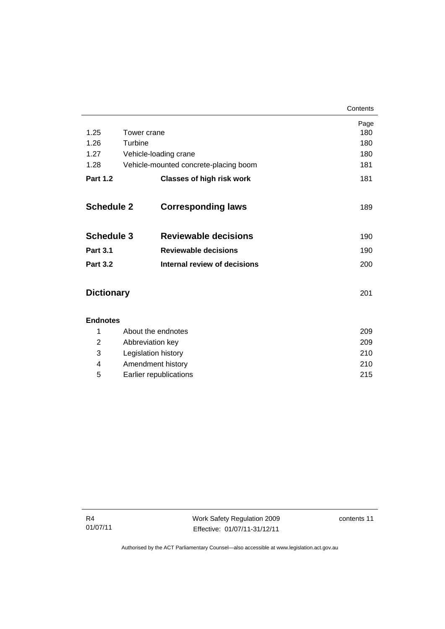|                   |                                                                                                                                                                                                                                                                                                  |                                       | Contents      |
|-------------------|--------------------------------------------------------------------------------------------------------------------------------------------------------------------------------------------------------------------------------------------------------------------------------------------------|---------------------------------------|---------------|
|                   |                                                                                                                                                                                                                                                                                                  |                                       | Page          |
| 1.25              | Tower crane                                                                                                                                                                                                                                                                                      |                                       | 180           |
| 1.26              | Turbine                                                                                                                                                                                                                                                                                          |                                       | 180           |
| 1.27              | Vehicle-loading crane                                                                                                                                                                                                                                                                            |                                       | 180           |
| 1.28              |                                                                                                                                                                                                                                                                                                  | Vehicle-mounted concrete-placing boom | 181           |
| <b>Part 1.2</b>   |                                                                                                                                                                                                                                                                                                  | <b>Classes of high risk work</b>      | 181           |
| <b>Schedule 2</b> |                                                                                                                                                                                                                                                                                                  | <b>Corresponding laws</b>             | 189           |
| <b>Schedule 3</b> |                                                                                                                                                                                                                                                                                                  | <b>Reviewable decisions</b>           | 190           |
| <b>Part 3.1</b>   |                                                                                                                                                                                                                                                                                                  | <b>Reviewable decisions</b>           | 190           |
| <b>Part 3.2</b>   |                                                                                                                                                                                                                                                                                                  | <b>Internal review of decisions</b>   | 200           |
| <b>Dictionary</b> |                                                                                                                                                                                                                                                                                                  |                                       | 201           |
| <b>Endnotes</b>   | $\mathbf{A}$ and $\mathbf{A}$ and $\mathbf{A}$ and $\mathbf{A}$ and $\mathbf{A}$ and $\mathbf{A}$ and $\mathbf{A}$ and $\mathbf{A}$ and $\mathbf{A}$ and $\mathbf{A}$ and $\mathbf{A}$ and $\mathbf{A}$ and $\mathbf{A}$ and $\mathbf{A}$ and $\mathbf{A}$ and $\mathbf{A}$ and $\mathbf{A}$ and |                                       | $\sim$ $\sim$ |

|   | About the endnotes     | 209 |
|---|------------------------|-----|
| 2 | Abbreviation key       | 209 |
| 3 | Legislation history    | 210 |
| 4 | Amendment history      | 210 |
| 5 | Earlier republications | 215 |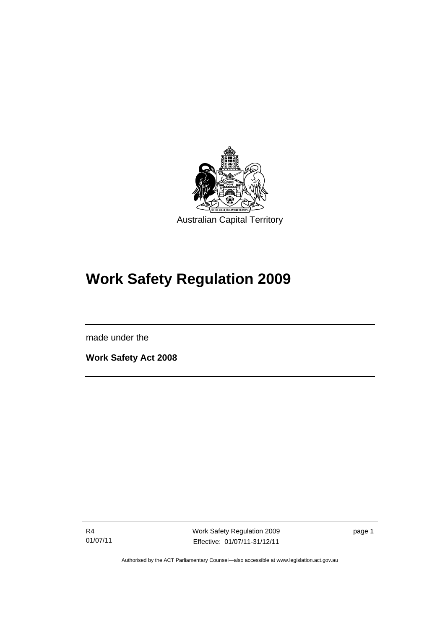

# **Work Safety Regulation 2009**

made under the

l

**Work Safety Act 2008** 

R4 01/07/11 Work Safety Regulation 2009 Effective: 01/07/11-31/12/11

page 1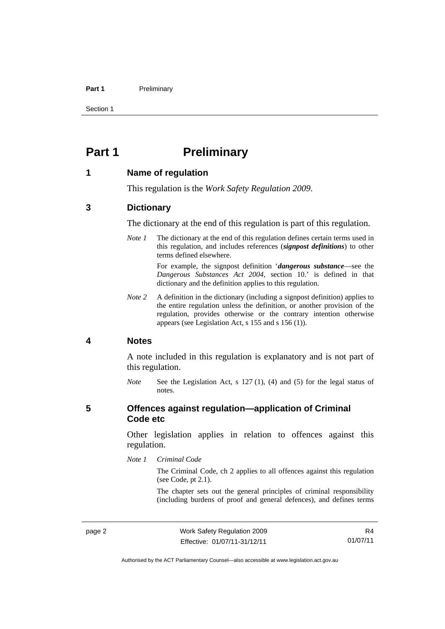#### Part 1 **Preliminary**

Section 1

# <span id="page-15-0"></span>**Part 1** Preliminary

#### <span id="page-15-1"></span>**1 Name of regulation**

This regulation is the *Work Safety Regulation 2009*.

#### <span id="page-15-2"></span>**3 Dictionary**

The dictionary at the end of this regulation is part of this regulation.

*Note 1* The dictionary at the end of this regulation defines certain terms used in this regulation, and includes references (*signpost definitions*) to other terms defined elsewhere.

> For example, the signpost definition '*dangerous substance*—see the *Dangerous Substances Act 2004*, section 10.' is defined in that dictionary and the definition applies to this regulation.

*Note 2* A definition in the dictionary (including a signpost definition) applies to the entire regulation unless the definition, or another provision of the regulation, provides otherwise or the contrary intention otherwise appears (see Legislation Act, s 155 and s 156 (1)).

#### <span id="page-15-3"></span>**4 Notes**

A note included in this regulation is explanatory and is not part of this regulation.

*Note* See the Legislation Act, s 127(1), (4) and (5) for the legal status of notes.

#### <span id="page-15-4"></span>**5 Offences against regulation—application of Criminal Code etc**

Other legislation applies in relation to offences against this regulation.

*Note 1 Criminal Code*

The Criminal Code, ch 2 applies to all offences against this regulation (see Code, pt 2.1).

The chapter sets out the general principles of criminal responsibility (including burdens of proof and general defences), and defines terms

R4 01/07/11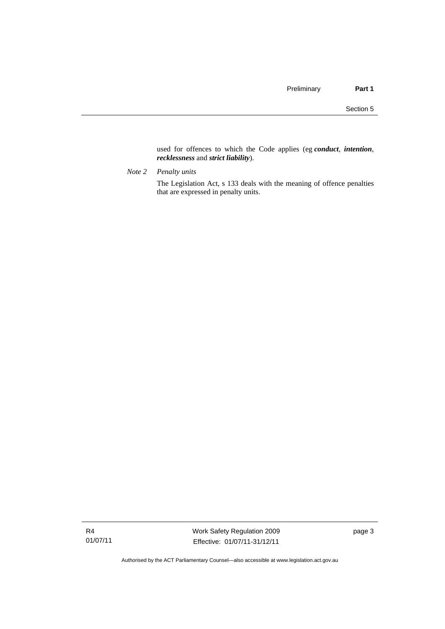used for offences to which the Code applies (eg *conduct*, *intention*, *recklessness* and *strict liability*).

*Note 2 Penalty units* 

The Legislation Act, s 133 deals with the meaning of offence penalties that are expressed in penalty units.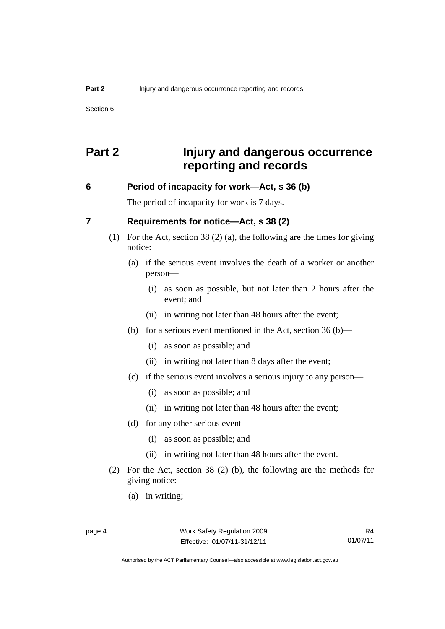Section 6

# <span id="page-17-0"></span>**Part 2 Injury and dangerous occurrence reporting and records**

#### <span id="page-17-1"></span>**6 Period of incapacity for work—Act, s 36 (b)**

The period of incapacity for work is 7 days.

#### <span id="page-17-2"></span>**7 Requirements for notice—Act, s 38 (2)**

- (1) For the Act, section 38 (2) (a), the following are the times for giving notice:
	- (a) if the serious event involves the death of a worker or another person—
		- (i) as soon as possible, but not later than 2 hours after the event; and
		- (ii) in writing not later than 48 hours after the event;
	- (b) for a serious event mentioned in the Act, section 36 (b)—
		- (i) as soon as possible; and
		- (ii) in writing not later than 8 days after the event;
	- (c) if the serious event involves a serious injury to any person—
		- (i) as soon as possible; and
		- (ii) in writing not later than 48 hours after the event;
	- (d) for any other serious event—
		- (i) as soon as possible; and
		- (ii) in writing not later than 48 hours after the event.
- (2) For the Act, section 38 (2) (b), the following are the methods for giving notice:
	- (a) in writing;

Authorised by the ACT Parliamentary Counsel—also accessible at www.legislation.act.gov.au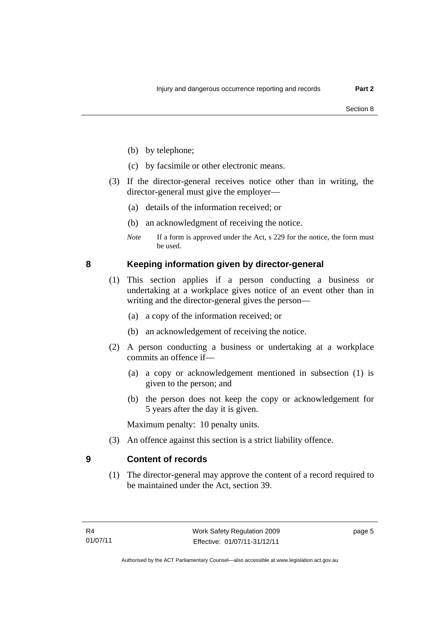- (b) by telephone;
- (c) by facsimile or other electronic means.
- (3) If the director-general receives notice other than in writing, the director-general must give the employer—
	- (a) details of the information received; or
	- (b) an acknowledgment of receiving the notice.
	- *Note* If a form is approved under the Act, s 229 for the notice, the form must be used.

#### <span id="page-18-0"></span>**8 Keeping information given by director-general**

- (1) This section applies if a person conducting a business or undertaking at a workplace gives notice of an event other than in writing and the director-general gives the person—
	- (a) a copy of the information received; or
	- (b) an acknowledgement of receiving the notice.
- (2) A person conducting a business or undertaking at a workplace commits an offence if—
	- (a) a copy or acknowledgement mentioned in subsection (1) is given to the person; and
	- (b) the person does not keep the copy or acknowledgement for 5 years after the day it is given.

Maximum penalty: 10 penalty units.

(3) An offence against this section is a strict liability offence.

#### <span id="page-18-1"></span>**9 Content of records**

(1) The director-general may approve the content of a record required to be maintained under the Act, section 39.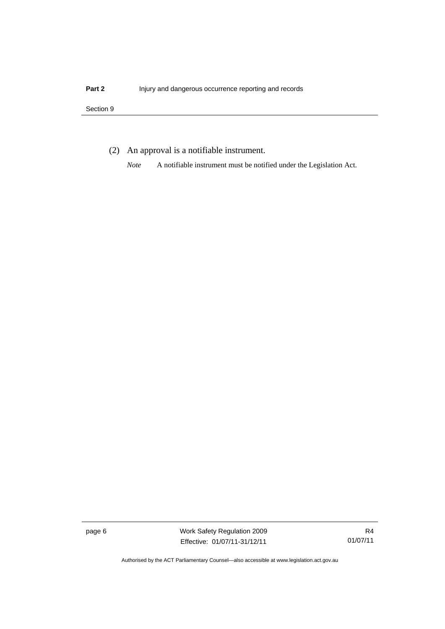#### Section 9

(2) An approval is a notifiable instrument.

*Note* A notifiable instrument must be notified under the Legislation Act.

page 6 Work Safety Regulation 2009 Effective: 01/07/11-31/12/11

R4 01/07/11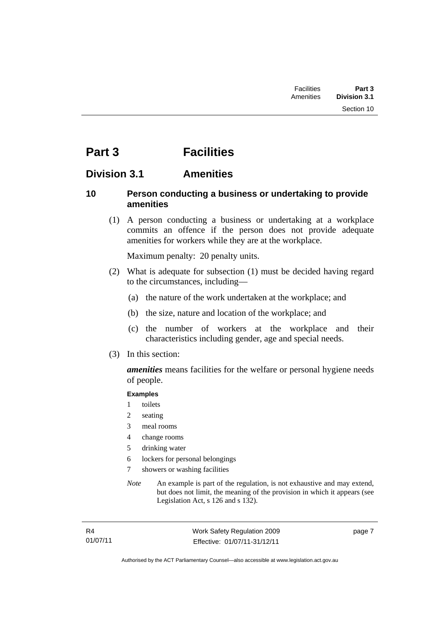# <span id="page-20-0"></span>**Part 3 Facilities**

### <span id="page-20-1"></span>**Division 3.1 Amenities**

#### <span id="page-20-2"></span>**10 Person conducting a business or undertaking to provide amenities**

 (1) A person conducting a business or undertaking at a workplace commits an offence if the person does not provide adequate amenities for workers while they are at the workplace.

Maximum penalty: 20 penalty units.

- (2) What is adequate for subsection (1) must be decided having regard to the circumstances, including—
	- (a) the nature of the work undertaken at the workplace; and
	- (b) the size, nature and location of the workplace; and
	- (c) the number of workers at the workplace and their characteristics including gender, age and special needs.
- (3) In this section:

*amenities* means facilities for the welfare or personal hygiene needs of people.

#### **Examples**

- 1 toilets
- 2 seating
- 3 meal rooms
- 4 change rooms
- 5 drinking water
- 6 lockers for personal belongings
- 7 showers or washing facilities
- *Note* An example is part of the regulation, is not exhaustive and may extend, but does not limit, the meaning of the provision in which it appears (see Legislation Act, s 126 and s 132).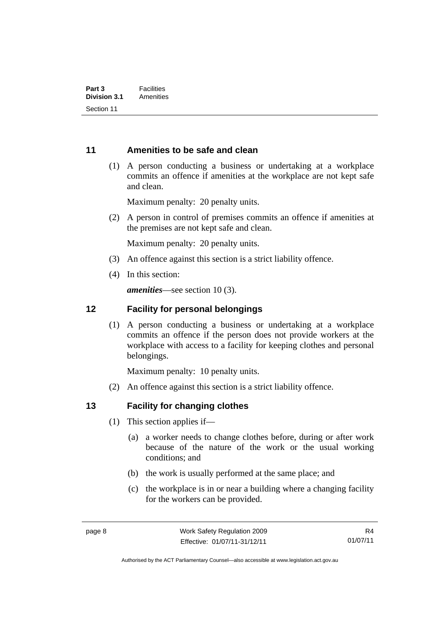#### <span id="page-21-0"></span>**11 Amenities to be safe and clean**

 (1) A person conducting a business or undertaking at a workplace commits an offence if amenities at the workplace are not kept safe and clean.

Maximum penalty: 20 penalty units.

 (2) A person in control of premises commits an offence if amenities at the premises are not kept safe and clean.

Maximum penalty: 20 penalty units.

- (3) An offence against this section is a strict liability offence.
- (4) In this section:

*amenities*—see section 10 (3).

#### <span id="page-21-1"></span>**12 Facility for personal belongings**

(1) A person conducting a business or undertaking at a workplace commits an offence if the person does not provide workers at the workplace with access to a facility for keeping clothes and personal belongings.

Maximum penalty: 10 penalty units.

(2) An offence against this section is a strict liability offence.

#### <span id="page-21-2"></span>**13 Facility for changing clothes**

- (1) This section applies if—
	- (a) a worker needs to change clothes before, during or after work because of the nature of the work or the usual working conditions; and
	- (b) the work is usually performed at the same place; and
	- (c) the workplace is in or near a building where a changing facility for the workers can be provided.

Authorised by the ACT Parliamentary Counsel—also accessible at www.legislation.act.gov.au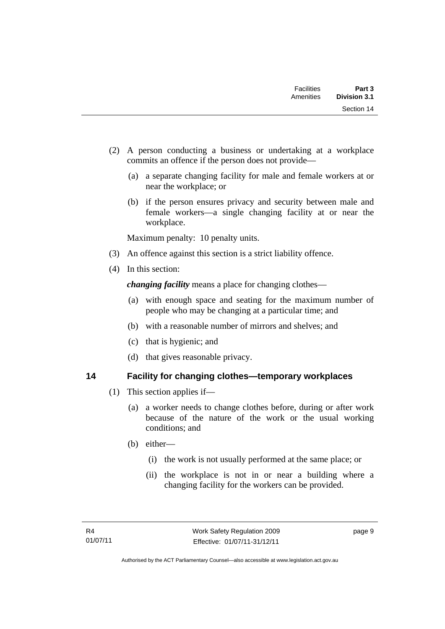| <b>Facilities</b><br>Amenities | Part 3<br><b>Division 3.1</b> |
|--------------------------------|-------------------------------|
|                                | Section 14                    |

- (2) A person conducting a business or undertaking at a workplace commits an offence if the person does not provide—
	- (a) a separate changing facility for male and female workers at or near the workplace; or
	- (b) if the person ensures privacy and security between male and female workers—a single changing facility at or near the workplace.

Maximum penalty: 10 penalty units.

- (3) An offence against this section is a strict liability offence.
- (4) In this section:

*changing facility* means a place for changing clothes—

- (a) with enough space and seating for the maximum number of people who may be changing at a particular time; and
- (b) with a reasonable number of mirrors and shelves; and
- (c) that is hygienic; and
- (d) that gives reasonable privacy.

### <span id="page-22-0"></span>**14 Facility for changing clothes—temporary workplaces**

- (1) This section applies if—
	- (a) a worker needs to change clothes before, during or after work because of the nature of the work or the usual working conditions; and
	- (b) either—
		- (i) the work is not usually performed at the same place; or
		- (ii) the workplace is not in or near a building where a changing facility for the workers can be provided.

page 9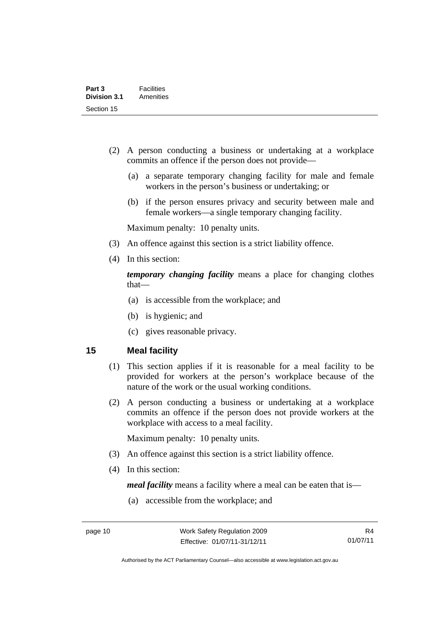- (2) A person conducting a business or undertaking at a workplace commits an offence if the person does not provide—
	- (a) a separate temporary changing facility for male and female workers in the person's business or undertaking; or
	- (b) if the person ensures privacy and security between male and female workers—a single temporary changing facility.

Maximum penalty: 10 penalty units.

- (3) An offence against this section is a strict liability offence.
- (4) In this section:

*temporary changing facility* means a place for changing clothes that—

- (a) is accessible from the workplace; and
- (b) is hygienic; and
- (c) gives reasonable privacy.

#### <span id="page-23-0"></span>**15 Meal facility**

- (1) This section applies if it is reasonable for a meal facility to be provided for workers at the person's workplace because of the nature of the work or the usual working conditions.
- (2) A person conducting a business or undertaking at a workplace commits an offence if the person does not provide workers at the workplace with access to a meal facility.

Maximum penalty: 10 penalty units.

- (3) An offence against this section is a strict liability offence.
- (4) In this section:

*meal facility* means a facility where a meal can be eaten that is—

(a) accessible from the workplace; and

Authorised by the ACT Parliamentary Counsel—also accessible at www.legislation.act.gov.au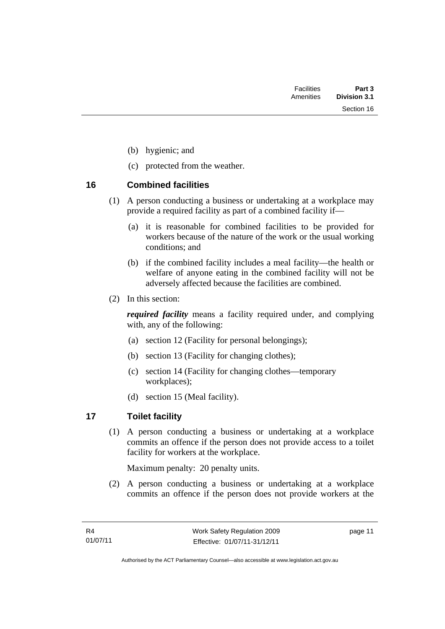Section 16

- (b) hygienic; and
- (c) protected from the weather.

#### <span id="page-24-0"></span>**16 Combined facilities**

- (1) A person conducting a business or undertaking at a workplace may provide a required facility as part of a combined facility if—
	- (a) it is reasonable for combined facilities to be provided for workers because of the nature of the work or the usual working conditions; and
	- (b) if the combined facility includes a meal facility—the health or welfare of anyone eating in the combined facility will not be adversely affected because the facilities are combined.
- (2) In this section:

*required facility* means a facility required under, and complying with, any of the following:

- (a) section 12 (Facility for personal belongings);
- (b) section 13 (Facility for changing clothes);
- (c) section 14 (Facility for changing clothes—temporary workplaces);
- (d) section 15 (Meal facility).

## <span id="page-24-1"></span>**17 Toilet facility**

(1) A person conducting a business or undertaking at a workplace commits an offence if the person does not provide access to a toilet facility for workers at the workplace.

Maximum penalty: 20 penalty units.

 (2) A person conducting a business or undertaking at a workplace commits an offence if the person does not provide workers at the

page 11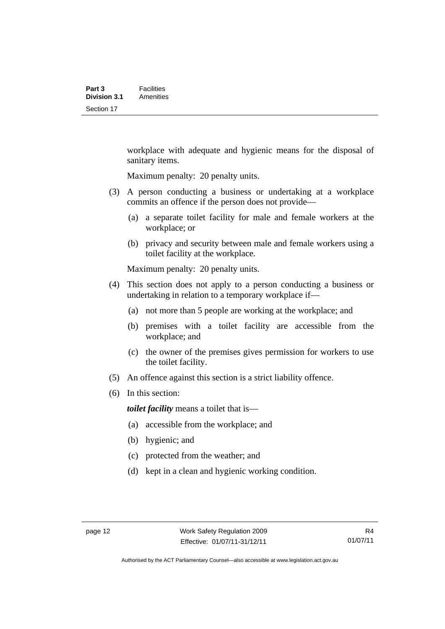workplace with adequate and hygienic means for the disposal of sanitary items.

Maximum penalty: 20 penalty units.

- (3) A person conducting a business or undertaking at a workplace commits an offence if the person does not provide—
	- (a) a separate toilet facility for male and female workers at the workplace; or
	- (b) privacy and security between male and female workers using a toilet facility at the workplace.

Maximum penalty: 20 penalty units.

- (4) This section does not apply to a person conducting a business or undertaking in relation to a temporary workplace if—
	- (a) not more than 5 people are working at the workplace; and
	- (b) premises with a toilet facility are accessible from the workplace; and
	- (c) the owner of the premises gives permission for workers to use the toilet facility.
- (5) An offence against this section is a strict liability offence.
- (6) In this section:

*toilet facility* means a toilet that is—

- (a) accessible from the workplace; and
- (b) hygienic; and
- (c) protected from the weather; and
- (d) kept in a clean and hygienic working condition.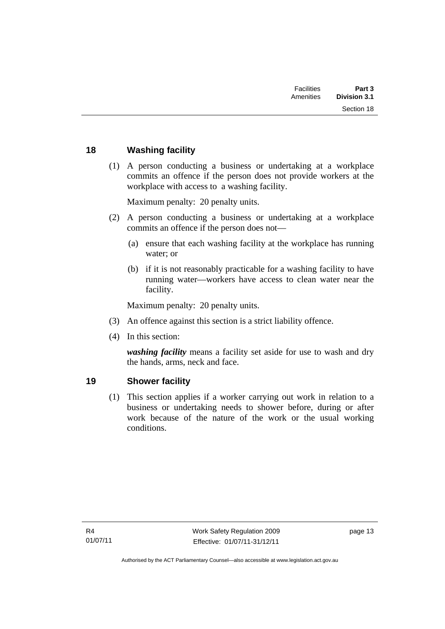| Part 3<br><b>Division 3.1</b> | <b>Facilities</b><br>Amenities |  |
|-------------------------------|--------------------------------|--|
| Section 18                    |                                |  |
|                               |                                |  |

### <span id="page-26-0"></span>**18 Washing facility**

 (1) A person conducting a business or undertaking at a workplace commits an offence if the person does not provide workers at the workplace with access to a washing facility.

Maximum penalty: 20 penalty units.

- (2) A person conducting a business or undertaking at a workplace commits an offence if the person does not—
	- (a) ensure that each washing facility at the workplace has running water; or
	- (b) if it is not reasonably practicable for a washing facility to have running water—workers have access to clean water near the facility.

Maximum penalty: 20 penalty units.

- (3) An offence against this section is a strict liability offence.
- (4) In this section:

*washing facility* means a facility set aside for use to wash and dry the hands, arms, neck and face.

#### <span id="page-26-1"></span>**19 Shower facility**

(1) This section applies if a worker carrying out work in relation to a business or undertaking needs to shower before, during or after work because of the nature of the work or the usual working conditions.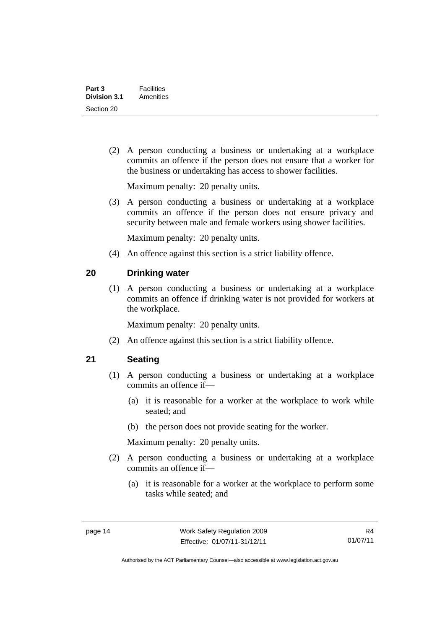(2) A person conducting a business or undertaking at a workplace commits an offence if the person does not ensure that a worker for the business or undertaking has access to shower facilities.

Maximum penalty: 20 penalty units.

 (3) A person conducting a business or undertaking at a workplace commits an offence if the person does not ensure privacy and security between male and female workers using shower facilities.

Maximum penalty: 20 penalty units.

(4) An offence against this section is a strict liability offence.

#### <span id="page-27-0"></span>**20 Drinking water**

(1) A person conducting a business or undertaking at a workplace commits an offence if drinking water is not provided for workers at the workplace.

Maximum penalty: 20 penalty units.

(2) An offence against this section is a strict liability offence.

#### <span id="page-27-1"></span>**21 Seating**

- (1) A person conducting a business or undertaking at a workplace commits an offence if—
	- (a) it is reasonable for a worker at the workplace to work while seated; and
	- (b) the person does not provide seating for the worker.

Maximum penalty: 20 penalty units.

- (2) A person conducting a business or undertaking at a workplace commits an offence if—
	- (a) it is reasonable for a worker at the workplace to perform some tasks while seated; and

Authorised by the ACT Parliamentary Counsel—also accessible at www.legislation.act.gov.au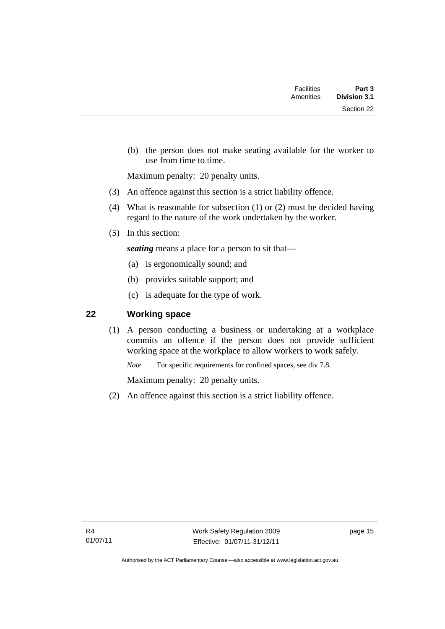| Part 3<br><b>Division 3.1</b> | <b>Facilities</b><br>Amenities |  |
|-------------------------------|--------------------------------|--|
| Section 22                    |                                |  |

 (b) the person does not make seating available for the worker to use from time to time.

Maximum penalty: 20 penalty units.

- (3) An offence against this section is a strict liability offence.
- (4) What is reasonable for subsection (1) or (2) must be decided having regard to the nature of the work undertaken by the worker.
- (5) In this section:

*seating* means a place for a person to sit that—

- (a) is ergonomically sound; and
- (b) provides suitable support; and
- (c) is adequate for the type of work.

### <span id="page-28-0"></span>**22 Working space**

(1) A person conducting a business or undertaking at a workplace commits an offence if the person does not provide sufficient working space at the workplace to allow workers to work safely.

*Note* For specific requirements for confined spaces, see div 7.8.

Maximum penalty: 20 penalty units.

(2) An offence against this section is a strict liability offence.

page 15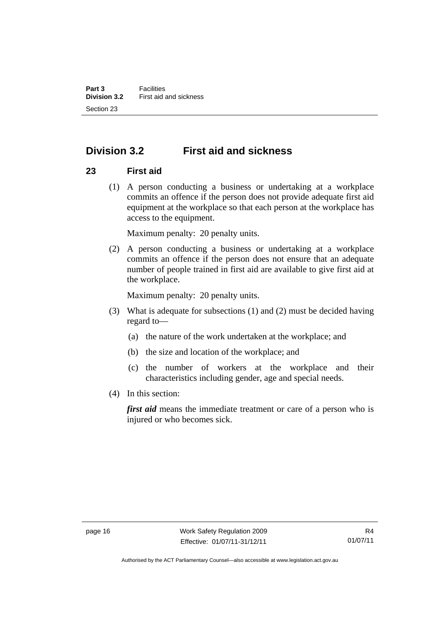# <span id="page-29-0"></span>**Division 3.2 First aid and sickness**

#### <span id="page-29-1"></span>**23 First aid**

 (1) A person conducting a business or undertaking at a workplace commits an offence if the person does not provide adequate first aid equipment at the workplace so that each person at the workplace has access to the equipment.

Maximum penalty: 20 penalty units.

 (2) A person conducting a business or undertaking at a workplace commits an offence if the person does not ensure that an adequate number of people trained in first aid are available to give first aid at the workplace.

Maximum penalty: 20 penalty units.

- (3) What is adequate for subsections (1) and (2) must be decided having regard to—
	- (a) the nature of the work undertaken at the workplace; and
	- (b) the size and location of the workplace; and
	- (c) the number of workers at the workplace and their characteristics including gender, age and special needs.
- (4) In this section:

*first aid* means the immediate treatment or care of a person who is injured or who becomes sick.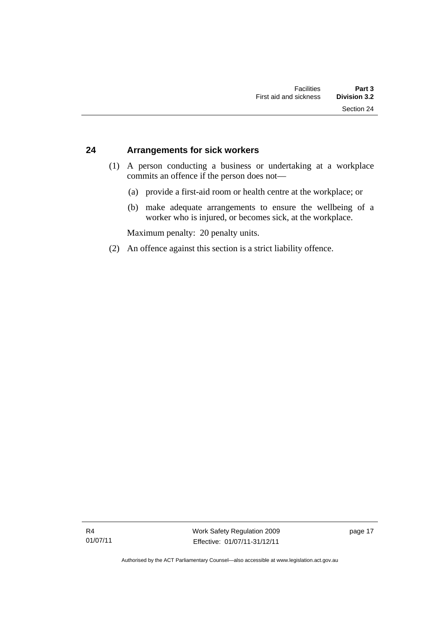#### <span id="page-30-0"></span>**24 Arrangements for sick workers**

- (1) A person conducting a business or undertaking at a workplace commits an offence if the person does not—
	- (a) provide a first-aid room or health centre at the workplace; or
	- (b) make adequate arrangements to ensure the wellbeing of a worker who is injured, or becomes sick, at the workplace.

Maximum penalty: 20 penalty units.

(2) An offence against this section is a strict liability offence.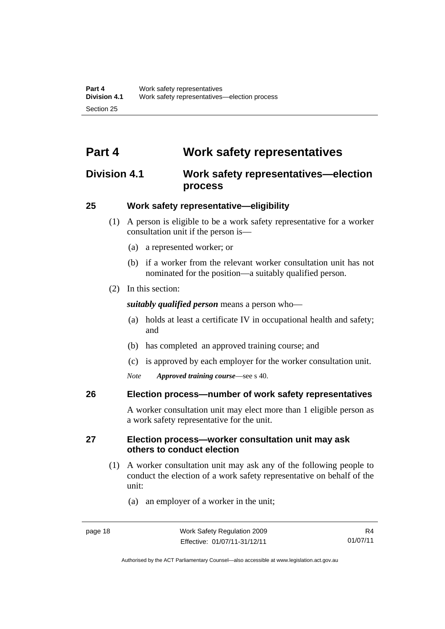# <span id="page-31-0"></span>**Part 4 Work safety representatives**

## <span id="page-31-1"></span>**Division 4.1 Work safety representatives—election process**

### <span id="page-31-2"></span>**25 Work safety representative—eligibility**

- (1) A person is eligible to be a work safety representative for a worker consultation unit if the person is—
	- (a) a represented worker; or
	- (b) if a worker from the relevant worker consultation unit has not nominated for the position—a suitably qualified person.
- (2) In this section:

*suitably qualified person* means a person who—

- (a) holds at least a certificate IV in occupational health and safety; and
- (b) has completed an approved training course; and
- (c) is approved by each employer for the worker consultation unit.
- *Note Approved training course*—see s 40.

#### <span id="page-31-3"></span>**26 Election process—number of work safety representatives**

A worker consultation unit may elect more than 1 eligible person as a work safety representative for the unit.

#### <span id="page-31-4"></span>**27 Election process—worker consultation unit may ask others to conduct election**

- (1) A worker consultation unit may ask any of the following people to conduct the election of a work safety representative on behalf of the unit:
	- (a) an employer of a worker in the unit;

Authorised by the ACT Parliamentary Counsel—also accessible at www.legislation.act.gov.au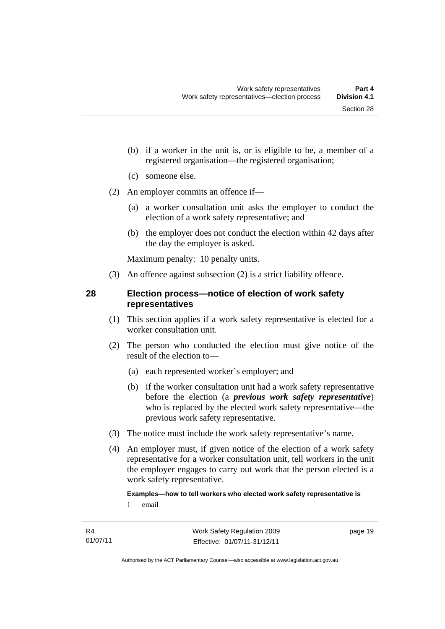- (b) if a worker in the unit is, or is eligible to be, a member of a registered organisation—the registered organisation;
- (c) someone else.
- (2) An employer commits an offence if—
	- (a) a worker consultation unit asks the employer to conduct the election of a work safety representative; and
	- (b) the employer does not conduct the election within 42 days after the day the employer is asked.

Maximum penalty: 10 penalty units.

(3) An offence against subsection (2) is a strict liability offence.

#### <span id="page-32-0"></span>**28 Election process—notice of election of work safety representatives**

- (1) This section applies if a work safety representative is elected for a worker consultation unit.
- (2) The person who conducted the election must give notice of the result of the election to—
	- (a) each represented worker's employer; and
	- (b) if the worker consultation unit had a work safety representative before the election (a *previous work safety representative*) who is replaced by the elected work safety representative—the previous work safety representative.
- (3) The notice must include the work safety representative's name.
- (4) An employer must, if given notice of the election of a work safety representative for a worker consultation unit, tell workers in the unit the employer engages to carry out work that the person elected is a work safety representative.

#### **Examples—how to tell workers who elected work safety representative is**

1 email

page 19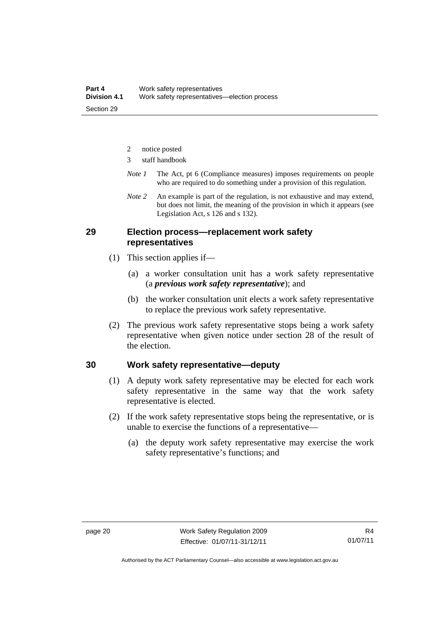- 2 notice posted
- 3 staff handbook
- *Note 1* The Act, pt 6 (Compliance measures) imposes requirements on people who are required to do something under a provision of this regulation.
- *Note 2* An example is part of the regulation, is not exhaustive and may extend, but does not limit, the meaning of the provision in which it appears (see Legislation Act, s 126 and s 132).

#### <span id="page-33-0"></span>**29 Election process—replacement work safety representatives**

- (1) This section applies if—
	- (a) a worker consultation unit has a work safety representative (a *previous work safety representative*); and
	- (b) the worker consultation unit elects a work safety representative to replace the previous work safety representative.
- (2) The previous work safety representative stops being a work safety representative when given notice under section 28 of the result of the election.

#### <span id="page-33-1"></span>**30 Work safety representative—deputy**

- (1) A deputy work safety representative may be elected for each work safety representative in the same way that the work safety representative is elected.
- (2) If the work safety representative stops being the representative, or is unable to exercise the functions of a representative—
	- (a) the deputy work safety representative may exercise the work safety representative's functions; and

Authorised by the ACT Parliamentary Counsel—also accessible at www.legislation.act.gov.au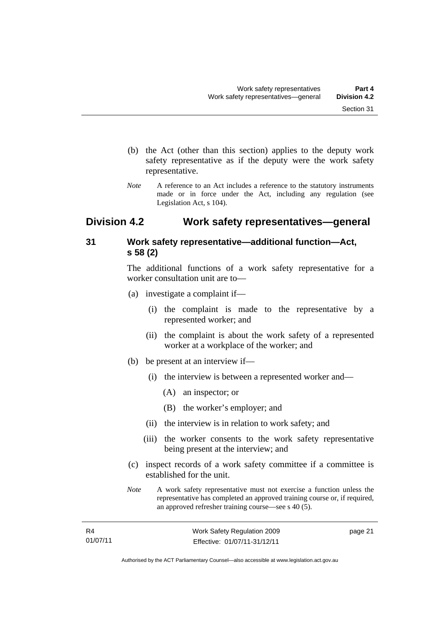- (b) the Act (other than this section) applies to the deputy work safety representative as if the deputy were the work safety representative.
- *Note* A reference to an Act includes a reference to the statutory instruments made or in force under the Act, including any regulation (see Legislation Act, s 104).

## <span id="page-34-0"></span>**Division 4.2 Work safety representatives—general**

### <span id="page-34-1"></span>**31 Work safety representative—additional function—Act, s 58 (2)**

The additional functions of a work safety representative for a worker consultation unit are to—

- (a) investigate a complaint if—
	- (i) the complaint is made to the representative by a represented worker; and
	- (ii) the complaint is about the work safety of a represented worker at a workplace of the worker; and
- (b) be present at an interview if—
	- (i) the interview is between a represented worker and—
		- (A) an inspector; or
		- (B) the worker's employer; and
	- (ii) the interview is in relation to work safety; and
	- (iii) the worker consents to the work safety representative being present at the interview; and
- (c) inspect records of a work safety committee if a committee is established for the unit.
- *Note* A work safety representative must not exercise a function unless the representative has completed an approved training course or, if required, an approved refresher training course—see s 40 (5).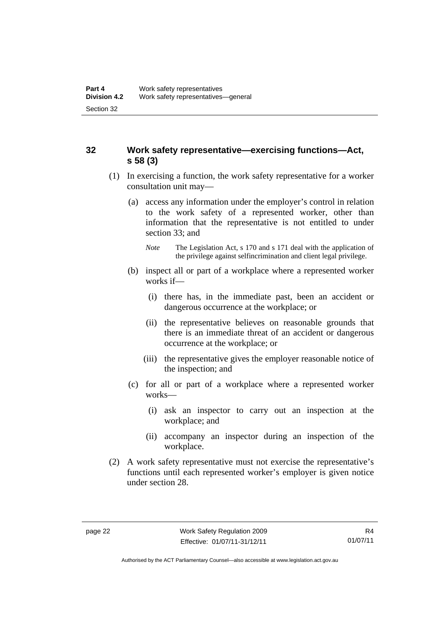#### <span id="page-35-0"></span>**32 Work safety representative—exercising functions—Act, s 58 (3)**

- (1) In exercising a function, the work safety representative for a worker consultation unit may—
	- (a) access any information under the employer's control in relation to the work safety of a represented worker, other than information that the representative is not entitled to under section 33; and
		- *Note* The Legislation Act, s 170 and s 171 deal with the application of the privilege against selfincrimination and client legal privilege.
	- (b) inspect all or part of a workplace where a represented worker works if—
		- (i) there has, in the immediate past, been an accident or dangerous occurrence at the workplace; or
		- (ii) the representative believes on reasonable grounds that there is an immediate threat of an accident or dangerous occurrence at the workplace; or
		- (iii) the representative gives the employer reasonable notice of the inspection; and
	- (c) for all or part of a workplace where a represented worker works—
		- (i) ask an inspector to carry out an inspection at the workplace; and
		- (ii) accompany an inspector during an inspection of the workplace.
- (2) A work safety representative must not exercise the representative's functions until each represented worker's employer is given notice under section 28.

Authorised by the ACT Parliamentary Counsel—also accessible at www.legislation.act.gov.au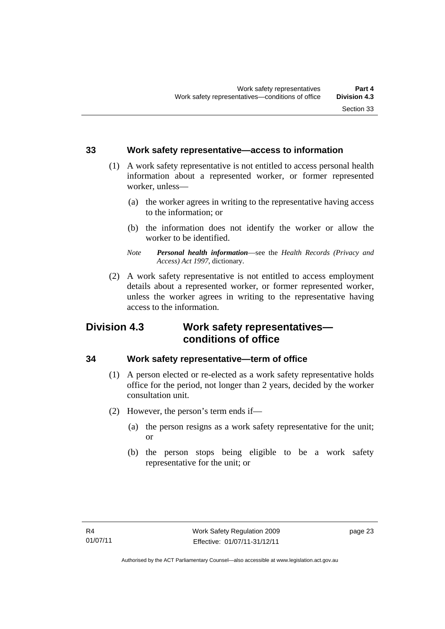#### **33 Work safety representative—access to information**

- (1) A work safety representative is not entitled to access personal health information about a represented worker, or former represented worker, unless—
	- (a) the worker agrees in writing to the representative having access to the information; or
	- (b) the information does not identify the worker or allow the worker to be identified.
	- *Note Personal health information*—see the *Health Records (Privacy and Access) Act 1997*, dictionary.
- (2) A work safety representative is not entitled to access employment details about a represented worker, or former represented worker, unless the worker agrees in writing to the representative having access to the information.

## **Division 4.3 Work safety representatives conditions of office**

#### **34 Work safety representative—term of office**

- (1) A person elected or re-elected as a work safety representative holds office for the period, not longer than 2 years, decided by the worker consultation unit.
- (2) However, the person's term ends if—
	- (a) the person resigns as a work safety representative for the unit; or
	- (b) the person stops being eligible to be a work safety representative for the unit; or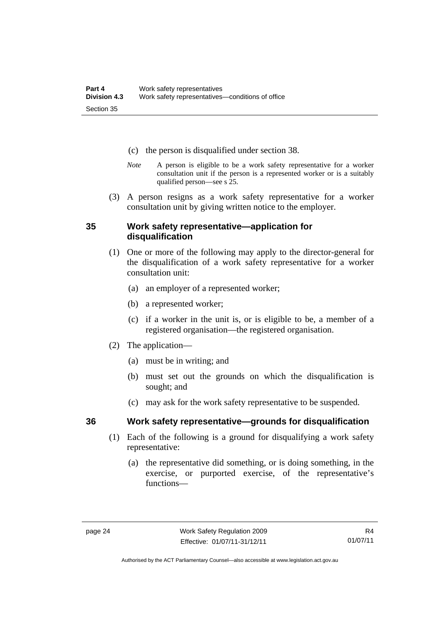- (c) the person is disqualified under section 38.
- *Note* A person is eligible to be a work safety representative for a worker consultation unit if the person is a represented worker or is a suitably qualified person—see s 25.
- (3) A person resigns as a work safety representative for a worker consultation unit by giving written notice to the employer.

#### **35 Work safety representative—application for disqualification**

- (1) One or more of the following may apply to the director-general for the disqualification of a work safety representative for a worker consultation unit:
	- (a) an employer of a represented worker;
	- (b) a represented worker;
	- (c) if a worker in the unit is, or is eligible to be, a member of a registered organisation—the registered organisation.
- (2) The application—
	- (a) must be in writing; and
	- (b) must set out the grounds on which the disqualification is sought; and
	- (c) may ask for the work safety representative to be suspended.

- **36 Work safety representative—grounds for disqualification** 
	- (1) Each of the following is a ground for disqualifying a work safety representative:
		- (a) the representative did something, or is doing something, in the exercise, or purported exercise, of the representative's functions—

Authorised by the ACT Parliamentary Counsel—also accessible at www.legislation.act.gov.au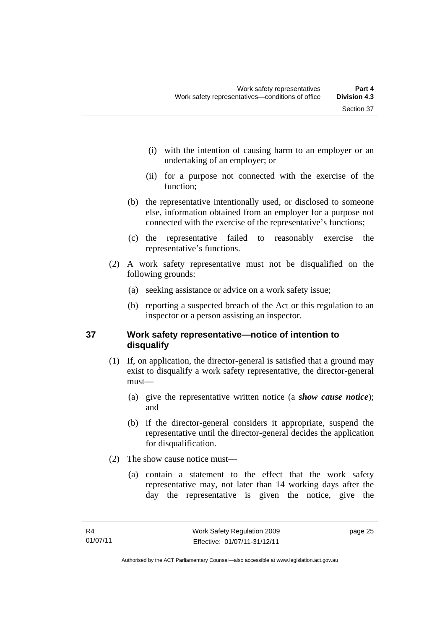- (i) with the intention of causing harm to an employer or an undertaking of an employer; or
- (ii) for a purpose not connected with the exercise of the function;
- (b) the representative intentionally used, or disclosed to someone else, information obtained from an employer for a purpose not connected with the exercise of the representative's functions;
- (c) the representative failed to reasonably exercise the representative's functions.
- (2) A work safety representative must not be disqualified on the following grounds:
	- (a) seeking assistance or advice on a work safety issue;
	- (b) reporting a suspected breach of the Act or this regulation to an inspector or a person assisting an inspector.

### **37 Work safety representative—notice of intention to disqualify**

- (1) If, on application, the director-general is satisfied that a ground may exist to disqualify a work safety representative, the director-general must—
	- (a) give the representative written notice (a *show cause notice*); and
	- (b) if the director-general considers it appropriate, suspend the representative until the director-general decides the application for disqualification.
- (2) The show cause notice must—
	- (a) contain a statement to the effect that the work safety representative may, not later than 14 working days after the day the representative is given the notice, give the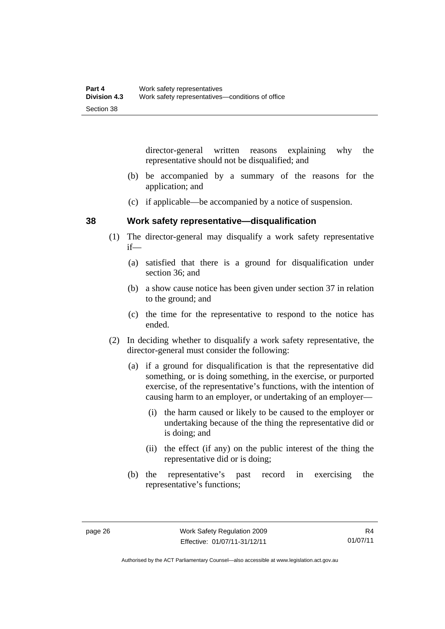director-general written reasons explaining why the representative should not be disqualified; and

- (b) be accompanied by a summary of the reasons for the application; and
- (c) if applicable—be accompanied by a notice of suspension.

#### **38 Work safety representative—disqualification**

- (1) The director-general may disqualify a work safety representative if—
	- (a) satisfied that there is a ground for disqualification under section 36; and
	- (b) a show cause notice has been given under section 37 in relation to the ground; and
	- (c) the time for the representative to respond to the notice has ended.
- (2) In deciding whether to disqualify a work safety representative, the director-general must consider the following:
	- (a) if a ground for disqualification is that the representative did something, or is doing something, in the exercise, or purported exercise, of the representative's functions, with the intention of causing harm to an employer, or undertaking of an employer—
		- (i) the harm caused or likely to be caused to the employer or undertaking because of the thing the representative did or is doing; and
		- (ii) the effect (if any) on the public interest of the thing the representative did or is doing;
	- (b) the representative's past record in exercising the representative's functions;

Authorised by the ACT Parliamentary Counsel—also accessible at www.legislation.act.gov.au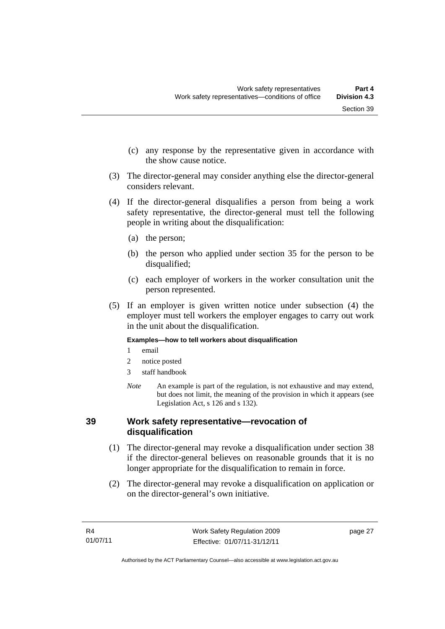- (c) any response by the representative given in accordance with the show cause notice.
- (3) The director-general may consider anything else the director-general considers relevant.
- (4) If the director-general disqualifies a person from being a work safety representative, the director-general must tell the following people in writing about the disqualification:
	- (a) the person;
	- (b) the person who applied under section 35 for the person to be disqualified;
	- (c) each employer of workers in the worker consultation unit the person represented.
- (5) If an employer is given written notice under subsection (4) the employer must tell workers the employer engages to carry out work in the unit about the disqualification.

#### **Examples—how to tell workers about disqualification**

- 1 email
- 2 notice posted
- 3 staff handbook
- *Note* An example is part of the regulation, is not exhaustive and may extend, but does not limit, the meaning of the provision in which it appears (see Legislation Act, s 126 and s 132).

#### **39 Work safety representative—revocation of disqualification**

- (1) The director-general may revoke a disqualification under section 38 if the director-general believes on reasonable grounds that it is no longer appropriate for the disqualification to remain in force.
- (2) The director-general may revoke a disqualification on application or on the director-general's own initiative.

page 27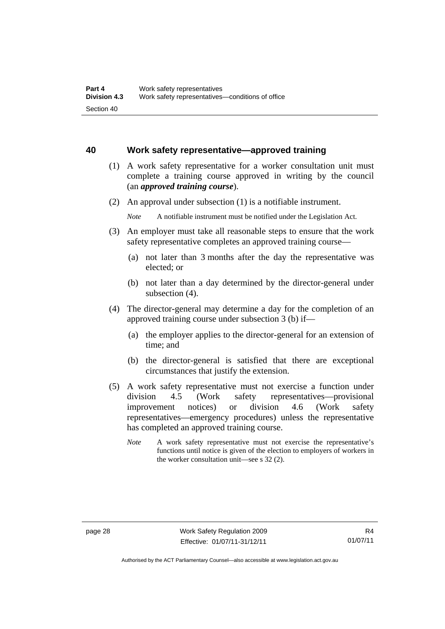#### **40 Work safety representative—approved training**

- (1) A work safety representative for a worker consultation unit must complete a training course approved in writing by the council (an *approved training course*).
- (2) An approval under subsection (1) is a notifiable instrument.

- (3) An employer must take all reasonable steps to ensure that the work safety representative completes an approved training course—
	- (a) not later than 3 months after the day the representative was elected; or
	- (b) not later than a day determined by the director-general under subsection (4).
- (4) The director-general may determine a day for the completion of an approved training course under subsection 3 (b) if—
	- (a) the employer applies to the director-general for an extension of time; and
	- (b) the director-general is satisfied that there are exceptional circumstances that justify the extension.
- (5) A work safety representative must not exercise a function under division 4.5 (Work safety representatives—provisional improvement notices) or division 4.6 (Work safety representatives—emergency procedures) unless the representative has completed an approved training course.
	- *Note* A work safety representative must not exercise the representative's functions until notice is given of the election to employers of workers in the worker consultation unit—see s 32 (2).

*Note* A notifiable instrument must be notified under the Legislation Act.

Authorised by the ACT Parliamentary Counsel—also accessible at www.legislation.act.gov.au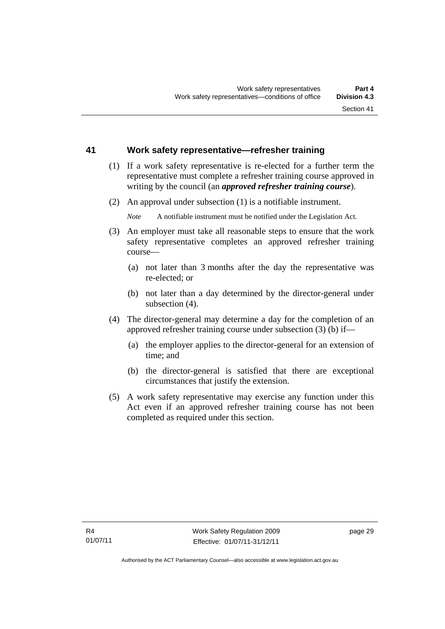#### **41 Work safety representative—refresher training**

- (1) If a work safety representative is re-elected for a further term the representative must complete a refresher training course approved in writing by the council (an *approved refresher training course*).
- (2) An approval under subsection (1) is a notifiable instrument.

*Note* A notifiable instrument must be notified under the Legislation Act.

- (3) An employer must take all reasonable steps to ensure that the work safety representative completes an approved refresher training course—
	- (a) not later than 3 months after the day the representative was re-elected; or
	- (b) not later than a day determined by the director-general under subsection (4).
- (4) The director-general may determine a day for the completion of an approved refresher training course under subsection (3) (b) if—
	- (a) the employer applies to the director-general for an extension of time; and
	- (b) the director-general is satisfied that there are exceptional circumstances that justify the extension.
- (5) A work safety representative may exercise any function under this Act even if an approved refresher training course has not been completed as required under this section.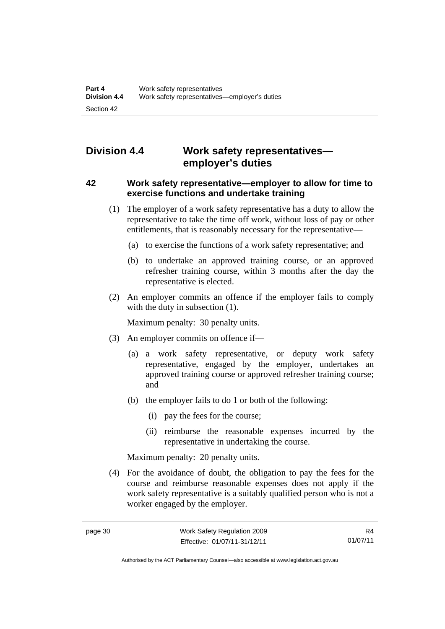# **Division 4.4 Work safety representatives employer's duties**

#### **42 Work safety representative—employer to allow for time to exercise functions and undertake training**

- (1) The employer of a work safety representative has a duty to allow the representative to take the time off work, without loss of pay or other entitlements, that is reasonably necessary for the representative—
	- (a) to exercise the functions of a work safety representative; and
	- (b) to undertake an approved training course, or an approved refresher training course, within 3 months after the day the representative is elected.
- (2) An employer commits an offence if the employer fails to comply with the duty in subsection  $(1)$ .

Maximum penalty: 30 penalty units.

- (3) An employer commits on offence if—
	- (a) a work safety representative, or deputy work safety representative, engaged by the employer, undertakes an approved training course or approved refresher training course; and
	- (b) the employer fails to do 1 or both of the following:
		- (i) pay the fees for the course;
		- (ii) reimburse the reasonable expenses incurred by the representative in undertaking the course.

Maximum penalty: 20 penalty units.

 (4) For the avoidance of doubt, the obligation to pay the fees for the course and reimburse reasonable expenses does not apply if the work safety representative is a suitably qualified person who is not a worker engaged by the employer.

R4 01/07/11

Authorised by the ACT Parliamentary Counsel—also accessible at www.legislation.act.gov.au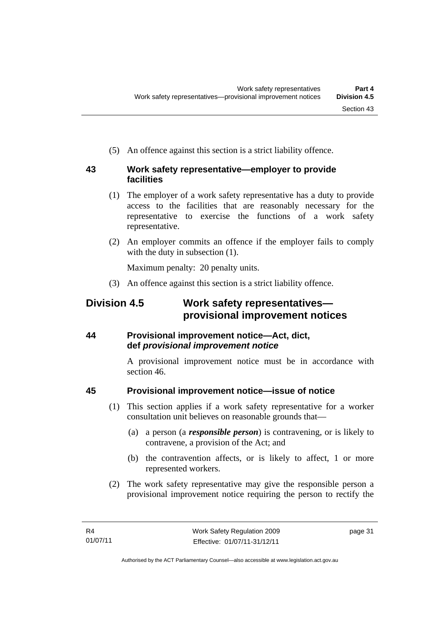(5) An offence against this section is a strict liability offence.

#### **43 Work safety representative—employer to provide facilities**

- (1) The employer of a work safety representative has a duty to provide access to the facilities that are reasonably necessary for the representative to exercise the functions of a work safety representative.
- (2) An employer commits an offence if the employer fails to comply with the duty in subsection  $(1)$ .

Maximum penalty: 20 penalty units.

(3) An offence against this section is a strict liability offence.

# **Division 4.5 Work safety representatives provisional improvement notices**

### **44 Provisional improvement notice—Act, dict, def** *provisional improvement notice*

A provisional improvement notice must be in accordance with section 46.

### **45 Provisional improvement notice—issue of notice**

- (1) This section applies if a work safety representative for a worker consultation unit believes on reasonable grounds that—
	- (a) a person (a *responsible person*) is contravening, or is likely to contravene, a provision of the Act; and
	- (b) the contravention affects, or is likely to affect, 1 or more represented workers.
- (2) The work safety representative may give the responsible person a provisional improvement notice requiring the person to rectify the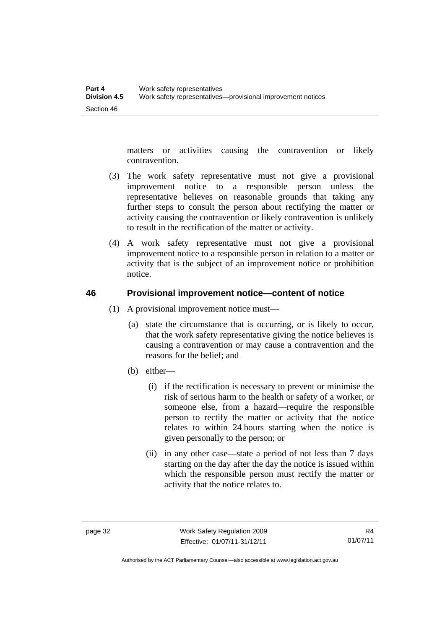matters or activities causing the contravention or likely contravention.

- (3) The work safety representative must not give a provisional improvement notice to a responsible person unless the representative believes on reasonable grounds that taking any further steps to consult the person about rectifying the matter or activity causing the contravention or likely contravention is unlikely to result in the rectification of the matter or activity.
- (4) A work safety representative must not give a provisional improvement notice to a responsible person in relation to a matter or activity that is the subject of an improvement notice or prohibition notice.

#### **46 Provisional improvement notice—content of notice**

- (1) A provisional improvement notice must—
	- (a) state the circumstance that is occurring, or is likely to occur, that the work safety representative giving the notice believes is causing a contravention or may cause a contravention and the reasons for the belief; and
	- (b) either—
		- (i) if the rectification is necessary to prevent or minimise the risk of serious harm to the health or safety of a worker, or someone else, from a hazard—require the responsible person to rectify the matter or activity that the notice relates to within 24 hours starting when the notice is given personally to the person; or
		- (ii) in any other case—state a period of not less than 7 days starting on the day after the day the notice is issued within which the responsible person must rectify the matter or activity that the notice relates to.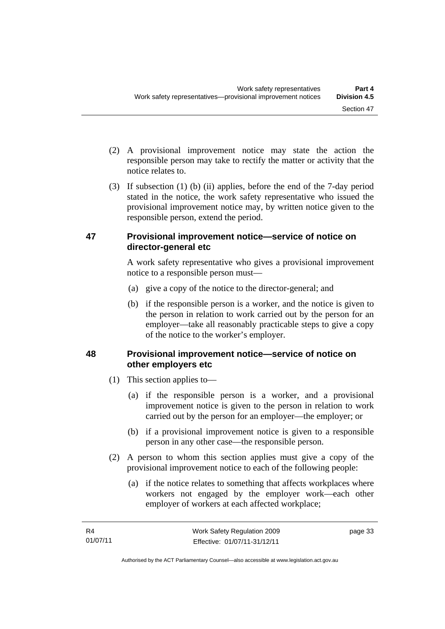- (2) A provisional improvement notice may state the action the responsible person may take to rectify the matter or activity that the notice relates to.
- (3) If subsection (1) (b) (ii) applies, before the end of the 7-day period stated in the notice, the work safety representative who issued the provisional improvement notice may, by written notice given to the responsible person, extend the period.

#### **47 Provisional improvement notice—service of notice on director-general etc**

A work safety representative who gives a provisional improvement notice to a responsible person must—

- (a) give a copy of the notice to the director-general; and
- (b) if the responsible person is a worker, and the notice is given to the person in relation to work carried out by the person for an employer—take all reasonably practicable steps to give a copy of the notice to the worker's employer.

### **48 Provisional improvement notice—service of notice on other employers etc**

- (1) This section applies to—
	- (a) if the responsible person is a worker, and a provisional improvement notice is given to the person in relation to work carried out by the person for an employer—the employer; or
	- (b) if a provisional improvement notice is given to a responsible person in any other case—the responsible person.
- (2) A person to whom this section applies must give a copy of the provisional improvement notice to each of the following people:
	- (a) if the notice relates to something that affects workplaces where workers not engaged by the employer work—each other employer of workers at each affected workplace;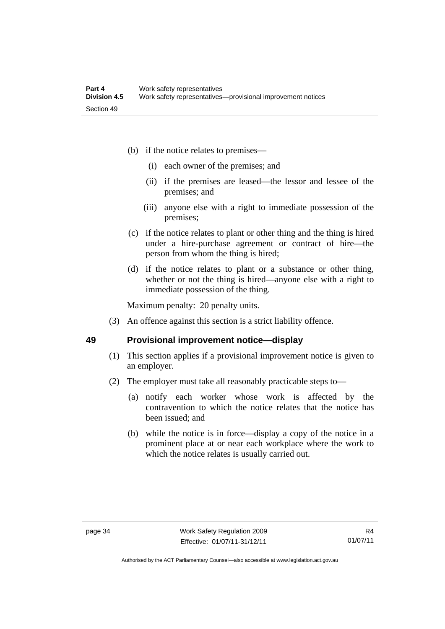- (b) if the notice relates to premises—
	- (i) each owner of the premises; and
	- (ii) if the premises are leased—the lessor and lessee of the premises; and
	- (iii) anyone else with a right to immediate possession of the premises;
- (c) if the notice relates to plant or other thing and the thing is hired under a hire-purchase agreement or contract of hire—the person from whom the thing is hired;
- (d) if the notice relates to plant or a substance or other thing, whether or not the thing is hired—anyone else with a right to immediate possession of the thing.

Maximum penalty: 20 penalty units.

(3) An offence against this section is a strict liability offence.

#### **49 Provisional improvement notice—display**

- (1) This section applies if a provisional improvement notice is given to an employer.
- (2) The employer must take all reasonably practicable steps to—
	- (a) notify each worker whose work is affected by the contravention to which the notice relates that the notice has been issued; and
	- (b) while the notice is in force—display a copy of the notice in a prominent place at or near each workplace where the work to which the notice relates is usually carried out.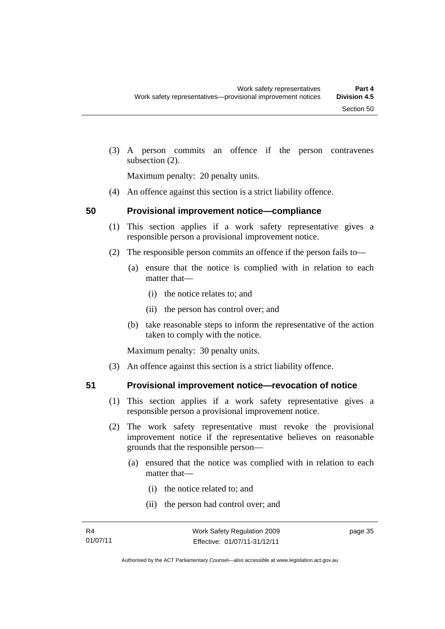(3) A person commits an offence if the person contravenes subsection (2).

Maximum penalty: 20 penalty units.

(4) An offence against this section is a strict liability offence.

#### **50 Provisional improvement notice—compliance**

- (1) This section applies if a work safety representative gives a responsible person a provisional improvement notice.
- (2) The responsible person commits an offence if the person fails to—
	- (a) ensure that the notice is complied with in relation to each matter that—
		- (i) the notice relates to; and
		- (ii) the person has control over; and
	- (b) take reasonable steps to inform the representative of the action taken to comply with the notice.

Maximum penalty: 30 penalty units.

(3) An offence against this section is a strict liability offence.

- **51 Provisional improvement notice—revocation of notice** 
	- (1) This section applies if a work safety representative gives a responsible person a provisional improvement notice.
	- (2) The work safety representative must revoke the provisional improvement notice if the representative believes on reasonable grounds that the responsible person—
		- (a) ensured that the notice was complied with in relation to each matter that—
			- (i) the notice related to; and
			- (ii) the person had control over; and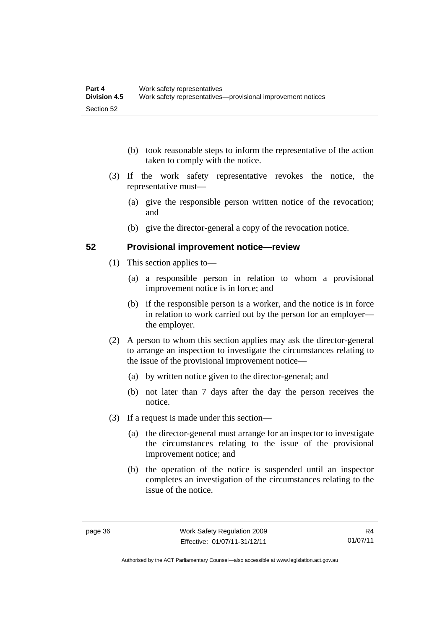- (b) took reasonable steps to inform the representative of the action taken to comply with the notice.
- (3) If the work safety representative revokes the notice, the representative must—
	- (a) give the responsible person written notice of the revocation; and
	- (b) give the director-general a copy of the revocation notice.

#### **52 Provisional improvement notice—review**

- (1) This section applies to—
	- (a) a responsible person in relation to whom a provisional improvement notice is in force; and
	- (b) if the responsible person is a worker, and the notice is in force in relation to work carried out by the person for an employer the employer.
- (2) A person to whom this section applies may ask the director-general to arrange an inspection to investigate the circumstances relating to the issue of the provisional improvement notice—
	- (a) by written notice given to the director-general; and
	- (b) not later than 7 days after the day the person receives the notice.
- (3) If a request is made under this section—
	- (a) the director-general must arrange for an inspector to investigate the circumstances relating to the issue of the provisional improvement notice; and
	- (b) the operation of the notice is suspended until an inspector completes an investigation of the circumstances relating to the issue of the notice.

Authorised by the ACT Parliamentary Counsel—also accessible at www.legislation.act.gov.au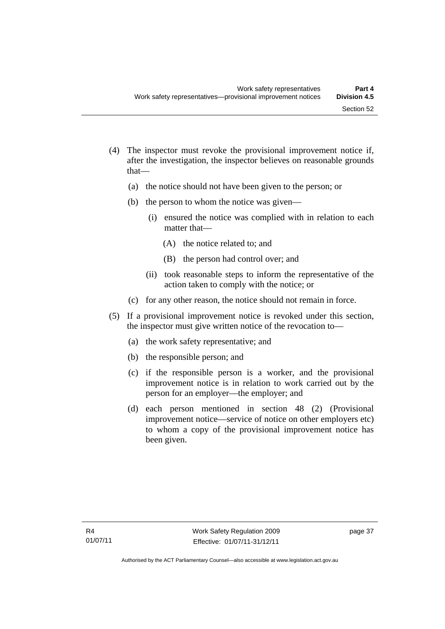- (4) The inspector must revoke the provisional improvement notice if, after the investigation, the inspector believes on reasonable grounds that—
	- (a) the notice should not have been given to the person; or
	- (b) the person to whom the notice was given—
		- (i) ensured the notice was complied with in relation to each matter that—
			- (A) the notice related to; and
			- (B) the person had control over; and
		- (ii) took reasonable steps to inform the representative of the action taken to comply with the notice; or
	- (c) for any other reason, the notice should not remain in force.
- (5) If a provisional improvement notice is revoked under this section, the inspector must give written notice of the revocation to—
	- (a) the work safety representative; and
	- (b) the responsible person; and
	- (c) if the responsible person is a worker, and the provisional improvement notice is in relation to work carried out by the person for an employer—the employer; and
	- (d) each person mentioned in section 48 (2) (Provisional improvement notice—service of notice on other employers etc) to whom a copy of the provisional improvement notice has been given.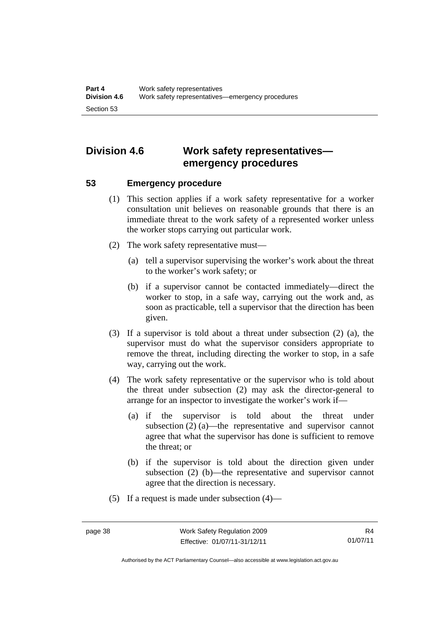# **Division 4.6 Work safety representatives emergency procedures**

#### **53 Emergency procedure**

- (1) This section applies if a work safety representative for a worker consultation unit believes on reasonable grounds that there is an immediate threat to the work safety of a represented worker unless the worker stops carrying out particular work.
- (2) The work safety representative must—
	- (a) tell a supervisor supervising the worker's work about the threat to the worker's work safety; or
	- (b) if a supervisor cannot be contacted immediately—direct the worker to stop, in a safe way, carrying out the work and, as soon as practicable, tell a supervisor that the direction has been given.
- (3) If a supervisor is told about a threat under subsection (2) (a), the supervisor must do what the supervisor considers appropriate to remove the threat, including directing the worker to stop, in a safe way, carrying out the work.
- (4) The work safety representative or the supervisor who is told about the threat under subsection (2) may ask the director-general to arrange for an inspector to investigate the worker's work if—
	- (a) if the supervisor is told about the threat under subsection (2) (a)—the representative and supervisor cannot agree that what the supervisor has done is sufficient to remove the threat; or
	- (b) if the supervisor is told about the direction given under subsection (2) (b)—the representative and supervisor cannot agree that the direction is necessary.
- (5) If a request is made under subsection (4)—

Authorised by the ACT Parliamentary Counsel—also accessible at www.legislation.act.gov.au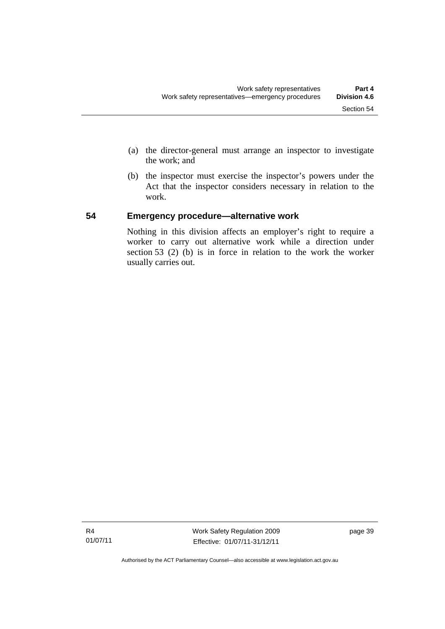- (a) the director-general must arrange an inspector to investigate the work; and
- (b) the inspector must exercise the inspector's powers under the Act that the inspector considers necessary in relation to the work.

#### **54 Emergency procedure—alternative work**

Nothing in this division affects an employer's right to require a worker to carry out alternative work while a direction under section 53 (2) (b) is in force in relation to the work the worker usually carries out.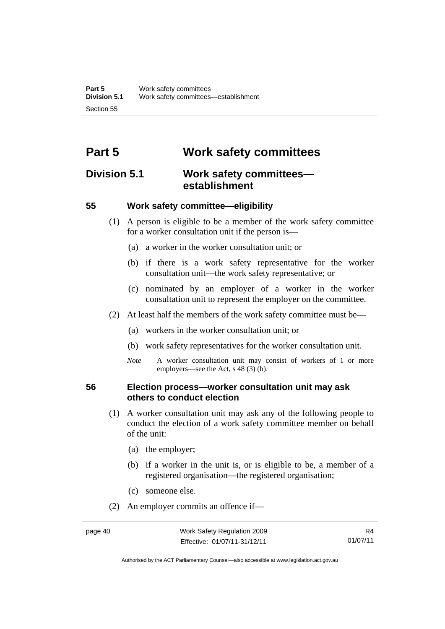# **Part 5 Work safety committees**

### **Division 5.1 Work safety committees establishment**

#### **55 Work safety committee—eligibility**

- (1) A person is eligible to be a member of the work safety committee for a worker consultation unit if the person is—
	- (a) a worker in the worker consultation unit; or
	- (b) if there is a work safety representative for the worker consultation unit—the work safety representative; or
	- (c) nominated by an employer of a worker in the worker consultation unit to represent the employer on the committee.
- (2) At least half the members of the work safety committee must be—
	- (a) workers in the worker consultation unit; or
	- (b) work safety representatives for the worker consultation unit.
	- *Note* A worker consultation unit may consist of workers of 1 or more employers—see the Act, s 48 (3) (b).

#### **56 Election process—worker consultation unit may ask others to conduct election**

- (1) A worker consultation unit may ask any of the following people to conduct the election of a work safety committee member on behalf of the unit:
	- (a) the employer;
	- (b) if a worker in the unit is, or is eligible to be, a member of a registered organisation—the registered organisation;
	- (c) someone else.
- (2) An employer commits an offence if—

R4 01/07/11

Authorised by the ACT Parliamentary Counsel—also accessible at www.legislation.act.gov.au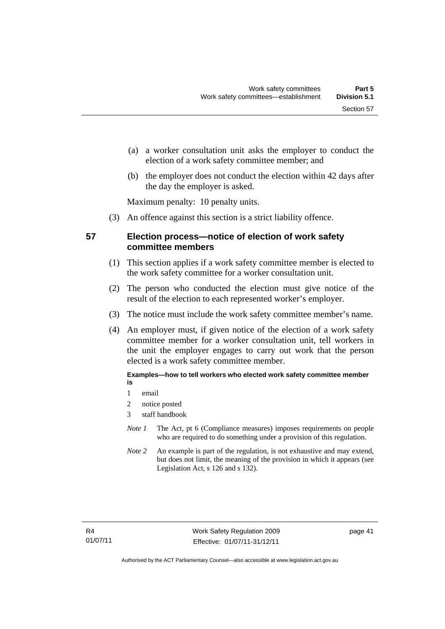- (a) a worker consultation unit asks the employer to conduct the election of a work safety committee member; and
- (b) the employer does not conduct the election within 42 days after the day the employer is asked.

Maximum penalty: 10 penalty units.

(3) An offence against this section is a strict liability offence.

#### **57 Election process—notice of election of work safety committee members**

- (1) This section applies if a work safety committee member is elected to the work safety committee for a worker consultation unit.
- (2) The person who conducted the election must give notice of the result of the election to each represented worker's employer.
- (3) The notice must include the work safety committee member's name.
- (4) An employer must, if given notice of the election of a work safety committee member for a worker consultation unit, tell workers in the unit the employer engages to carry out work that the person elected is a work safety committee member.

**Examples—how to tell workers who elected work safety committee member is** 

- 1 email
- 2 notice posted
- 3 staff handbook
- *Note 1* The Act, pt 6 (Compliance measures) imposes requirements on people who are required to do something under a provision of this regulation.
- *Note 2* An example is part of the regulation, is not exhaustive and may extend, but does not limit, the meaning of the provision in which it appears (see Legislation Act, s 126 and s 132).

page 41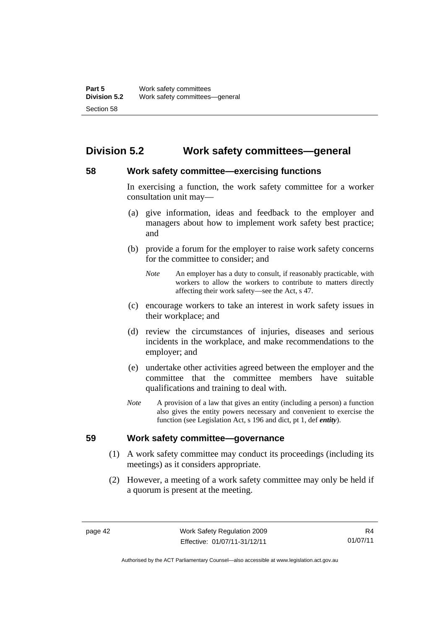# **Division 5.2 Work safety committees—general**

#### **58 Work safety committee—exercising functions**

In exercising a function, the work safety committee for a worker consultation unit may—

- (a) give information, ideas and feedback to the employer and managers about how to implement work safety best practice; and
- (b) provide a forum for the employer to raise work safety concerns for the committee to consider; and
	- *Note* An employer has a duty to consult, if reasonably practicable, with workers to allow the workers to contribute to matters directly affecting their work safety—see the Act, s 47.
- (c) encourage workers to take an interest in work safety issues in their workplace; and
- (d) review the circumstances of injuries, diseases and serious incidents in the workplace, and make recommendations to the employer; and
- (e) undertake other activities agreed between the employer and the committee that the committee members have suitable qualifications and training to deal with.
- *Note* A provision of a law that gives an entity (including a person) a function also gives the entity powers necessary and convenient to exercise the function (see Legislation Act, s 196 and dict, pt 1, def *entity*).

#### **59 Work safety committee—governance**

- (1) A work safety committee may conduct its proceedings (including its meetings) as it considers appropriate.
- (2) However, a meeting of a work safety committee may only be held if a quorum is present at the meeting.

R4 01/07/11

Authorised by the ACT Parliamentary Counsel—also accessible at www.legislation.act.gov.au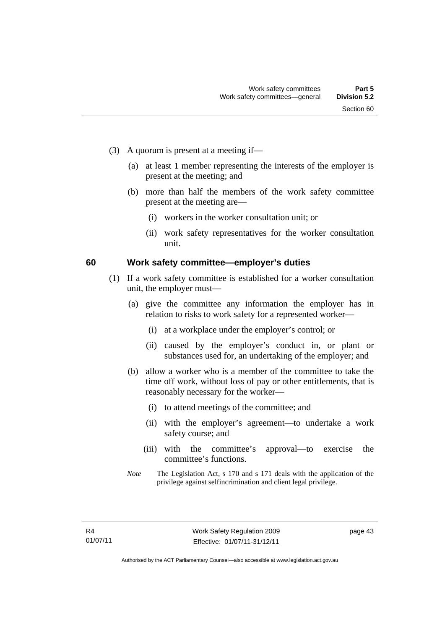- (3) A quorum is present at a meeting if—
	- (a) at least 1 member representing the interests of the employer is present at the meeting; and
	- (b) more than half the members of the work safety committee present at the meeting are—
		- (i) workers in the worker consultation unit; or
		- (ii) work safety representatives for the worker consultation unit.

#### **60 Work safety committee—employer's duties**

- (1) If a work safety committee is established for a worker consultation unit, the employer must—
	- (a) give the committee any information the employer has in relation to risks to work safety for a represented worker—
		- (i) at a workplace under the employer's control; or
		- (ii) caused by the employer's conduct in, or plant or substances used for, an undertaking of the employer; and
	- (b) allow a worker who is a member of the committee to take the time off work, without loss of pay or other entitlements, that is reasonably necessary for the worker—
		- (i) to attend meetings of the committee; and
		- (ii) with the employer's agreement—to undertake a work safety course; and
		- (iii) with the committee's approval—to exercise the committee's functions.
	- *Note* The Legislation Act, s 170 and s 171 deals with the application of the privilege against selfincrimination and client legal privilege.

page 43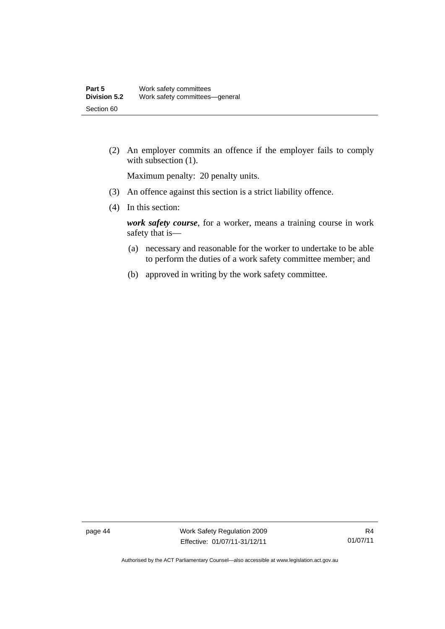(2) An employer commits an offence if the employer fails to comply with subsection  $(1)$ .

Maximum penalty: 20 penalty units.

- (3) An offence against this section is a strict liability offence.
- (4) In this section:

*work safety course*, for a worker, means a training course in work safety that is—

- (a) necessary and reasonable for the worker to undertake to be able to perform the duties of a work safety committee member; and
- (b) approved in writing by the work safety committee.

page 44 Work Safety Regulation 2009 Effective: 01/07/11-31/12/11

Authorised by the ACT Parliamentary Counsel—also accessible at www.legislation.act.gov.au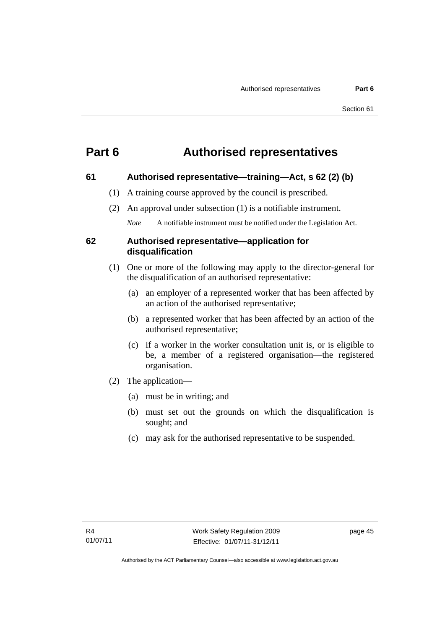# **Part 6 Authorised representatives**

#### **61 Authorised representative—training—Act, s 62 (2) (b)**

- (1) A training course approved by the council is prescribed.
- (2) An approval under subsection (1) is a notifiable instrument.

*Note* A notifiable instrument must be notified under the Legislation Act.

#### **62 Authorised representative—application for disqualification**

- (1) One or more of the following may apply to the director-general for the disqualification of an authorised representative:
	- (a) an employer of a represented worker that has been affected by an action of the authorised representative;
	- (b) a represented worker that has been affected by an action of the authorised representative;
	- (c) if a worker in the worker consultation unit is, or is eligible to be, a member of a registered organisation—the registered organisation.
- (2) The application—
	- (a) must be in writing; and
	- (b) must set out the grounds on which the disqualification is sought; and
	- (c) may ask for the authorised representative to be suspended.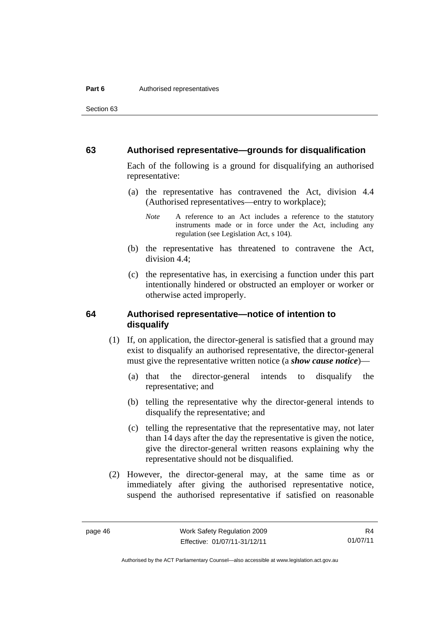Section 63

#### **63 Authorised representative—grounds for disqualification**

Each of the following is a ground for disqualifying an authorised representative:

 (a) the representative has contravened the Act, division 4.4 (Authorised representatives—entry to workplace);

- (b) the representative has threatened to contravene the Act, division 4.4;
- (c) the representative has, in exercising a function under this part intentionally hindered or obstructed an employer or worker or otherwise acted improperly.

#### **64 Authorised representative—notice of intention to disqualify**

- (1) If, on application, the director-general is satisfied that a ground may exist to disqualify an authorised representative, the director-general must give the representative written notice (a *show cause notice*)—
	- (a) that the director-general intends to disqualify the representative; and
	- (b) telling the representative why the director-general intends to disqualify the representative; and
	- (c) telling the representative that the representative may, not later than 14 days after the day the representative is given the notice, give the director-general written reasons explaining why the representative should not be disqualified.
- (2) However, the director-general may, at the same time as or immediately after giving the authorised representative notice, suspend the authorised representative if satisfied on reasonable

*Note* A reference to an Act includes a reference to the statutory instruments made or in force under the Act, including any regulation (see Legislation Act, s 104).

R4 01/07/11

Authorised by the ACT Parliamentary Counsel—also accessible at www.legislation.act.gov.au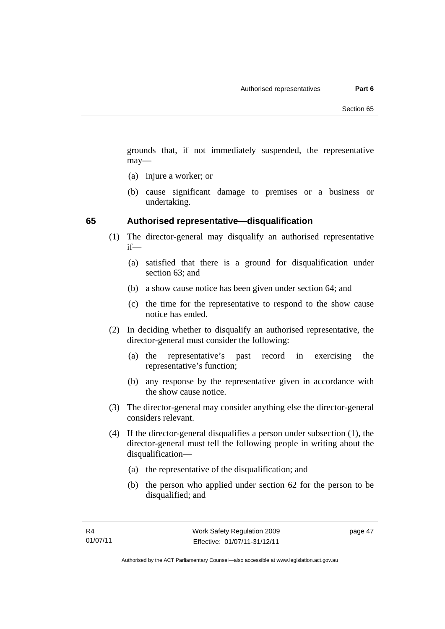grounds that, if not immediately suspended, the representative may—

- (a) injure a worker; or
- (b) cause significant damage to premises or a business or undertaking.

#### **65 Authorised representative—disqualification**

- (1) The director-general may disqualify an authorised representative if—
	- (a) satisfied that there is a ground for disqualification under section 63; and
	- (b) a show cause notice has been given under section 64; and
	- (c) the time for the representative to respond to the show cause notice has ended.
- (2) In deciding whether to disqualify an authorised representative, the director-general must consider the following:
	- (a) the representative's past record in exercising the representative's function;
	- (b) any response by the representative given in accordance with the show cause notice.
- (3) The director-general may consider anything else the director-general considers relevant.
- (4) If the director-general disqualifies a person under subsection (1), the director-general must tell the following people in writing about the disqualification—
	- (a) the representative of the disqualification; and
	- (b) the person who applied under section 62 for the person to be disqualified; and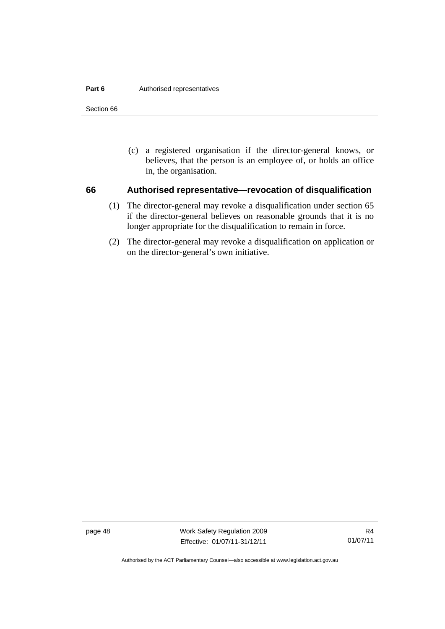#### **Part 6 Authorised representatives**

Section 66

 (c) a registered organisation if the director-general knows, or believes, that the person is an employee of, or holds an office in, the organisation.

#### **66 Authorised representative—revocation of disqualification**

- (1) The director-general may revoke a disqualification under section 65 if the director-general believes on reasonable grounds that it is no longer appropriate for the disqualification to remain in force.
- (2) The director-general may revoke a disqualification on application or on the director-general's own initiative.

page 48 Work Safety Regulation 2009 Effective: 01/07/11-31/12/11

Authorised by the ACT Parliamentary Counsel—also accessible at www.legislation.act.gov.au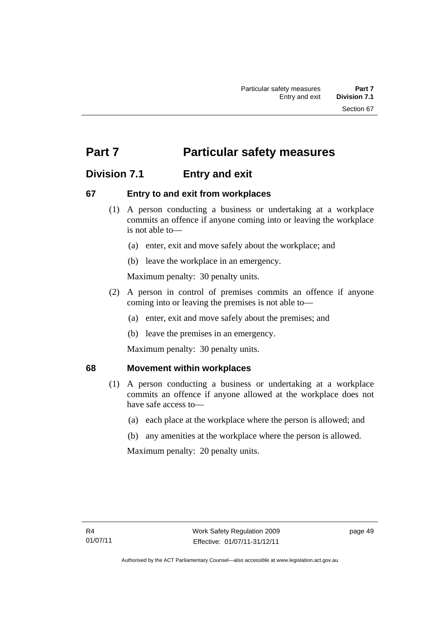# **Part 7** Particular safety measures

# **Division 7.1 Entry and exit**

#### **67 Entry to and exit from workplaces**

- (1) A person conducting a business or undertaking at a workplace commits an offence if anyone coming into or leaving the workplace is not able to—
	- (a) enter, exit and move safely about the workplace; and
	- (b) leave the workplace in an emergency.

Maximum penalty: 30 penalty units.

- (2) A person in control of premises commits an offence if anyone coming into or leaving the premises is not able to—
	- (a) enter, exit and move safely about the premises; and
	- (b) leave the premises in an emergency.

Maximum penalty: 30 penalty units.

#### **68 Movement within workplaces**

- (1) A person conducting a business or undertaking at a workplace commits an offence if anyone allowed at the workplace does not have safe access to—
	- (a) each place at the workplace where the person is allowed; and
	- (b) any amenities at the workplace where the person is allowed.

Maximum penalty: 20 penalty units.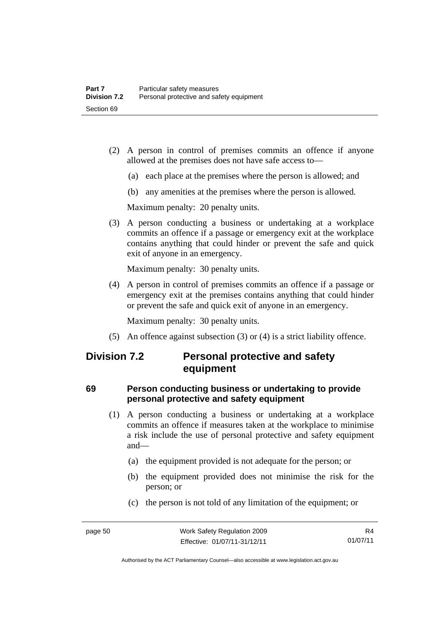- (2) A person in control of premises commits an offence if anyone allowed at the premises does not have safe access to—
	- (a) each place at the premises where the person is allowed; and
	- (b) any amenities at the premises where the person is allowed.

Maximum penalty: 20 penalty units.

 (3) A person conducting a business or undertaking at a workplace commits an offence if a passage or emergency exit at the workplace contains anything that could hinder or prevent the safe and quick exit of anyone in an emergency.

Maximum penalty: 30 penalty units.

 (4) A person in control of premises commits an offence if a passage or emergency exit at the premises contains anything that could hinder or prevent the safe and quick exit of anyone in an emergency.

Maximum penalty: 30 penalty units.

(5) An offence against subsection (3) or (4) is a strict liability offence.

## **Division 7.2 Personal protective and safety equipment**

### **69 Person conducting business or undertaking to provide personal protective and safety equipment**

- (1) A person conducting a business or undertaking at a workplace commits an offence if measures taken at the workplace to minimise a risk include the use of personal protective and safety equipment and—
	- (a) the equipment provided is not adequate for the person; or
	- (b) the equipment provided does not minimise the risk for the person; or
	- (c) the person is not told of any limitation of the equipment; or

Authorised by the ACT Parliamentary Counsel—also accessible at www.legislation.act.gov.au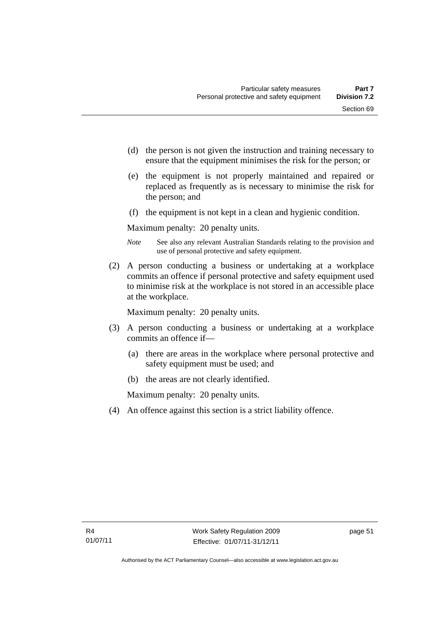- (d) the person is not given the instruction and training necessary to ensure that the equipment minimises the risk for the person; or
- (e) the equipment is not properly maintained and repaired or replaced as frequently as is necessary to minimise the risk for the person; and
- (f) the equipment is not kept in a clean and hygienic condition.

Maximum penalty: 20 penalty units.

- *Note* See also any relevant Australian Standards relating to the provision and use of personal protective and safety equipment.
- (2) A person conducting a business or undertaking at a workplace commits an offence if personal protective and safety equipment used to minimise risk at the workplace is not stored in an accessible place at the workplace.

Maximum penalty: 20 penalty units.

- (3) A person conducting a business or undertaking at a workplace commits an offence if—
	- (a) there are areas in the workplace where personal protective and safety equipment must be used; and
	- (b) the areas are not clearly identified.

Maximum penalty: 20 penalty units.

(4) An offence against this section is a strict liability offence.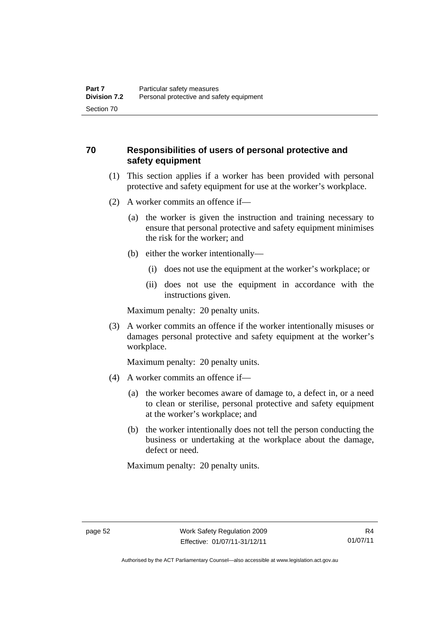#### **70 Responsibilities of users of personal protective and safety equipment**

- (1) This section applies if a worker has been provided with personal protective and safety equipment for use at the worker's workplace.
- (2) A worker commits an offence if—
	- (a) the worker is given the instruction and training necessary to ensure that personal protective and safety equipment minimises the risk for the worker; and
	- (b) either the worker intentionally—
		- (i) does not use the equipment at the worker's workplace; or
		- (ii) does not use the equipment in accordance with the instructions given.

Maximum penalty: 20 penalty units.

 (3) A worker commits an offence if the worker intentionally misuses or damages personal protective and safety equipment at the worker's workplace.

Maximum penalty: 20 penalty units.

- (4) A worker commits an offence if—
	- (a) the worker becomes aware of damage to, a defect in, or a need to clean or sterilise, personal protective and safety equipment at the worker's workplace; and
	- (b) the worker intentionally does not tell the person conducting the business or undertaking at the workplace about the damage, defect or need.

Maximum penalty: 20 penalty units.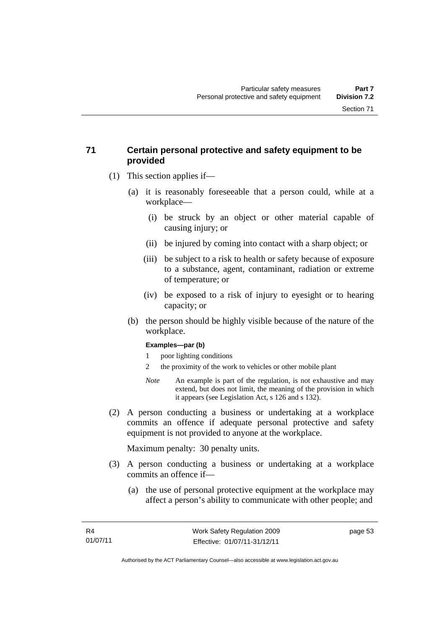#### **71 Certain personal protective and safety equipment to be provided**

- (1) This section applies if—
	- (a) it is reasonably foreseeable that a person could, while at a workplace—
		- (i) be struck by an object or other material capable of causing injury; or
		- (ii) be injured by coming into contact with a sharp object; or
		- (iii) be subject to a risk to health or safety because of exposure to a substance, agent, contaminant, radiation or extreme of temperature; or
		- (iv) be exposed to a risk of injury to eyesight or to hearing capacity; or
	- (b) the person should be highly visible because of the nature of the workplace.

#### **Examples—par (b)**

- 1 poor lighting conditions
- 2 the proximity of the work to vehicles or other mobile plant
- *Note* An example is part of the regulation, is not exhaustive and may extend, but does not limit, the meaning of the provision in which it appears (see Legislation Act, s 126 and s 132).
- (2) A person conducting a business or undertaking at a workplace commits an offence if adequate personal protective and safety equipment is not provided to anyone at the workplace.

Maximum penalty: 30 penalty units.

- (3) A person conducting a business or undertaking at a workplace commits an offence if—
	- (a) the use of personal protective equipment at the workplace may affect a person's ability to communicate with other people; and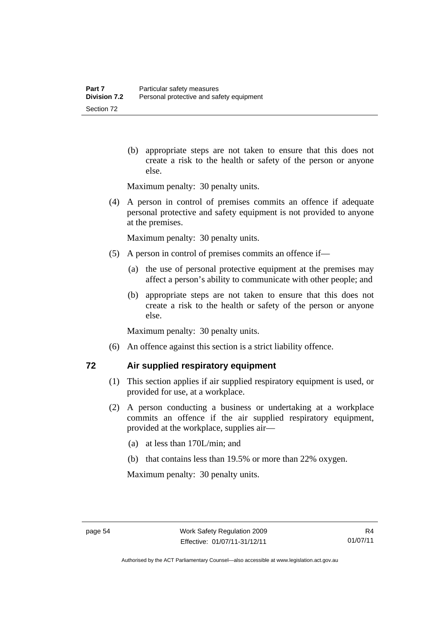(b) appropriate steps are not taken to ensure that this does not create a risk to the health or safety of the person or anyone else.

Maximum penalty: 30 penalty units.

 (4) A person in control of premises commits an offence if adequate personal protective and safety equipment is not provided to anyone at the premises.

Maximum penalty: 30 penalty units.

- (5) A person in control of premises commits an offence if—
	- (a) the use of personal protective equipment at the premises may affect a person's ability to communicate with other people; and
	- (b) appropriate steps are not taken to ensure that this does not create a risk to the health or safety of the person or anyone else.

Maximum penalty: 30 penalty units.

(6) An offence against this section is a strict liability offence.

#### **72 Air supplied respiratory equipment**

- (1) This section applies if air supplied respiratory equipment is used, or provided for use, at a workplace.
- (2) A person conducting a business or undertaking at a workplace commits an offence if the air supplied respiratory equipment, provided at the workplace, supplies air—
	- (a) at less than 170L/min; and
	- (b) that contains less than 19.5% or more than 22% oxygen.

Maximum penalty: 30 penalty units.

Authorised by the ACT Parliamentary Counsel—also accessible at www.legislation.act.gov.au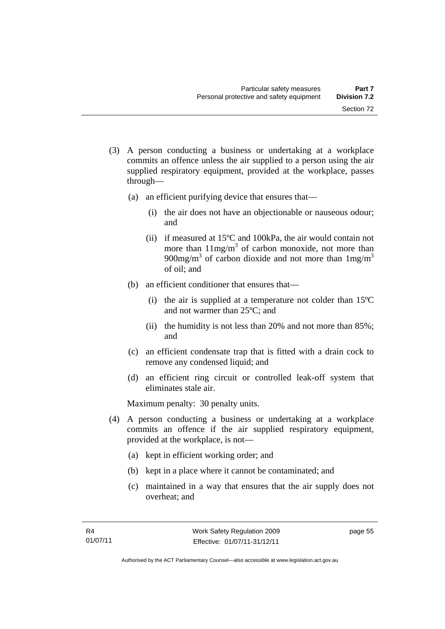- (3) A person conducting a business or undertaking at a workplace commits an offence unless the air supplied to a person using the air supplied respiratory equipment, provided at the workplace, passes through—
	- (a) an efficient purifying device that ensures that—
		- (i) the air does not have an objectionable or nauseous odour; and
		- (ii) if measured at 15ºC and 100kPa, the air would contain not more than  $11mg/m<sup>3</sup>$  of carbon monoxide, not more than 900mg/m<sup>3</sup> of carbon dioxide and not more than  $1 \text{mg/m}^3$ of oil; and
	- (b) an efficient conditioner that ensures that—
		- (i) the air is supplied at a temperature not colder than 15ºC and not warmer than 25ºC; and
		- (ii) the humidity is not less than 20% and not more than 85%; and
	- (c) an efficient condensate trap that is fitted with a drain cock to remove any condensed liquid; and
	- (d) an efficient ring circuit or controlled leak-off system that eliminates stale air.

Maximum penalty: 30 penalty units.

- (4) A person conducting a business or undertaking at a workplace commits an offence if the air supplied respiratory equipment, provided at the workplace, is not—
	- (a) kept in efficient working order; and
	- (b) kept in a place where it cannot be contaminated; and
	- (c) maintained in a way that ensures that the air supply does not overheat; and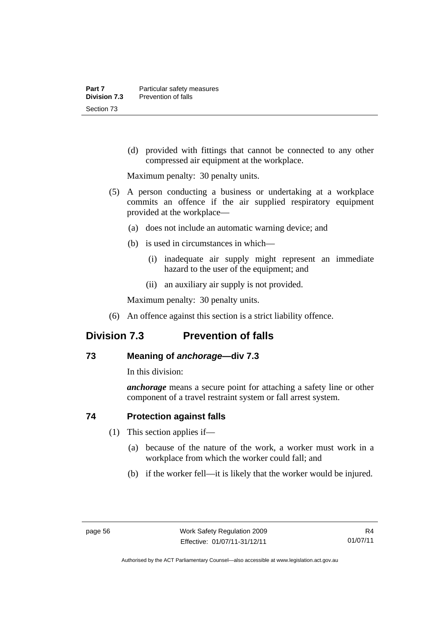(d) provided with fittings that cannot be connected to any other compressed air equipment at the workplace.

Maximum penalty: 30 penalty units.

- (5) A person conducting a business or undertaking at a workplace commits an offence if the air supplied respiratory equipment provided at the workplace—
	- (a) does not include an automatic warning device; and
	- (b) is used in circumstances in which—
		- (i) inadequate air supply might represent an immediate hazard to the user of the equipment; and
		- (ii) an auxiliary air supply is not provided.

Maximum penalty: 30 penalty units.

(6) An offence against this section is a strict liability offence.

# **Division 7.3 Prevention of falls**

#### **73 Meaning of** *anchorage—***div 7.3**

In this division:

*anchorage* means a secure point for attaching a safety line or other component of a travel restraint system or fall arrest system.

#### **74 Protection against falls**

- (1) This section applies if—
	- (a) because of the nature of the work, a worker must work in a workplace from which the worker could fall; and
	- (b) if the worker fell—it is likely that the worker would be injured.

Authorised by the ACT Parliamentary Counsel—also accessible at www.legislation.act.gov.au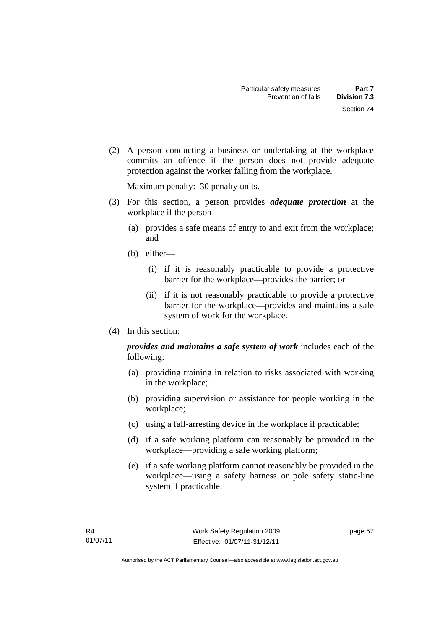Section 74

 (2) A person conducting a business or undertaking at the workplace commits an offence if the person does not provide adequate protection against the worker falling from the workplace.

Maximum penalty: 30 penalty units.

- (3) For this section, a person provides *adequate protection* at the workplace if the person—
	- (a) provides a safe means of entry to and exit from the workplace; and
	- (b) either—
		- (i) if it is reasonably practicable to provide a protective barrier for the workplace—provides the barrier; or
		- (ii) if it is not reasonably practicable to provide a protective barrier for the workplace—provides and maintains a safe system of work for the workplace.
- (4) In this section:

*provides and maintains a safe system of work* includes each of the following:

- (a) providing training in relation to risks associated with working in the workplace;
- (b) providing supervision or assistance for people working in the workplace;
- (c) using a fall-arresting device in the workplace if practicable;
- (d) if a safe working platform can reasonably be provided in the workplace—providing a safe working platform;
- (e) if a safe working platform cannot reasonably be provided in the workplace—using a safety harness or pole safety static-line system if practicable.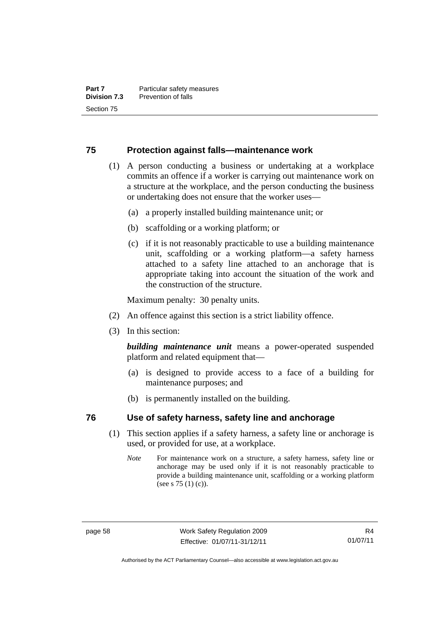#### **75 Protection against falls—maintenance work**

- (1) A person conducting a business or undertaking at a workplace commits an offence if a worker is carrying out maintenance work on a structure at the workplace, and the person conducting the business or undertaking does not ensure that the worker uses—
	- (a) a properly installed building maintenance unit; or
	- (b) scaffolding or a working platform; or
	- (c) if it is not reasonably practicable to use a building maintenance unit, scaffolding or a working platform—a safety harness attached to a safety line attached to an anchorage that is appropriate taking into account the situation of the work and the construction of the structure.

Maximum penalty: 30 penalty units.

- (2) An offence against this section is a strict liability offence.
- (3) In this section:

*building maintenance unit* means a power-operated suspended platform and related equipment that—

- (a) is designed to provide access to a face of a building for maintenance purposes; and
- (b) is permanently installed on the building.

#### **76 Use of safety harness, safety line and anchorage**

- (1) This section applies if a safety harness, a safety line or anchorage is used, or provided for use, at a workplace.
	- *Note* For maintenance work on a structure, a safety harness, safety line or anchorage may be used only if it is not reasonably practicable to provide a building maintenance unit, scaffolding or a working platform (see s 75 (1) (c)).

Authorised by the ACT Parliamentary Counsel—also accessible at www.legislation.act.gov.au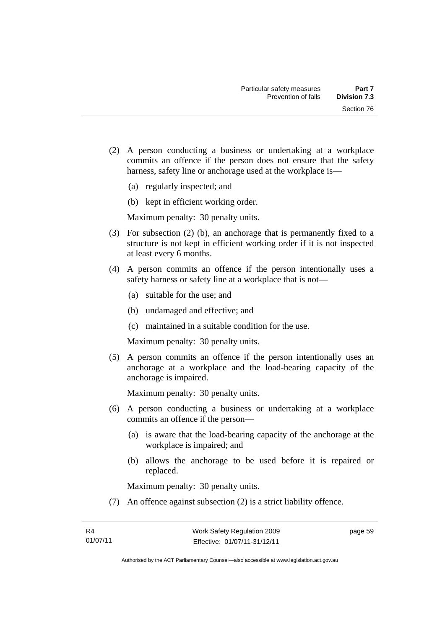- (2) A person conducting a business or undertaking at a workplace commits an offence if the person does not ensure that the safety harness, safety line or anchorage used at the workplace is—
	- (a) regularly inspected; and
	- (b) kept in efficient working order.

- (3) For subsection (2) (b), an anchorage that is permanently fixed to a structure is not kept in efficient working order if it is not inspected at least every 6 months.
- (4) A person commits an offence if the person intentionally uses a safety harness or safety line at a workplace that is not—
	- (a) suitable for the use; and
	- (b) undamaged and effective; and
	- (c) maintained in a suitable condition for the use.

Maximum penalty: 30 penalty units.

 (5) A person commits an offence if the person intentionally uses an anchorage at a workplace and the load-bearing capacity of the anchorage is impaired.

Maximum penalty: 30 penalty units.

- (6) A person conducting a business or undertaking at a workplace commits an offence if the person—
	- (a) is aware that the load-bearing capacity of the anchorage at the workplace is impaired; and
	- (b) allows the anchorage to be used before it is repaired or replaced.

Maximum penalty: 30 penalty units.

(7) An offence against subsection (2) is a strict liability offence.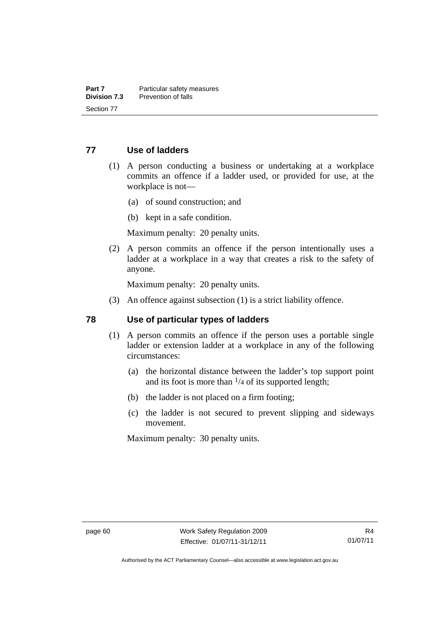### **77 Use of ladders**

- (1) A person conducting a business or undertaking at a workplace commits an offence if a ladder used, or provided for use, at the workplace is not—
	- (a) of sound construction; and
	- (b) kept in a safe condition.

Maximum penalty: 20 penalty units.

 (2) A person commits an offence if the person intentionally uses a ladder at a workplace in a way that creates a risk to the safety of anyone.

Maximum penalty: 20 penalty units.

(3) An offence against subsection (1) is a strict liability offence.

#### **78 Use of particular types of ladders**

- (1) A person commits an offence if the person uses a portable single ladder or extension ladder at a workplace in any of the following circumstances:
	- (a) the horizontal distance between the ladder's top support point and its foot is more than  $\frac{1}{4}$  of its supported length;
	- (b) the ladder is not placed on a firm footing;
	- (c) the ladder is not secured to prevent slipping and sideways movement.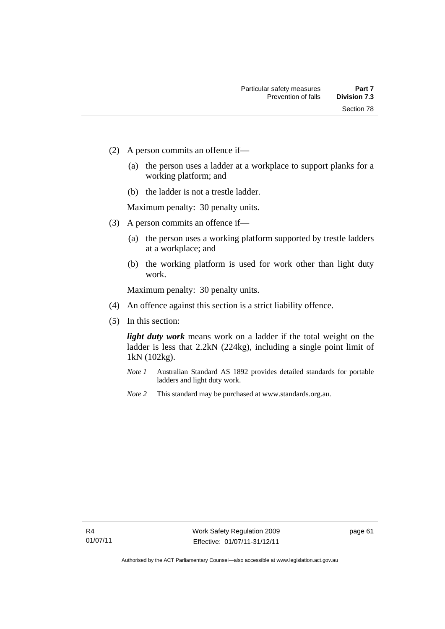- (2) A person commits an offence if—
	- (a) the person uses a ladder at a workplace to support planks for a working platform; and
	- (b) the ladder is not a trestle ladder.

- (3) A person commits an offence if—
	- (a) the person uses a working platform supported by trestle ladders at a workplace; and
	- (b) the working platform is used for work other than light duty work.

Maximum penalty: 30 penalty units.

- (4) An offence against this section is a strict liability offence.
- (5) In this section:

*light duty work* means work on a ladder if the total weight on the ladder is less that 2.2kN (224kg), including a single point limit of 1kN (102kg).

- *Note 1* Australian Standard AS 1892 provides detailed standards for portable ladders and light duty work.
- *Note 2* This standard may be purchased at www.standards.org.au.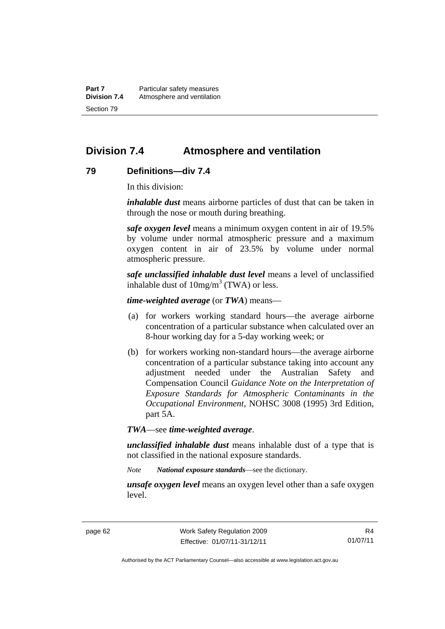**Part 7** Particular safety measures **Division 7.4** Atmosphere and ventilation Section 79

# **Division 7.4 Atmosphere and ventilation**

#### **79 Definitions—div 7.4**

In this division:

*inhalable dust* means airborne particles of dust that can be taken in through the nose or mouth during breathing.

*safe oxygen level* means a minimum oxygen content in air of 19.5% by volume under normal atmospheric pressure and a maximum oxygen content in air of 23.5% by volume under normal atmospheric pressure.

*safe unclassified inhalable dust level* means a level of unclassified inhalable dust of  $10mg/m<sup>3</sup>$  (TWA) or less.

*time-weighted average* (or *TWA*) means—

- (a) for workers working standard hours—the average airborne concentration of a particular substance when calculated over an 8-hour working day for a 5-day working week; or
- (b) for workers working non-standard hours—the average airborne concentration of a particular substance taking into account any adjustment needed under the Australian Safety and Compensation Council *Guidance Note on the Interpretation of Exposure Standards for Atmospheric Contaminants in the Occupational Environment*, NOHSC 3008 (1995) 3rd Edition, part 5A.

*TWA*—see *time-weighted average*.

*unclassified inhalable dust* means inhalable dust of a type that is not classified in the national exposure standards.

*Note National exposure standards*—see the dictionary.

*unsafe oxygen level* means an oxygen level other than a safe oxygen level.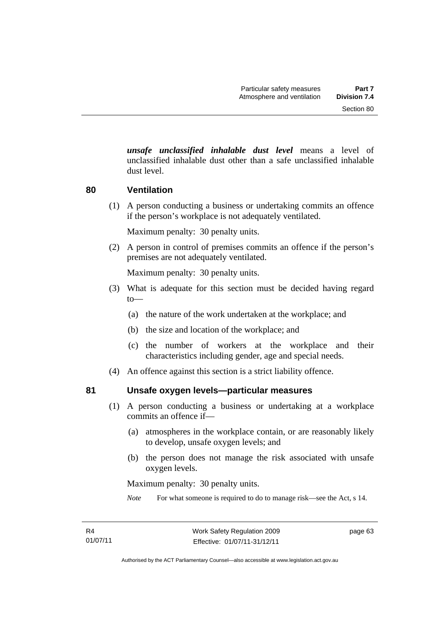*unsafe unclassified inhalable dust level* means a level of unclassified inhalable dust other than a safe unclassified inhalable dust level.

#### **80 Ventilation**

(1) A person conducting a business or undertaking commits an offence if the person's workplace is not adequately ventilated.

Maximum penalty: 30 penalty units.

 (2) A person in control of premises commits an offence if the person's premises are not adequately ventilated.

Maximum penalty: 30 penalty units.

- (3) What is adequate for this section must be decided having regard to—
	- (a) the nature of the work undertaken at the workplace; and
	- (b) the size and location of the workplace; and
	- (c) the number of workers at the workplace and their characteristics including gender, age and special needs.
- (4) An offence against this section is a strict liability offence.

#### **81 Unsafe oxygen levels—particular measures**

- (1) A person conducting a business or undertaking at a workplace commits an offence if—
	- (a) atmospheres in the workplace contain, or are reasonably likely to develop, unsafe oxygen levels; and
	- (b) the person does not manage the risk associated with unsafe oxygen levels.

Maximum penalty: 30 penalty units.

*Note* For what someone is required to do to manage risk—see the Act, s 14.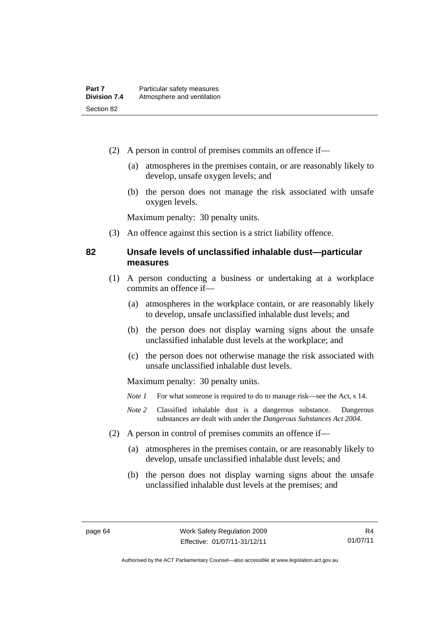- (2) A person in control of premises commits an offence if—
	- (a) atmospheres in the premises contain, or are reasonably likely to develop, unsafe oxygen levels; and
	- (b) the person does not manage the risk associated with unsafe oxygen levels.

(3) An offence against this section is a strict liability offence.

### **82 Unsafe levels of unclassified inhalable dust—particular measures**

- (1) A person conducting a business or undertaking at a workplace commits an offence if—
	- (a) atmospheres in the workplace contain, or are reasonably likely to develop, unsafe unclassified inhalable dust levels; and
	- (b) the person does not display warning signs about the unsafe unclassified inhalable dust levels at the workplace; and
	- (c) the person does not otherwise manage the risk associated with unsafe unclassified inhalable dust levels.

- *Note 1* For what someone is required to do to manage risk—see the Act, s 14.
- *Note 2* Classified inhalable dust is a dangerous substance. Dangerous substances are dealt with under the *Dangerous Substances Act 2004*.
- (2) A person in control of premises commits an offence if—
	- (a) atmospheres in the premises contain, or are reasonably likely to develop, unsafe unclassified inhalable dust levels; and
	- (b) the person does not display warning signs about the unsafe unclassified inhalable dust levels at the premises; and

R4 01/07/11

Authorised by the ACT Parliamentary Counsel—also accessible at www.legislation.act.gov.au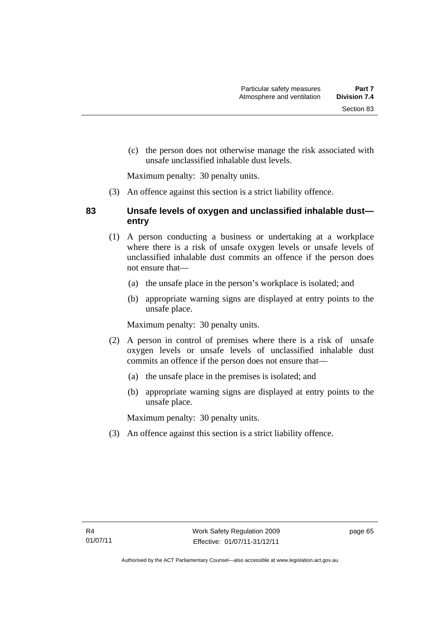(c) the person does not otherwise manage the risk associated with

Maximum penalty: 30 penalty units.

(3) An offence against this section is a strict liability offence.

unsafe unclassified inhalable dust levels.

## **83 Unsafe levels of oxygen and unclassified inhalable dust entry**

- (1) A person conducting a business or undertaking at a workplace where there is a risk of unsafe oxygen levels or unsafe levels of unclassified inhalable dust commits an offence if the person does not ensure that—
	- (a) the unsafe place in the person's workplace is isolated; and
	- (b) appropriate warning signs are displayed at entry points to the unsafe place.

Maximum penalty: 30 penalty units.

- (2) A person in control of premises where there is a risk of unsafe oxygen levels or unsafe levels of unclassified inhalable dust commits an offence if the person does not ensure that—
	- (a) the unsafe place in the premises is isolated; and
	- (b) appropriate warning signs are displayed at entry points to the unsafe place.

Maximum penalty: 30 penalty units.

(3) An offence against this section is a strict liability offence.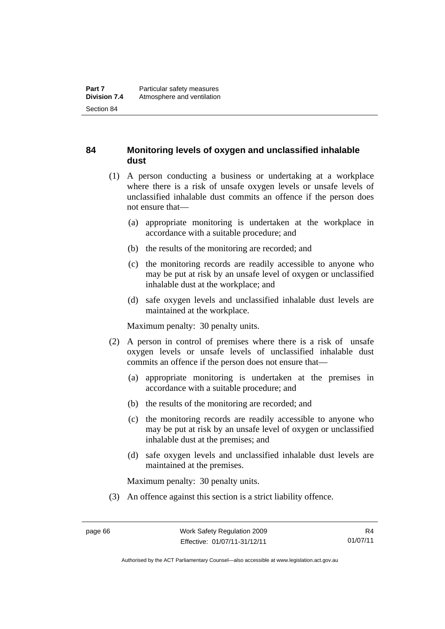## **84 Monitoring levels of oxygen and unclassified inhalable dust**

- (1) A person conducting a business or undertaking at a workplace where there is a risk of unsafe oxygen levels or unsafe levels of unclassified inhalable dust commits an offence if the person does not ensure that—
	- (a) appropriate monitoring is undertaken at the workplace in accordance with a suitable procedure; and
	- (b) the results of the monitoring are recorded; and
	- (c) the monitoring records are readily accessible to anyone who may be put at risk by an unsafe level of oxygen or unclassified inhalable dust at the workplace; and
	- (d) safe oxygen levels and unclassified inhalable dust levels are maintained at the workplace.

Maximum penalty: 30 penalty units.

- (2) A person in control of premises where there is a risk of unsafe oxygen levels or unsafe levels of unclassified inhalable dust commits an offence if the person does not ensure that—
	- (a) appropriate monitoring is undertaken at the premises in accordance with a suitable procedure; and
	- (b) the results of the monitoring are recorded; and
	- (c) the monitoring records are readily accessible to anyone who may be put at risk by an unsafe level of oxygen or unclassified inhalable dust at the premises; and
	- (d) safe oxygen levels and unclassified inhalable dust levels are maintained at the premises.

Maximum penalty: 30 penalty units.

(3) An offence against this section is a strict liability offence.

Authorised by the ACT Parliamentary Counsel—also accessible at www.legislation.act.gov.au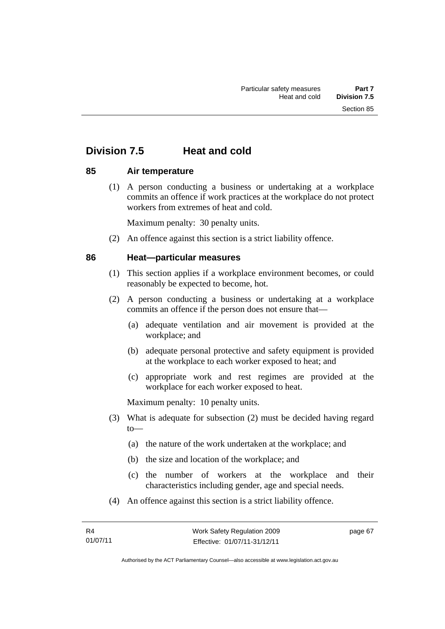# **Division 7.5 Heat and cold**

### **85 Air temperature**

 (1) A person conducting a business or undertaking at a workplace commits an offence if work practices at the workplace do not protect workers from extremes of heat and cold.

Maximum penalty: 30 penalty units.

(2) An offence against this section is a strict liability offence.

### **86 Heat—particular measures**

- (1) This section applies if a workplace environment becomes, or could reasonably be expected to become, hot.
- (2) A person conducting a business or undertaking at a workplace commits an offence if the person does not ensure that—
	- (a) adequate ventilation and air movement is provided at the workplace; and
	- (b) adequate personal protective and safety equipment is provided at the workplace to each worker exposed to heat; and
	- (c) appropriate work and rest regimes are provided at the workplace for each worker exposed to heat.

- (3) What is adequate for subsection (2) must be decided having regard to—
	- (a) the nature of the work undertaken at the workplace; and
	- (b) the size and location of the workplace; and
	- (c) the number of workers at the workplace and their characteristics including gender, age and special needs.
- (4) An offence against this section is a strict liability offence.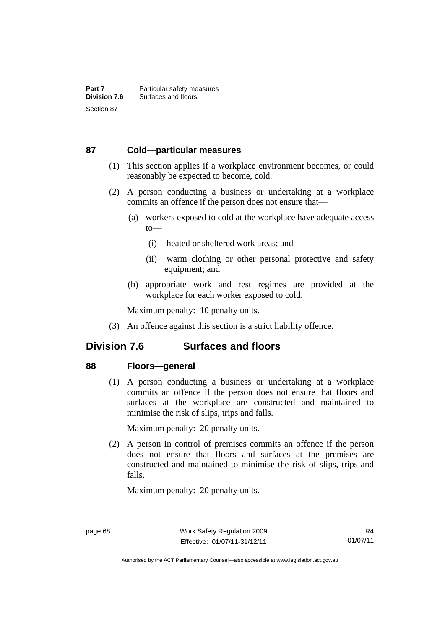#### **87 Cold—particular measures**

- (1) This section applies if a workplace environment becomes, or could reasonably be expected to become, cold.
- (2) A person conducting a business or undertaking at a workplace commits an offence if the person does not ensure that—
	- (a) workers exposed to cold at the workplace have adequate access to—
		- (i) heated or sheltered work areas; and
		- (ii) warm clothing or other personal protective and safety equipment; and
	- (b) appropriate work and rest regimes are provided at the workplace for each worker exposed to cold.

Maximum penalty: 10 penalty units.

(3) An offence against this section is a strict liability offence.

## **Division 7.6 Surfaces and floors**

#### **88 Floors—general**

 (1) A person conducting a business or undertaking at a workplace commits an offence if the person does not ensure that floors and surfaces at the workplace are constructed and maintained to minimise the risk of slips, trips and falls.

Maximum penalty: 20 penalty units.

 (2) A person in control of premises commits an offence if the person does not ensure that floors and surfaces at the premises are constructed and maintained to minimise the risk of slips, trips and falls.

Authorised by the ACT Parliamentary Counsel—also accessible at www.legislation.act.gov.au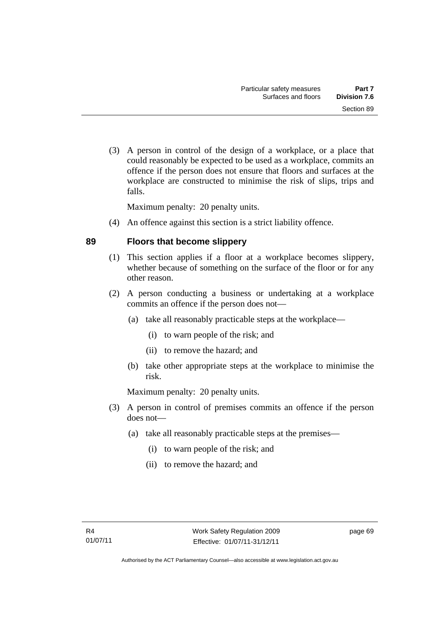(3) A person in control of the design of a workplace, or a place that could reasonably be expected to be used as a workplace, commits an offence if the person does not ensure that floors and surfaces at the workplace are constructed to minimise the risk of slips, trips and falls.

Maximum penalty: 20 penalty units.

(4) An offence against this section is a strict liability offence.

### **89 Floors that become slippery**

- (1) This section applies if a floor at a workplace becomes slippery, whether because of something on the surface of the floor or for any other reason.
- (2) A person conducting a business or undertaking at a workplace commits an offence if the person does not—
	- (a) take all reasonably practicable steps at the workplace—
		- (i) to warn people of the risk; and
		- (ii) to remove the hazard; and
	- (b) take other appropriate steps at the workplace to minimise the risk.

Maximum penalty: 20 penalty units.

- (3) A person in control of premises commits an offence if the person does not—
	- (a) take all reasonably practicable steps at the premises—
		- (i) to warn people of the risk; and
		- (ii) to remove the hazard; and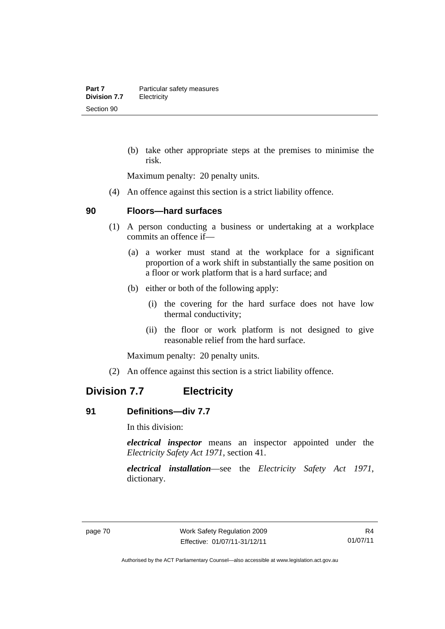(b) take other appropriate steps at the premises to minimise the risk.

Maximum penalty: 20 penalty units.

(4) An offence against this section is a strict liability offence.

#### **90 Floors—hard surfaces**

- (1) A person conducting a business or undertaking at a workplace commits an offence if—
	- (a) a worker must stand at the workplace for a significant proportion of a work shift in substantially the same position on a floor or work platform that is a hard surface; and
	- (b) either or both of the following apply:
		- (i) the covering for the hard surface does not have low thermal conductivity;
		- (ii) the floor or work platform is not designed to give reasonable relief from the hard surface.

Maximum penalty: 20 penalty units.

(2) An offence against this section is a strict liability offence.

## **Division 7.7 Electricity**

#### **91 Definitions—div 7.7**

In this division:

*electrical inspector* means an inspector appointed under the *Electricity Safety Act 1971*, section 41.

*electrical installation*—see the *Electricity Safety Act 1971*, dictionary.

Authorised by the ACT Parliamentary Counsel—also accessible at www.legislation.act.gov.au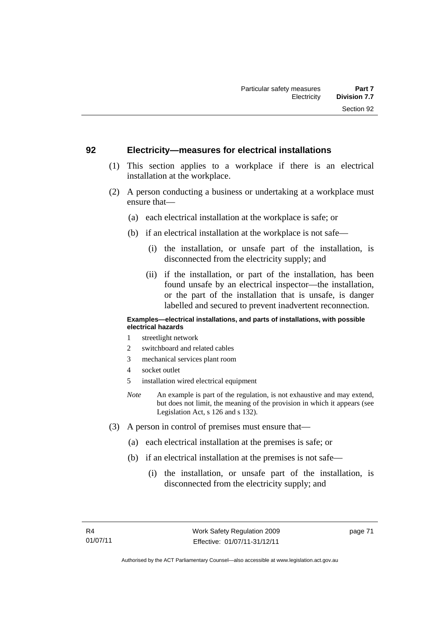#### **92 Electricity—measures for electrical installations**

- (1) This section applies to a workplace if there is an electrical installation at the workplace.
- (2) A person conducting a business or undertaking at a workplace must ensure that—
	- (a) each electrical installation at the workplace is safe; or
	- (b) if an electrical installation at the workplace is not safe—
		- (i) the installation, or unsafe part of the installation, is disconnected from the electricity supply; and
		- (ii) if the installation, or part of the installation, has been found unsafe by an electrical inspector—the installation, or the part of the installation that is unsafe, is danger labelled and secured to prevent inadvertent reconnection.

#### **Examples—electrical installations, and parts of installations, with possible electrical hazards**

- 1 streetlight network
- 2 switchboard and related cables
- 3 mechanical services plant room
- 4 socket outlet
- 5 installation wired electrical equipment
- *Note* An example is part of the regulation, is not exhaustive and may extend, but does not limit, the meaning of the provision in which it appears (see Legislation Act, s 126 and s 132).
- (3) A person in control of premises must ensure that—
	- (a) each electrical installation at the premises is safe; or
	- (b) if an electrical installation at the premises is not safe—
		- (i) the installation, or unsafe part of the installation, is disconnected from the electricity supply; and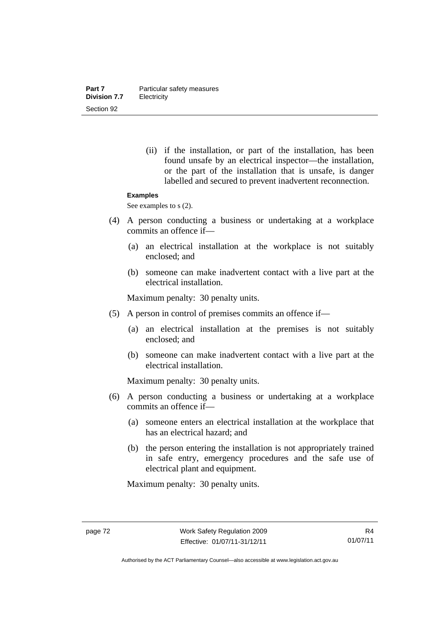(ii) if the installation, or part of the installation, has been found unsafe by an electrical inspector—the installation, or the part of the installation that is unsafe, is danger labelled and secured to prevent inadvertent reconnection.

#### **Examples**

See examples to s  $(2)$ .

- (4) A person conducting a business or undertaking at a workplace commits an offence if—
	- (a) an electrical installation at the workplace is not suitably enclosed; and
	- (b) someone can make inadvertent contact with a live part at the electrical installation.

Maximum penalty: 30 penalty units.

- (5) A person in control of premises commits an offence if—
	- (a) an electrical installation at the premises is not suitably enclosed; and
	- (b) someone can make inadvertent contact with a live part at the electrical installation.

Maximum penalty: 30 penalty units.

- (6) A person conducting a business or undertaking at a workplace commits an offence if—
	- (a) someone enters an electrical installation at the workplace that has an electrical hazard; and
	- (b) the person entering the installation is not appropriately trained in safe entry, emergency procedures and the safe use of electrical plant and equipment.

Authorised by the ACT Parliamentary Counsel—also accessible at www.legislation.act.gov.au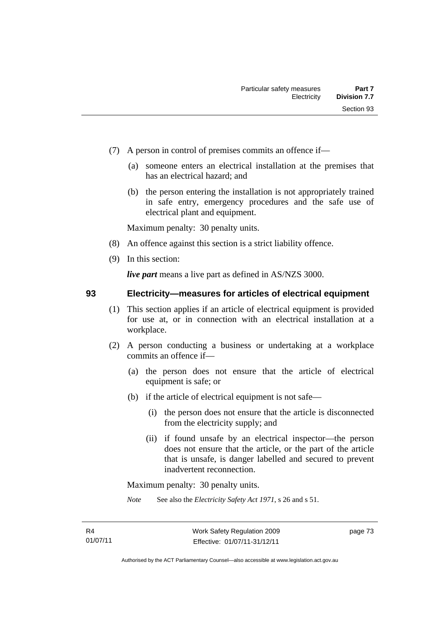- (7) A person in control of premises commits an offence if—
	- (a) someone enters an electrical installation at the premises that has an electrical hazard; and
	- (b) the person entering the installation is not appropriately trained in safe entry, emergency procedures and the safe use of electrical plant and equipment.

- (8) An offence against this section is a strict liability offence.
- (9) In this section:

*live part* means a live part as defined in AS/NZS 3000.

### **93 Electricity—measures for articles of electrical equipment**

- (1) This section applies if an article of electrical equipment is provided for use at, or in connection with an electrical installation at a workplace.
- (2) A person conducting a business or undertaking at a workplace commits an offence if—
	- (a) the person does not ensure that the article of electrical equipment is safe; or
	- (b) if the article of electrical equipment is not safe—
		- (i) the person does not ensure that the article is disconnected from the electricity supply; and
		- (ii) if found unsafe by an electrical inspector—the person does not ensure that the article, or the part of the article that is unsafe, is danger labelled and secured to prevent inadvertent reconnection.

Maximum penalty: 30 penalty units.

*Note* See also the *Electricity Safety Act 1971*, s 26 and s 51.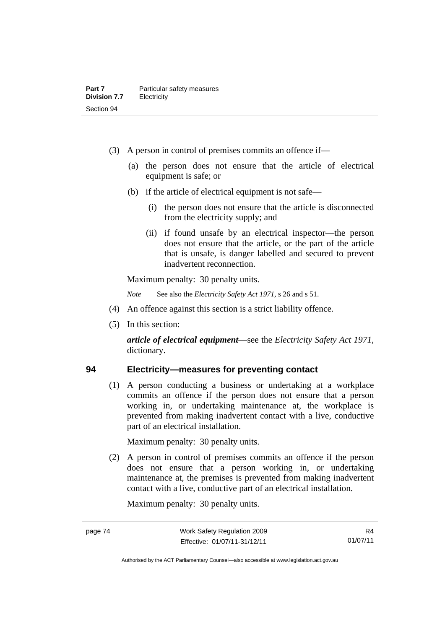- (3) A person in control of premises commits an offence if—
	- (a) the person does not ensure that the article of electrical equipment is safe; or
	- (b) if the article of electrical equipment is not safe—
		- (i) the person does not ensure that the article is disconnected from the electricity supply; and
		- (ii) if found unsafe by an electrical inspector—the person does not ensure that the article, or the part of the article that is unsafe, is danger labelled and secured to prevent inadvertent reconnection.

*Note* See also the *Electricity Safety Act 1971*, s 26 and s 51.

- (4) An offence against this section is a strict liability offence.
- (5) In this section:

*article of electrical equipment*—see the *Electricity Safety Act 1971*, dictionary.

#### **94 Electricity—measures for preventing contact**

(1) A person conducting a business or undertaking at a workplace commits an offence if the person does not ensure that a person working in, or undertaking maintenance at, the workplace is prevented from making inadvertent contact with a live, conductive part of an electrical installation.

Maximum penalty: 30 penalty units.

 (2) A person in control of premises commits an offence if the person does not ensure that a person working in, or undertaking maintenance at, the premises is prevented from making inadvertent contact with a live, conductive part of an electrical installation.

Authorised by the ACT Parliamentary Counsel—also accessible at www.legislation.act.gov.au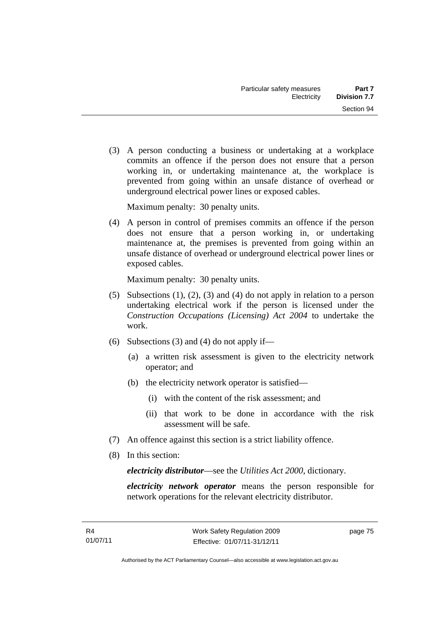(3) A person conducting a business or undertaking at a workplace commits an offence if the person does not ensure that a person working in, or undertaking maintenance at, the workplace is prevented from going within an unsafe distance of overhead or underground electrical power lines or exposed cables.

Maximum penalty: 30 penalty units.

 (4) A person in control of premises commits an offence if the person does not ensure that a person working in, or undertaking maintenance at, the premises is prevented from going within an unsafe distance of overhead or underground electrical power lines or exposed cables.

Maximum penalty: 30 penalty units.

- (5) Subsections (1), (2), (3) and (4) do not apply in relation to a person undertaking electrical work if the person is licensed under the *Construction Occupations (Licensing) Act 2004* to undertake the work.
- (6) Subsections (3) and (4) do not apply if—
	- (a) a written risk assessment is given to the electricity network operator; and
	- (b) the electricity network operator is satisfied—
		- (i) with the content of the risk assessment; and
		- (ii) that work to be done in accordance with the risk assessment will be safe.
- (7) An offence against this section is a strict liability offence.
- (8) In this section:

*electricity distributor*—see the *Utilities Act 2000*, dictionary.

*electricity network operator* means the person responsible for network operations for the relevant electricity distributor.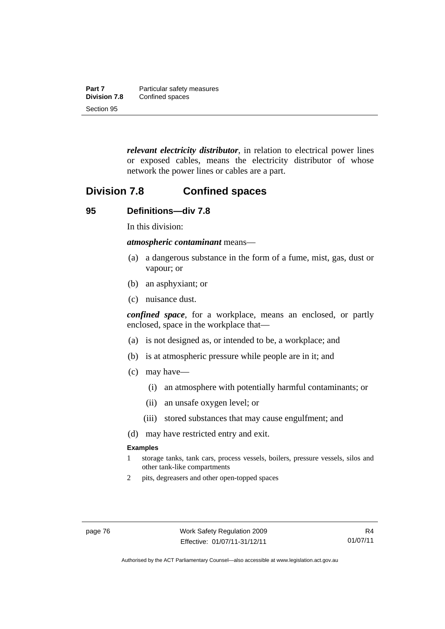| Part 7              | Particular safety measures |
|---------------------|----------------------------|
| <b>Division 7.8</b> | Confined spaces            |
| Section 95          |                            |

*relevant electricity distributor*, in relation to electrical power lines or exposed cables, means the electricity distributor of whose network the power lines or cables are a part.

## **Division 7.8 Confined spaces**

#### **95 Definitions—div 7.8**

In this division:

*atmospheric contaminant* means—

- (a) a dangerous substance in the form of a fume, mist, gas, dust or vapour; or
- (b) an asphyxiant; or
- (c) nuisance dust.

*confined space*, for a workplace, means an enclosed, or partly enclosed, space in the workplace that—

- (a) is not designed as, or intended to be, a workplace; and
- (b) is at atmospheric pressure while people are in it; and
- (c) may have—
	- (i) an atmosphere with potentially harmful contaminants; or
	- (ii) an unsafe oxygen level; or
	- (iii) stored substances that may cause engulfment; and
- (d) may have restricted entry and exit.

#### **Examples**

- 1 storage tanks, tank cars, process vessels, boilers, pressure vessels, silos and other tank-like compartments
- 2 pits, degreasers and other open-topped spaces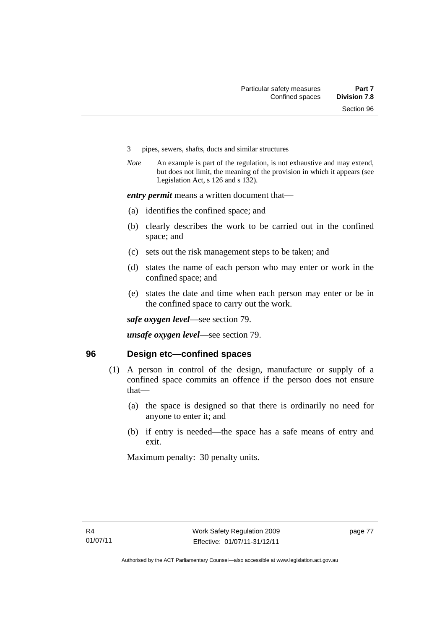- 3 pipes, sewers, shafts, ducts and similar structures
- *Note* An example is part of the regulation, is not exhaustive and may extend, but does not limit, the meaning of the provision in which it appears (see Legislation Act, s 126 and s 132).

*entry permit* means a written document that—

- (a) identifies the confined space; and
- (b) clearly describes the work to be carried out in the confined space; and
- (c) sets out the risk management steps to be taken; and
- (d) states the name of each person who may enter or work in the confined space; and
- (e) states the date and time when each person may enter or be in the confined space to carry out the work.

*safe oxygen level*—see section 79.

*unsafe oxygen level*—see section 79.

#### **96 Design etc—confined spaces**

- (1) A person in control of the design, manufacture or supply of a confined space commits an offence if the person does not ensure that—
	- (a) the space is designed so that there is ordinarily no need for anyone to enter it; and
	- (b) if entry is needed—the space has a safe means of entry and exit.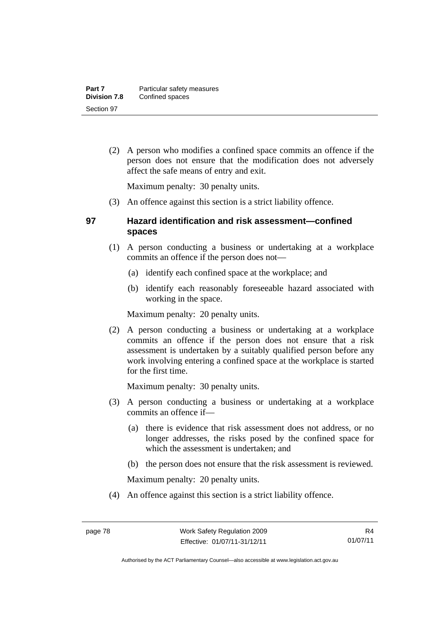(2) A person who modifies a confined space commits an offence if the person does not ensure that the modification does not adversely affect the safe means of entry and exit.

Maximum penalty: 30 penalty units.

(3) An offence against this section is a strict liability offence.

## **97 Hazard identification and risk assessment—confined spaces**

- (1) A person conducting a business or undertaking at a workplace commits an offence if the person does not—
	- (a) identify each confined space at the workplace; and
	- (b) identify each reasonably foreseeable hazard associated with working in the space.

Maximum penalty: 20 penalty units.

 (2) A person conducting a business or undertaking at a workplace commits an offence if the person does not ensure that a risk assessment is undertaken by a suitably qualified person before any work involving entering a confined space at the workplace is started for the first time.

Maximum penalty: 30 penalty units.

- (3) A person conducting a business or undertaking at a workplace commits an offence if—
	- (a) there is evidence that risk assessment does not address, or no longer addresses, the risks posed by the confined space for which the assessment is undertaken; and
	- (b) the person does not ensure that the risk assessment is reviewed.

Maximum penalty: 20 penalty units.

(4) An offence against this section is a strict liability offence.

Authorised by the ACT Parliamentary Counsel—also accessible at www.legislation.act.gov.au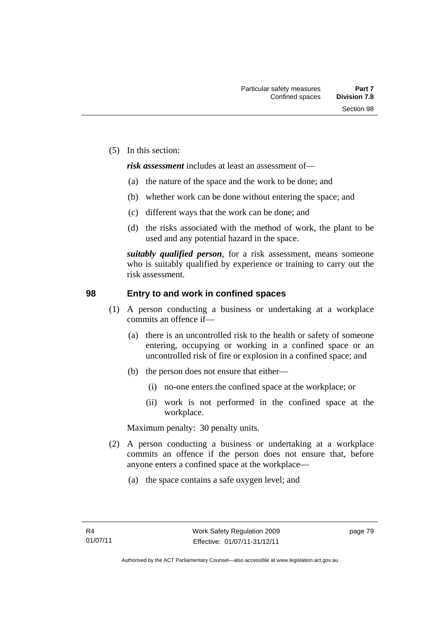(5) In this section:

*risk assessment* includes at least an assessment of—

- (a) the nature of the space and the work to be done; and
- (b) whether work can be done without entering the space; and
- (c) different ways that the work can be done; and
- (d) the risks associated with the method of work, the plant to be used and any potential hazard in the space.

*suitably qualified person*, for a risk assessment, means someone who is suitably qualified by experience or training to carry out the risk assessment.

#### **98 Entry to and work in confined spaces**

- (1) A person conducting a business or undertaking at a workplace commits an offence if—
	- (a) there is an uncontrolled risk to the health or safety of someone entering, occupying or working in a confined space or an uncontrolled risk of fire or explosion in a confined space; and
	- (b) the person does not ensure that either—
		- (i) no-one enters the confined space at the workplace; or
		- (ii) work is not performed in the confined space at the workplace.

Maximum penalty: 30 penalty units.

- (2) A person conducting a business or undertaking at a workplace commits an offence if the person does not ensure that, before anyone enters a confined space at the workplace—
	- (a) the space contains a safe oxygen level; and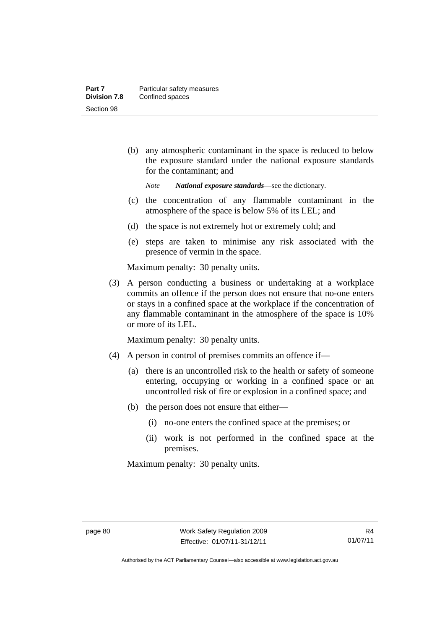(b) any atmospheric contaminant in the space is reduced to below the exposure standard under the national exposure standards for the contaminant; and

*Note National exposure standards*—see the dictionary.

- (c) the concentration of any flammable contaminant in the atmosphere of the space is below 5% of its LEL; and
- (d) the space is not extremely hot or extremely cold; and
- (e) steps are taken to minimise any risk associated with the presence of vermin in the space.

Maximum penalty: 30 penalty units.

 (3) A person conducting a business or undertaking at a workplace commits an offence if the person does not ensure that no-one enters or stays in a confined space at the workplace if the concentration of any flammable contaminant in the atmosphere of the space is 10% or more of its LEL.

Maximum penalty: 30 penalty units.

- (4) A person in control of premises commits an offence if—
	- (a) there is an uncontrolled risk to the health or safety of someone entering, occupying or working in a confined space or an uncontrolled risk of fire or explosion in a confined space; and
	- (b) the person does not ensure that either—
		- (i) no-one enters the confined space at the premises; or
		- (ii) work is not performed in the confined space at the premises.

Authorised by the ACT Parliamentary Counsel—also accessible at www.legislation.act.gov.au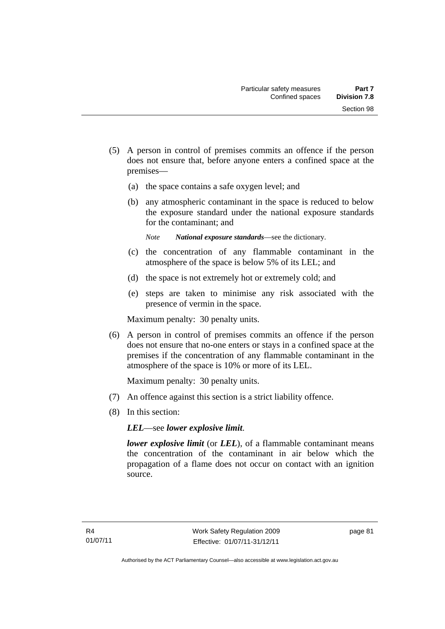- (5) A person in control of premises commits an offence if the person does not ensure that, before anyone enters a confined space at the premises—
	- (a) the space contains a safe oxygen level; and
	- (b) any atmospheric contaminant in the space is reduced to below the exposure standard under the national exposure standards for the contaminant; and
		- *Note National exposure standards*—see the dictionary.
	- (c) the concentration of any flammable contaminant in the atmosphere of the space is below 5% of its LEL; and
	- (d) the space is not extremely hot or extremely cold; and
	- (e) steps are taken to minimise any risk associated with the presence of vermin in the space.

 (6) A person in control of premises commits an offence if the person does not ensure that no-one enters or stays in a confined space at the premises if the concentration of any flammable contaminant in the atmosphere of the space is 10% or more of its LEL.

Maximum penalty: 30 penalty units.

- (7) An offence against this section is a strict liability offence.
- (8) In this section:

*LEL*—see *lower explosive limit*.

*lower explosive limit* (or *LEL*), of a flammable contaminant means the concentration of the contaminant in air below which the propagation of a flame does not occur on contact with an ignition source.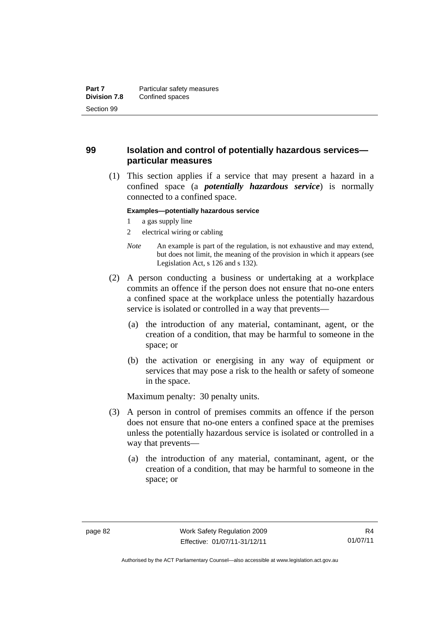## **99 Isolation and control of potentially hazardous services particular measures**

 (1) This section applies if a service that may present a hazard in a confined space (a *potentially hazardous service*) is normally connected to a confined space.

#### **Examples—potentially hazardous service**

- 1 a gas supply line
- 2 electrical wiring or cabling
- *Note* An example is part of the regulation, is not exhaustive and may extend, but does not limit, the meaning of the provision in which it appears (see Legislation Act, s 126 and s 132).
- (2) A person conducting a business or undertaking at a workplace commits an offence if the person does not ensure that no-one enters a confined space at the workplace unless the potentially hazardous service is isolated or controlled in a way that prevents—
	- (a) the introduction of any material, contaminant, agent, or the creation of a condition, that may be harmful to someone in the space; or
	- (b) the activation or energising in any way of equipment or services that may pose a risk to the health or safety of someone in the space.

- (3) A person in control of premises commits an offence if the person does not ensure that no-one enters a confined space at the premises unless the potentially hazardous service is isolated or controlled in a way that prevents—
	- (a) the introduction of any material, contaminant, agent, or the creation of a condition, that may be harmful to someone in the space; or

Authorised by the ACT Parliamentary Counsel—also accessible at www.legislation.act.gov.au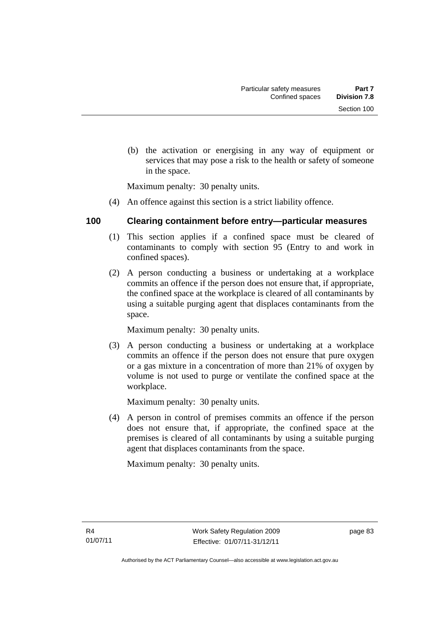(b) the activation or energising in any way of equipment or services that may pose a risk to the health or safety of someone in the space.

Maximum penalty: 30 penalty units.

(4) An offence against this section is a strict liability offence.

## **100 Clearing containment before entry—particular measures**

- (1) This section applies if a confined space must be cleared of contaminants to comply with section 95 (Entry to and work in confined spaces).
- (2) A person conducting a business or undertaking at a workplace commits an offence if the person does not ensure that, if appropriate, the confined space at the workplace is cleared of all contaminants by using a suitable purging agent that displaces contaminants from the space.

Maximum penalty: 30 penalty units.

 (3) A person conducting a business or undertaking at a workplace commits an offence if the person does not ensure that pure oxygen or a gas mixture in a concentration of more than 21% of oxygen by volume is not used to purge or ventilate the confined space at the workplace.

Maximum penalty: 30 penalty units.

 (4) A person in control of premises commits an offence if the person does not ensure that, if appropriate, the confined space at the premises is cleared of all contaminants by using a suitable purging agent that displaces contaminants from the space.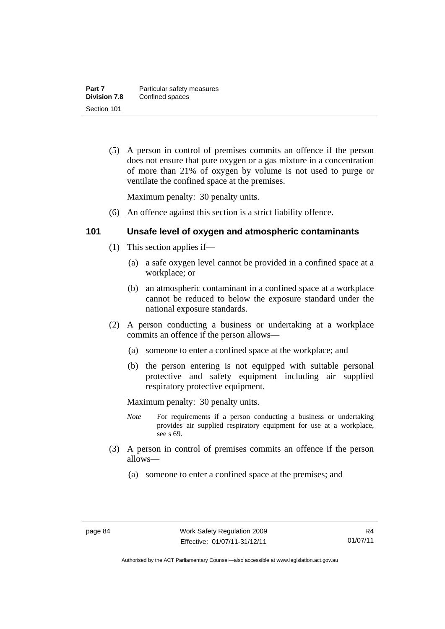(5) A person in control of premises commits an offence if the person does not ensure that pure oxygen or a gas mixture in a concentration of more than 21% of oxygen by volume is not used to purge or ventilate the confined space at the premises.

Maximum penalty: 30 penalty units.

(6) An offence against this section is a strict liability offence.

### **101 Unsafe level of oxygen and atmospheric contaminants**

- (1) This section applies if—
	- (a) a safe oxygen level cannot be provided in a confined space at a workplace; or
	- (b) an atmospheric contaminant in a confined space at a workplace cannot be reduced to below the exposure standard under the national exposure standards.
- (2) A person conducting a business or undertaking at a workplace commits an offence if the person allows—
	- (a) someone to enter a confined space at the workplace; and
	- (b) the person entering is not equipped with suitable personal protective and safety equipment including air supplied respiratory protective equipment.

- *Note* For requirements if a person conducting a business or undertaking provides air supplied respiratory equipment for use at a workplace, see s 69.
- (3) A person in control of premises commits an offence if the person allows—
	- (a) someone to enter a confined space at the premises; and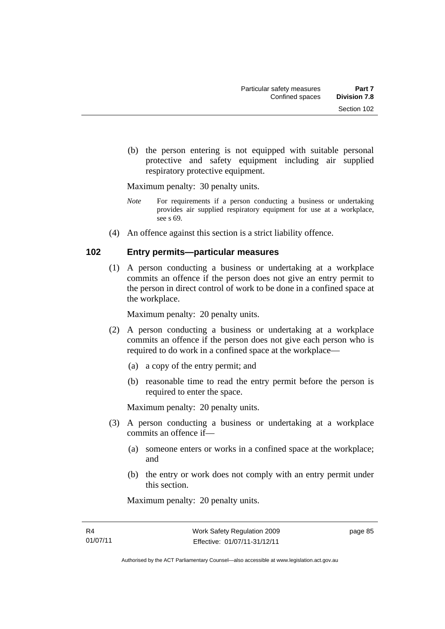(b) the person entering is not equipped with suitable personal protective and safety equipment including air supplied respiratory protective equipment.

Maximum penalty: 30 penalty units.

- *Note* For requirements if a person conducting a business or undertaking provides air supplied respiratory equipment for use at a workplace, see s 69.
- (4) An offence against this section is a strict liability offence.

### **102 Entry permits—particular measures**

(1) A person conducting a business or undertaking at a workplace commits an offence if the person does not give an entry permit to the person in direct control of work to be done in a confined space at the workplace.

Maximum penalty: 20 penalty units.

- (2) A person conducting a business or undertaking at a workplace commits an offence if the person does not give each person who is required to do work in a confined space at the workplace—
	- (a) a copy of the entry permit; and
	- (b) reasonable time to read the entry permit before the person is required to enter the space.

Maximum penalty: 20 penalty units.

- (3) A person conducting a business or undertaking at a workplace commits an offence if—
	- (a) someone enters or works in a confined space at the workplace; and
	- (b) the entry or work does not comply with an entry permit under this section.

Maximum penalty: 20 penalty units.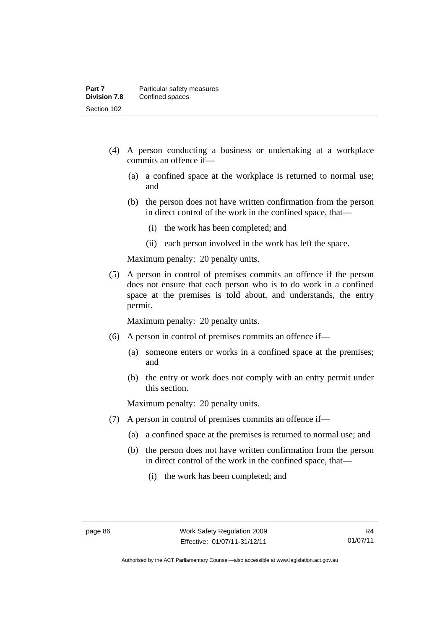- (4) A person conducting a business or undertaking at a workplace commits an offence if—
	- (a) a confined space at the workplace is returned to normal use; and
	- (b) the person does not have written confirmation from the person in direct control of the work in the confined space, that—
		- (i) the work has been completed; and
		- (ii) each person involved in the work has left the space.

 (5) A person in control of premises commits an offence if the person does not ensure that each person who is to do work in a confined space at the premises is told about, and understands, the entry permit.

Maximum penalty: 20 penalty units.

- (6) A person in control of premises commits an offence if—
	- (a) someone enters or works in a confined space at the premises; and
	- (b) the entry or work does not comply with an entry permit under this section.

- (7) A person in control of premises commits an offence if—
	- (a) a confined space at the premises is returned to normal use; and
	- (b) the person does not have written confirmation from the person in direct control of the work in the confined space, that—
		- (i) the work has been completed; and

Authorised by the ACT Parliamentary Counsel—also accessible at www.legislation.act.gov.au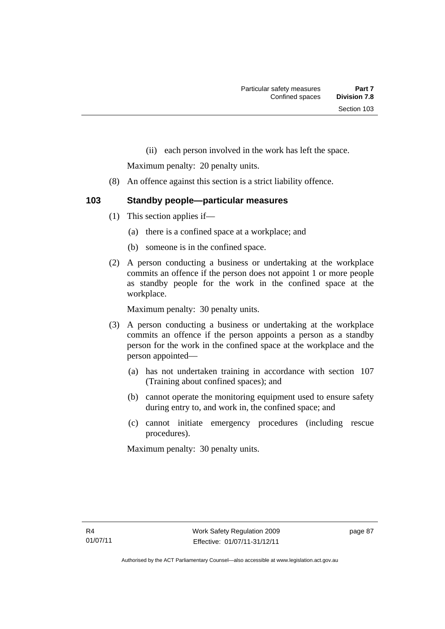(ii) each person involved in the work has left the space.

Maximum penalty: 20 penalty units.

- (8) An offence against this section is a strict liability offence.
- **103 Standby people—particular measures** 
	- (1) This section applies if—
		- (a) there is a confined space at a workplace; and
		- (b) someone is in the confined space.
	- (2) A person conducting a business or undertaking at the workplace commits an offence if the person does not appoint 1 or more people as standby people for the work in the confined space at the workplace.

Maximum penalty: 30 penalty units.

- (3) A person conducting a business or undertaking at the workplace commits an offence if the person appoints a person as a standby person for the work in the confined space at the workplace and the person appointed—
	- (a) has not undertaken training in accordance with section 107 (Training about confined spaces); and
	- (b) cannot operate the monitoring equipment used to ensure safety during entry to, and work in, the confined space; and
	- (c) cannot initiate emergency procedures (including rescue procedures).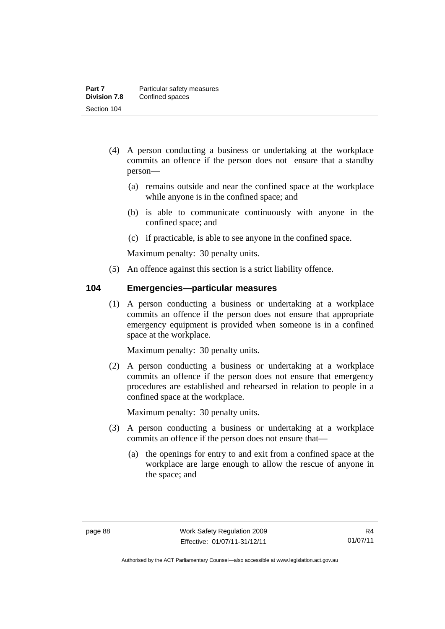- (4) A person conducting a business or undertaking at the workplace commits an offence if the person does not ensure that a standby person—
	- (a) remains outside and near the confined space at the workplace while anyone is in the confined space; and
	- (b) is able to communicate continuously with anyone in the confined space; and
	- (c) if practicable, is able to see anyone in the confined space.

(5) An offence against this section is a strict liability offence.

#### **104 Emergencies—particular measures**

(1) A person conducting a business or undertaking at a workplace commits an offence if the person does not ensure that appropriate emergency equipment is provided when someone is in a confined space at the workplace.

Maximum penalty: 30 penalty units.

 (2) A person conducting a business or undertaking at a workplace commits an offence if the person does not ensure that emergency procedures are established and rehearsed in relation to people in a confined space at the workplace.

- (3) A person conducting a business or undertaking at a workplace commits an offence if the person does not ensure that—
	- (a) the openings for entry to and exit from a confined space at the workplace are large enough to allow the rescue of anyone in the space; and

Authorised by the ACT Parliamentary Counsel—also accessible at www.legislation.act.gov.au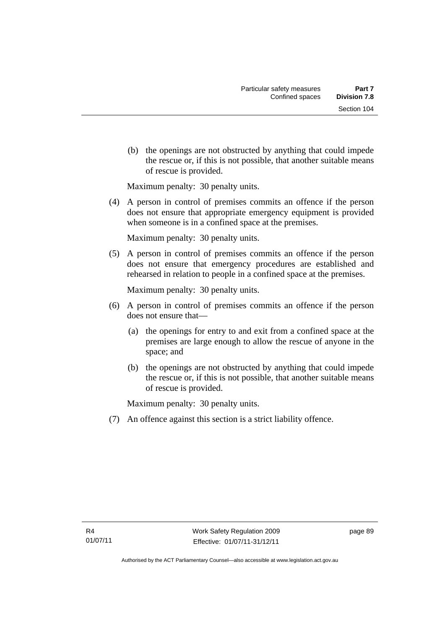(b) the openings are not obstructed by anything that could impede the rescue or, if this is not possible, that another suitable means of rescue is provided.

Maximum penalty: 30 penalty units.

 (4) A person in control of premises commits an offence if the person does not ensure that appropriate emergency equipment is provided when someone is in a confined space at the premises.

Maximum penalty: 30 penalty units.

 (5) A person in control of premises commits an offence if the person does not ensure that emergency procedures are established and rehearsed in relation to people in a confined space at the premises.

Maximum penalty: 30 penalty units.

- (6) A person in control of premises commits an offence if the person does not ensure that—
	- (a) the openings for entry to and exit from a confined space at the premises are large enough to allow the rescue of anyone in the space; and
	- (b) the openings are not obstructed by anything that could impede the rescue or, if this is not possible, that another suitable means of rescue is provided.

Maximum penalty: 30 penalty units.

(7) An offence against this section is a strict liability offence.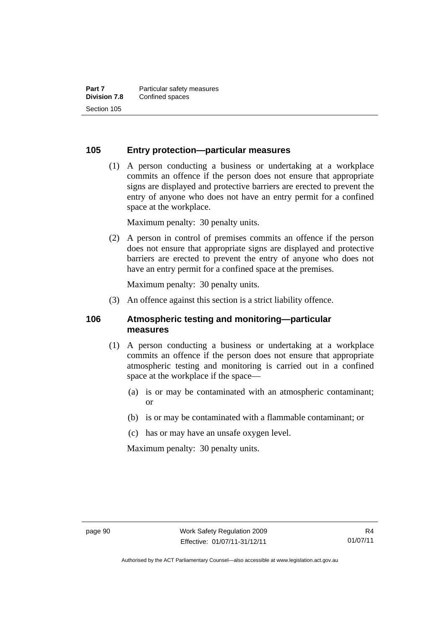#### **105 Entry protection—particular measures**

 (1) A person conducting a business or undertaking at a workplace commits an offence if the person does not ensure that appropriate signs are displayed and protective barriers are erected to prevent the entry of anyone who does not have an entry permit for a confined space at the workplace.

Maximum penalty: 30 penalty units.

 (2) A person in control of premises commits an offence if the person does not ensure that appropriate signs are displayed and protective barriers are erected to prevent the entry of anyone who does not have an entry permit for a confined space at the premises.

Maximum penalty: 30 penalty units.

(3) An offence against this section is a strict liability offence.

#### **106 Atmospheric testing and monitoring—particular measures**

- (1) A person conducting a business or undertaking at a workplace commits an offence if the person does not ensure that appropriate atmospheric testing and monitoring is carried out in a confined space at the workplace if the space—
	- (a) is or may be contaminated with an atmospheric contaminant; or
	- (b) is or may be contaminated with a flammable contaminant; or
	- (c) has or may have an unsafe oxygen level.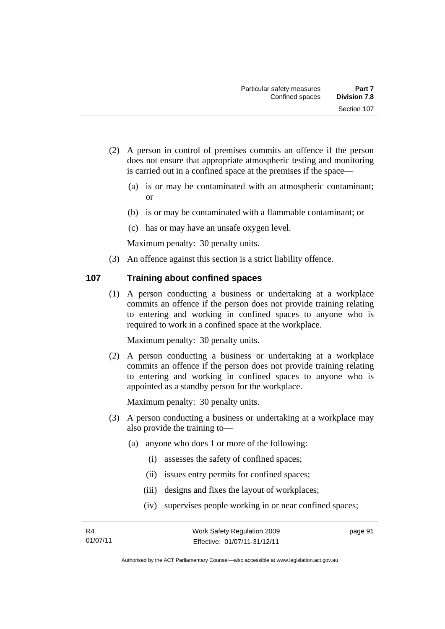- (2) A person in control of premises commits an offence if the person does not ensure that appropriate atmospheric testing and monitoring is carried out in a confined space at the premises if the space—
	- (a) is or may be contaminated with an atmospheric contaminant; or
	- (b) is or may be contaminated with a flammable contaminant; or
	- (c) has or may have an unsafe oxygen level.

(3) An offence against this section is a strict liability offence.

### **107 Training about confined spaces**

(1) A person conducting a business or undertaking at a workplace commits an offence if the person does not provide training relating to entering and working in confined spaces to anyone who is required to work in a confined space at the workplace.

Maximum penalty: 30 penalty units.

 (2) A person conducting a business or undertaking at a workplace commits an offence if the person does not provide training relating to entering and working in confined spaces to anyone who is appointed as a standby person for the workplace.

Maximum penalty: 30 penalty units.

- (3) A person conducting a business or undertaking at a workplace may also provide the training to—
	- (a) anyone who does 1 or more of the following:
		- (i) assesses the safety of confined spaces;
		- (ii) issues entry permits for confined spaces;
		- (iii) designs and fixes the layout of workplaces;
		- (iv) supervises people working in or near confined spaces;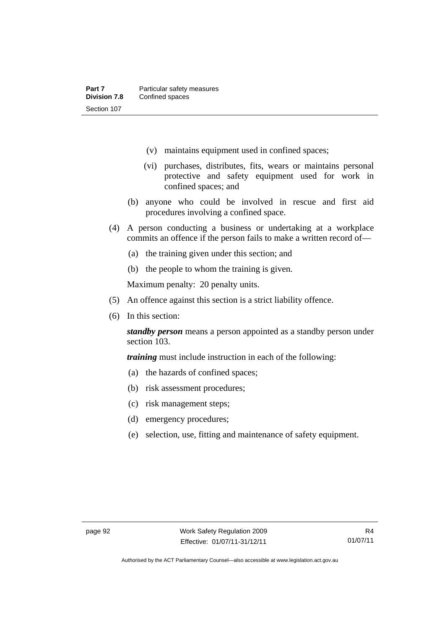- (v) maintains equipment used in confined spaces;
- (vi) purchases, distributes, fits, wears or maintains personal protective and safety equipment used for work in confined spaces; and
- (b) anyone who could be involved in rescue and first aid procedures involving a confined space.
- (4) A person conducting a business or undertaking at a workplace commits an offence if the person fails to make a written record of—
	- (a) the training given under this section; and
	- (b) the people to whom the training is given.

- (5) An offence against this section is a strict liability offence.
- (6) In this section:

*standby person* means a person appointed as a standby person under section 103.

*training* must include instruction in each of the following:

- (a) the hazards of confined spaces;
- (b) risk assessment procedures;
- (c) risk management steps;
- (d) emergency procedures;
- (e) selection, use, fitting and maintenance of safety equipment.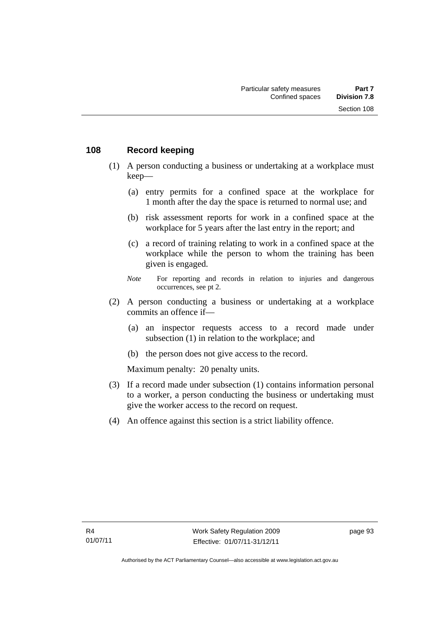#### **108 Record keeping**

- (1) A person conducting a business or undertaking at a workplace must keep—
	- (a) entry permits for a confined space at the workplace for 1 month after the day the space is returned to normal use; and
	- (b) risk assessment reports for work in a confined space at the workplace for 5 years after the last entry in the report; and
	- (c) a record of training relating to work in a confined space at the workplace while the person to whom the training has been given is engaged.
	- *Note* For reporting and records in relation to injuries and dangerous occurrences, see pt 2.
- (2) A person conducting a business or undertaking at a workplace commits an offence if—
	- (a) an inspector requests access to a record made under subsection (1) in relation to the workplace; and
	- (b) the person does not give access to the record.

- (3) If a record made under subsection (1) contains information personal to a worker, a person conducting the business or undertaking must give the worker access to the record on request.
- (4) An offence against this section is a strict liability offence.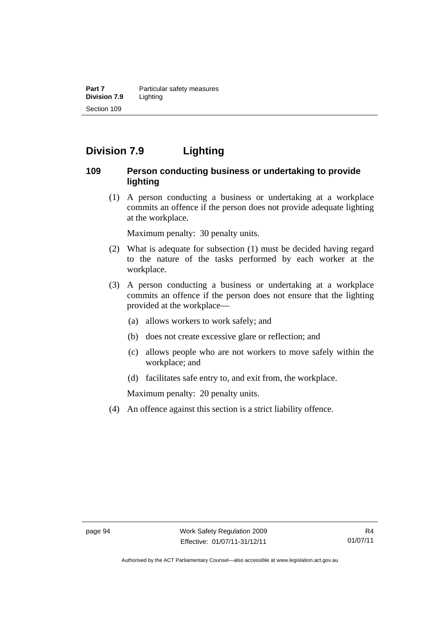**Part 7 Particular safety measures Division 7.9** Lighting Section 109

# **Division 7.9 Lighting**

### **109 Person conducting business or undertaking to provide lighting**

 (1) A person conducting a business or undertaking at a workplace commits an offence if the person does not provide adequate lighting at the workplace.

Maximum penalty: 30 penalty units.

- (2) What is adequate for subsection (1) must be decided having regard to the nature of the tasks performed by each worker at the workplace.
- (3) A person conducting a business or undertaking at a workplace commits an offence if the person does not ensure that the lighting provided at the workplace—
	- (a) allows workers to work safely; and
	- (b) does not create excessive glare or reflection; and
	- (c) allows people who are not workers to move safely within the workplace; and
	- (d) facilitates safe entry to, and exit from, the workplace.

Maximum penalty: 20 penalty units.

(4) An offence against this section is a strict liability offence.

Authorised by the ACT Parliamentary Counsel—also accessible at www.legislation.act.gov.au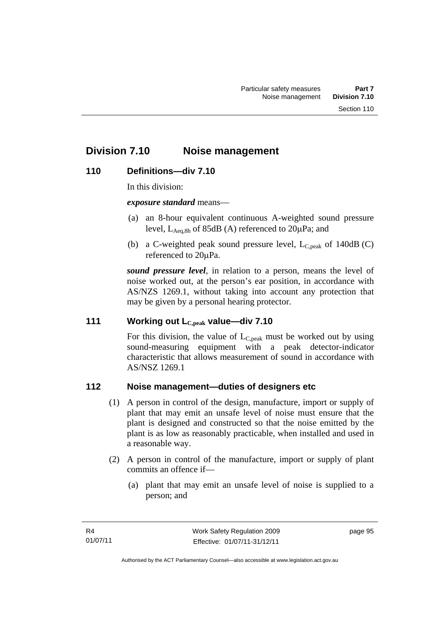# **Division 7.10 Noise management**

## **110 Definitions—div 7.10**

In this division:

*exposure standard* means—

- (a) an 8-hour equivalent continuous A-weighted sound pressure level,  $L_{\text{Aea,8h}}$  of 85dB (A) referenced to  $20\mu\text{Pa}$ ; and
- (b) a C-weighted peak sound pressure level,  $L_{C,peak}$  of 140dB (C) referenced to 20µPa.

*sound pressure level*, in relation to a person, means the level of noise worked out, at the person's ear position, in accordance with AS/NZS 1269.1, without taking into account any protection that may be given by a personal hearing protector.

## **111 Working out LC,peak value—div 7.10**

For this division, the value of  $L_{C,peak}$  must be worked out by using sound-measuring equipment with a peak detector-indicator characteristic that allows measurement of sound in accordance with AS/NSZ 1269.1

# **112 Noise management—duties of designers etc**

- (1) A person in control of the design, manufacture, import or supply of plant that may emit an unsafe level of noise must ensure that the plant is designed and constructed so that the noise emitted by the plant is as low as reasonably practicable, when installed and used in a reasonable way.
- (2) A person in control of the manufacture, import or supply of plant commits an offence if—
	- (a) plant that may emit an unsafe level of noise is supplied to a person; and

page 95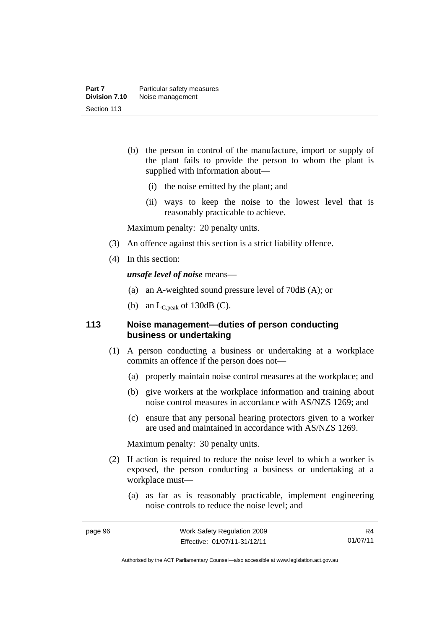- (b) the person in control of the manufacture, import or supply of the plant fails to provide the person to whom the plant is supplied with information about—
	- (i) the noise emitted by the plant; and
	- (ii) ways to keep the noise to the lowest level that is reasonably practicable to achieve.

Maximum penalty: 20 penalty units.

- (3) An offence against this section is a strict liability offence.
- (4) In this section:

*unsafe level of noise* means—

- (a) an A-weighted sound pressure level of 70dB (A); or
- (b) an  $L_{C,peak}$  of 130dB (C).

## **113 Noise management—duties of person conducting business or undertaking**

- (1) A person conducting a business or undertaking at a workplace commits an offence if the person does not—
	- (a) properly maintain noise control measures at the workplace; and
	- (b) give workers at the workplace information and training about noise control measures in accordance with AS/NZS 1269; and
	- (c) ensure that any personal hearing protectors given to a worker are used and maintained in accordance with AS/NZS 1269.

Maximum penalty: 30 penalty units.

- (2) If action is required to reduce the noise level to which a worker is exposed, the person conducting a business or undertaking at a workplace must—
	- (a) as far as is reasonably practicable, implement engineering noise controls to reduce the noise level; and

R4 01/07/11

Authorised by the ACT Parliamentary Counsel—also accessible at www.legislation.act.gov.au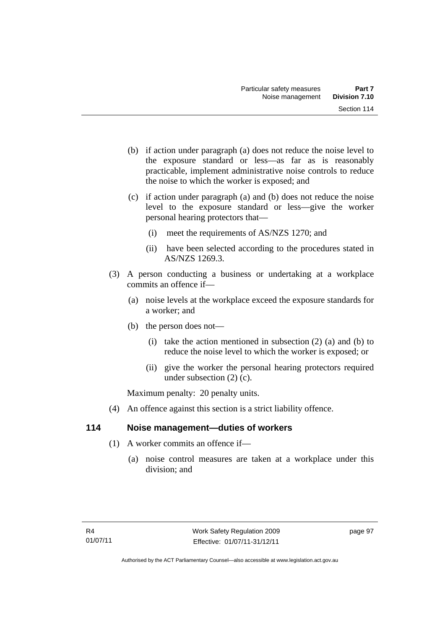- (b) if action under paragraph (a) does not reduce the noise level to the exposure standard or less—as far as is reasonably practicable, implement administrative noise controls to reduce the noise to which the worker is exposed; and
- (c) if action under paragraph (a) and (b) does not reduce the noise level to the exposure standard or less—give the worker personal hearing protectors that—
	- (i) meet the requirements of AS/NZS 1270; and
	- (ii) have been selected according to the procedures stated in AS/NZS 1269.3.
- (3) A person conducting a business or undertaking at a workplace commits an offence if—
	- (a) noise levels at the workplace exceed the exposure standards for a worker; and
	- (b) the person does not—
		- (i) take the action mentioned in subsection  $(2)$  (a) and (b) to reduce the noise level to which the worker is exposed; or
		- (ii) give the worker the personal hearing protectors required under subsection (2) (c).

Maximum penalty: 20 penalty units.

(4) An offence against this section is a strict liability offence.

# **114 Noise management—duties of workers**

- (1) A worker commits an offence if—
	- (a) noise control measures are taken at a workplace under this division; and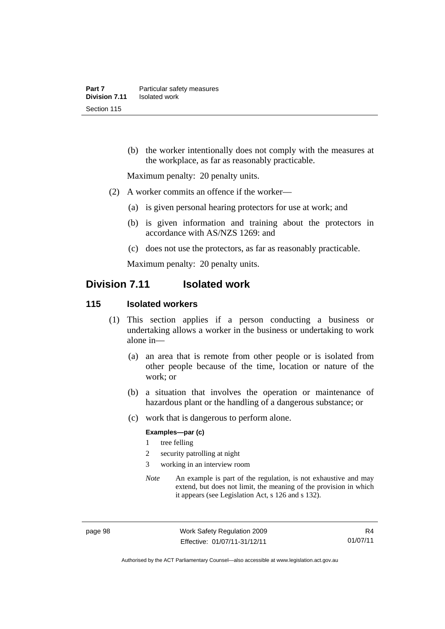(b) the worker intentionally does not comply with the measures at the workplace, as far as reasonably practicable.

Maximum penalty: 20 penalty units.

- (2) A worker commits an offence if the worker—
	- (a) is given personal hearing protectors for use at work; and
	- (b) is given information and training about the protectors in accordance with AS/NZS 1269: and
	- (c) does not use the protectors, as far as reasonably practicable.

Maximum penalty: 20 penalty units.

# **Division 7.11 Isolated work**

#### **115 Isolated workers**

- (1) This section applies if a person conducting a business or undertaking allows a worker in the business or undertaking to work alone in—
	- (a) an area that is remote from other people or is isolated from other people because of the time, location or nature of the work; or
	- (b) a situation that involves the operation or maintenance of hazardous plant or the handling of a dangerous substance; or
	- (c) work that is dangerous to perform alone.

#### **Examples—par (c)**

- 1 tree felling
- 2 security patrolling at night
- 3 working in an interview room
- *Note* An example is part of the regulation, is not exhaustive and may extend, but does not limit, the meaning of the provision in which it appears (see Legislation Act, s 126 and s 132).

page 98 Work Safety Regulation 2009 Effective: 01/07/11-31/12/11

R4 01/07/11

Authorised by the ACT Parliamentary Counsel—also accessible at www.legislation.act.gov.au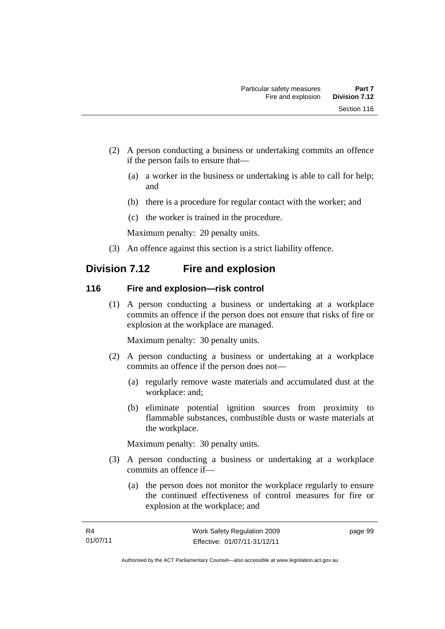- (2) A person conducting a business or undertaking commits an offence if the person fails to ensure that—
	- (a) a worker in the business or undertaking is able to call for help; and
	- (b) there is a procedure for regular contact with the worker; and
	- (c) the worker is trained in the procedure.

Maximum penalty: 20 penalty units.

(3) An offence against this section is a strict liability offence.

# **Division 7.12 Fire and explosion**

## **116 Fire and explosion—risk control**

 (1) A person conducting a business or undertaking at a workplace commits an offence if the person does not ensure that risks of fire or explosion at the workplace are managed.

Maximum penalty: 30 penalty units.

- (2) A person conducting a business or undertaking at a workplace commits an offence if the person does not—
	- (a) regularly remove waste materials and accumulated dust at the workplace: and;
	- (b) eliminate potential ignition sources from proximity to flammable substances, combustible dusts or waste materials at the workplace.

Maximum penalty: 30 penalty units.

- (3) A person conducting a business or undertaking at a workplace commits an offence if—
	- (a) the person does not monitor the workplace regularly to ensure the continued effectiveness of control measures for fire or explosion at the workplace; and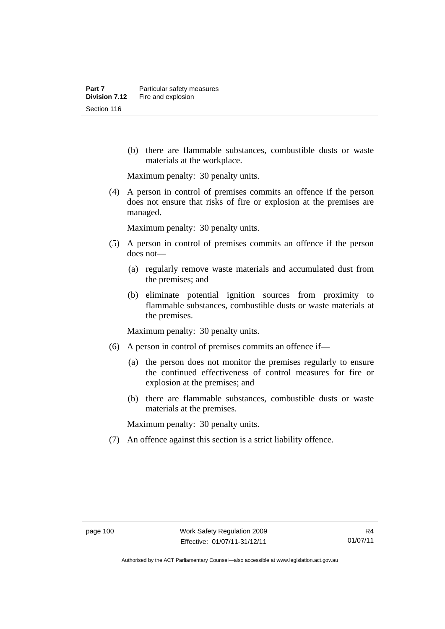(b) there are flammable substances, combustible dusts or waste materials at the workplace.

Maximum penalty: 30 penalty units.

 (4) A person in control of premises commits an offence if the person does not ensure that risks of fire or explosion at the premises are managed.

Maximum penalty: 30 penalty units.

- (5) A person in control of premises commits an offence if the person does not—
	- (a) regularly remove waste materials and accumulated dust from the premises; and
	- (b) eliminate potential ignition sources from proximity to flammable substances, combustible dusts or waste materials at the premises.

Maximum penalty: 30 penalty units.

- (6) A person in control of premises commits an offence if—
	- (a) the person does not monitor the premises regularly to ensure the continued effectiveness of control measures for fire or explosion at the premises; and
	- (b) there are flammable substances, combustible dusts or waste materials at the premises.

Maximum penalty: 30 penalty units.

(7) An offence against this section is a strict liability offence.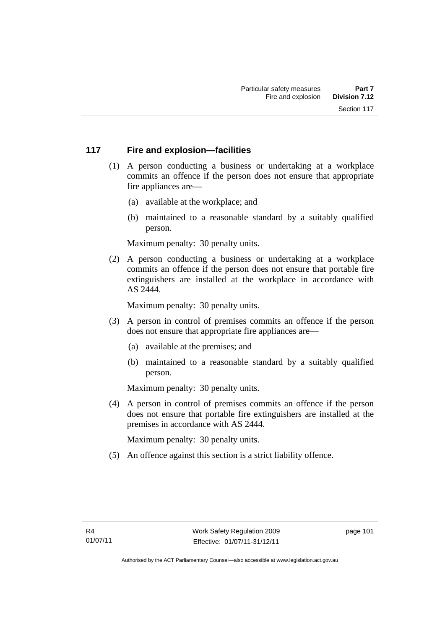# **117 Fire and explosion—facilities**

- (1) A person conducting a business or undertaking at a workplace commits an offence if the person does not ensure that appropriate fire appliances are—
	- (a) available at the workplace; and
	- (b) maintained to a reasonable standard by a suitably qualified person.

Maximum penalty: 30 penalty units.

 (2) A person conducting a business or undertaking at a workplace commits an offence if the person does not ensure that portable fire extinguishers are installed at the workplace in accordance with AS 2444.

Maximum penalty: 30 penalty units.

- (3) A person in control of premises commits an offence if the person does not ensure that appropriate fire appliances are—
	- (a) available at the premises; and
	- (b) maintained to a reasonable standard by a suitably qualified person.

Maximum penalty: 30 penalty units.

 (4) A person in control of premises commits an offence if the person does not ensure that portable fire extinguishers are installed at the premises in accordance with AS 2444.

Maximum penalty: 30 penalty units.

(5) An offence against this section is a strict liability offence.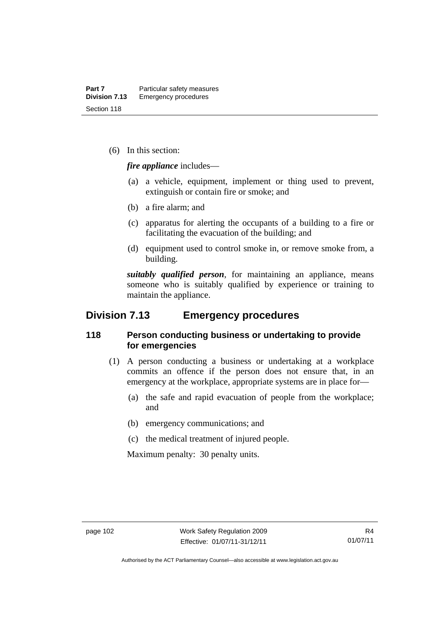(6) In this section:

*fire appliance* includes—

- (a) a vehicle, equipment, implement or thing used to prevent, extinguish or contain fire or smoke; and
- (b) a fire alarm; and
- (c) apparatus for alerting the occupants of a building to a fire or facilitating the evacuation of the building; and
- (d) equipment used to control smoke in, or remove smoke from, a building.

*suitably qualified person*, for maintaining an appliance, means someone who is suitably qualified by experience or training to maintain the appliance.

# **Division 7.13 Emergency procedures**

## **118 Person conducting business or undertaking to provide for emergencies**

- (1) A person conducting a business or undertaking at a workplace commits an offence if the person does not ensure that, in an emergency at the workplace, appropriate systems are in place for—
	- (a) the safe and rapid evacuation of people from the workplace; and
	- (b) emergency communications; and
	- (c) the medical treatment of injured people.

Maximum penalty: 30 penalty units.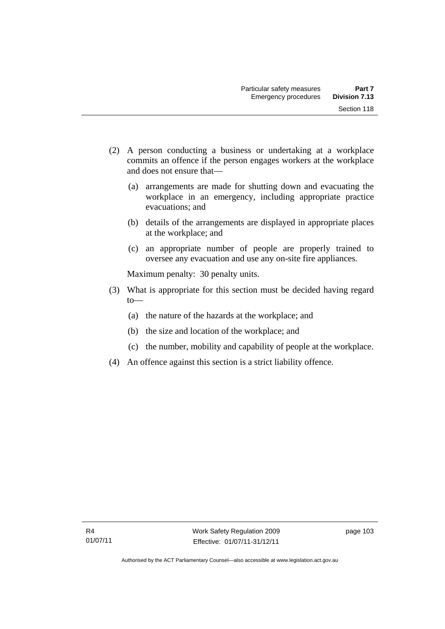- (2) A person conducting a business or undertaking at a workplace commits an offence if the person engages workers at the workplace and does not ensure that—
	- (a) arrangements are made for shutting down and evacuating the workplace in an emergency, including appropriate practice evacuations; and
	- (b) details of the arrangements are displayed in appropriate places at the workplace; and
	- (c) an appropriate number of people are properly trained to oversee any evacuation and use any on-site fire appliances.

Maximum penalty: 30 penalty units.

- (3) What is appropriate for this section must be decided having regard  $to$ —
	- (a) the nature of the hazards at the workplace; and
	- (b) the size and location of the workplace; and
	- (c) the number, mobility and capability of people at the workplace.
- (4) An offence against this section is a strict liability offence.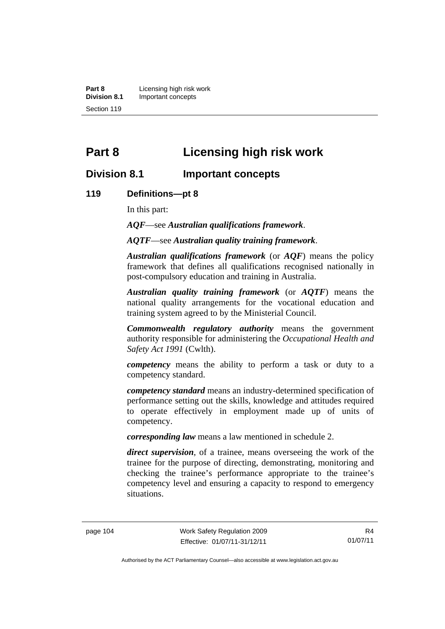**Part 8 Licensing high risk work**<br>**Division 8.1 Important concepts Division 8.1** Important concepts Section 119

# **Part 8 Licensing high risk work**

# **Division 8.1 Important concepts**

### **119 Definitions—pt 8**

In this part:

*AQF*—see *Australian qualifications framework*.

*AQTF*—see *Australian quality training framework*.

*Australian qualifications framework* (or *AQF*) means the policy framework that defines all qualifications recognised nationally in post-compulsory education and training in Australia.

*Australian quality training framework* (or *AQTF*) means the national quality arrangements for the vocational education and training system agreed to by the Ministerial Council.

*Commonwealth regulatory authority* means the government authority responsible for administering the *Occupational Health and Safety Act 1991* (Cwlth).

*competency* means the ability to perform a task or duty to a competency standard.

*competency standard* means an industry-determined specification of performance setting out the skills, knowledge and attitudes required to operate effectively in employment made up of units of competency.

*corresponding law* means a law mentioned in schedule 2.

*direct supervision*, of a trainee, means overseeing the work of the trainee for the purpose of directing, demonstrating, monitoring and checking the trainee's performance appropriate to the trainee's competency level and ensuring a capacity to respond to emergency situations.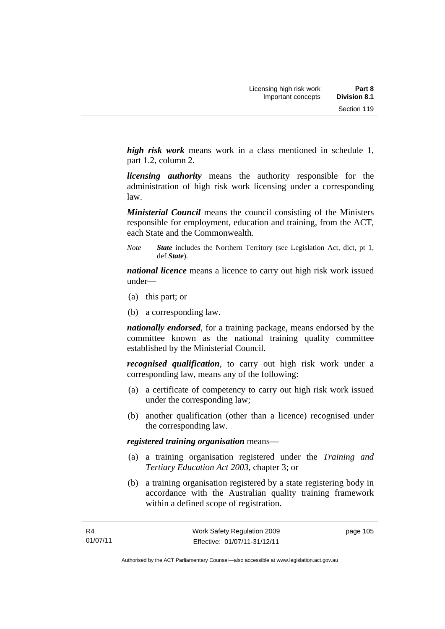*high risk work* means work in a class mentioned in schedule 1, part 1.2, column 2.

*licensing authority* means the authority responsible for the administration of high risk work licensing under a corresponding law.

*Ministerial Council* means the council consisting of the Ministers responsible for employment, education and training, from the ACT, each State and the Commonwealth.

*Note State* includes the Northern Territory (see Legislation Act, dict, pt 1, def *State*).

*national licence* means a licence to carry out high risk work issued under—

- (a) this part; or
- (b) a corresponding law.

*nationally endorsed*, for a training package, means endorsed by the committee known as the national training quality committee established by the Ministerial Council.

*recognised qualification*, to carry out high risk work under a corresponding law, means any of the following:

- (a) a certificate of competency to carry out high risk work issued under the corresponding law;
- (b) another qualification (other than a licence) recognised under the corresponding law.

## *registered training organisation* means—

- (a) a training organisation registered under the *Training and Tertiary Education Act 2003*, chapter 3; or
- (b) a training organisation registered by a state registering body in accordance with the Australian quality training framework within a defined scope of registration.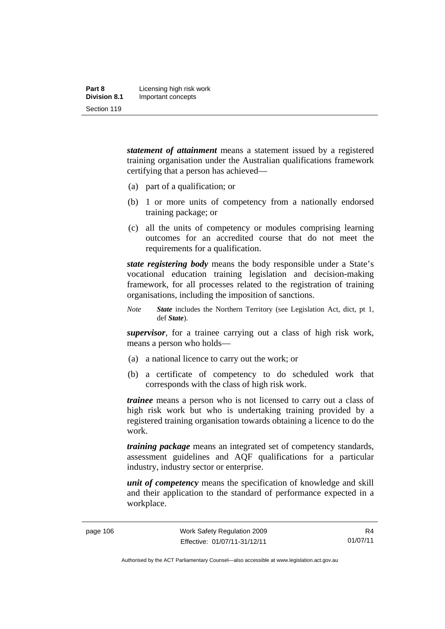| Part 8              | Licensing high risk work |
|---------------------|--------------------------|
| <b>Division 8.1</b> | Important concepts       |
| Section 119         |                          |

*statement of attainment* means a statement issued by a registered training organisation under the Australian qualifications framework certifying that a person has achieved—

- (a) part of a qualification; or
- (b) 1 or more units of competency from a nationally endorsed training package; or
- (c) all the units of competency or modules comprising learning outcomes for an accredited course that do not meet the requirements for a qualification.

*state registering body* means the body responsible under a State's vocational education training legislation and decision-making framework, for all processes related to the registration of training organisations, including the imposition of sanctions.

*Note State* includes the Northern Territory (see Legislation Act, dict, pt 1, def *State*).

*supervisor*, for a trainee carrying out a class of high risk work, means a person who holds—

- (a) a national licence to carry out the work; or
- (b) a certificate of competency to do scheduled work that corresponds with the class of high risk work.

*trainee* means a person who is not licensed to carry out a class of high risk work but who is undertaking training provided by a registered training organisation towards obtaining a licence to do the work.

*training package* means an integrated set of competency standards, assessment guidelines and AQF qualifications for a particular industry, industry sector or enterprise.

*unit of competency* means the specification of knowledge and skill and their application to the standard of performance expected in a workplace.

R4 01/07/11

Authorised by the ACT Parliamentary Counsel—also accessible at www.legislation.act.gov.au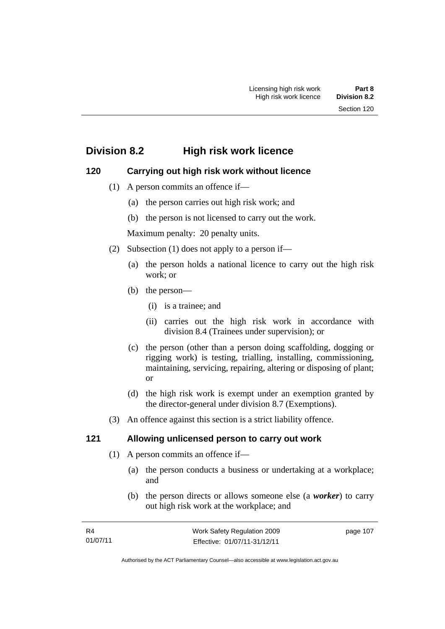# **Division 8.2 High risk work licence**

# **120 Carrying out high risk work without licence**

- (1) A person commits an offence if—
	- (a) the person carries out high risk work; and
	- (b) the person is not licensed to carry out the work.

Maximum penalty: 20 penalty units.

- (2) Subsection (1) does not apply to a person if—
	- (a) the person holds a national licence to carry out the high risk work; or
	- (b) the person—
		- (i) is a trainee; and
		- (ii) carries out the high risk work in accordance with division 8.4 (Trainees under supervision); or
	- (c) the person (other than a person doing scaffolding, dogging or rigging work) is testing, trialling, installing, commissioning, maintaining, servicing, repairing, altering or disposing of plant; or
	- (d) the high risk work is exempt under an exemption granted by the director-general under division 8.7 (Exemptions).
- (3) An offence against this section is a strict liability offence.

# **121 Allowing unlicensed person to carry out work**

- (1) A person commits an offence if—
	- (a) the person conducts a business or undertaking at a workplace; and
	- (b) the person directs or allows someone else (a *worker*) to carry out high risk work at the workplace; and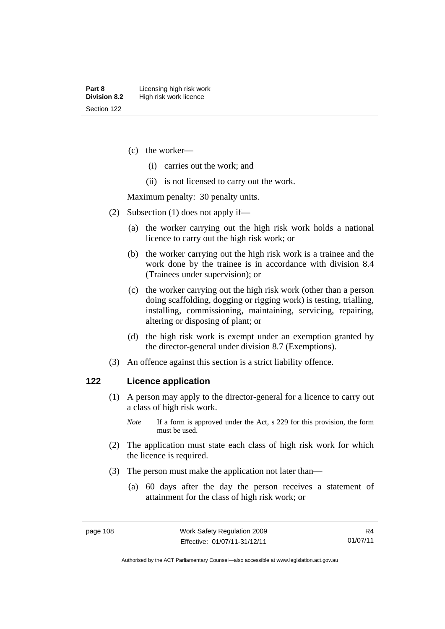- (c) the worker—
	- (i) carries out the work; and
	- (ii) is not licensed to carry out the work.

Maximum penalty: 30 penalty units.

- (2) Subsection (1) does not apply if—
	- (a) the worker carrying out the high risk work holds a national licence to carry out the high risk work; or
	- (b) the worker carrying out the high risk work is a trainee and the work done by the trainee is in accordance with division 8.4 (Trainees under supervision); or
	- (c) the worker carrying out the high risk work (other than a person doing scaffolding, dogging or rigging work) is testing, trialling, installing, commissioning, maintaining, servicing, repairing, altering or disposing of plant; or
	- (d) the high risk work is exempt under an exemption granted by the director-general under division 8.7 (Exemptions).
- (3) An offence against this section is a strict liability offence.

### **122 Licence application**

- (1) A person may apply to the director-general for a licence to carry out a class of high risk work.
	- *Note* If a form is approved under the Act, s 229 for this provision, the form must be used.
- (2) The application must state each class of high risk work for which the licence is required.
- (3) The person must make the application not later than—
	- (a) 60 days after the day the person receives a statement of attainment for the class of high risk work; or

Authorised by the ACT Parliamentary Counsel—also accessible at www.legislation.act.gov.au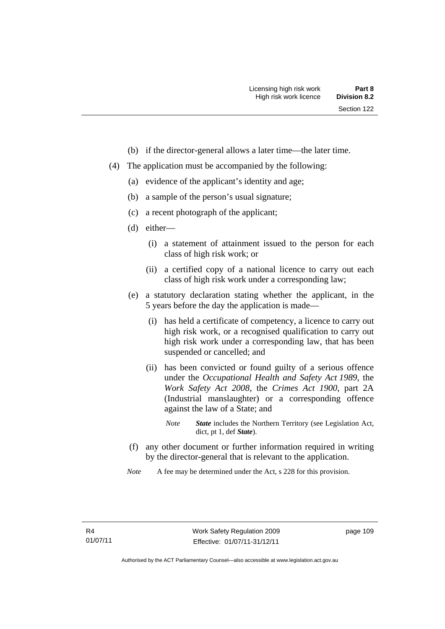- (b) if the director-general allows a later time—the later time.
- (4) The application must be accompanied by the following:
	- (a) evidence of the applicant's identity and age;
	- (b) a sample of the person's usual signature;
	- (c) a recent photograph of the applicant;
	- (d) either—
		- (i) a statement of attainment issued to the person for each class of high risk work; or
		- (ii) a certified copy of a national licence to carry out each class of high risk work under a corresponding law;
	- (e) a statutory declaration stating whether the applicant, in the 5 years before the day the application is made—
		- (i) has held a certificate of competency, a licence to carry out high risk work, or a recognised qualification to carry out high risk work under a corresponding law, that has been suspended or cancelled; and
		- (ii) has been convicted or found guilty of a serious offence under the *Occupational Health and Safety Act 1989*, the *Work Safety Act 2008*, the *Crimes Act 1900*, part 2A (Industrial manslaughter) or a corresponding offence against the law of a State; and
			- *Note State* includes the Northern Territory (see Legislation Act, dict, pt 1, def *State*).
	- (f) any other document or further information required in writing by the director-general that is relevant to the application.
	- *Note* A fee may be determined under the Act, s 228 for this provision.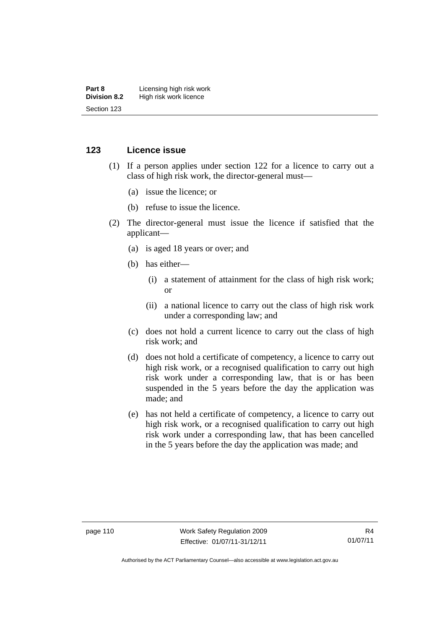#### **Part 8 Licensing high risk work**<br>**Division 8.2** High risk work licence **High risk work licence** Section 123

## **123 Licence issue**

- (1) If a person applies under section 122 for a licence to carry out a class of high risk work, the director-general must—
	- (a) issue the licence; or
	- (b) refuse to issue the licence.
- (2) The director-general must issue the licence if satisfied that the applicant—
	- (a) is aged 18 years or over; and
	- (b) has either—
		- (i) a statement of attainment for the class of high risk work; or
		- (ii) a national licence to carry out the class of high risk work under a corresponding law; and
	- (c) does not hold a current licence to carry out the class of high risk work; and
	- (d) does not hold a certificate of competency, a licence to carry out high risk work, or a recognised qualification to carry out high risk work under a corresponding law, that is or has been suspended in the 5 years before the day the application was made; and
	- (e) has not held a certificate of competency, a licence to carry out high risk work, or a recognised qualification to carry out high risk work under a corresponding law, that has been cancelled in the 5 years before the day the application was made; and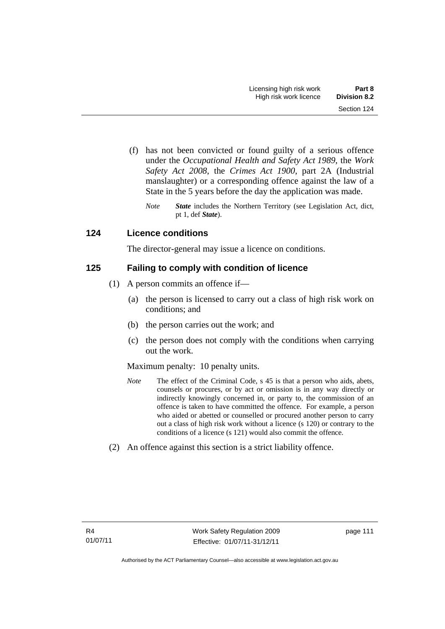- (f) has not been convicted or found guilty of a serious offence under the *Occupational Health and Safety Act 1989*, the *Work Safety Act 2008*, the *Crimes Act 1900*, part 2A (Industrial manslaughter) or a corresponding offence against the law of a State in the 5 years before the day the application was made.
	- *Note State* includes the Northern Territory (see Legislation Act, dict, pt 1, def *State*).

# **124 Licence conditions**

The director-general may issue a licence on conditions.

## **125 Failing to comply with condition of licence**

- (1) A person commits an offence if—
	- (a) the person is licensed to carry out a class of high risk work on conditions; and
	- (b) the person carries out the work; and
	- (c) the person does not comply with the conditions when carrying out the work.

## Maximum penalty: 10 penalty units.

- *Note* The effect of the Criminal Code, s 45 is that a person who aids, abets, counsels or procures, or by act or omission is in any way directly or indirectly knowingly concerned in, or party to, the commission of an offence is taken to have committed the offence. For example, a person who aided or abetted or counselled or procured another person to carry out a class of high risk work without a licence (s 120) or contrary to the conditions of a licence (s 121) would also commit the offence.
- (2) An offence against this section is a strict liability offence.

page 111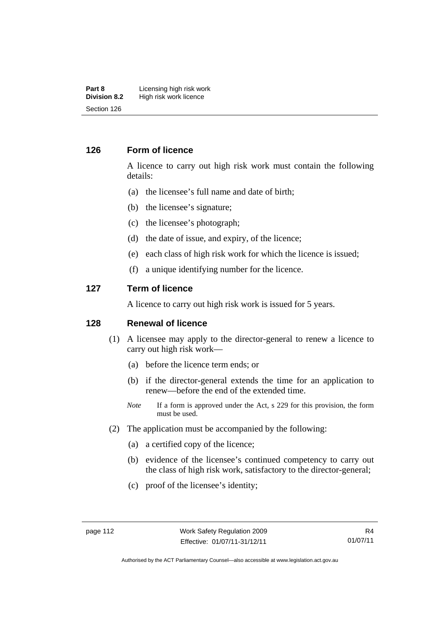#### **Part 8 Licensing high risk work**<br>**Division 8.2 High risk work licence High risk work licence** Section 126

## **126 Form of licence**

A licence to carry out high risk work must contain the following details:

- (a) the licensee's full name and date of birth;
- (b) the licensee's signature;
- (c) the licensee's photograph;
- (d) the date of issue, and expiry, of the licence;
- (e) each class of high risk work for which the licence is issued;
- (f) a unique identifying number for the licence.

#### **127 Term of licence**

A licence to carry out high risk work is issued for 5 years.

## **128 Renewal of licence**

- (1) A licensee may apply to the director-general to renew a licence to carry out high risk work—
	- (a) before the licence term ends; or
	- (b) if the director-general extends the time for an application to renew—before the end of the extended time.
	- *Note* If a form is approved under the Act, s 229 for this provision, the form must be used.
- (2) The application must be accompanied by the following:
	- (a) a certified copy of the licence;
	- (b) evidence of the licensee's continued competency to carry out the class of high risk work, satisfactory to the director-general;
	- (c) proof of the licensee's identity;

Authorised by the ACT Parliamentary Counsel—also accessible at www.legislation.act.gov.au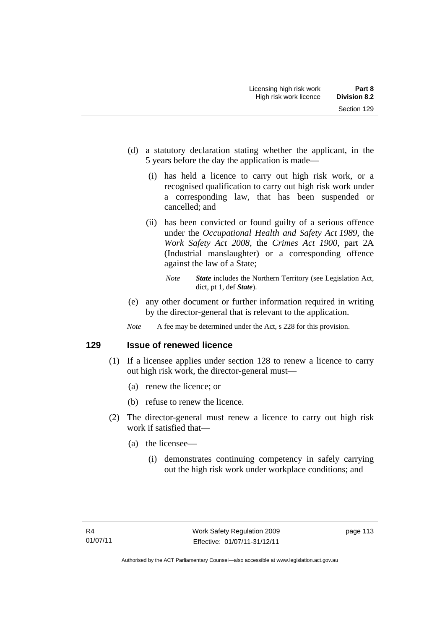- (d) a statutory declaration stating whether the applicant, in the 5 years before the day the application is made—
	- (i) has held a licence to carry out high risk work, or a recognised qualification to carry out high risk work under a corresponding law, that has been suspended or cancelled; and
	- (ii) has been convicted or found guilty of a serious offence under the *Occupational Health and Safety Act 1989*, the *Work Safety Act 2008*, the *Crimes Act 1900*, part 2A (Industrial manslaughter) or a corresponding offence against the law of a State;
		- *Note State* includes the Northern Territory (see Legislation Act, dict, pt 1, def *State*).
- (e) any other document or further information required in writing by the director-general that is relevant to the application.
- *Note* A fee may be determined under the Act, s 228 for this provision.

**129 Issue of renewed licence** 

- (1) If a licensee applies under section 128 to renew a licence to carry out high risk work, the director-general must—
	- (a) renew the licence; or
	- (b) refuse to renew the licence.
- (2) The director-general must renew a licence to carry out high risk work if satisfied that—
	- (a) the licensee—
		- (i) demonstrates continuing competency in safely carrying out the high risk work under workplace conditions; and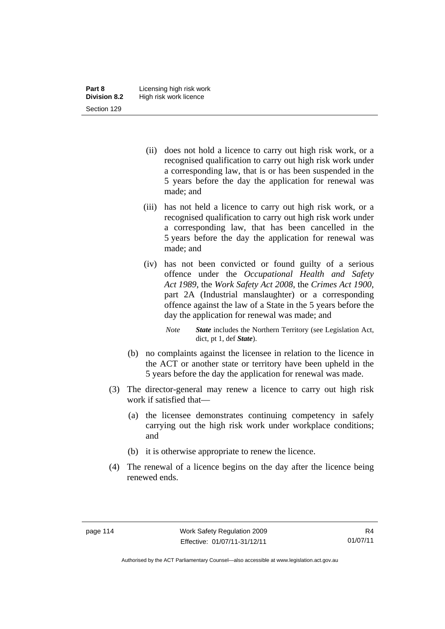- (ii) does not hold a licence to carry out high risk work, or a recognised qualification to carry out high risk work under a corresponding law, that is or has been suspended in the 5 years before the day the application for renewal was made; and
- (iii) has not held a licence to carry out high risk work, or a recognised qualification to carry out high risk work under a corresponding law, that has been cancelled in the 5 years before the day the application for renewal was made; and
- (iv) has not been convicted or found guilty of a serious offence under the *Occupational Health and Safety Act 1989*, the *Work Safety Act 2008*, the *Crimes Act 1900*, part 2A (Industrial manslaughter) or a corresponding offence against the law of a State in the 5 years before the day the application for renewal was made; and
	- *Note State* includes the Northern Territory (see Legislation Act, dict, pt 1, def *State*).
- (b) no complaints against the licensee in relation to the licence in the ACT or another state or territory have been upheld in the 5 years before the day the application for renewal was made.
- (3) The director-general may renew a licence to carry out high risk work if satisfied that—
	- (a) the licensee demonstrates continuing competency in safely carrying out the high risk work under workplace conditions; and
	- (b) it is otherwise appropriate to renew the licence.
- (4) The renewal of a licence begins on the day after the licence being renewed ends.

Authorised by the ACT Parliamentary Counsel—also accessible at www.legislation.act.gov.au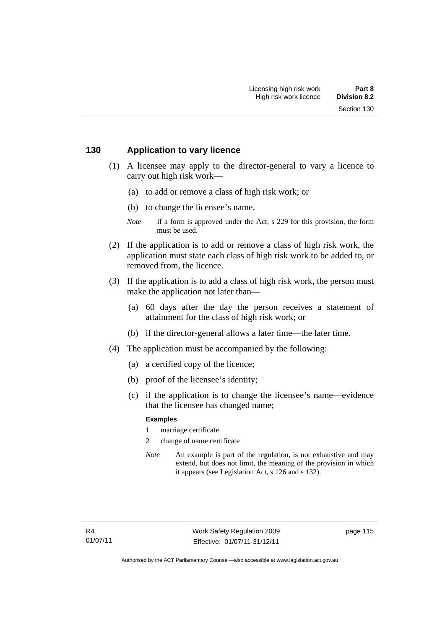### **130 Application to vary licence**

- (1) A licensee may apply to the director-general to vary a licence to carry out high risk work—
	- (a) to add or remove a class of high risk work; or
	- (b) to change the licensee's name.
	- *Note* If a form is approved under the Act, s 229 for this provision, the form must be used.
- (2) If the application is to add or remove a class of high risk work, the application must state each class of high risk work to be added to, or removed from, the licence.
- (3) If the application is to add a class of high risk work, the person must make the application not later than—
	- (a) 60 days after the day the person receives a statement of attainment for the class of high risk work; or
	- (b) if the director-general allows a later time—the later time.
- (4) The application must be accompanied by the following:
	- (a) a certified copy of the licence;
	- (b) proof of the licensee's identity;
	- (c) if the application is to change the licensee's name—evidence that the licensee has changed name;

#### **Examples**

- 1 marriage certificate
- 2 change of name certificate
- *Note* An example is part of the regulation, is not exhaustive and may extend, but does not limit, the meaning of the provision in which it appears (see Legislation Act, s 126 and s 132).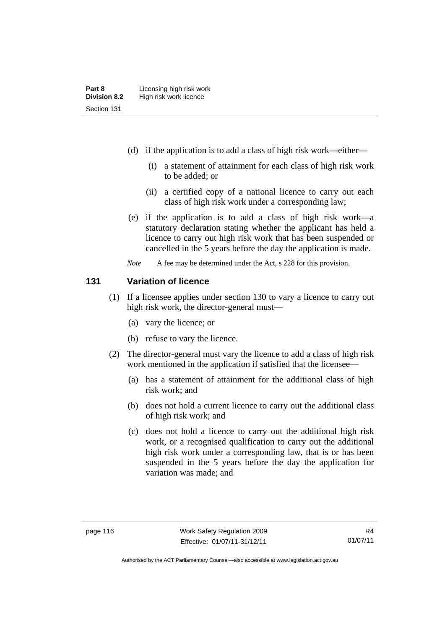- (d) if the application is to add a class of high risk work—either—
	- (i) a statement of attainment for each class of high risk work to be added; or
	- (ii) a certified copy of a national licence to carry out each class of high risk work under a corresponding law;
- (e) if the application is to add a class of high risk work—a statutory declaration stating whether the applicant has held a licence to carry out high risk work that has been suspended or cancelled in the 5 years before the day the application is made.
- *Note* A fee may be determined under the Act, s 228 for this provision.

## **131 Variation of licence**

- (1) If a licensee applies under section 130 to vary a licence to carry out high risk work, the director-general must—
	- (a) vary the licence; or
	- (b) refuse to vary the licence.
- (2) The director-general must vary the licence to add a class of high risk work mentioned in the application if satisfied that the licensee—
	- (a) has a statement of attainment for the additional class of high risk work; and
	- (b) does not hold a current licence to carry out the additional class of high risk work; and
	- (c) does not hold a licence to carry out the additional high risk work, or a recognised qualification to carry out the additional high risk work under a corresponding law, that is or has been suspended in the 5 years before the day the application for variation was made; and

Authorised by the ACT Parliamentary Counsel—also accessible at www.legislation.act.gov.au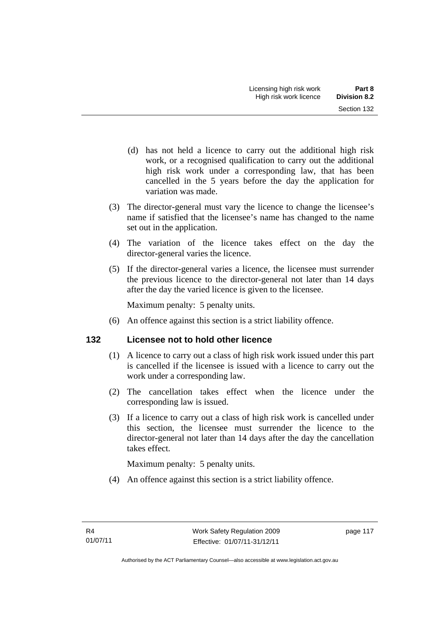- (d) has not held a licence to carry out the additional high risk work, or a recognised qualification to carry out the additional high risk work under a corresponding law, that has been cancelled in the 5 years before the day the application for variation was made.
- (3) The director-general must vary the licence to change the licensee's name if satisfied that the licensee's name has changed to the name set out in the application.
- (4) The variation of the licence takes effect on the day the director-general varies the licence.
- (5) If the director-general varies a licence, the licensee must surrender the previous licence to the director-general not later than 14 days after the day the varied licence is given to the licensee.

Maximum penalty: 5 penalty units.

(6) An offence against this section is a strict liability offence.

# **132 Licensee not to hold other licence**

- (1) A licence to carry out a class of high risk work issued under this part is cancelled if the licensee is issued with a licence to carry out the work under a corresponding law.
- (2) The cancellation takes effect when the licence under the corresponding law is issued.
- (3) If a licence to carry out a class of high risk work is cancelled under this section, the licensee must surrender the licence to the director-general not later than 14 days after the day the cancellation takes effect.

Maximum penalty: 5 penalty units.

(4) An offence against this section is a strict liability offence.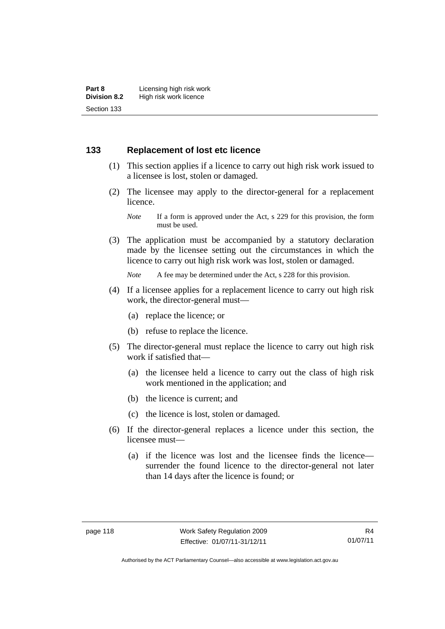## **133 Replacement of lost etc licence**

- (1) This section applies if a licence to carry out high risk work issued to a licensee is lost, stolen or damaged.
- (2) The licensee may apply to the director-general for a replacement licence.

 (3) The application must be accompanied by a statutory declaration made by the licensee setting out the circumstances in which the licence to carry out high risk work was lost, stolen or damaged.

*Note* A fee may be determined under the Act, s 228 for this provision.

- (4) If a licensee applies for a replacement licence to carry out high risk work, the director-general must—
	- (a) replace the licence; or
	- (b) refuse to replace the licence.
- (5) The director-general must replace the licence to carry out high risk work if satisfied that—
	- (a) the licensee held a licence to carry out the class of high risk work mentioned in the application; and
	- (b) the licence is current; and
	- (c) the licence is lost, stolen or damaged.
- (6) If the director-general replaces a licence under this section, the licensee must—
	- (a) if the licence was lost and the licensee finds the licence surrender the found licence to the director-general not later than 14 days after the licence is found; or

*Note* If a form is approved under the Act, s 229 for this provision, the form must be used.

Authorised by the ACT Parliamentary Counsel—also accessible at www.legislation.act.gov.au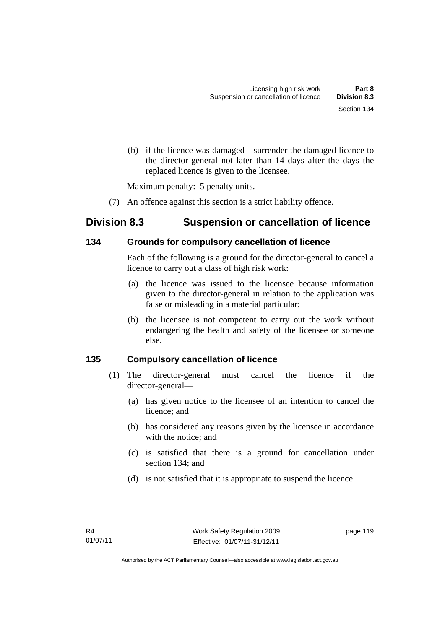(b) if the licence was damaged—surrender the damaged licence to the director-general not later than 14 days after the days the replaced licence is given to the licensee.

Maximum penalty: 5 penalty units.

(7) An offence against this section is a strict liability offence.

# **Division 8.3 Suspension or cancellation of licence**

## **134 Grounds for compulsory cancellation of licence**

Each of the following is a ground for the director-general to cancel a licence to carry out a class of high risk work:

- (a) the licence was issued to the licensee because information given to the director-general in relation to the application was false or misleading in a material particular;
- (b) the licensee is not competent to carry out the work without endangering the health and safety of the licensee or someone else.

# **135 Compulsory cancellation of licence**

- (1) The director-general must cancel the licence if the director-general—
	- (a) has given notice to the licensee of an intention to cancel the licence; and
	- (b) has considered any reasons given by the licensee in accordance with the notice; and
	- (c) is satisfied that there is a ground for cancellation under section 134; and
	- (d) is not satisfied that it is appropriate to suspend the licence.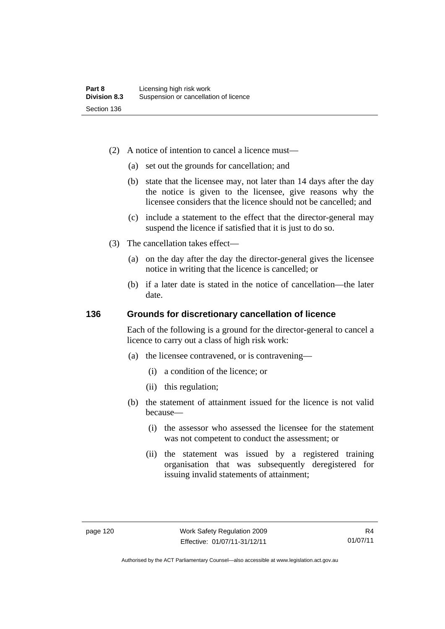- (2) A notice of intention to cancel a licence must—
	- (a) set out the grounds for cancellation; and
	- (b) state that the licensee may, not later than 14 days after the day the notice is given to the licensee, give reasons why the licensee considers that the licence should not be cancelled; and
	- (c) include a statement to the effect that the director-general may suspend the licence if satisfied that it is just to do so.
- (3) The cancellation takes effect—
	- (a) on the day after the day the director-general gives the licensee notice in writing that the licence is cancelled; or
	- (b) if a later date is stated in the notice of cancellation—the later date.

## **136 Grounds for discretionary cancellation of licence**

Each of the following is a ground for the director-general to cancel a licence to carry out a class of high risk work:

- (a) the licensee contravened, or is contravening—
	- (i) a condition of the licence; or
	- (ii) this regulation;
- (b) the statement of attainment issued for the licence is not valid because—
	- (i) the assessor who assessed the licensee for the statement was not competent to conduct the assessment; or
	- (ii) the statement was issued by a registered training organisation that was subsequently deregistered for issuing invalid statements of attainment;

Authorised by the ACT Parliamentary Counsel—also accessible at www.legislation.act.gov.au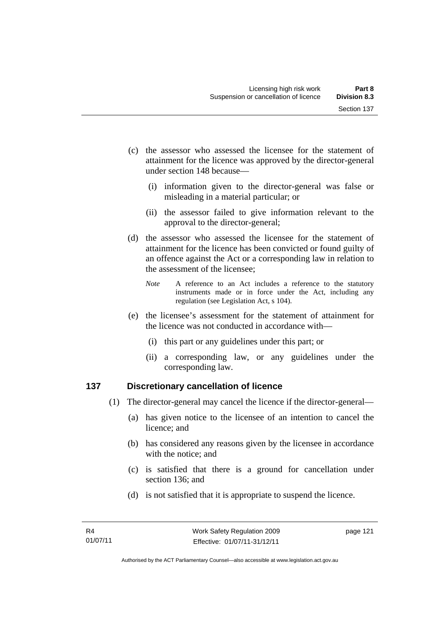- (c) the assessor who assessed the licensee for the statement of attainment for the licence was approved by the director-general under section 148 because—
	- (i) information given to the director-general was false or misleading in a material particular; or
	- (ii) the assessor failed to give information relevant to the approval to the director-general;
- (d) the assessor who assessed the licensee for the statement of attainment for the licence has been convicted or found guilty of an offence against the Act or a corresponding law in relation to the assessment of the licensee;
	- *Note* A reference to an Act includes a reference to the statutory instruments made or in force under the Act, including any regulation (see Legislation Act, s 104).
- (e) the licensee's assessment for the statement of attainment for the licence was not conducted in accordance with—
	- (i) this part or any guidelines under this part; or
	- (ii) a corresponding law, or any guidelines under the corresponding law.

# **137 Discretionary cancellation of licence**

- (1) The director-general may cancel the licence if the director-general—
	- (a) has given notice to the licensee of an intention to cancel the licence; and
	- (b) has considered any reasons given by the licensee in accordance with the notice; and
	- (c) is satisfied that there is a ground for cancellation under section 136; and
	- (d) is not satisfied that it is appropriate to suspend the licence.

page 121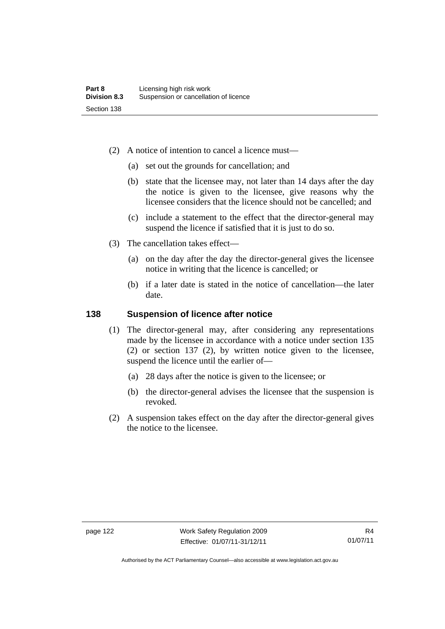- (2) A notice of intention to cancel a licence must—
	- (a) set out the grounds for cancellation; and
	- (b) state that the licensee may, not later than 14 days after the day the notice is given to the licensee, give reasons why the licensee considers that the licence should not be cancelled; and
	- (c) include a statement to the effect that the director-general may suspend the licence if satisfied that it is just to do so.
- (3) The cancellation takes effect—
	- (a) on the day after the day the director-general gives the licensee notice in writing that the licence is cancelled; or
	- (b) if a later date is stated in the notice of cancellation—the later date.

## **138 Suspension of licence after notice**

- (1) The director-general may, after considering any representations made by the licensee in accordance with a notice under section 135 (2) or section 137 (2), by written notice given to the licensee, suspend the licence until the earlier of—
	- (a) 28 days after the notice is given to the licensee; or
	- (b) the director-general advises the licensee that the suspension is revoked.
- (2) A suspension takes effect on the day after the director-general gives the notice to the licensee.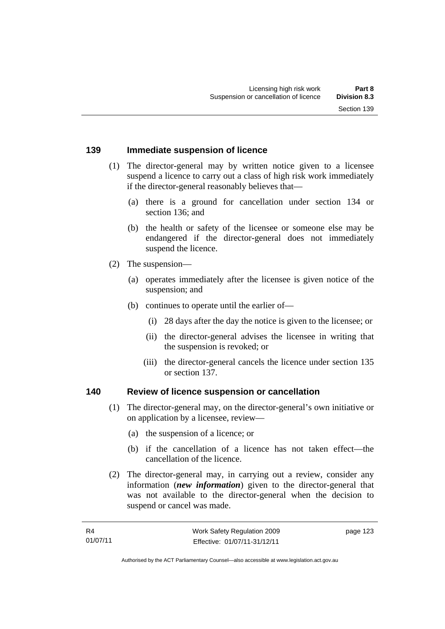### **139 Immediate suspension of licence**

- (1) The director-general may by written notice given to a licensee suspend a licence to carry out a class of high risk work immediately if the director-general reasonably believes that—
	- (a) there is a ground for cancellation under section 134 or section 136; and
	- (b) the health or safety of the licensee or someone else may be endangered if the director-general does not immediately suspend the licence.
- (2) The suspension—
	- (a) operates immediately after the licensee is given notice of the suspension; and
	- (b) continues to operate until the earlier of—
		- (i) 28 days after the day the notice is given to the licensee; or
		- (ii) the director-general advises the licensee in writing that the suspension is revoked; or
		- (iii) the director-general cancels the licence under section 135 or section 137.

#### **140 Review of licence suspension or cancellation**

- (1) The director-general may, on the director-general's own initiative or on application by a licensee, review—
	- (a) the suspension of a licence; or
	- (b) if the cancellation of a licence has not taken effect—the cancellation of the licence.
- (2) The director-general may, in carrying out a review, consider any information (*new information*) given to the director-general that was not available to the director-general when the decision to suspend or cancel was made.

page 123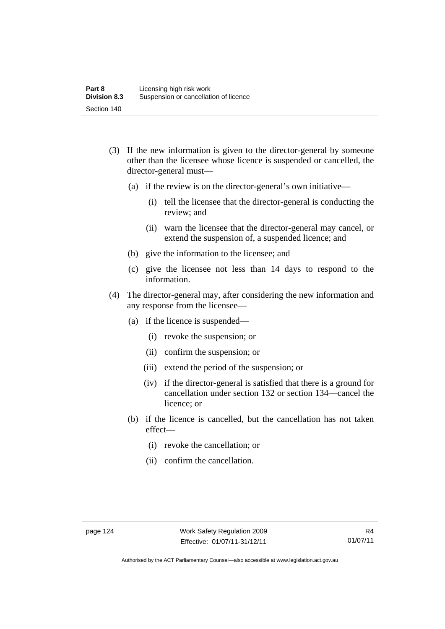- (3) If the new information is given to the director-general by someone other than the licensee whose licence is suspended or cancelled, the director-general must—
	- (a) if the review is on the director-general's own initiative—
		- (i) tell the licensee that the director-general is conducting the review; and
		- (ii) warn the licensee that the director-general may cancel, or extend the suspension of, a suspended licence; and
	- (b) give the information to the licensee; and
	- (c) give the licensee not less than 14 days to respond to the information.
- (4) The director-general may, after considering the new information and any response from the licensee—
	- (a) if the licence is suspended—
		- (i) revoke the suspension; or
		- (ii) confirm the suspension; or
		- (iii) extend the period of the suspension; or
		- (iv) if the director-general is satisfied that there is a ground for cancellation under section 132 or section 134—cancel the licence; or
	- (b) if the licence is cancelled, but the cancellation has not taken effect—
		- (i) revoke the cancellation; or
		- (ii) confirm the cancellation.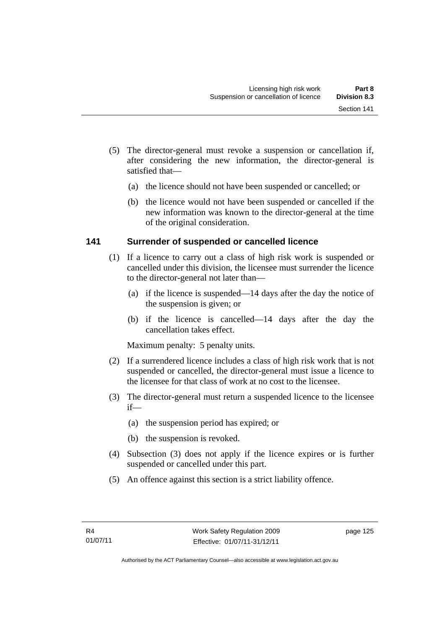- (5) The director-general must revoke a suspension or cancellation if, after considering the new information, the director-general is satisfied that—
	- (a) the licence should not have been suspended or cancelled; or
	- (b) the licence would not have been suspended or cancelled if the new information was known to the director-general at the time of the original consideration.

## **141 Surrender of suspended or cancelled licence**

- (1) If a licence to carry out a class of high risk work is suspended or cancelled under this division, the licensee must surrender the licence to the director-general not later than—
	- (a) if the licence is suspended—14 days after the day the notice of the suspension is given; or
	- (b) if the licence is cancelled—14 days after the day the cancellation takes effect.

Maximum penalty: 5 penalty units.

- (2) If a surrendered licence includes a class of high risk work that is not suspended or cancelled, the director-general must issue a licence to the licensee for that class of work at no cost to the licensee.
- (3) The director-general must return a suspended licence to the licensee if—
	- (a) the suspension period has expired; or
	- (b) the suspension is revoked.
- (4) Subsection (3) does not apply if the licence expires or is further suspended or cancelled under this part.
- (5) An offence against this section is a strict liability offence.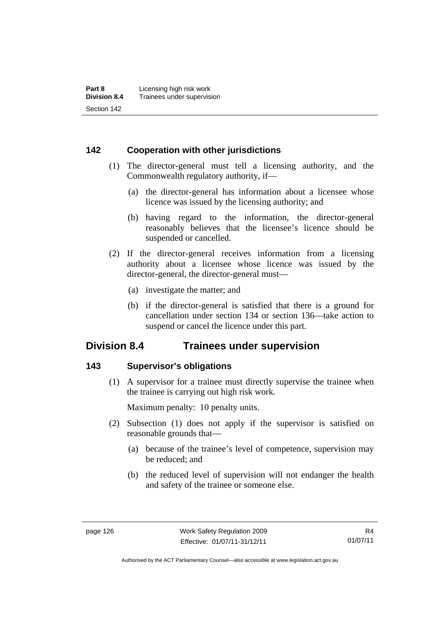## **142 Cooperation with other jurisdictions**

- (1) The director-general must tell a licensing authority, and the Commonwealth regulatory authority, if—
	- (a) the director-general has information about a licensee whose licence was issued by the licensing authority; and
	- (b) having regard to the information, the director-general reasonably believes that the licensee's licence should be suspended or cancelled.
- (2) If the director-general receives information from a licensing authority about a licensee whose licence was issued by the director-general, the director-general must—
	- (a) investigate the matter; and
	- (b) if the director-general is satisfied that there is a ground for cancellation under section 134 or section 136—take action to suspend or cancel the licence under this part.

# **Division 8.4 Trainees under supervision**

## **143 Supervisor's obligations**

 (1) A supervisor for a trainee must directly supervise the trainee when the trainee is carrying out high risk work.

Maximum penalty: 10 penalty units.

- (2) Subsection (1) does not apply if the supervisor is satisfied on reasonable grounds that—
	- (a) because of the trainee's level of competence, supervision may be reduced; and
	- (b) the reduced level of supervision will not endanger the health and safety of the trainee or someone else.

Authorised by the ACT Parliamentary Counsel—also accessible at www.legislation.act.gov.au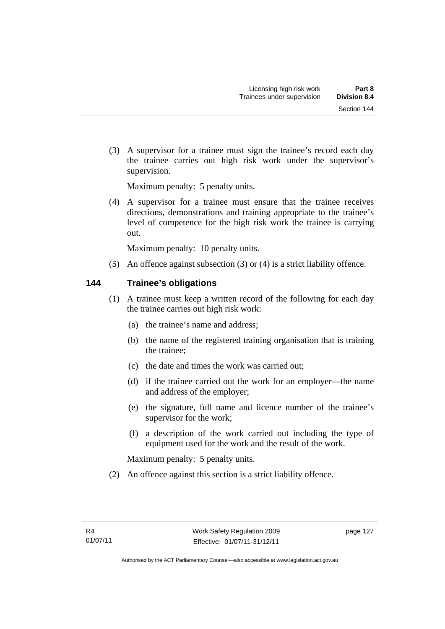(3) A supervisor for a trainee must sign the trainee's record each day the trainee carries out high risk work under the supervisor's supervision.

Maximum penalty: 5 penalty units.

 (4) A supervisor for a trainee must ensure that the trainee receives directions, demonstrations and training appropriate to the trainee's level of competence for the high risk work the trainee is carrying out.

Maximum penalty: 10 penalty units.

(5) An offence against subsection (3) or (4) is a strict liability offence.

## **144 Trainee's obligations**

- (1) A trainee must keep a written record of the following for each day the trainee carries out high risk work:
	- (a) the trainee's name and address;
	- (b) the name of the registered training organisation that is training the trainee;
	- (c) the date and times the work was carried out;
	- (d) if the trainee carried out the work for an employer—the name and address of the employer;
	- (e) the signature, full name and licence number of the trainee's supervisor for the work;
	- (f) a description of the work carried out including the type of equipment used for the work and the result of the work.

Maximum penalty: 5 penalty units.

(2) An offence against this section is a strict liability offence.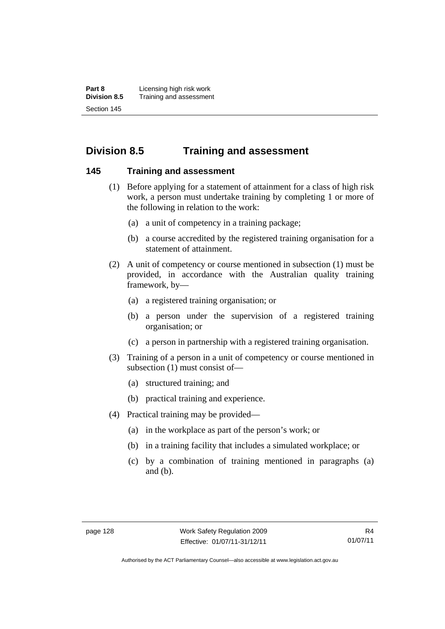**Part 8 Licensing high risk work**<br>**Division 8.5** Training and assessmen **Division 8.5** Training and assessment Section 145

# **Division 8.5 Training and assessment**

### **145 Training and assessment**

- (1) Before applying for a statement of attainment for a class of high risk work, a person must undertake training by completing 1 or more of the following in relation to the work:
	- (a) a unit of competency in a training package;
	- (b) a course accredited by the registered training organisation for a statement of attainment.
- (2) A unit of competency or course mentioned in subsection (1) must be provided, in accordance with the Australian quality training framework, by—
	- (a) a registered training organisation; or
	- (b) a person under the supervision of a registered training organisation; or
	- (c) a person in partnership with a registered training organisation.
- (3) Training of a person in a unit of competency or course mentioned in subsection (1) must consist of—
	- (a) structured training; and
	- (b) practical training and experience.
- (4) Practical training may be provided—
	- (a) in the workplace as part of the person's work; or
	- (b) in a training facility that includes a simulated workplace; or
	- (c) by a combination of training mentioned in paragraphs (a) and (b).

Authorised by the ACT Parliamentary Counsel—also accessible at www.legislation.act.gov.au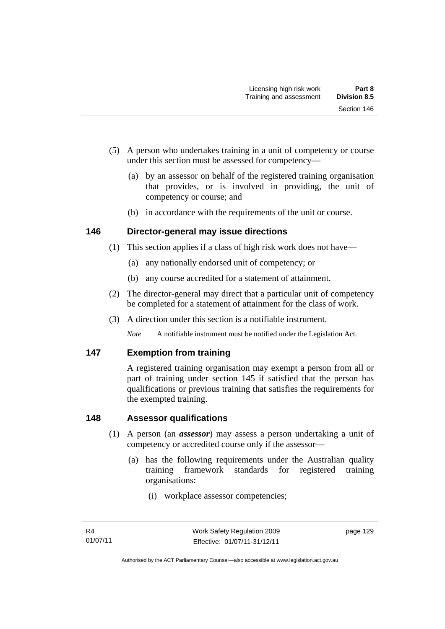- (5) A person who undertakes training in a unit of competency or course under this section must be assessed for competency—
	- (a) by an assessor on behalf of the registered training organisation that provides, or is involved in providing, the unit of competency or course; and
	- (b) in accordance with the requirements of the unit or course.

# **146 Director-general may issue directions**

- (1) This section applies if a class of high risk work does not have—
	- (a) any nationally endorsed unit of competency; or
	- (b) any course accredited for a statement of attainment.
- (2) The director-general may direct that a particular unit of competency be completed for a statement of attainment for the class of work.
- (3) A direction under this section is a notifiable instrument.

*Note* A notifiable instrument must be notified under the Legislation Act.

# **147 Exemption from training**

A registered training organisation may exempt a person from all or part of training under section 145 if satisfied that the person has qualifications or previous training that satisfies the requirements for the exempted training.

# **148 Assessor qualifications**

- (1) A person (an *assessor*) may assess a person undertaking a unit of competency or accredited course only if the assessor—
	- (a) has the following requirements under the Australian quality training framework standards for registered training organisations:
		- (i) workplace assessor competencies;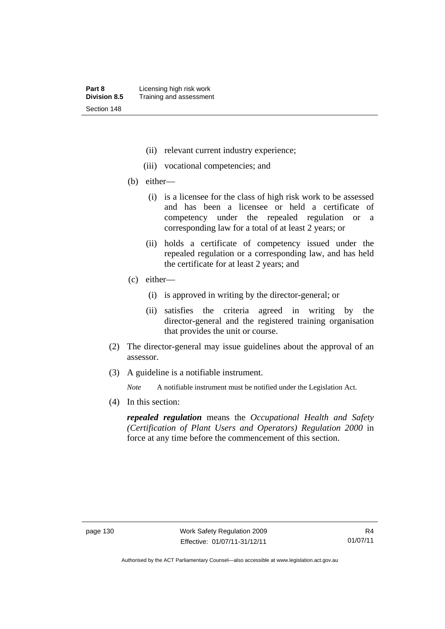- (ii) relevant current industry experience;
- (iii) vocational competencies; and
- (b) either—
	- (i) is a licensee for the class of high risk work to be assessed and has been a licensee or held a certificate of competency under the repealed regulation or a corresponding law for a total of at least 2 years; or
	- (ii) holds a certificate of competency issued under the repealed regulation or a corresponding law, and has held the certificate for at least 2 years; and
- (c) either—
	- (i) is approved in writing by the director-general; or
	- (ii) satisfies the criteria agreed in writing by the director-general and the registered training organisation that provides the unit or course.
- (2) The director-general may issue guidelines about the approval of an assessor.
- (3) A guideline is a notifiable instrument.

*Note* A notifiable instrument must be notified under the Legislation Act.

(4) In this section:

*repealed regulation* means the *Occupational Health and Safety (Certification of Plant Users and Operators) Regulation 2000* in force at any time before the commencement of this section.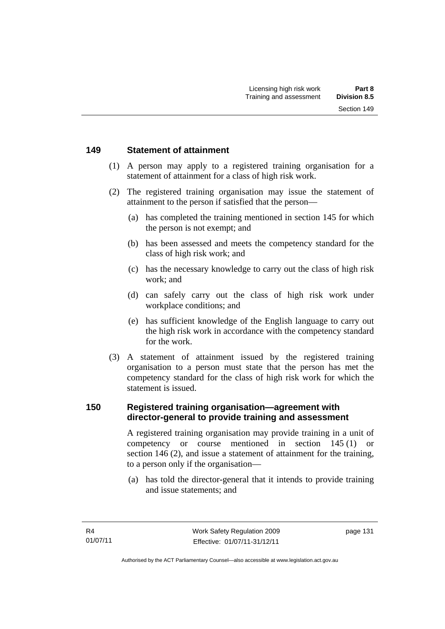#### **149 Statement of attainment**

- (1) A person may apply to a registered training organisation for a statement of attainment for a class of high risk work.
- (2) The registered training organisation may issue the statement of attainment to the person if satisfied that the person—
	- (a) has completed the training mentioned in section 145 for which the person is not exempt; and
	- (b) has been assessed and meets the competency standard for the class of high risk work; and
	- (c) has the necessary knowledge to carry out the class of high risk work; and
	- (d) can safely carry out the class of high risk work under workplace conditions; and
	- (e) has sufficient knowledge of the English language to carry out the high risk work in accordance with the competency standard for the work.
- (3) A statement of attainment issued by the registered training organisation to a person must state that the person has met the competency standard for the class of high risk work for which the statement is issued.

#### **150 Registered training organisation—agreement with director-general to provide training and assessment**

A registered training organisation may provide training in a unit of competency or course mentioned in section 145 (1) or section 146 (2), and issue a statement of attainment for the training, to a person only if the organisation—

 (a) has told the director-general that it intends to provide training and issue statements; and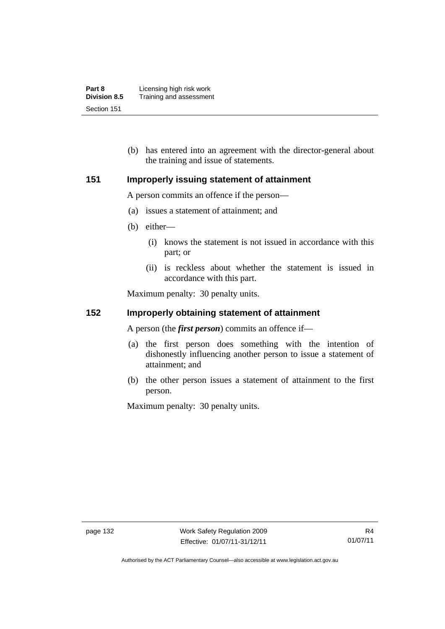| Part 8              | Licensing high risk work |
|---------------------|--------------------------|
| <b>Division 8.5</b> | Training and assessment  |
| Section 151         |                          |

 (b) has entered into an agreement with the director-general about the training and issue of statements.

#### **151 Improperly issuing statement of attainment**

A person commits an offence if the person—

- (a) issues a statement of attainment; and
- (b) either—
	- (i) knows the statement is not issued in accordance with this part; or
	- (ii) is reckless about whether the statement is issued in accordance with this part.

Maximum penalty: 30 penalty units.

#### **152 Improperly obtaining statement of attainment**

A person (the *first person*) commits an offence if—

- (a) the first person does something with the intention of dishonestly influencing another person to issue a statement of attainment; and
- (b) the other person issues a statement of attainment to the first person.

Maximum penalty: 30 penalty units.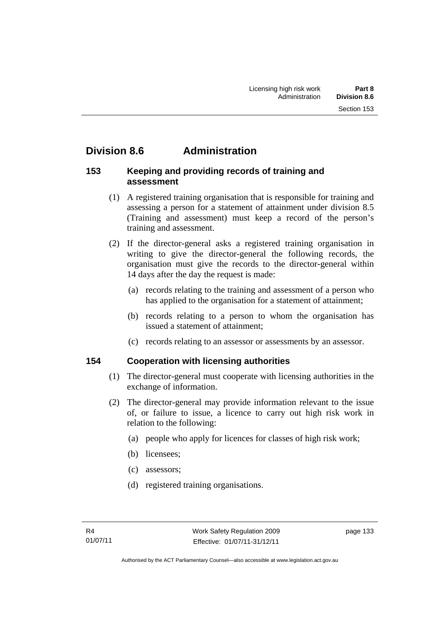# **Division 8.6 Administration**

### **153 Keeping and providing records of training and assessment**

- (1) A registered training organisation that is responsible for training and assessing a person for a statement of attainment under division 8.5 (Training and assessment) must keep a record of the person's training and assessment.
- (2) If the director-general asks a registered training organisation in writing to give the director-general the following records, the organisation must give the records to the director-general within 14 days after the day the request is made:
	- (a) records relating to the training and assessment of a person who has applied to the organisation for a statement of attainment;
	- (b) records relating to a person to whom the organisation has issued a statement of attainment;
	- (c) records relating to an assessor or assessments by an assessor.

## **154 Cooperation with licensing authorities**

- (1) The director-general must cooperate with licensing authorities in the exchange of information.
- (2) The director-general may provide information relevant to the issue of, or failure to issue, a licence to carry out high risk work in relation to the following:
	- (a) people who apply for licences for classes of high risk work;
	- (b) licensees;
	- (c) assessors;
	- (d) registered training organisations.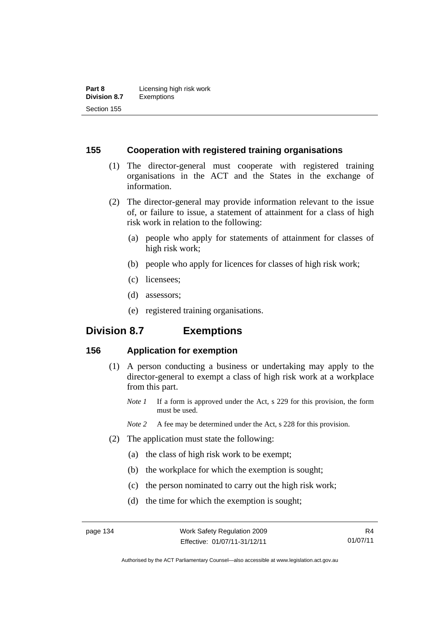#### **155 Cooperation with registered training organisations**

- (1) The director-general must cooperate with registered training organisations in the ACT and the States in the exchange of information.
- (2) The director-general may provide information relevant to the issue of, or failure to issue, a statement of attainment for a class of high risk work in relation to the following:
	- (a) people who apply for statements of attainment for classes of high risk work;
	- (b) people who apply for licences for classes of high risk work;
	- (c) licensees;
	- (d) assessors;
	- (e) registered training organisations.

# **Division 8.7 Exemptions**

## **156 Application for exemption**

- (1) A person conducting a business or undertaking may apply to the director-general to exempt a class of high risk work at a workplace from this part.
	- *Note 1* If a form is approved under the Act, s 229 for this provision, the form must be used.
	- *Note 2* A fee may be determined under the Act, s 228 for this provision.
- (2) The application must state the following:
	- (a) the class of high risk work to be exempt;
	- (b) the workplace for which the exemption is sought;
	- (c) the person nominated to carry out the high risk work;
	- (d) the time for which the exemption is sought;

Authorised by the ACT Parliamentary Counsel—also accessible at www.legislation.act.gov.au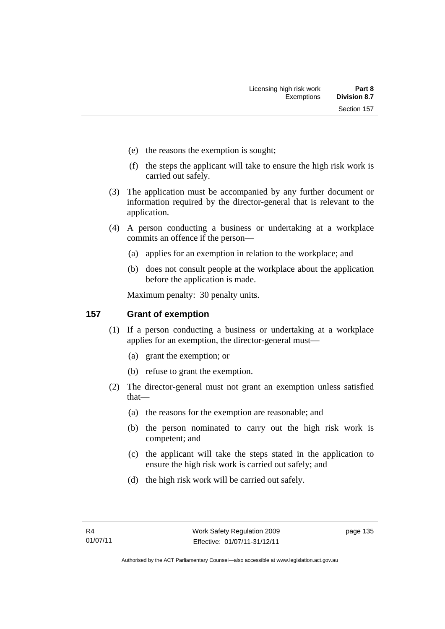- (e) the reasons the exemption is sought;
- (f) the steps the applicant will take to ensure the high risk work is carried out safely.
- (3) The application must be accompanied by any further document or information required by the director-general that is relevant to the application.
- (4) A person conducting a business or undertaking at a workplace commits an offence if the person—
	- (a) applies for an exemption in relation to the workplace; and
	- (b) does not consult people at the workplace about the application before the application is made.

Maximum penalty: 30 penalty units.

## **157 Grant of exemption**

- (1) If a person conducting a business or undertaking at a workplace applies for an exemption, the director-general must—
	- (a) grant the exemption; or
	- (b) refuse to grant the exemption.
- (2) The director-general must not grant an exemption unless satisfied that—
	- (a) the reasons for the exemption are reasonable; and
	- (b) the person nominated to carry out the high risk work is competent; and
	- (c) the applicant will take the steps stated in the application to ensure the high risk work is carried out safely; and
	- (d) the high risk work will be carried out safely.

page 135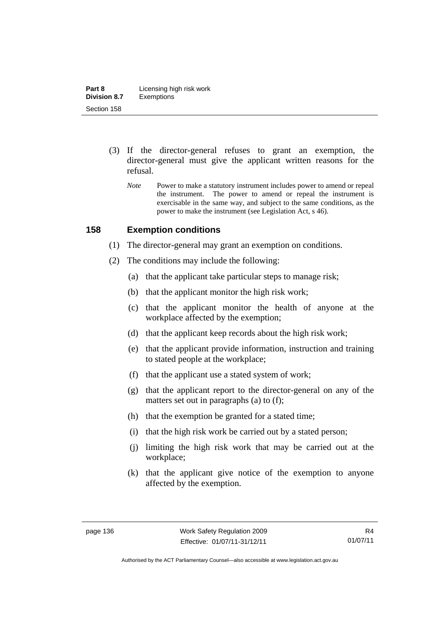- (3) If the director-general refuses to grant an exemption, the director-general must give the applicant written reasons for the refusal.
	- *Note* Power to make a statutory instrument includes power to amend or repeal the instrument. The power to amend or repeal the instrument is exercisable in the same way, and subject to the same conditions, as the power to make the instrument (see Legislation Act, s 46).

#### **158 Exemption conditions**

- (1) The director-general may grant an exemption on conditions.
- (2) The conditions may include the following:
	- (a) that the applicant take particular steps to manage risk;
	- (b) that the applicant monitor the high risk work;
	- (c) that the applicant monitor the health of anyone at the workplace affected by the exemption;
	- (d) that the applicant keep records about the high risk work;
	- (e) that the applicant provide information, instruction and training to stated people at the workplace;
	- (f) that the applicant use a stated system of work;
	- (g) that the applicant report to the director-general on any of the matters set out in paragraphs (a) to (f);
	- (h) that the exemption be granted for a stated time;
	- (i) that the high risk work be carried out by a stated person;
	- (j) limiting the high risk work that may be carried out at the workplace;
	- (k) that the applicant give notice of the exemption to anyone affected by the exemption.

Authorised by the ACT Parliamentary Counsel—also accessible at www.legislation.act.gov.au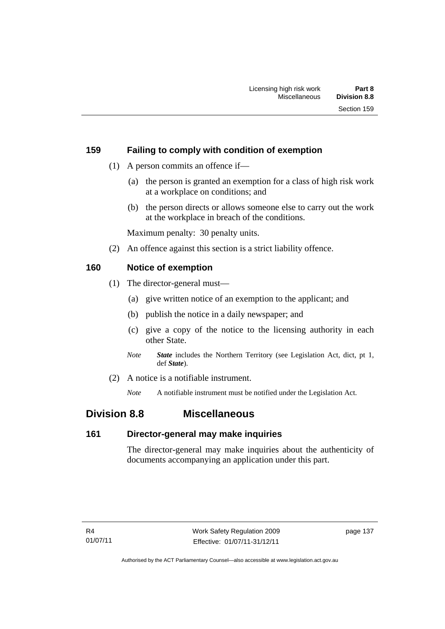## **159 Failing to comply with condition of exemption**

- (1) A person commits an offence if—
	- (a) the person is granted an exemption for a class of high risk work at a workplace on conditions; and
	- (b) the person directs or allows someone else to carry out the work at the workplace in breach of the conditions.

Maximum penalty: 30 penalty units.

(2) An offence against this section is a strict liability offence.

## **160 Notice of exemption**

- (1) The director-general must—
	- (a) give written notice of an exemption to the applicant; and
	- (b) publish the notice in a daily newspaper; and
	- (c) give a copy of the notice to the licensing authority in each other State.
	- *Note State* includes the Northern Territory (see Legislation Act, dict, pt 1, def *State*).
- (2) A notice is a notifiable instrument.

*Note* A notifiable instrument must be notified under the Legislation Act.

## **Division 8.8 Miscellaneous**

#### **161 Director-general may make inquiries**

The director-general may make inquiries about the authenticity of documents accompanying an application under this part.

page 137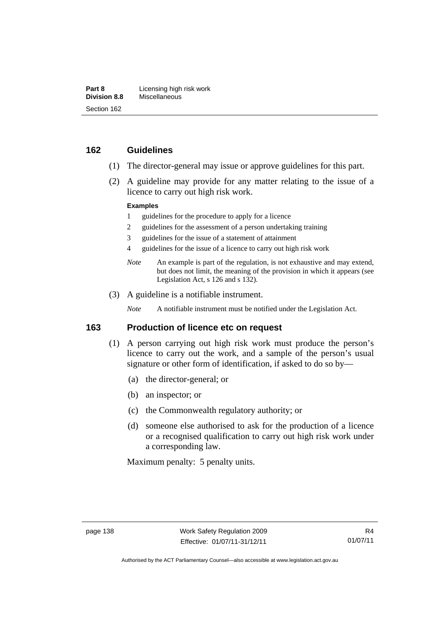#### **162 Guidelines**

- (1) The director-general may issue or approve guidelines for this part.
- (2) A guideline may provide for any matter relating to the issue of a licence to carry out high risk work.

#### **Examples**

- 1 guidelines for the procedure to apply for a licence
- 2 guidelines for the assessment of a person undertaking training
- 3 guidelines for the issue of a statement of attainment
- 4 guidelines for the issue of a licence to carry out high risk work
- *Note* An example is part of the regulation, is not exhaustive and may extend, but does not limit, the meaning of the provision in which it appears (see Legislation Act, s 126 and s 132).
- (3) A guideline is a notifiable instrument.

*Note* A notifiable instrument must be notified under the Legislation Act.

#### **163 Production of licence etc on request**

- (1) A person carrying out high risk work must produce the person's licence to carry out the work, and a sample of the person's usual signature or other form of identification, if asked to do so by—
	- (a) the director-general; or
	- (b) an inspector; or
	- (c) the Commonwealth regulatory authority; or
	- (d) someone else authorised to ask for the production of a licence or a recognised qualification to carry out high risk work under a corresponding law.

Maximum penalty: 5 penalty units.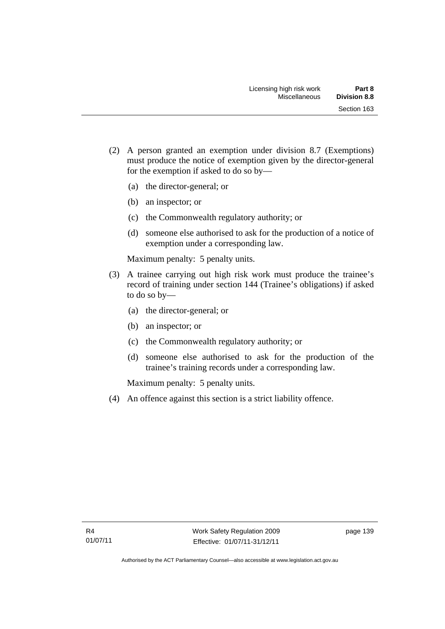- (2) A person granted an exemption under division 8.7 (Exemptions) must produce the notice of exemption given by the director-general for the exemption if asked to do so by—
	- (a) the director-general; or
	- (b) an inspector; or
	- (c) the Commonwealth regulatory authority; or
	- (d) someone else authorised to ask for the production of a notice of exemption under a corresponding law.

Maximum penalty: 5 penalty units.

- (3) A trainee carrying out high risk work must produce the trainee's record of training under section 144 (Trainee's obligations) if asked to do so by—
	- (a) the director-general; or
	- (b) an inspector; or
	- (c) the Commonwealth regulatory authority; or
	- (d) someone else authorised to ask for the production of the trainee's training records under a corresponding law.

Maximum penalty: 5 penalty units.

(4) An offence against this section is a strict liability offence.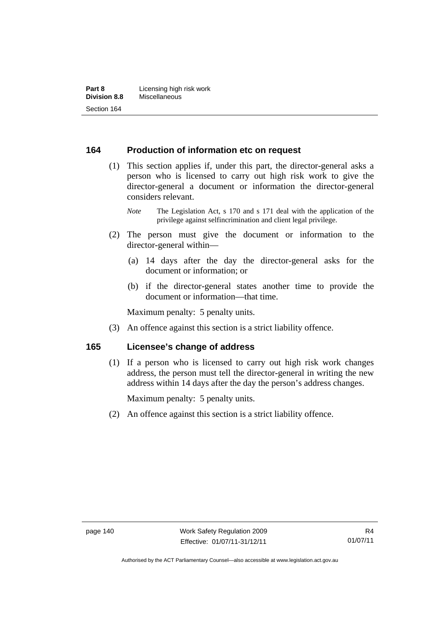#### **164 Production of information etc on request**

 (1) This section applies if, under this part, the director-general asks a person who is licensed to carry out high risk work to give the director-general a document or information the director-general considers relevant.

- (2) The person must give the document or information to the director-general within—
	- (a) 14 days after the day the director-general asks for the document or information; or
	- (b) if the director-general states another time to provide the document or information—that time.

Maximum penalty: 5 penalty units.

(3) An offence against this section is a strict liability offence.

#### **165 Licensee's change of address**

(1) If a person who is licensed to carry out high risk work changes address, the person must tell the director-general in writing the new address within 14 days after the day the person's address changes.

Maximum penalty: 5 penalty units.

(2) An offence against this section is a strict liability offence.

*Note* The Legislation Act, s 170 and s 171 deal with the application of the privilege against selfincrimination and client legal privilege.

R4 01/07/11

Authorised by the ACT Parliamentary Counsel—also accessible at www.legislation.act.gov.au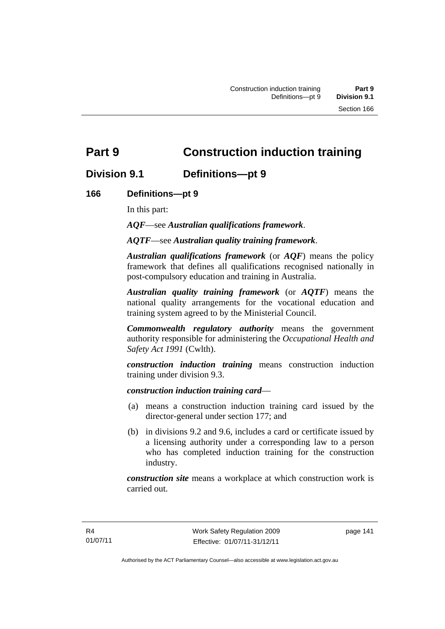# **Part 9 Construction induction training**

## **Division 9.1 Definitions—pt 9**

## **166 Definitions—pt 9**

In this part:

*AQF*—see *Australian qualifications framework*.

*AQTF*—see *Australian quality training framework*.

*Australian qualifications framework* (or *AQF*) means the policy framework that defines all qualifications recognised nationally in post-compulsory education and training in Australia.

*Australian quality training framework* (or *AQTF*) means the national quality arrangements for the vocational education and training system agreed to by the Ministerial Council.

*Commonwealth regulatory authority* means the government authority responsible for administering the *Occupational Health and Safety Act 1991* (Cwlth).

*construction induction training* means construction induction training under division 9.3.

#### *construction induction training card*—

- (a) means a construction induction training card issued by the director-general under section 177; and
- (b) in divisions 9.2 and 9.6, includes a card or certificate issued by a licensing authority under a corresponding law to a person who has completed induction training for the construction industry.

*construction site* means a workplace at which construction work is carried out.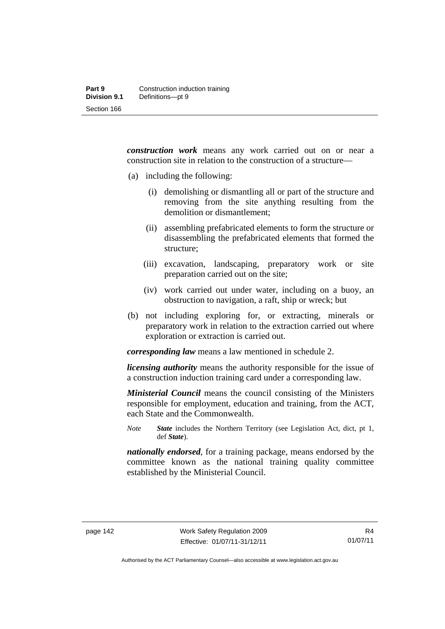*construction work* means any work carried out on or near a construction site in relation to the construction of a structure—

- (a) including the following:
	- (i) demolishing or dismantling all or part of the structure and removing from the site anything resulting from the demolition or dismantlement;
	- (ii) assembling prefabricated elements to form the structure or disassembling the prefabricated elements that formed the structure;
	- (iii) excavation, landscaping, preparatory work or site preparation carried out on the site;
	- (iv) work carried out under water, including on a buoy, an obstruction to navigation, a raft, ship or wreck; but
- (b) not including exploring for, or extracting, minerals or preparatory work in relation to the extraction carried out where exploration or extraction is carried out.

*corresponding law* means a law mentioned in schedule 2.

*licensing authority* means the authority responsible for the issue of a construction induction training card under a corresponding law.

*Ministerial Council* means the council consisting of the Ministers responsible for employment, education and training, from the ACT, each State and the Commonwealth.

*Note State* includes the Northern Territory (see Legislation Act, dict, pt 1, def *State*).

*nationally endorsed*, for a training package, means endorsed by the committee known as the national training quality committee established by the Ministerial Council.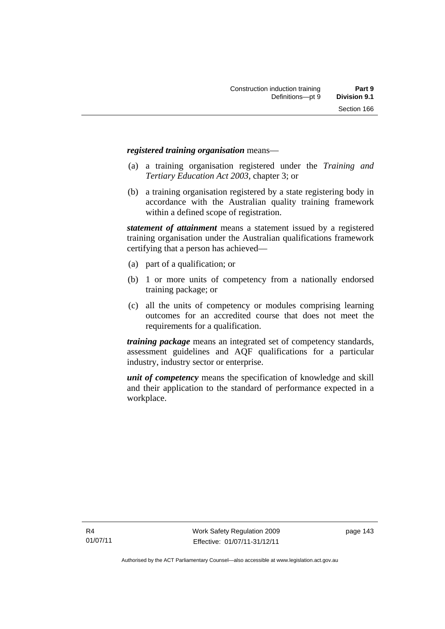#### *registered training organisation* means—

- (a) a training organisation registered under the *Training and Tertiary Education Act 2003*, chapter 3; or
- (b) a training organisation registered by a state registering body in accordance with the Australian quality training framework within a defined scope of registration.

*statement of attainment* means a statement issued by a registered training organisation under the Australian qualifications framework certifying that a person has achieved—

- (a) part of a qualification; or
- (b) 1 or more units of competency from a nationally endorsed training package; or
- (c) all the units of competency or modules comprising learning outcomes for an accredited course that does not meet the requirements for a qualification.

*training package* means an integrated set of competency standards, assessment guidelines and AQF qualifications for a particular industry, industry sector or enterprise.

*unit of competency* means the specification of knowledge and skill and their application to the standard of performance expected in a workplace.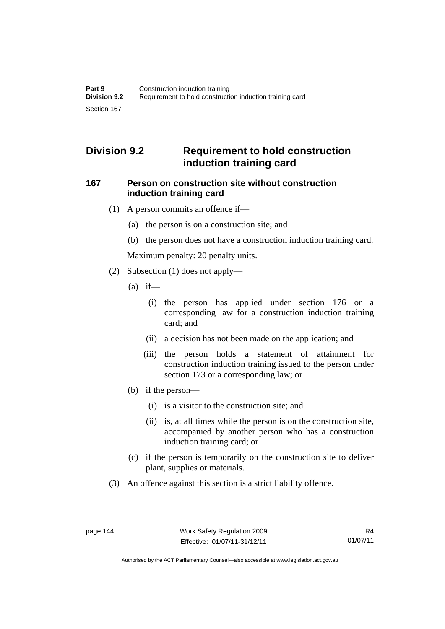# **Division 9.2 Requirement to hold construction induction training card**

#### **167 Person on construction site without construction induction training card**

- (1) A person commits an offence if—
	- (a) the person is on a construction site; and
	- (b) the person does not have a construction induction training card.

Maximum penalty: 20 penalty units.

- (2) Subsection (1) does not apply—
	- $(a)$  if—
		- (i) the person has applied under section 176 or a corresponding law for a construction induction training card; and
		- (ii) a decision has not been made on the application; and
		- (iii) the person holds a statement of attainment for construction induction training issued to the person under section 173 or a corresponding law; or
	- (b) if the person—
		- (i) is a visitor to the construction site; and
		- (ii) is, at all times while the person is on the construction site, accompanied by another person who has a construction induction training card; or
	- (c) if the person is temporarily on the construction site to deliver plant, supplies or materials.
- (3) An offence against this section is a strict liability offence.

R4 01/07/11

Authorised by the ACT Parliamentary Counsel—also accessible at www.legislation.act.gov.au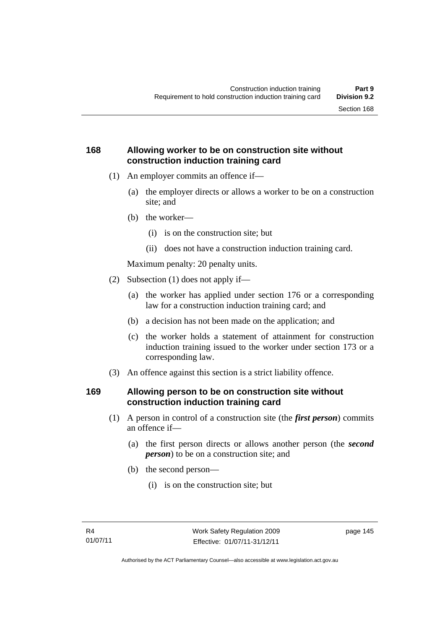## **168 Allowing worker to be on construction site without construction induction training card**

- (1) An employer commits an offence if—
	- (a) the employer directs or allows a worker to be on a construction site; and
	- (b) the worker—
		- (i) is on the construction site; but
		- (ii) does not have a construction induction training card.

Maximum penalty: 20 penalty units.

- (2) Subsection (1) does not apply if—
	- (a) the worker has applied under section 176 or a corresponding law for a construction induction training card; and
	- (b) a decision has not been made on the application; and
	- (c) the worker holds a statement of attainment for construction induction training issued to the worker under section 173 or a corresponding law.
- (3) An offence against this section is a strict liability offence.

## **169 Allowing person to be on construction site without construction induction training card**

- (1) A person in control of a construction site (the *first person*) commits an offence if—
	- (a) the first person directs or allows another person (the *second person*) to be on a construction site; and
	- (b) the second person—
		- (i) is on the construction site; but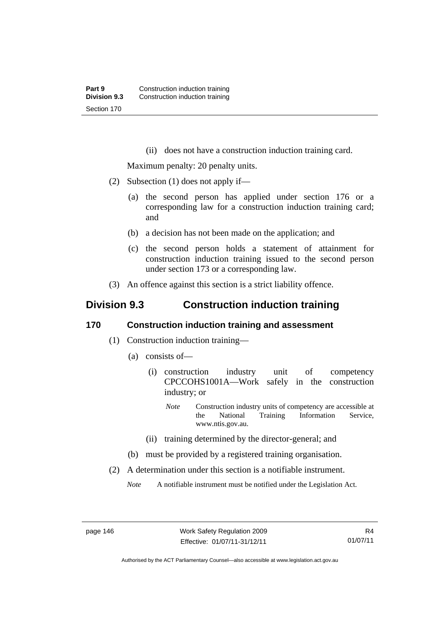(ii) does not have a construction induction training card.

Maximum penalty: 20 penalty units.

- (2) Subsection (1) does not apply if—
	- (a) the second person has applied under section 176 or a corresponding law for a construction induction training card; and
	- (b) a decision has not been made on the application; and
	- (c) the second person holds a statement of attainment for construction induction training issued to the second person under section 173 or a corresponding law.
- (3) An offence against this section is a strict liability offence.

## **Division 9.3 Construction induction training**

#### **170 Construction induction training and assessment**

- (1) Construction induction training—
	- (a) consists of—
		- (i) construction industry unit of competency CPCCOHS1001A—Work safely in the construction industry; or
			- *Note* Construction industry units of competency are accessible at the National Training Information Service, www.ntis.gov.au.
		- (ii) training determined by the director-general; and
	- (b) must be provided by a registered training organisation.
- (2) A determination under this section is a notifiable instrument.

*Note* A notifiable instrument must be notified under the Legislation Act.

page 146 Work Safety Regulation 2009 Effective: 01/07/11-31/12/11

Authorised by the ACT Parliamentary Counsel—also accessible at www.legislation.act.gov.au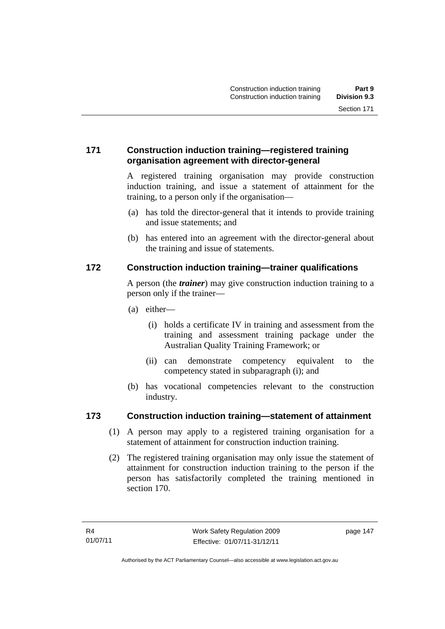## **171 Construction induction training—registered training organisation agreement with director-general**

A registered training organisation may provide construction induction training, and issue a statement of attainment for the training, to a person only if the organisation—

- (a) has told the director-general that it intends to provide training and issue statements; and
- (b) has entered into an agreement with the director-general about the training and issue of statements.

## **172 Construction induction training—trainer qualifications**

A person (the *trainer*) may give construction induction training to a person only if the trainer—

- (a) either—
	- (i) holds a certificate IV in training and assessment from the training and assessment training package under the Australian Quality Training Framework; or
	- (ii) can demonstrate competency equivalent to the competency stated in subparagraph (i); and
- (b) has vocational competencies relevant to the construction industry.

#### **173 Construction induction training—statement of attainment**

- (1) A person may apply to a registered training organisation for a statement of attainment for construction induction training.
- (2) The registered training organisation may only issue the statement of attainment for construction induction training to the person if the person has satisfactorily completed the training mentioned in section 170.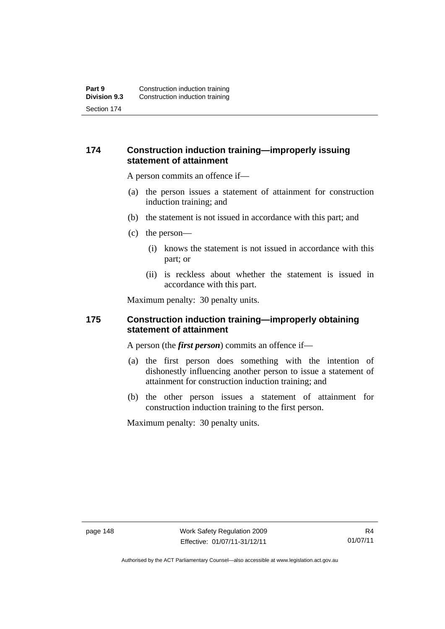### **174 Construction induction training—improperly issuing statement of attainment**

A person commits an offence if—

- (a) the person issues a statement of attainment for construction induction training; and
- (b) the statement is not issued in accordance with this part; and
- (c) the person—
	- (i) knows the statement is not issued in accordance with this part; or
	- (ii) is reckless about whether the statement is issued in accordance with this part.

Maximum penalty: 30 penalty units.

#### **175 Construction induction training—improperly obtaining statement of attainment**

A person (the *first person*) commits an offence if—

- (a) the first person does something with the intention of dishonestly influencing another person to issue a statement of attainment for construction induction training; and
- (b) the other person issues a statement of attainment for construction induction training to the first person.

Maximum penalty: 30 penalty units.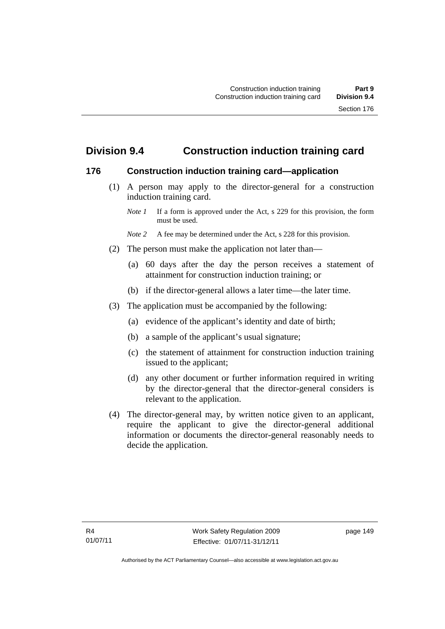# **Division 9.4 Construction induction training card**

#### **176 Construction induction training card—application**

 (1) A person may apply to the director-general for a construction induction training card.

- *Note* 2 A fee may be determined under the Act, s 228 for this provision.
- (2) The person must make the application not later than—
	- (a) 60 days after the day the person receives a statement of attainment for construction induction training; or
	- (b) if the director-general allows a later time—the later time.
- (3) The application must be accompanied by the following:
	- (a) evidence of the applicant's identity and date of birth;
	- (b) a sample of the applicant's usual signature;
	- (c) the statement of attainment for construction induction training issued to the applicant;
	- (d) any other document or further information required in writing by the director-general that the director-general considers is relevant to the application.
- (4) The director-general may, by written notice given to an applicant, require the applicant to give the director-general additional information or documents the director-general reasonably needs to decide the application.

*Note 1* If a form is approved under the Act, s 229 for this provision, the form must be used.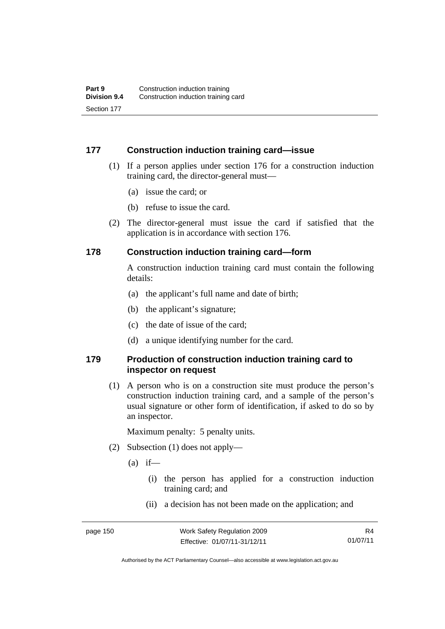#### **177 Construction induction training card—issue**

- (1) If a person applies under section 176 for a construction induction training card, the director-general must—
	- (a) issue the card; or
	- (b) refuse to issue the card.
- (2) The director-general must issue the card if satisfied that the application is in accordance with section 176.

#### **178 Construction induction training card—form**

A construction induction training card must contain the following details:

- (a) the applicant's full name and date of birth;
- (b) the applicant's signature;
- (c) the date of issue of the card;
- (d) a unique identifying number for the card.

#### **179 Production of construction induction training card to inspector on request**

(1) A person who is on a construction site must produce the person's construction induction training card, and a sample of the person's usual signature or other form of identification, if asked to do so by an inspector.

Maximum penalty: 5 penalty units.

- (2) Subsection (1) does not apply—
	- $(a)$  if—
		- (i) the person has applied for a construction induction training card; and
		- (ii) a decision has not been made on the application; and

R4 01/07/11

Authorised by the ACT Parliamentary Counsel—also accessible at www.legislation.act.gov.au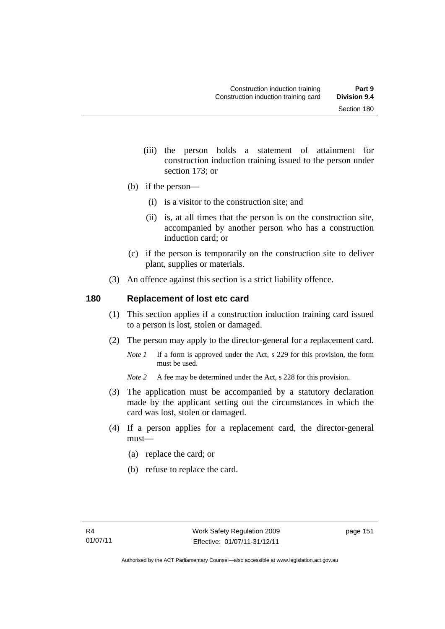- (iii) the person holds a statement of attainment for construction induction training issued to the person under section 173; or
- (b) if the person—
	- (i) is a visitor to the construction site; and
	- (ii) is, at all times that the person is on the construction site, accompanied by another person who has a construction induction card; or
- (c) if the person is temporarily on the construction site to deliver plant, supplies or materials.
- (3) An offence against this section is a strict liability offence.

#### **180 Replacement of lost etc card**

- (1) This section applies if a construction induction training card issued to a person is lost, stolen or damaged.
- (2) The person may apply to the director-general for a replacement card.
	- *Note 1* If a form is approved under the Act, s 229 for this provision, the form must be used.
	- *Note* 2 A fee may be determined under the Act, s 228 for this provision.
- (3) The application must be accompanied by a statutory declaration made by the applicant setting out the circumstances in which the card was lost, stolen or damaged.
- (4) If a person applies for a replacement card, the director-general must—
	- (a) replace the card; or
	- (b) refuse to replace the card.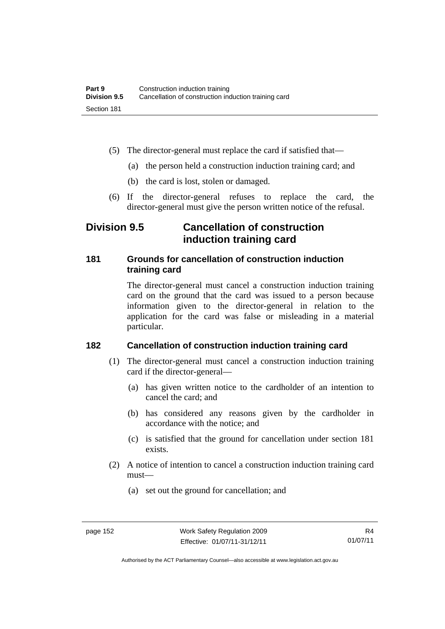- (5) The director-general must replace the card if satisfied that—
	- (a) the person held a construction induction training card; and
	- (b) the card is lost, stolen or damaged.
- (6) If the director-general refuses to replace the card, the director-general must give the person written notice of the refusal.

# **Division 9.5 Cancellation of construction induction training card**

## **181 Grounds for cancellation of construction induction training card**

The director-general must cancel a construction induction training card on the ground that the card was issued to a person because information given to the director-general in relation to the application for the card was false or misleading in a material particular.

## **182 Cancellation of construction induction training card**

- (1) The director-general must cancel a construction induction training card if the director-general—
	- (a) has given written notice to the cardholder of an intention to cancel the card; and
	- (b) has considered any reasons given by the cardholder in accordance with the notice; and
	- (c) is satisfied that the ground for cancellation under section 181 exists.
- (2) A notice of intention to cancel a construction induction training card must—
	- (a) set out the ground for cancellation; and

Authorised by the ACT Parliamentary Counsel—also accessible at www.legislation.act.gov.au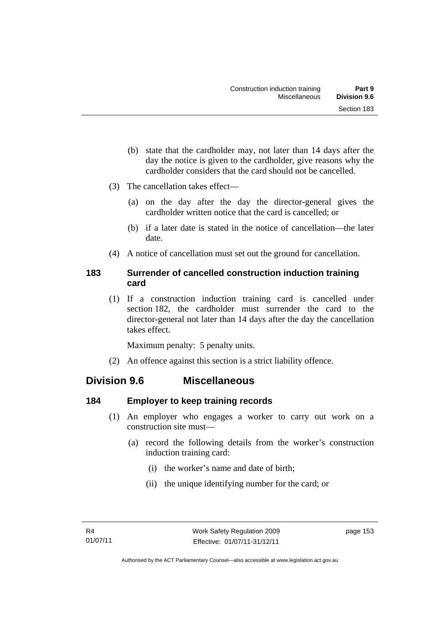- (b) state that the cardholder may, not later than 14 days after the day the notice is given to the cardholder, give reasons why the cardholder considers that the card should not be cancelled.
- (3) The cancellation takes effect—
	- (a) on the day after the day the director-general gives the cardholder written notice that the card is cancelled; or
	- (b) if a later date is stated in the notice of cancellation—the later date.
- (4) A notice of cancellation must set out the ground for cancellation.

## **183 Surrender of cancelled construction induction training card**

(1) If a construction induction training card is cancelled under section 182, the cardholder must surrender the card to the director-general not later than 14 days after the day the cancellation takes effect.

Maximum penalty: 5 penalty units.

(2) An offence against this section is a strict liability offence.

## **Division 9.6 Miscellaneous**

## **184 Employer to keep training records**

- (1) An employer who engages a worker to carry out work on a construction site must—
	- (a) record the following details from the worker's construction induction training card:
		- (i) the worker's name and date of birth;
		- (ii) the unique identifying number for the card; or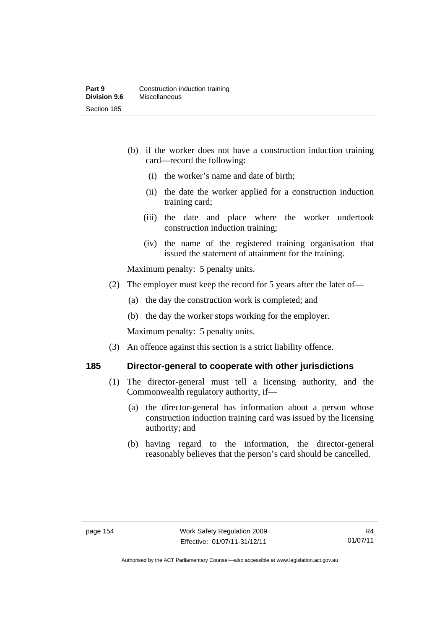- (b) if the worker does not have a construction induction training card—record the following:
	- (i) the worker's name and date of birth;
	- (ii) the date the worker applied for a construction induction training card;
	- (iii) the date and place where the worker undertook construction induction training;
	- (iv) the name of the registered training organisation that issued the statement of attainment for the training.

Maximum penalty: 5 penalty units.

- (2) The employer must keep the record for 5 years after the later of—
	- (a) the day the construction work is completed; and
	- (b) the day the worker stops working for the employer.

Maximum penalty: 5 penalty units.

(3) An offence against this section is a strict liability offence.

## **185 Director-general to cooperate with other jurisdictions**

- (1) The director-general must tell a licensing authority, and the Commonwealth regulatory authority, if—
	- (a) the director-general has information about a person whose construction induction training card was issued by the licensing authority; and
	- (b) having regard to the information, the director-general reasonably believes that the person's card should be cancelled.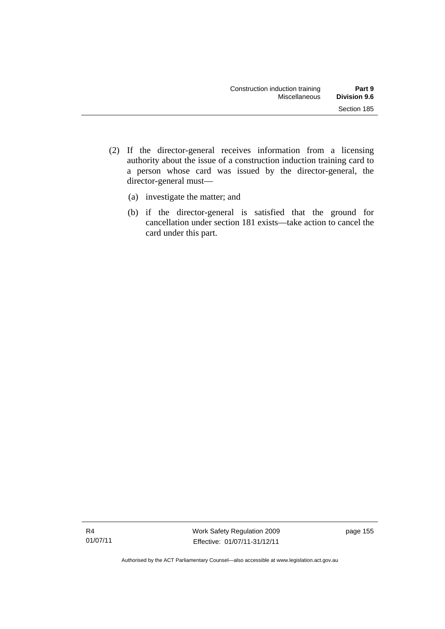- (2) If the director-general receives information from a licensing authority about the issue of a construction induction training card to a person whose card was issued by the director-general, the director-general must—
	- (a) investigate the matter; and
	- (b) if the director-general is satisfied that the ground for cancellation under section 181 exists—take action to cancel the card under this part.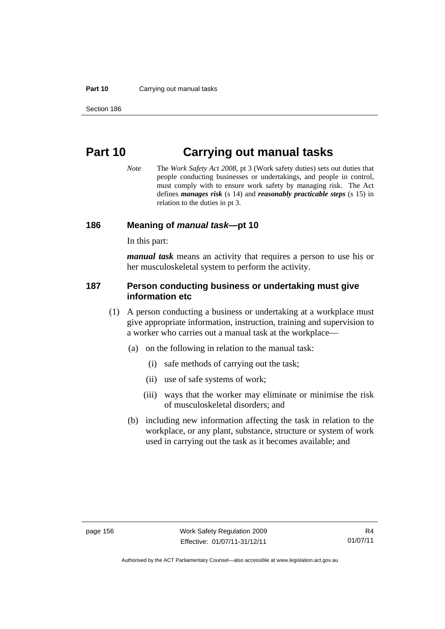#### **Part 10** Carrying out manual tasks

# **Part 10 Carrying out manual tasks**

*Note* The *Work Safety Act 2008*, pt 3 (Work safety duties) sets out duties that people conducting businesses or undertakings, and people in control, must comply with to ensure work safety by managing risk. The Act defines *manages risk* (s 14) and *reasonably practicable steps* (s 15) in relation to the duties in pt 3.

#### **186 Meaning of** *manual task***—pt 10**

In this part:

*manual task* means an activity that requires a person to use his or her musculoskeletal system to perform the activity.

#### **187 Person conducting business or undertaking must give information etc**

- (1) A person conducting a business or undertaking at a workplace must give appropriate information, instruction, training and supervision to a worker who carries out a manual task at the workplace—
	- (a) on the following in relation to the manual task:
		- (i) safe methods of carrying out the task;
		- (ii) use of safe systems of work;
		- (iii) ways that the worker may eliminate or minimise the risk of musculoskeletal disorders; and
	- (b) including new information affecting the task in relation to the workplace, or any plant, substance, structure or system of work used in carrying out the task as it becomes available; and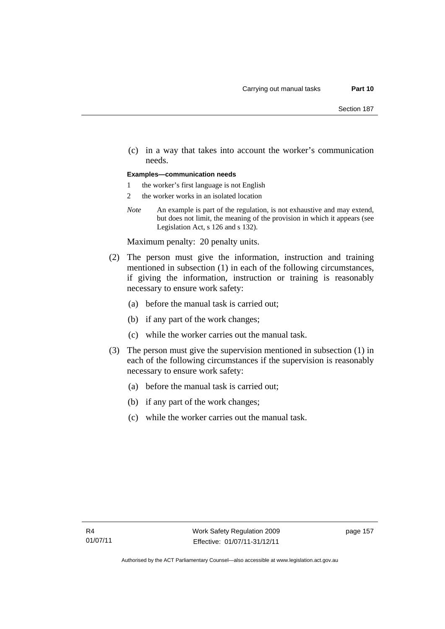(c) in a way that takes into account the worker's communication needs.

#### **Examples—communication needs**

- 1 the worker's first language is not English
- 2 the worker works in an isolated location
- *Note* An example is part of the regulation, is not exhaustive and may extend, but does not limit, the meaning of the provision in which it appears (see Legislation Act, s 126 and s 132).

Maximum penalty: 20 penalty units.

- (2) The person must give the information, instruction and training mentioned in subsection (1) in each of the following circumstances, if giving the information, instruction or training is reasonably necessary to ensure work safety:
	- (a) before the manual task is carried out;
	- (b) if any part of the work changes;
	- (c) while the worker carries out the manual task.
- (3) The person must give the supervision mentioned in subsection (1) in each of the following circumstances if the supervision is reasonably necessary to ensure work safety:
	- (a) before the manual task is carried out;
	- (b) if any part of the work changes;
	- (c) while the worker carries out the manual task.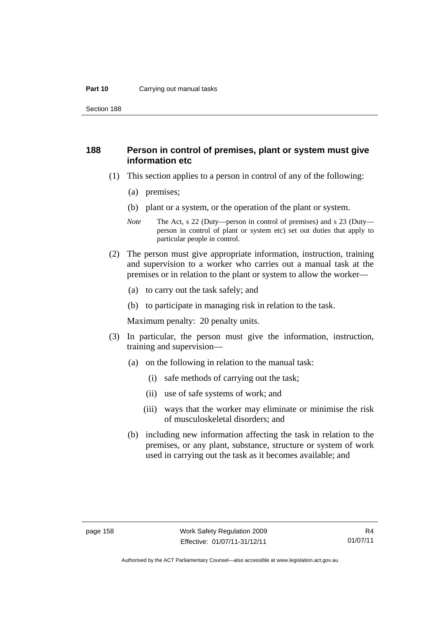#### **Part 10** Carrying out manual tasks

Section 188

#### **188 Person in control of premises, plant or system must give information etc**

- (1) This section applies to a person in control of any of the following:
	- (a) premises;
	- (b) plant or a system, or the operation of the plant or system.
	- *Note* The Act, s 22 (Duty—person in control of premises) and s 23 (Duty person in control of plant or system etc) set out duties that apply to particular people in control.
- (2) The person must give appropriate information, instruction, training and supervision to a worker who carries out a manual task at the premises or in relation to the plant or system to allow the worker—
	- (a) to carry out the task safely; and
	- (b) to participate in managing risk in relation to the task.

Maximum penalty: 20 penalty units.

- (3) In particular, the person must give the information, instruction, training and supervision—
	- (a) on the following in relation to the manual task:
		- (i) safe methods of carrying out the task;
		- (ii) use of safe systems of work; and
		- (iii) ways that the worker may eliminate or minimise the risk of musculoskeletal disorders; and
	- (b) including new information affecting the task in relation to the premises, or any plant, substance, structure or system of work used in carrying out the task as it becomes available; and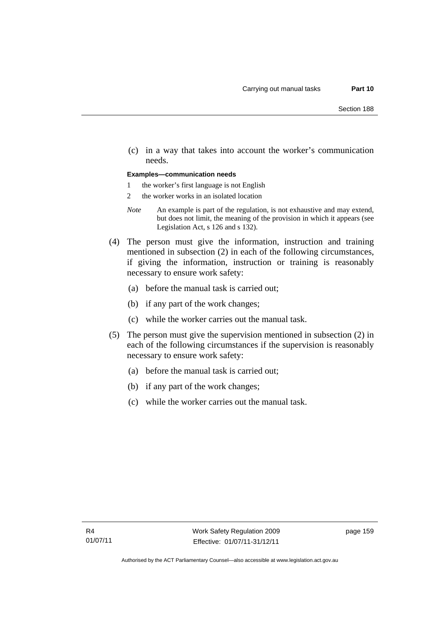(c) in a way that takes into account the worker's communication needs.

#### **Examples—communication needs**

- 1 the worker's first language is not English
- 2 the worker works in an isolated location
- *Note* An example is part of the regulation, is not exhaustive and may extend, but does not limit, the meaning of the provision in which it appears (see Legislation Act, s 126 and s 132).
- (4) The person must give the information, instruction and training mentioned in subsection (2) in each of the following circumstances, if giving the information, instruction or training is reasonably necessary to ensure work safety:
	- (a) before the manual task is carried out;
	- (b) if any part of the work changes;
	- (c) while the worker carries out the manual task.
- (5) The person must give the supervision mentioned in subsection (2) in each of the following circumstances if the supervision is reasonably necessary to ensure work safety:
	- (a) before the manual task is carried out;
	- (b) if any part of the work changes;
	- (c) while the worker carries out the manual task.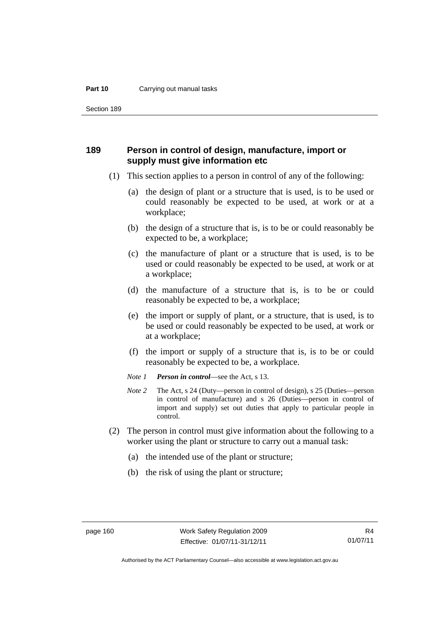#### **Part 10** Carrying out manual tasks

Section 189

#### **189 Person in control of design, manufacture, import or supply must give information etc**

- (1) This section applies to a person in control of any of the following:
	- (a) the design of plant or a structure that is used, is to be used or could reasonably be expected to be used, at work or at a workplace;
	- (b) the design of a structure that is, is to be or could reasonably be expected to be, a workplace;
	- (c) the manufacture of plant or a structure that is used, is to be used or could reasonably be expected to be used, at work or at a workplace;
	- (d) the manufacture of a structure that is, is to be or could reasonably be expected to be, a workplace;
	- (e) the import or supply of plant, or a structure, that is used, is to be used or could reasonably be expected to be used, at work or at a workplace;
	- (f) the import or supply of a structure that is, is to be or could reasonably be expected to be, a workplace.
	- *Note 1 Person in control*—see the Act, s 13.
	- *Note 2* The Act, s 24 (Duty—person in control of design), s 25 (Duties—person in control of manufacture) and s 26 (Duties—person in control of import and supply) set out duties that apply to particular people in control.
- (2) The person in control must give information about the following to a worker using the plant or structure to carry out a manual task:
	- (a) the intended use of the plant or structure;
	- (b) the risk of using the plant or structure;

Authorised by the ACT Parliamentary Counsel—also accessible at www.legislation.act.gov.au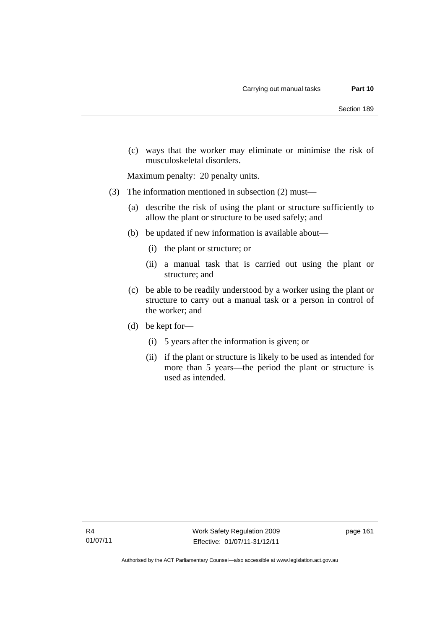(c) ways that the worker may eliminate or minimise the risk of musculoskeletal disorders.

Maximum penalty: 20 penalty units.

- (3) The information mentioned in subsection (2) must—
	- (a) describe the risk of using the plant or structure sufficiently to allow the plant or structure to be used safely; and
	- (b) be updated if new information is available about—
		- (i) the plant or structure; or
		- (ii) a manual task that is carried out using the plant or structure; and
	- (c) be able to be readily understood by a worker using the plant or structure to carry out a manual task or a person in control of the worker; and
	- (d) be kept for—
		- (i) 5 years after the information is given; or
		- (ii) if the plant or structure is likely to be used as intended for more than 5 years—the period the plant or structure is used as intended.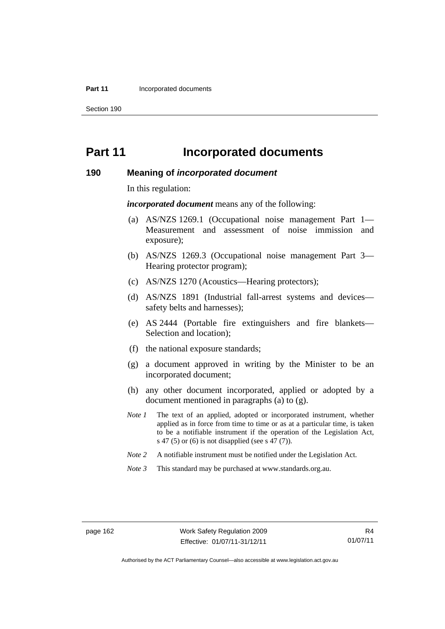#### **Part 11 Incorporated documents**

Section 190

## **Part 11 Incorporated documents**

#### **190 Meaning of** *incorporated document*

In this regulation:

*incorporated document* means any of the following:

- (a) AS/NZS 1269.1 (Occupational noise management Part 1— Measurement and assessment of noise immission and exposure);
- (b) AS/NZS 1269.3 (Occupational noise management Part 3— Hearing protector program);
- (c) AS/NZS 1270 (Acoustics—Hearing protectors);
- (d) AS/NZS 1891 (Industrial fall-arrest systems and devices safety belts and harnesses);
- (e) AS 2444 (Portable fire extinguishers and fire blankets— Selection and location);
- (f) the national exposure standards;
- (g) a document approved in writing by the Minister to be an incorporated document;
- (h) any other document incorporated, applied or adopted by a document mentioned in paragraphs (a) to (g).
- *Note 1* The text of an applied, adopted or incorporated instrument, whether applied as in force from time to time or as at a particular time, is taken to be a notifiable instrument if the operation of the Legislation Act, s 47 (5) or (6) is not disapplied (see s 47 (7)).
- *Note 2* A notifiable instrument must be notified under the Legislation Act.
- *Note 3* This standard may be purchased at www.standards.org.au.

R4 01/07/11

Authorised by the ACT Parliamentary Counsel—also accessible at www.legislation.act.gov.au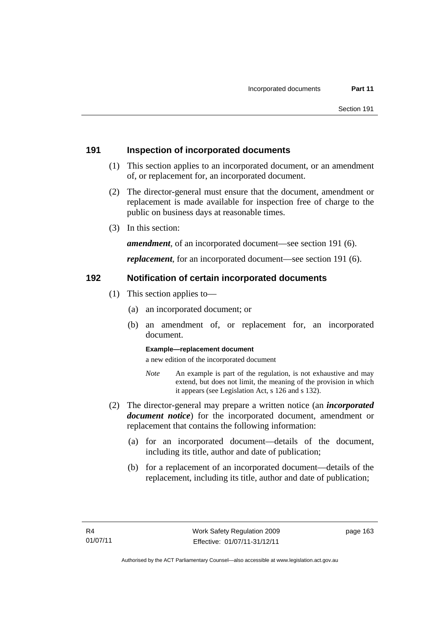#### **191 Inspection of incorporated documents**

- (1) This section applies to an incorporated document, or an amendment of, or replacement for, an incorporated document.
- (2) The director-general must ensure that the document, amendment or replacement is made available for inspection free of charge to the public on business days at reasonable times.
- (3) In this section:

*amendment*, of an incorporated document—see section 191 (6).

*replacement*, for an incorporated document—see section 191 (6).

#### **192 Notification of certain incorporated documents**

- (1) This section applies to—
	- (a) an incorporated document; or
	- (b) an amendment of, or replacement for, an incorporated document.

#### **Example—replacement document**

a new edition of the incorporated document

- *Note* An example is part of the regulation, is not exhaustive and may extend, but does not limit, the meaning of the provision in which it appears (see Legislation Act, s 126 and s 132).
- (2) The director-general may prepare a written notice (an *incorporated document notice*) for the incorporated document, amendment or replacement that contains the following information:
	- (a) for an incorporated document—details of the document, including its title, author and date of publication;
	- (b) for a replacement of an incorporated document—details of the replacement, including its title, author and date of publication;

page 163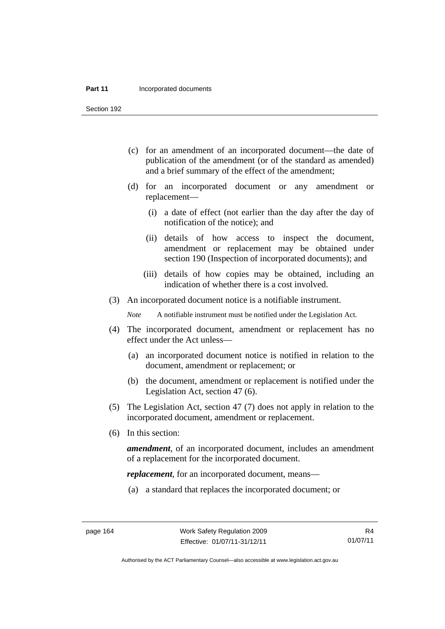#### **Part 11 Incorporated documents**

Section 192

- (c) for an amendment of an incorporated document—the date of publication of the amendment (or of the standard as amended) and a brief summary of the effect of the amendment;
- (d) for an incorporated document or any amendment or replacement—
	- (i) a date of effect (not earlier than the day after the day of notification of the notice); and
	- (ii) details of how access to inspect the document, amendment or replacement may be obtained under section 190 (Inspection of incorporated documents); and
	- (iii) details of how copies may be obtained, including an indication of whether there is a cost involved.
- (3) An incorporated document notice is a notifiable instrument.

*Note* A notifiable instrument must be notified under the Legislation Act.

- (4) The incorporated document, amendment or replacement has no effect under the Act unless—
	- (a) an incorporated document notice is notified in relation to the document, amendment or replacement; or
	- (b) the document, amendment or replacement is notified under the Legislation Act, section 47 (6).
- (5) The Legislation Act, section 47 (7) does not apply in relation to the incorporated document, amendment or replacement.
- (6) In this section:

*amendment*, of an incorporated document, includes an amendment of a replacement for the incorporated document.

*replacement*, for an incorporated document, means—

(a) a standard that replaces the incorporated document; or

R4 01/07/11

Authorised by the ACT Parliamentary Counsel—also accessible at www.legislation.act.gov.au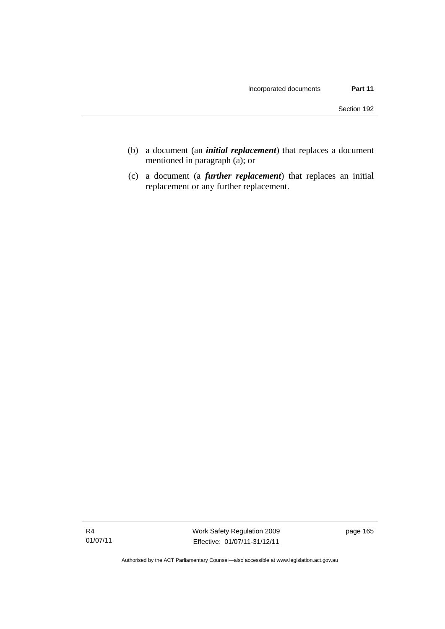- (b) a document (an *initial replacement*) that replaces a document mentioned in paragraph (a); or
- (c) a document (a *further replacement*) that replaces an initial replacement or any further replacement.

Authorised by the ACT Parliamentary Counsel—also accessible at www.legislation.act.gov.au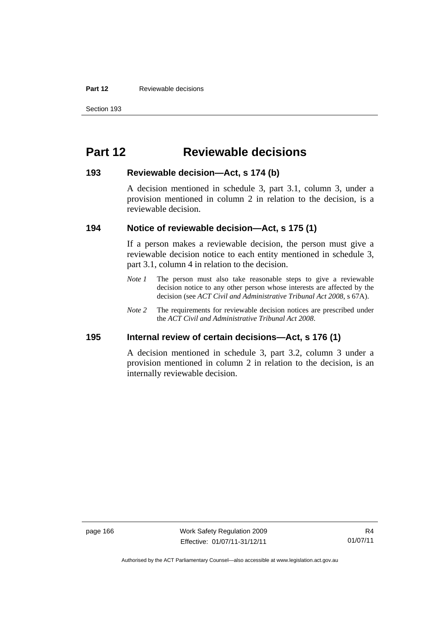#### **Part 12 Reviewable decisions**

# **Part 12 Reviewable decisions**

#### **193 Reviewable decision—Act, s 174 (b)**

A decision mentioned in schedule 3, part 3.1, column 3, under a provision mentioned in column 2 in relation to the decision, is a reviewable decision.

#### **194 Notice of reviewable decision—Act, s 175 (1)**

If a person makes a reviewable decision, the person must give a reviewable decision notice to each entity mentioned in schedule 3, part 3.1, column 4 in relation to the decision.

- *Note 1* The person must also take reasonable steps to give a reviewable decision notice to any other person whose interests are affected by the decision (see *ACT Civil and Administrative Tribunal Act 2008*, s 67A).
- *Note* 2 The requirements for reviewable decision notices are prescribed under the *ACT Civil and Administrative Tribunal Act 2008*.

#### **195 Internal review of certain decisions—Act, s 176 (1)**

A decision mentioned in schedule 3, part 3.2, column 3 under a provision mentioned in column 2 in relation to the decision, is an internally reviewable decision.

page 166 Work Safety Regulation 2009 Effective: 01/07/11-31/12/11

Authorised by the ACT Parliamentary Counsel—also accessible at www.legislation.act.gov.au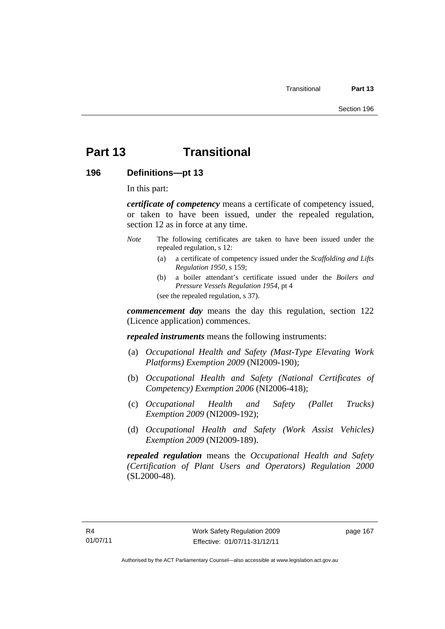## **Part 13 Transitional**

**196 Definitions—pt 13** 

In this part:

*certificate of competency* means a certificate of competency issued, or taken to have been issued, under the repealed regulation, section 12 as in force at any time.

- *Note* The following certificates are taken to have been issued under the repealed regulation, s 12:
	- (a) a certificate of competency issued under the *Scaffolding and Lifts Regulation 1950*, s 159;
	- (b) a boiler attendant's certificate issued under the *Boilers and Pressure Vessels Regulation 1954*, pt 4 (see the repealed regulation, s 37).

*commencement day* means the day this regulation, section 122 (Licence application) commences.

*repealed instruments* means the following instruments:

- (a) *Occupational Health and Safety (Mast-Type Elevating Work Platforms) Exemption 2009* (NI2009-190);
- (b) *Occupational Health and Safety (National Certificates of Competency) Exemption 2006* (NI2006-418);
- (c) *Occupational Health and Safety (Pallet Trucks) Exemption 2009* (NI2009-192);
- (d) *Occupational Health and Safety (Work Assist Vehicles) Exemption 2009* (NI2009-189).

*repealed regulation* means the *Occupational Health and Safety (Certification of Plant Users and Operators) Regulation 2000* (SL2000-48).

page 167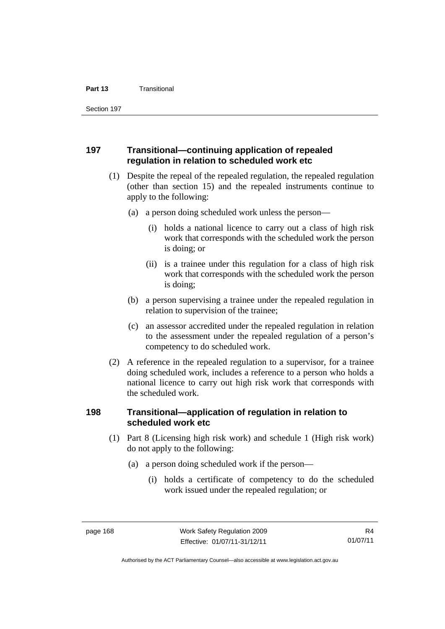Section 197

#### **197 Transitional—continuing application of repealed regulation in relation to scheduled work etc**

- (1) Despite the repeal of the repealed regulation, the repealed regulation (other than section 15) and the repealed instruments continue to apply to the following:
	- (a) a person doing scheduled work unless the person—
		- (i) holds a national licence to carry out a class of high risk work that corresponds with the scheduled work the person is doing; or
		- (ii) is a trainee under this regulation for a class of high risk work that corresponds with the scheduled work the person is doing;
	- (b) a person supervising a trainee under the repealed regulation in relation to supervision of the trainee;
	- (c) an assessor accredited under the repealed regulation in relation to the assessment under the repealed regulation of a person's competency to do scheduled work.
- (2) A reference in the repealed regulation to a supervisor, for a trainee doing scheduled work, includes a reference to a person who holds a national licence to carry out high risk work that corresponds with the scheduled work.

#### **198 Transitional—application of regulation in relation to scheduled work etc**

- (1) Part 8 (Licensing high risk work) and schedule 1 (High risk work) do not apply to the following:
	- (a) a person doing scheduled work if the person—
		- (i) holds a certificate of competency to do the scheduled work issued under the repealed regulation; or

Authorised by the ACT Parliamentary Counsel—also accessible at www.legislation.act.gov.au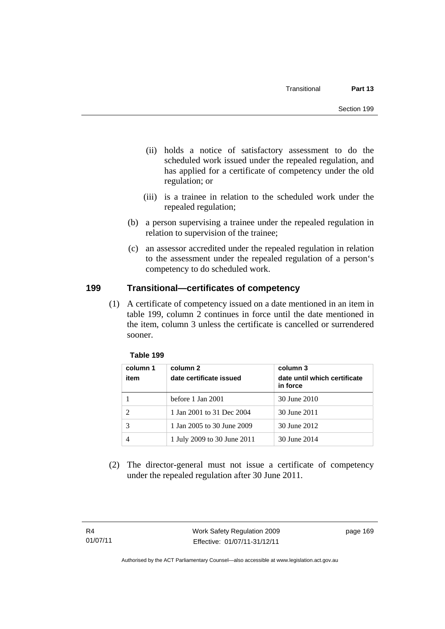- (ii) holds a notice of satisfactory assessment to do the scheduled work issued under the repealed regulation, and has applied for a certificate of competency under the old regulation; or
- (iii) is a trainee in relation to the scheduled work under the repealed regulation;
- (b) a person supervising a trainee under the repealed regulation in relation to supervision of the trainee;
- (c) an assessor accredited under the repealed regulation in relation to the assessment under the repealed regulation of a person's competency to do scheduled work.

## **199 Transitional—certificates of competency**

(1) A certificate of competency issued on a date mentioned in an item in table 199, column 2 continues in force until the date mentioned in the item, column 3 unless the certificate is cancelled or surrendered sooner.

| column 1<br>item            | column 2<br>date certificate issued | column 3<br>date until which certificate<br>in force |
|-----------------------------|-------------------------------------|------------------------------------------------------|
|                             | before 1 Jan 2001                   | 30 June 2010                                         |
| $\mathcal{D}_{\mathcal{A}}$ | 1 Jan 2001 to 31 Dec 2004           | 30 June 2011                                         |
|                             | 1 Jan 2005 to 30 June 2009          | 30 June 2012                                         |
| 4                           | 1 July 2009 to 30 June 2011         | 30 June 2014                                         |

#### **Table 199**

 (2) The director-general must not issue a certificate of competency under the repealed regulation after 30 June 2011.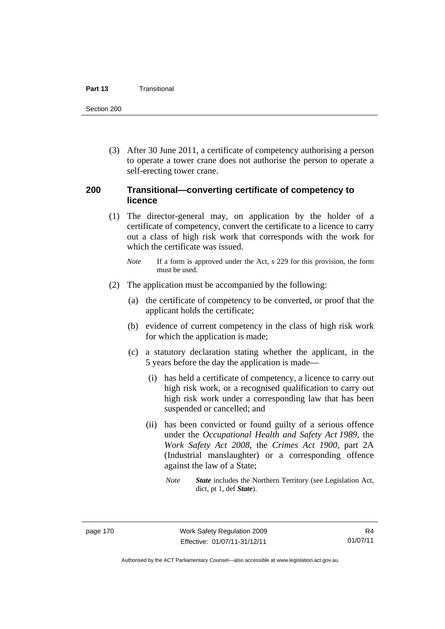#### **Part 13** Transitional

Section 200

 (3) After 30 June 2011, a certificate of competency authorising a person to operate a tower crane does not authorise the person to operate a self-erecting tower crane.

#### **200 Transitional—converting certificate of competency to licence**

- (1) The director-general may, on application by the holder of a certificate of competency, convert the certificate to a licence to carry out a class of high risk work that corresponds with the work for which the certificate was issued.
	- *Note* If a form is approved under the Act, s 229 for this provision, the form must be used.
- (2) The application must be accompanied by the following:
	- (a) the certificate of competency to be converted, or proof that the applicant holds the certificate;
	- (b) evidence of current competency in the class of high risk work for which the application is made;
	- (c) a statutory declaration stating whether the applicant, in the 5 years before the day the application is made—
		- (i) has held a certificate of competency, a licence to carry out high risk work, or a recognised qualification to carry out high risk work under a corresponding law that has been suspended or cancelled; and
		- (ii) has been convicted or found guilty of a serious offence under the *Occupational Health and Safety Act 1989*, the *Work Safety Act 2008*, the *Crimes Act 1900*, part 2A (Industrial manslaughter) or a corresponding offence against the law of a State;
			- *Note State* includes the Northern Territory (see Legislation Act, dict, pt 1, def *State*).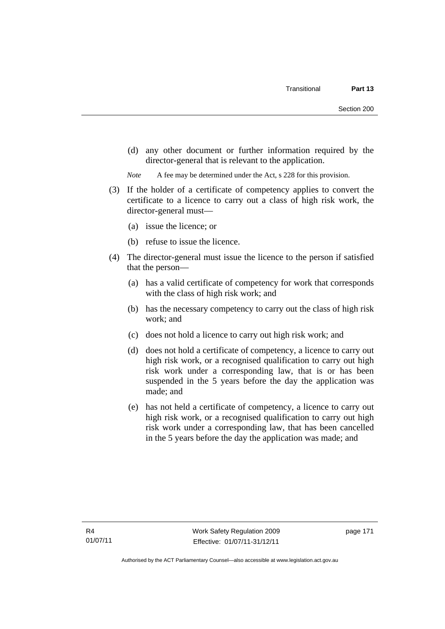(d) any other document or further information required by the director-general that is relevant to the application.

*Note* A fee may be determined under the Act, s 228 for this provision.

- (3) If the holder of a certificate of competency applies to convert the certificate to a licence to carry out a class of high risk work, the director-general must—
	- (a) issue the licence; or
	- (b) refuse to issue the licence.
- (4) The director-general must issue the licence to the person if satisfied that the person—
	- (a) has a valid certificate of competency for work that corresponds with the class of high risk work; and
	- (b) has the necessary competency to carry out the class of high risk work; and
	- (c) does not hold a licence to carry out high risk work; and
	- (d) does not hold a certificate of competency, a licence to carry out high risk work, or a recognised qualification to carry out high risk work under a corresponding law, that is or has been suspended in the 5 years before the day the application was made; and
	- (e) has not held a certificate of competency, a licence to carry out high risk work, or a recognised qualification to carry out high risk work under a corresponding law, that has been cancelled in the 5 years before the day the application was made; and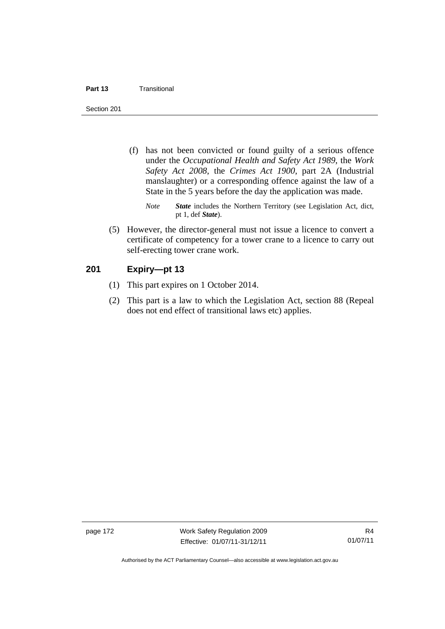#### **Part 13** Transitional

Section 201

- (f) has not been convicted or found guilty of a serious offence under the *Occupational Health and Safety Act 1989*, the *Work Safety Act 2008*, the *Crimes Act 1900*, part 2A (Industrial manslaughter) or a corresponding offence against the law of a State in the 5 years before the day the application was made.
	- *Note State* includes the Northern Territory (see Legislation Act, dict, pt 1, def *State*).
- (5) However, the director-general must not issue a licence to convert a certificate of competency for a tower crane to a licence to carry out self-erecting tower crane work.

#### **201 Expiry—pt 13**

- (1) This part expires on 1 October 2014.
- (2) This part is a law to which the Legislation Act, section 88 (Repeal does not end effect of transitional laws etc) applies.

page 172 Work Safety Regulation 2009 Effective: 01/07/11-31/12/11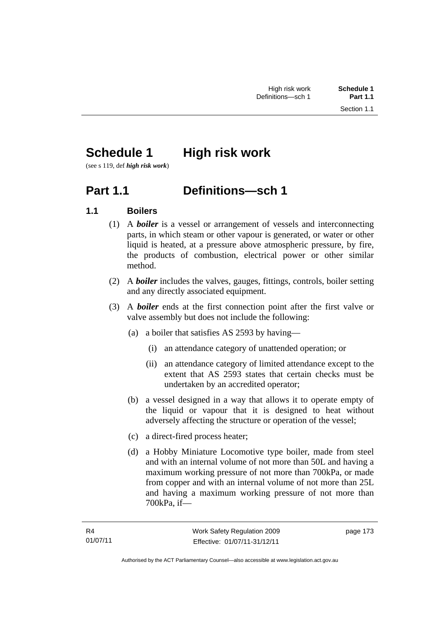# **Schedule 1** High risk work

(see s 119, def *high risk work*)

## **Part 1.1 Definitions—sch 1**

## **1.1 Boilers**

- (1) A *boiler* is a vessel or arrangement of vessels and interconnecting parts, in which steam or other vapour is generated, or water or other liquid is heated, at a pressure above atmospheric pressure, by fire, the products of combustion, electrical power or other similar method.
- (2) A *boiler* includes the valves, gauges, fittings, controls, boiler setting and any directly associated equipment.
- (3) A *boiler* ends at the first connection point after the first valve or valve assembly but does not include the following:
	- (a) a boiler that satisfies AS 2593 by having—
		- (i) an attendance category of unattended operation; or
		- (ii) an attendance category of limited attendance except to the extent that AS 2593 states that certain checks must be undertaken by an accredited operator;
	- (b) a vessel designed in a way that allows it to operate empty of the liquid or vapour that it is designed to heat without adversely affecting the structure or operation of the vessel;
	- (c) a direct-fired process heater;
	- (d) a Hobby Miniature Locomotive type boiler, made from steel and with an internal volume of not more than 50L and having a maximum working pressure of not more than 700kPa, or made from copper and with an internal volume of not more than 25L and having a maximum working pressure of not more than 700kPa, if—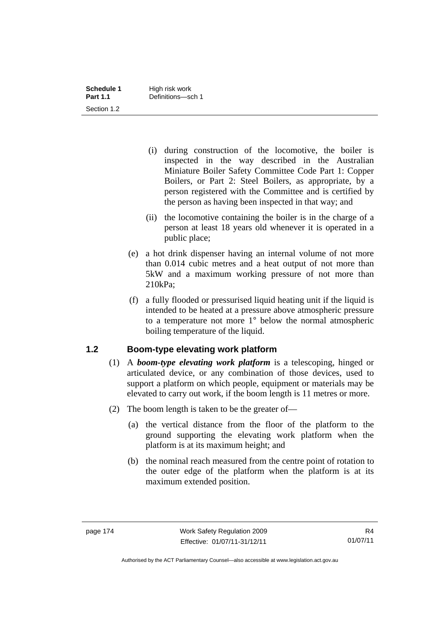- (i) during construction of the locomotive, the boiler is inspected in the way described in the Australian Miniature Boiler Safety Committee Code Part 1: Copper Boilers, or Part 2: Steel Boilers, as appropriate, by a person registered with the Committee and is certified by the person as having been inspected in that way; and
- (ii) the locomotive containing the boiler is in the charge of a person at least 18 years old whenever it is operated in a public place;
- (e) a hot drink dispenser having an internal volume of not more than 0.014 cubic metres and a heat output of not more than 5kW and a maximum working pressure of not more than 210kPa;
- (f) a fully flooded or pressurised liquid heating unit if the liquid is intended to be heated at a pressure above atmospheric pressure to a temperature not more 1° below the normal atmospheric boiling temperature of the liquid.

### **1.2 Boom-type elevating work platform**

- (1) A *boom-type elevating work platform* is a telescoping, hinged or articulated device, or any combination of those devices, used to support a platform on which people, equipment or materials may be elevated to carry out work, if the boom length is 11 metres or more.
- (2) The boom length is taken to be the greater of—
	- (a) the vertical distance from the floor of the platform to the ground supporting the elevating work platform when the platform is at its maximum height; and
	- (b) the nominal reach measured from the centre point of rotation to the outer edge of the platform when the platform is at its maximum extended position.

Authorised by the ACT Parliamentary Counsel—also accessible at www.legislation.act.gov.au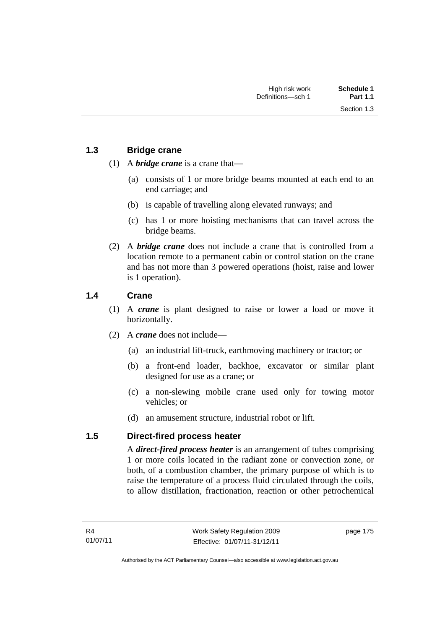Section 1.3

- (1) A *bridge crane* is a crane that—
	- (a) consists of 1 or more bridge beams mounted at each end to an end carriage; and
	- (b) is capable of travelling along elevated runways; and
	- (c) has 1 or more hoisting mechanisms that can travel across the bridge beams.
- (2) A *bridge crane* does not include a crane that is controlled from a location remote to a permanent cabin or control station on the crane and has not more than 3 powered operations (hoist, raise and lower is 1 operation).

## **1.4 Crane**

- (1) A *crane* is plant designed to raise or lower a load or move it horizontally.
- (2) A *crane* does not include—
	- (a) an industrial lift-truck, earthmoving machinery or tractor; or
	- (b) a front-end loader, backhoe, excavator or similar plant designed for use as a crane; or
	- (c) a non-slewing mobile crane used only for towing motor vehicles; or
	- (d) an amusement structure, industrial robot or lift.

### **1.5 Direct-fired process heater**

A *direct-fired process heater* is an arrangement of tubes comprising 1 or more coils located in the radiant zone or convection zone, or both, of a combustion chamber, the primary purpose of which is to raise the temperature of a process fluid circulated through the coils, to allow distillation, fractionation, reaction or other petrochemical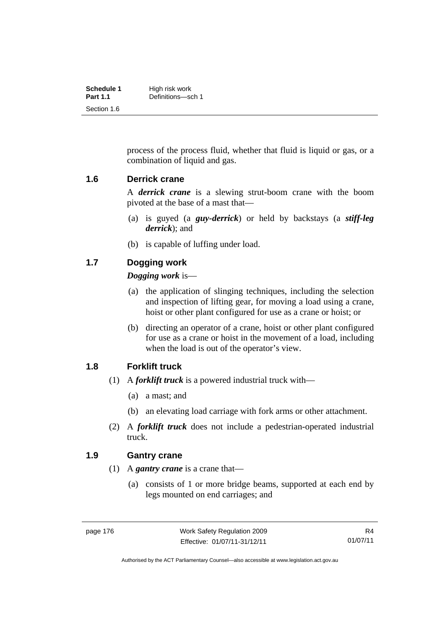| Schedule 1      | High risk work    |
|-----------------|-------------------|
| <b>Part 1.1</b> | Definitions-sch 1 |
| Section 1.6     |                   |

process of the process fluid, whether that fluid is liquid or gas, or a combination of liquid and gas.

#### **1.6 Derrick crane**

A *derrick crane* is a slewing strut-boom crane with the boom pivoted at the base of a mast that—

- (a) is guyed (a *guy-derrick*) or held by backstays (a *stiff-leg derrick*); and
- (b) is capable of luffing under load.

### **1.7 Dogging work**

#### *Dogging work* is—

- (a) the application of slinging techniques, including the selection and inspection of lifting gear, for moving a load using a crane, hoist or other plant configured for use as a crane or hoist; or
- (b) directing an operator of a crane, hoist or other plant configured for use as a crane or hoist in the movement of a load, including when the load is out of the operator's view.

#### **1.8 Forklift truck**

- (1) A *forklift truck* is a powered industrial truck with—
	- (a) a mast; and
	- (b) an elevating load carriage with fork arms or other attachment.
- (2) A *forklift truck* does not include a pedestrian-operated industrial truck.

#### **1.9 Gantry crane**

- (1) A *gantry crane* is a crane that—
	- (a) consists of 1 or more bridge beams, supported at each end by legs mounted on end carriages; and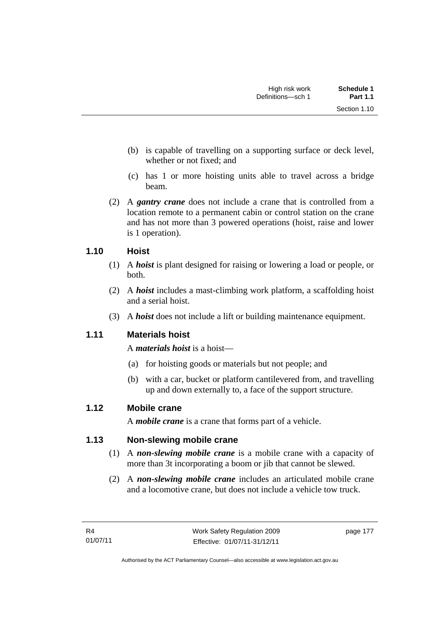Section 1.10

- (b) is capable of travelling on a supporting surface or deck level, whether or not fixed; and
- (c) has 1 or more hoisting units able to travel across a bridge beam.
- (2) A *gantry crane* does not include a crane that is controlled from a location remote to a permanent cabin or control station on the crane and has not more than 3 powered operations (hoist, raise and lower is 1 operation).

## **1.10 Hoist**

- (1) A *hoist* is plant designed for raising or lowering a load or people, or both.
- (2) A *hoist* includes a mast-climbing work platform, a scaffolding hoist and a serial hoist.
- (3) A *hoist* does not include a lift or building maintenance equipment.

## **1.11 Materials hoist**

A *materials hoist* is a hoist—

- (a) for hoisting goods or materials but not people; and
- (b) with a car, bucket or platform cantilevered from, and travelling up and down externally to, a face of the support structure.

## **1.12 Mobile crane**

A *mobile crane* is a crane that forms part of a vehicle.

## **1.13 Non-slewing mobile crane**

- (1) A *non-slewing mobile crane* is a mobile crane with a capacity of more than 3t incorporating a boom or jib that cannot be slewed.
- (2) A *non-slewing mobile crane* includes an articulated mobile crane and a locomotive crane, but does not include a vehicle tow truck.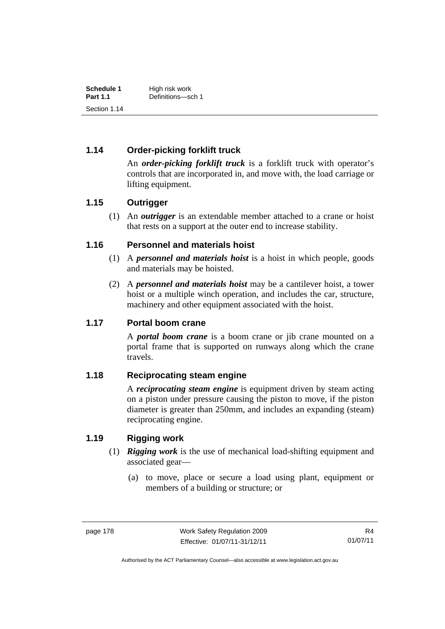| Schedule 1      | High risk work    |
|-----------------|-------------------|
| <b>Part 1.1</b> | Definitions-sch 1 |
| Section 1.14    |                   |

## **1.14 Order-picking forklift truck**

An *order-picking forklift truck* is a forklift truck with operator's controls that are incorporated in, and move with, the load carriage or lifting equipment.

### **1.15 Outrigger**

 (1) An *outrigger* is an extendable member attached to a crane or hoist that rests on a support at the outer end to increase stability.

### **1.16 Personnel and materials hoist**

- (1) A *personnel and materials hoist* is a hoist in which people, goods and materials may be hoisted.
- (2) A *personnel and materials hoist* may be a cantilever hoist, a tower hoist or a multiple winch operation, and includes the car, structure, machinery and other equipment associated with the hoist.

#### **1.17 Portal boom crane**

A *portal boom crane* is a boom crane or jib crane mounted on a portal frame that is supported on runways along which the crane travels.

#### **1.18 Reciprocating steam engine**

A *reciprocating steam engine* is equipment driven by steam acting on a piston under pressure causing the piston to move, if the piston diameter is greater than 250mm, and includes an expanding (steam) reciprocating engine.

### **1.19 Rigging work**

- (1) *Rigging work* is the use of mechanical load-shifting equipment and associated gear—
	- (a) to move, place or secure a load using plant, equipment or members of a building or structure; or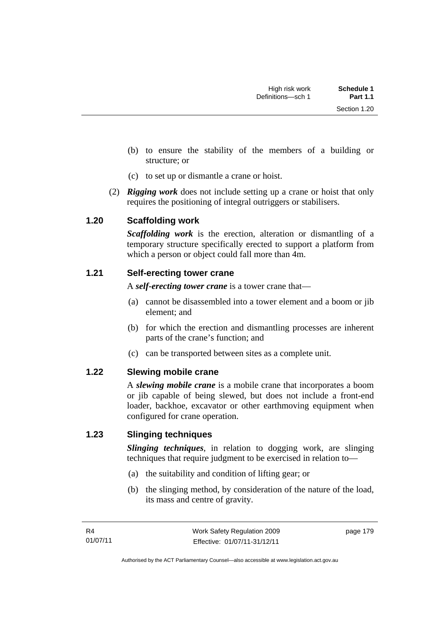- (b) to ensure the stability of the members of a building or structure; or
- (c) to set up or dismantle a crane or hoist.
- (2) *Rigging work* does not include setting up a crane or hoist that only requires the positioning of integral outriggers or stabilisers.

### **1.20 Scaffolding work**

*Scaffolding work* is the erection, alteration or dismantling of a temporary structure specifically erected to support a platform from which a person or object could fall more than 4m.

#### **1.21 Self-erecting tower crane**

A *self-erecting tower crane* is a tower crane that—

- (a) cannot be disassembled into a tower element and a boom or jib element; and
- (b) for which the erection and dismantling processes are inherent parts of the crane's function; and
- (c) can be transported between sites as a complete unit.

### **1.22 Slewing mobile crane**

A *slewing mobile crane* is a mobile crane that incorporates a boom or jib capable of being slewed, but does not include a front-end loader, backhoe, excavator or other earthmoving equipment when configured for crane operation.

### **1.23 Slinging techniques**

*Slinging techniques*, in relation to dogging work, are slinging techniques that require judgment to be exercised in relation to—

- (a) the suitability and condition of lifting gear; or
- (b) the slinging method, by consideration of the nature of the load, its mass and centre of gravity.

page 179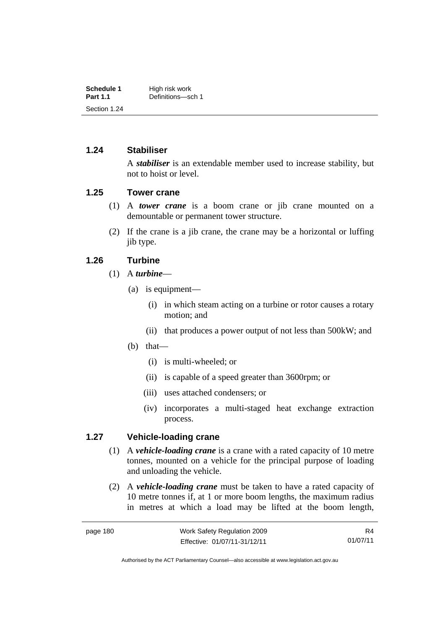| Schedule 1      | High risk work    |
|-----------------|-------------------|
| <b>Part 1.1</b> | Definitions-sch 1 |
| Section 1.24    |                   |

#### **1.24 Stabiliser**

A *stabiliser* is an extendable member used to increase stability, but not to hoist or level.

### **1.25 Tower crane**

- (1) A *tower crane* is a boom crane or jib crane mounted on a demountable or permanent tower structure.
- (2) If the crane is a jib crane, the crane may be a horizontal or luffing jib type.

#### **1.26 Turbine**

- (1) A *turbine*
	- (a) is equipment—
		- (i) in which steam acting on a turbine or rotor causes a rotary motion; and
		- (ii) that produces a power output of not less than 500kW; and
	- (b) that—
		- (i) is multi-wheeled; or
		- (ii) is capable of a speed greater than 3600rpm; or
		- (iii) uses attached condensers; or
		- (iv) incorporates a multi-staged heat exchange extraction process.

### **1.27 Vehicle-loading crane**

- (1) A *vehicle-loading crane* is a crane with a rated capacity of 10 metre tonnes, mounted on a vehicle for the principal purpose of loading and unloading the vehicle.
- (2) A *vehicle-loading crane* must be taken to have a rated capacity of 10 metre tonnes if, at 1 or more boom lengths, the maximum radius in metres at which a load may be lifted at the boom length,

R4 01/07/11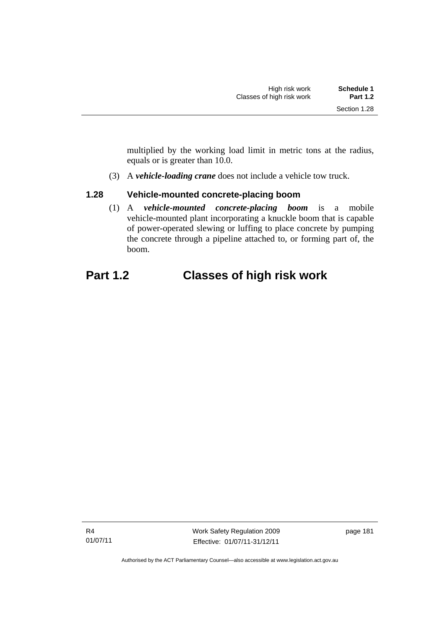multiplied by the working load limit in metric tons at the radius, equals or is greater than 10.0.

(3) A *vehicle-loading crane* does not include a vehicle tow truck.

## **1.28 Vehicle-mounted concrete-placing boom**

 (1) A *vehicle-mounted concrete-placing boom* is a mobile vehicle-mounted plant incorporating a knuckle boom that is capable of power-operated slewing or luffing to place concrete by pumping the concrete through a pipeline attached to, or forming part of, the boom.

## **Part 1.2 Classes of high risk work**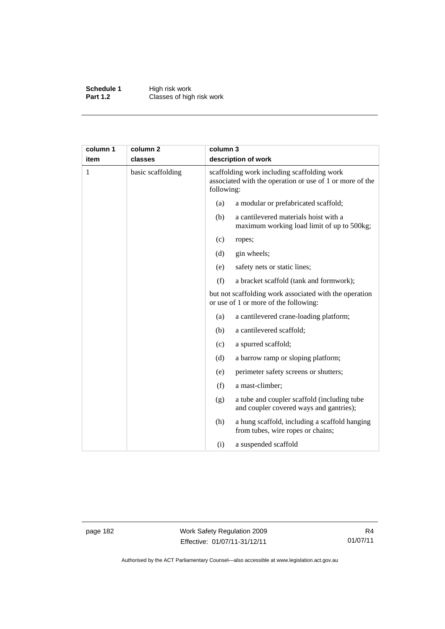**Schedule 1** High risk work **Part 1.2 Classes of high risk work** 

| column 1 | column 2          |     | column 3<br>description of work                                                                                       |  |
|----------|-------------------|-----|-----------------------------------------------------------------------------------------------------------------------|--|
| item     | classes           |     |                                                                                                                       |  |
| 1        | basic scaffolding |     | scaffolding work including scaffolding work<br>associated with the operation or use of 1 or more of the<br>following: |  |
|          |                   | (a) | a modular or prefabricated scaffold;                                                                                  |  |
|          |                   | (b) | a cantilevered materials hoist with a<br>maximum working load limit of up to 500kg;                                   |  |
|          |                   | (c) | ropes;                                                                                                                |  |
|          |                   | (d) | gin wheels;                                                                                                           |  |
|          |                   | (e) | safety nets or static lines;                                                                                          |  |
|          |                   | (f) | a bracket scaffold (tank and formwork);                                                                               |  |
|          |                   |     | but not scaffolding work associated with the operation<br>or use of 1 or more of the following:                       |  |
|          |                   | (a) | a cantilevered crane-loading platform;                                                                                |  |
|          |                   | (b) | a cantilevered scaffold;                                                                                              |  |
|          |                   | (c) | a spurred scaffold;                                                                                                   |  |
|          |                   | (d) | a barrow ramp or sloping platform;                                                                                    |  |
|          |                   | (e) | perimeter safety screens or shutters;                                                                                 |  |
|          |                   | (f) | a mast-climber;                                                                                                       |  |
|          |                   | (g) | a tube and coupler scaffold (including tube<br>and coupler covered ways and gantries);                                |  |
|          |                   | (h) | a hung scaffold, including a scaffold hanging<br>from tubes, wire ropes or chains;                                    |  |
|          |                   | (i) | a suspended scaffold                                                                                                  |  |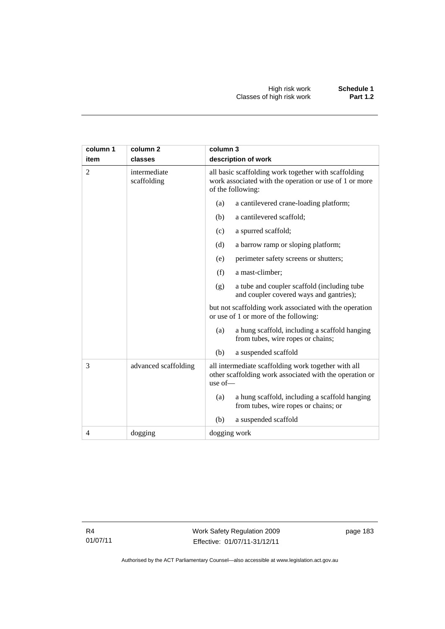| column 1 | column <sub>2</sub>         | column 3                                                                                                                            |  |  |
|----------|-----------------------------|-------------------------------------------------------------------------------------------------------------------------------------|--|--|
| item     | classes                     | description of work                                                                                                                 |  |  |
| 2        | intermediate<br>scaffolding | all basic scaffolding work together with scaffolding<br>work associated with the operation or use of 1 or more<br>of the following: |  |  |
|          |                             | a cantilevered crane-loading platform;<br>(a)                                                                                       |  |  |
|          |                             | a cantilevered scaffold;<br>(b)                                                                                                     |  |  |
|          |                             | a spurred scaffold;<br>(c)                                                                                                          |  |  |
|          |                             | (d)<br>a barrow ramp or sloping platform;                                                                                           |  |  |
|          |                             | (e)<br>perimeter safety screens or shutters;                                                                                        |  |  |
|          |                             | (f)<br>a mast-climber;                                                                                                              |  |  |
|          |                             | a tube and coupler scaffold (including tube<br>(g)<br>and coupler covered ways and gantries);                                       |  |  |
|          |                             | but not scaffolding work associated with the operation<br>or use of 1 or more of the following:                                     |  |  |
|          |                             | a hung scaffold, including a scaffold hanging<br>(a)<br>from tubes, wire ropes or chains;                                           |  |  |
|          |                             | (b)<br>a suspended scaffold                                                                                                         |  |  |
| 3        | advanced scaffolding        | all intermediate scaffolding work together with all<br>other scaffolding work associated with the operation or<br>use of $-$        |  |  |
|          |                             | a hung scaffold, including a scaffold hanging<br>(a)<br>from tubes, wire ropes or chains; or                                        |  |  |
|          |                             | a suspended scaffold<br>(b)                                                                                                         |  |  |
| 4        | dogging                     | dogging work                                                                                                                        |  |  |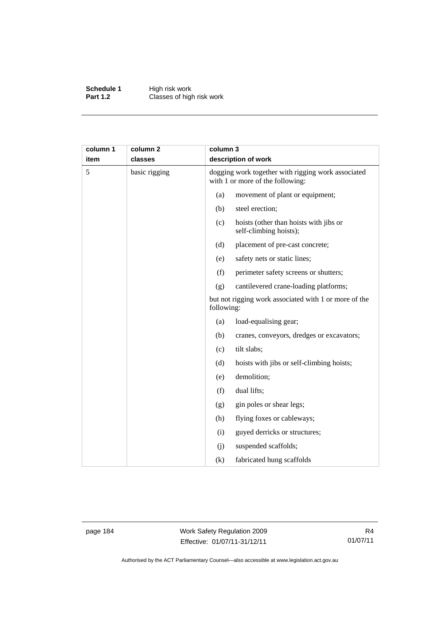**Schedule 1** High risk work **Part 1.2 Classes of high risk work** 

| column 1 | column <sub>2</sub> |            | column 3<br>description of work                                                        |  |
|----------|---------------------|------------|----------------------------------------------------------------------------------------|--|
| item     | classes             |            |                                                                                        |  |
| 5        | basic rigging       |            | dogging work together with rigging work associated<br>with 1 or more of the following: |  |
|          |                     | (a)        | movement of plant or equipment;                                                        |  |
|          |                     | (b)        | steel erection;                                                                        |  |
|          |                     | (c)        | hoists (other than hoists with jibs or<br>self-climbing hoists);                       |  |
|          |                     | (d)        | placement of pre-cast concrete;                                                        |  |
|          |                     | (e)        | safety nets or static lines;                                                           |  |
|          |                     | (f)        | perimeter safety screens or shutters;                                                  |  |
|          |                     | (g)        | cantilevered crane-loading platforms;                                                  |  |
|          |                     | following: | but not rigging work associated with 1 or more of the                                  |  |
|          |                     | (a)        | load-equalising gear;                                                                  |  |
|          |                     | (b)        | cranes, conveyors, dredges or excavators;                                              |  |
|          |                     | (c)        | tilt slabs;                                                                            |  |
|          |                     | (d)        | hoists with jibs or self-climbing hoists;                                              |  |
|          |                     | (e)        | demolition;                                                                            |  |
|          |                     | (f)        | dual lifts;                                                                            |  |
|          |                     | (g)        | gin poles or shear legs;                                                               |  |
|          |                     | (h)        | flying foxes or cableways;                                                             |  |
|          |                     | (i)        | guyed derricks or structures;                                                          |  |
|          |                     | (j)        | suspended scaffolds;                                                                   |  |
|          |                     | (k)        | fabricated hung scaffolds                                                              |  |

page 184 Work Safety Regulation 2009 Effective: 01/07/11-31/12/11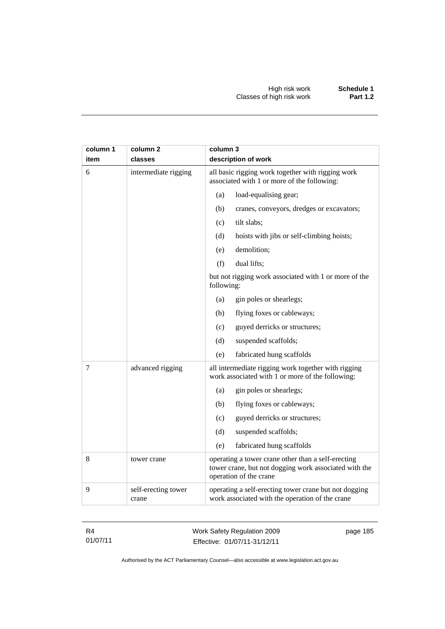| column 1<br>item | column <sub>2</sub><br>classes | column 3<br>description of work                                                                                                       |  |
|------------------|--------------------------------|---------------------------------------------------------------------------------------------------------------------------------------|--|
| 6                | intermediate rigging           | all basic rigging work together with rigging work<br>associated with 1 or more of the following:                                      |  |
|                  |                                | (a)<br>load-equalising gear;                                                                                                          |  |
|                  |                                | cranes, conveyors, dredges or excavators;<br>(b)                                                                                      |  |
|                  |                                | tilt slabs;<br>(c)                                                                                                                    |  |
|                  |                                | (d)<br>hoists with jibs or self-climbing hoists;                                                                                      |  |
|                  |                                | (e)<br>demolition;                                                                                                                    |  |
|                  |                                | (f)<br>dual lifts;                                                                                                                    |  |
|                  |                                | but not rigging work associated with 1 or more of the<br>following:                                                                   |  |
|                  |                                | gin poles or shearlegs;<br>(a)                                                                                                        |  |
|                  |                                | (b)<br>flying foxes or cableways;                                                                                                     |  |
|                  |                                | guyed derricks or structures;<br>(c)                                                                                                  |  |
|                  |                                | suspended scaffolds;<br>(d)                                                                                                           |  |
|                  |                                | (e)<br>fabricated hung scaffolds                                                                                                      |  |
| 7                | advanced rigging               | all intermediate rigging work together with rigging<br>work associated with 1 or more of the following:                               |  |
|                  |                                | gin poles or shearlegs;<br>(a)                                                                                                        |  |
|                  |                                | flying foxes or cableways;<br>(b)                                                                                                     |  |
|                  |                                | (c)<br>guyed derricks or structures;                                                                                                  |  |
|                  |                                | (d)<br>suspended scaffolds;                                                                                                           |  |
|                  |                                | (e)<br>fabricated hung scaffolds                                                                                                      |  |
| $\,8$            | tower crane                    | operating a tower crane other than a self-erecting<br>tower crane, but not dogging work associated with the<br>operation of the crane |  |
| 9                | self-erecting tower<br>crane   | operating a self-erecting tower crane but not dogging<br>work associated with the operation of the crane                              |  |

Work Safety Regulation 2009 Effective: 01/07/11-31/12/11

page 185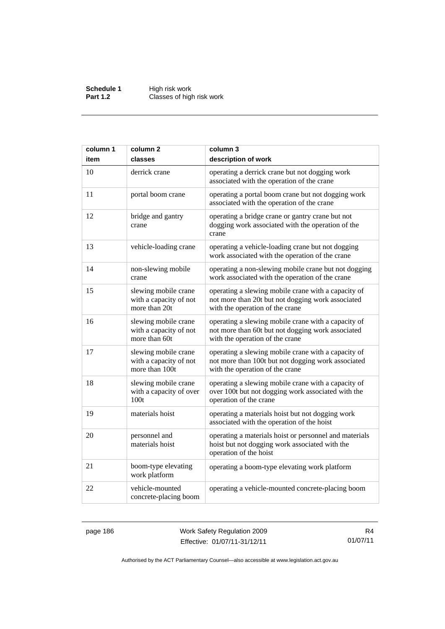**Schedule 1** High risk work **Part 1.2 Classes of high risk work** 

| column 1 | column <sub>2</sub>                                              | column 3                                                                                                                                     |
|----------|------------------------------------------------------------------|----------------------------------------------------------------------------------------------------------------------------------------------|
| item     | classes                                                          | description of work                                                                                                                          |
| 10       | derrick crane                                                    | operating a derrick crane but not dogging work<br>associated with the operation of the crane                                                 |
| 11       | portal boom crane                                                | operating a portal boom crane but not dogging work<br>associated with the operation of the crane                                             |
| 12       | bridge and gantry<br>crane                                       | operating a bridge crane or gantry crane but not<br>dogging work associated with the operation of the<br>crane                               |
| 13       | vehicle-loading crane                                            | operating a vehicle-loading crane but not dogging<br>work associated with the operation of the crane                                         |
| 14       | non-slewing mobile<br>crane                                      | operating a non-slewing mobile crane but not dogging<br>work associated with the operation of the crane                                      |
| 15       | slewing mobile crane<br>with a capacity of not<br>more than 20t  | operating a slewing mobile crane with a capacity of<br>not more than 20t but not dogging work associated<br>with the operation of the crane  |
| 16       | slewing mobile crane<br>with a capacity of not<br>more than 60t  | operating a slewing mobile crane with a capacity of<br>not more than 60t but not dogging work associated<br>with the operation of the crane  |
| 17       | slewing mobile crane<br>with a capacity of not<br>more than 100t | operating a slewing mobile crane with a capacity of<br>not more than 100t but not dogging work associated<br>with the operation of the crane |
| 18       | slewing mobile crane<br>with a capacity of over<br>100t          | operating a slewing mobile crane with a capacity of<br>over 100t but not dogging work associated with the<br>operation of the crane          |
| 19       | materials hoist                                                  | operating a materials hoist but not dogging work<br>associated with the operation of the hoist                                               |
| 20       | personnel and<br>materials hoist                                 | operating a materials hoist or personnel and materials<br>hoist but not dogging work associated with the<br>operation of the hoist           |
| 21       | boom-type elevating<br>work platform                             | operating a boom-type elevating work platform                                                                                                |
| 22       | vehicle-mounted<br>concrete-placing boom                         | operating a vehicle-mounted concrete-placing boom                                                                                            |

page 186 Work Safety Regulation 2009 Effective: 01/07/11-31/12/11

R4 01/07/11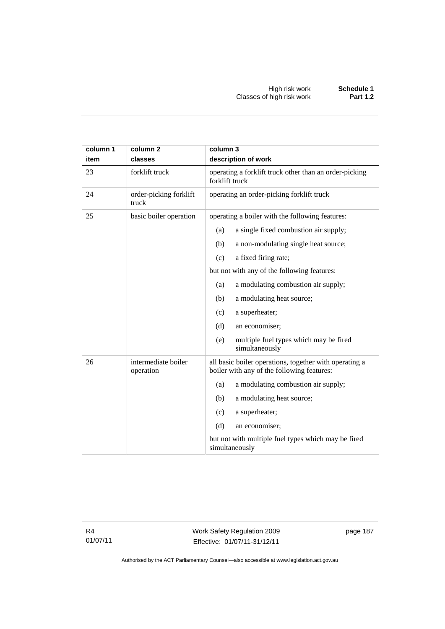| column 1<br>item | column <sub>2</sub><br>classes   | column 3<br>description of work                                                                      |  |  |
|------------------|----------------------------------|------------------------------------------------------------------------------------------------------|--|--|
| 23               | forklift truck                   | operating a forklift truck other than an order-picking<br>forklift truck                             |  |  |
| 24               | order-picking forklift<br>truck  | operating an order-picking forklift truck                                                            |  |  |
| 25               | basic boiler operation           | operating a boiler with the following features:                                                      |  |  |
|                  |                                  | a single fixed combustion air supply;<br>(a)                                                         |  |  |
|                  |                                  | (b)<br>a non-modulating single heat source;                                                          |  |  |
|                  |                                  | a fixed firing rate;<br>(c)                                                                          |  |  |
|                  |                                  | but not with any of the following features:                                                          |  |  |
|                  |                                  | a modulating combustion air supply;<br>(a)                                                           |  |  |
|                  |                                  | a modulating heat source;<br>(b)                                                                     |  |  |
|                  |                                  | a superheater;<br>(c)                                                                                |  |  |
|                  |                                  | (d)<br>an economiser;                                                                                |  |  |
|                  |                                  | multiple fuel types which may be fired<br>(e)<br>simultaneously                                      |  |  |
| 26               | intermediate boiler<br>operation | all basic boiler operations, together with operating a<br>boiler with any of the following features: |  |  |
|                  |                                  | a modulating combustion air supply;<br>(a)                                                           |  |  |
|                  |                                  | (b)<br>a modulating heat source;                                                                     |  |  |
|                  |                                  | (c)<br>a superheater;                                                                                |  |  |
|                  |                                  | (d)<br>an economiser;                                                                                |  |  |
|                  |                                  | but not with multiple fuel types which may be fired<br>simultaneously                                |  |  |

page 187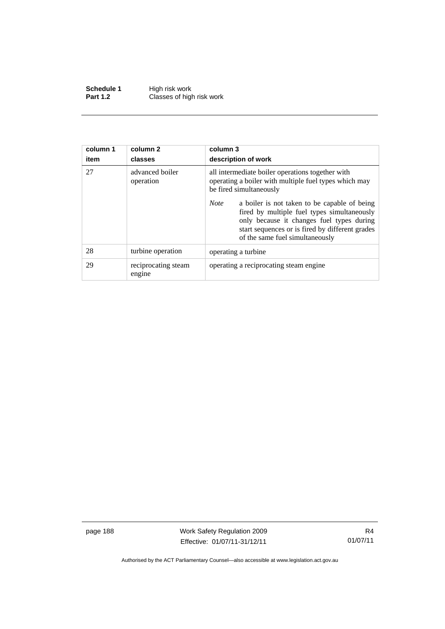**Schedule 1** High risk work **Part 1.2 Classes of high risk work** 

| column 1<br>item | column 2<br>classes           | column 3<br>description of work                                                                                                                                                                                                               |  |
|------------------|-------------------------------|-----------------------------------------------------------------------------------------------------------------------------------------------------------------------------------------------------------------------------------------------|--|
| 27               | advanced boiler<br>operation  | all intermediate boiler operations together with<br>operating a boiler with multiple fuel types which may<br>be fired simultaneously                                                                                                          |  |
|                  |                               | <b>Note</b><br>a boiler is not taken to be capable of being<br>fired by multiple fuel types simultaneously<br>only because it changes fuel types during<br>start sequences or is fired by different grades<br>of the same fuel simultaneously |  |
| 28               | turbine operation             | operating a turbine.                                                                                                                                                                                                                          |  |
| 29               | reciprocating steam<br>engine | operating a reciprocating steam engine.                                                                                                                                                                                                       |  |

page 188 Work Safety Regulation 2009 Effective: 01/07/11-31/12/11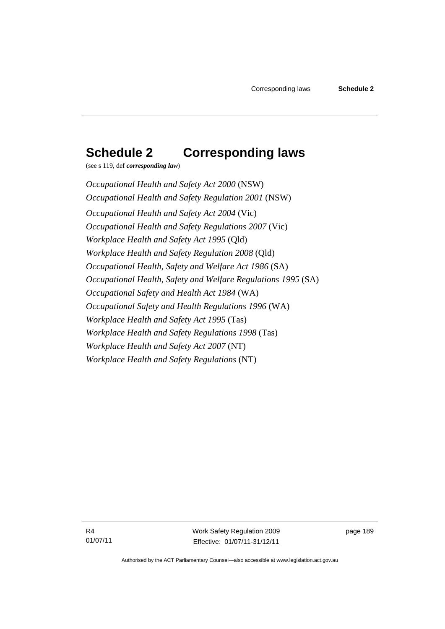# **Schedule 2 Corresponding laws**

(see s 119, def *corresponding law*)

*Occupational Health and Safety Act 2000* (NSW) *Occupational Health and Safety Regulation 2001* (NSW) *Occupational Health and Safety Act 2004* (Vic) *Occupational Health and Safety Regulations 2007* (Vic) *Workplace Health and Safety Act 1995* (Qld) *Workplace Health and Safety Regulation 2008* (Qld) *Occupational Health, Safety and Welfare Act 1986* (SA) *Occupational Health, Safety and Welfare Regulations 1995* (SA) *Occupational Safety and Health Act 1984* (WA) *Occupational Safety and Health Regulations 1996* (WA) *Workplace Health and Safety Act 1995* (Tas) *Workplace Health and Safety Regulations 1998* (Tas) *Workplace Health and Safety Act 2007* (NT) *Workplace Health and Safety Regulations* (NT)

R4 01/07/11 Work Safety Regulation 2009 Effective: 01/07/11-31/12/11

page 189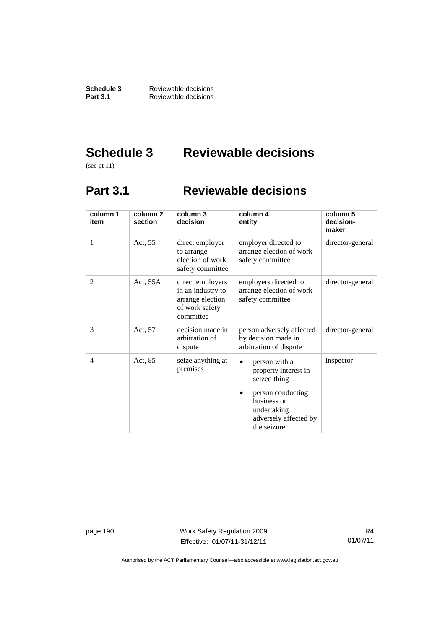**Schedule 3** Reviewable decisions<br>**Part 3.1** Reviewable decisions **Part 3.1** Reviewable decisions

# **Schedule 3 Reviewable decisions**

(see pt 11)

## **Part 3.1 Reviewable decisions**

| column 1<br>item | column <sub>2</sub><br>section | column 3<br>decision                                                                     | column 4<br>entity                                                                                                                                            | column 5<br>decision-<br>maker |
|------------------|--------------------------------|------------------------------------------------------------------------------------------|---------------------------------------------------------------------------------------------------------------------------------------------------------------|--------------------------------|
| 1                | Act, 55                        | direct employer<br>to arrange<br>election of work<br>safety committee                    | employer directed to<br>arrange election of work<br>safety committee                                                                                          | director-general               |
| $\overline{c}$   | Act, $55A$                     | direct employers<br>in an industry to<br>arrange election<br>of work safety<br>committee | employers directed to<br>arrange election of work<br>safety committee                                                                                         | director-general               |
| 3                | Act, 57                        | decision made in<br>arbitration of<br>dispute                                            | person adversely affected<br>by decision made in<br>arbitration of dispute                                                                                    | director-general               |
| 4                | Act, 85                        | seize anything at<br>premises                                                            | person with a<br>$\bullet$<br>property interest in<br>seized thing<br>person conducting<br>business or<br>undertaking<br>adversely affected by<br>the seizure | inspector                      |

page 190 Work Safety Regulation 2009 Effective: 01/07/11-31/12/11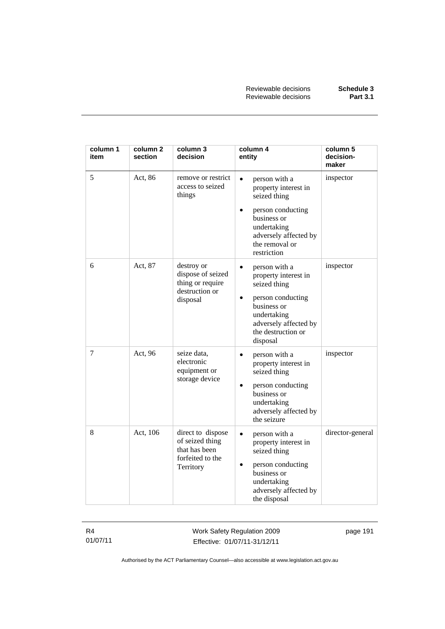| column 1<br>item | column <sub>2</sub><br>section | column 3<br>decision                                                                   | column 4<br>entity                                                                                                                 | column 5<br>decision-<br>maker |
|------------------|--------------------------------|----------------------------------------------------------------------------------------|------------------------------------------------------------------------------------------------------------------------------------|--------------------------------|
| 5                | Act, 86                        | remove or restrict<br>access to seized<br>things                                       | person with a<br>$\bullet$<br>property interest in<br>seized thing                                                                 | inspector                      |
|                  |                                |                                                                                        | person conducting<br>$\bullet$<br>business or<br>undertaking<br>adversely affected by<br>the removal or<br>restriction             |                                |
| 6                | Act, 87                        | destroy or<br>dispose of seized<br>thing or require<br>destruction or<br>disposal      | person with a<br>$\bullet$<br>property interest in<br>seized thing                                                                 | inspector                      |
|                  |                                |                                                                                        | person conducting<br>$\bullet$<br>business or<br>undertaking<br>adversely affected by<br>the destruction or<br>disposal            |                                |
| 7                | Act, 96                        | seize data,<br>electronic<br>equipment or<br>storage device                            | person with a<br>$\bullet$<br>property interest in<br>seized thing<br>person conducting<br>$\bullet$<br>business or<br>undertaking | inspector                      |
|                  |                                |                                                                                        | adversely affected by<br>the seizure                                                                                               |                                |
| 8                | Act, 106                       | direct to dispose<br>of seized thing<br>that has been<br>forfeited to the<br>Territory | person with a<br>$\bullet$<br>property interest in<br>seized thing<br>person conducting<br>$\bullet$<br>business or                | director-general               |
|                  |                                |                                                                                        | undertaking<br>adversely affected by<br>the disposal                                                                               |                                |

Work Safety Regulation 2009 Effective: 01/07/11-31/12/11

page 191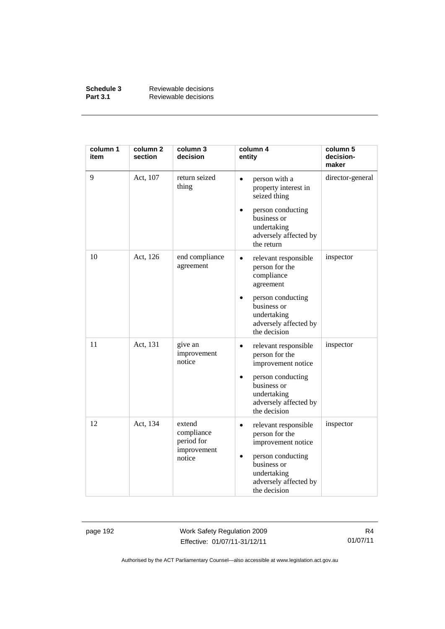| Schedule 3      | Reviewable decisions |
|-----------------|----------------------|
| <b>Part 3.1</b> | Reviewable decisions |

| column 1<br>item | column <sub>2</sub><br>section | column 3<br>decision               | column 4<br>entity                                                                                    | column 5<br>decision-<br>maker |
|------------------|--------------------------------|------------------------------------|-------------------------------------------------------------------------------------------------------|--------------------------------|
| 9                | Act, 107                       | return seized<br>thing             | person with a<br>$\bullet$<br>property interest in<br>seized thing                                    | director-general               |
|                  |                                |                                    | person conducting<br>$\bullet$<br>business or<br>undertaking<br>adversely affected by<br>the return   |                                |
| 10               | Act, 126                       | end compliance<br>agreement        | relevant responsible<br>$\bullet$<br>person for the<br>compliance<br>agreement                        | inspector                      |
|                  |                                |                                    | person conducting<br>$\bullet$<br>business or<br>undertaking<br>adversely affected by<br>the decision |                                |
| 11               | Act, 131                       | give an<br>improvement<br>notice   | relevant responsible<br>$\bullet$<br>person for the<br>improvement notice                             | inspector                      |
|                  |                                |                                    | person conducting<br>$\bullet$<br>business or<br>undertaking<br>adversely affected by<br>the decision |                                |
| 12               | Act, 134                       | extend<br>compliance<br>period for | relevant responsible<br>$\bullet$<br>person for the<br>improvement notice                             | inspector                      |
|                  |                                | improvement<br>notice              | person conducting<br>$\bullet$<br>business or<br>undertaking<br>adversely affected by<br>the decision |                                |

page 192 Work Safety Regulation 2009 Effective: 01/07/11-31/12/11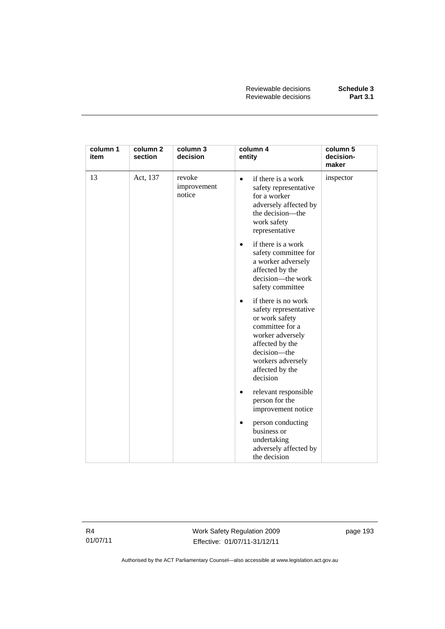| column 1<br>item | column 2<br>section | column 3<br>decision            | column 4<br>entity                                                                                                                                                                                        | column 5<br>decision-<br>maker |
|------------------|---------------------|---------------------------------|-----------------------------------------------------------------------------------------------------------------------------------------------------------------------------------------------------------|--------------------------------|
| 13               | Act, 137            | revoke<br>improvement<br>notice | if there is a work<br>$\bullet$<br>safety representative<br>for a worker<br>adversely affected by<br>the decision-the<br>work safety<br>representative                                                    | inspector                      |
|                  |                     |                                 | if there is a work<br>$\bullet$<br>safety committee for<br>a worker adversely<br>affected by the<br>decision—the work<br>safety committee                                                                 |                                |
|                  |                     |                                 | if there is no work<br>$\bullet$<br>safety representative<br>or work safety<br>committee for a<br>worker adversely<br>affected by the<br>decision-the<br>workers adversely<br>affected by the<br>decision |                                |
|                  |                     |                                 | relevant responsible<br>person for the<br>improvement notice                                                                                                                                              |                                |
|                  |                     |                                 | person conducting<br>$\bullet$<br>business or<br>undertaking<br>adversely affected by<br>the decision                                                                                                     |                                |

Work Safety Regulation 2009 Effective: 01/07/11-31/12/11

page 193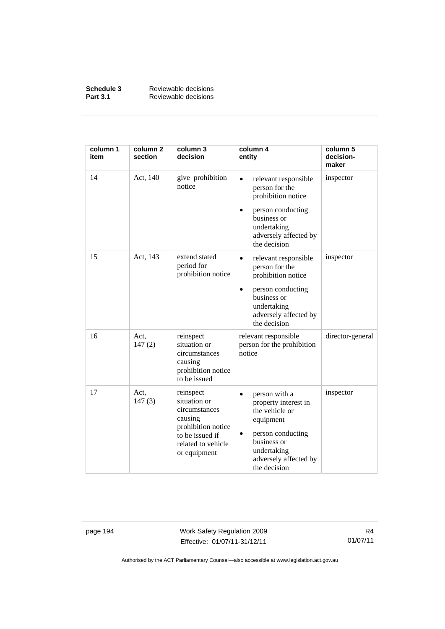| Schedule 3      | Reviewable decisions |
|-----------------|----------------------|
| <b>Part 3.1</b> | Reviewable decisions |

| column 1<br>item | column <sub>2</sub><br>section | column 3<br>decision                                                                                                                 | column 4<br>entity                                                                                                                                                                 | column 5<br>decision-<br>maker |
|------------------|--------------------------------|--------------------------------------------------------------------------------------------------------------------------------------|------------------------------------------------------------------------------------------------------------------------------------------------------------------------------------|--------------------------------|
| 14               | Act, 140                       | give prohibition<br>notice                                                                                                           | relevant responsible<br>$\bullet$<br>person for the<br>prohibition notice<br>person conducting<br>business or<br>undertaking<br>adversely affected by<br>the decision              | inspector                      |
| 15               | Act, 143                       | extend stated<br>period for<br>prohibition notice                                                                                    | relevant responsible<br>$\bullet$<br>person for the<br>prohibition notice<br>person conducting<br>$\bullet$<br>business or<br>undertaking<br>adversely affected by<br>the decision | inspector                      |
| 16               | Act,<br>147(2)                 | reinspect<br>situation or<br>circumstances<br>causing<br>prohibition notice<br>to be issued                                          | relevant responsible<br>person for the prohibition<br>notice                                                                                                                       | director-general               |
| 17               | Act,<br>147(3)                 | reinspect<br>situation or<br>circumstances<br>causing<br>prohibition notice<br>to be issued if<br>related to vehicle<br>or equipment | person with a<br>$\bullet$<br>property interest in<br>the vehicle or<br>equipment<br>person conducting<br>٠<br>business or<br>undertaking<br>adversely affected by<br>the decision | inspector                      |

page 194 Work Safety Regulation 2009 Effective: 01/07/11-31/12/11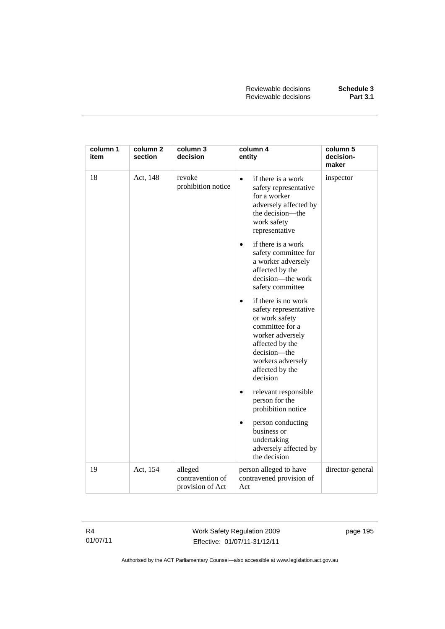| column 1<br>item | column <sub>2</sub><br>section | column 3<br>decision                            | column 4<br>entity                                                                                                                                                                                        | column 5<br>decision-<br>maker |
|------------------|--------------------------------|-------------------------------------------------|-----------------------------------------------------------------------------------------------------------------------------------------------------------------------------------------------------------|--------------------------------|
| 18               | Act, 148                       | revoke<br>prohibition notice                    | if there is a work<br>$\bullet$<br>safety representative<br>for a worker<br>adversely affected by<br>the decision-the<br>work safety<br>representative                                                    | inspector                      |
|                  |                                |                                                 | if there is a work<br>$\bullet$<br>safety committee for<br>a worker adversely<br>affected by the<br>decision-the work<br>safety committee                                                                 |                                |
|                  |                                |                                                 | if there is no work<br>$\bullet$<br>safety representative<br>or work safety<br>committee for a<br>worker adversely<br>affected by the<br>decision-the<br>workers adversely<br>affected by the<br>decision |                                |
|                  |                                |                                                 | relevant responsible<br>$\bullet$<br>person for the<br>prohibition notice                                                                                                                                 |                                |
|                  |                                |                                                 | person conducting<br>$\bullet$<br>business or<br>undertaking<br>adversely affected by<br>the decision                                                                                                     |                                |
| 19               | Act, 154                       | alleged<br>contravention of<br>provision of Act | person alleged to have<br>contravened provision of<br>Act                                                                                                                                                 | director-general               |

Work Safety Regulation 2009 Effective: 01/07/11-31/12/11

page 195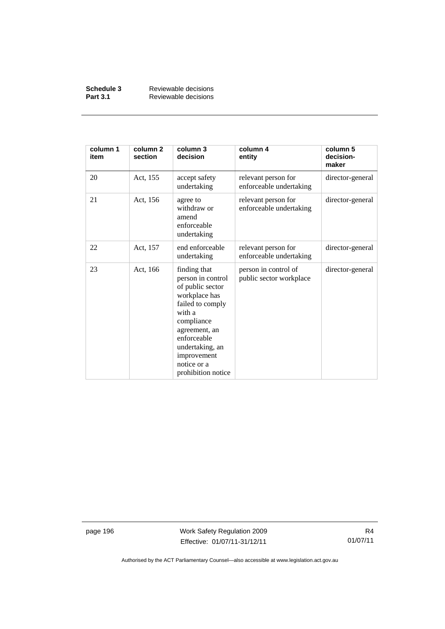| Schedule 3      | Reviewable decisions |
|-----------------|----------------------|
| <b>Part 3.1</b> | Reviewable decisions |

| column 1<br>item | column <sub>2</sub><br>section | column 3<br>decision                                                                                                                                                                                                      | column 4<br>entity                              | column 5<br>decision-<br>maker |
|------------------|--------------------------------|---------------------------------------------------------------------------------------------------------------------------------------------------------------------------------------------------------------------------|-------------------------------------------------|--------------------------------|
| 20               | Act, 155                       | accept safety<br>undertaking                                                                                                                                                                                              | relevant person for<br>enforceable undertaking  | director-general               |
| 21               | Act, 156                       | agree to<br>withdraw or<br>amend<br>enforceable<br>undertaking                                                                                                                                                            | relevant person for<br>enforceable undertaking  | director-general               |
| 22               | Act, 157                       | end enforceable<br>undertaking                                                                                                                                                                                            | relevant person for<br>enforceable undertaking  | director-general               |
| 23               | Act, 166                       | finding that<br>person in control<br>of public sector<br>workplace has<br>failed to comply<br>with a<br>compliance<br>agreement, an<br>enforceable<br>undertaking, an<br>improvement<br>notice or a<br>prohibition notice | person in control of<br>public sector workplace | director-general               |

page 196 Work Safety Regulation 2009 Effective: 01/07/11-31/12/11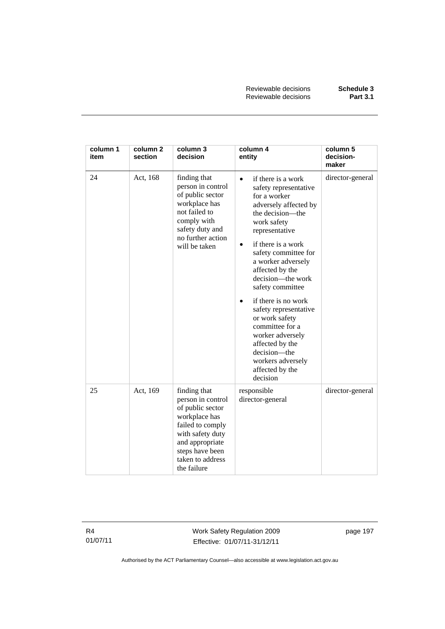| column 1<br>item | column <sub>2</sub><br>section | column 3<br>decision                                                                                                                                                                    | column 4<br>entity                                                                                                                                                                                                                                                                                                                                                                                                                                                                                  | column 5<br>decision-<br>maker |
|------------------|--------------------------------|-----------------------------------------------------------------------------------------------------------------------------------------------------------------------------------------|-----------------------------------------------------------------------------------------------------------------------------------------------------------------------------------------------------------------------------------------------------------------------------------------------------------------------------------------------------------------------------------------------------------------------------------------------------------------------------------------------------|--------------------------------|
| 24               | Act, 168                       | finding that<br>person in control<br>of public sector<br>workplace has<br>not failed to<br>comply with<br>safety duty and<br>no further action<br>will be taken                         | if there is a work<br>$\bullet$<br>safety representative<br>for a worker<br>adversely affected by<br>the decision—the<br>work safety<br>representative<br>if there is a work<br>$\bullet$<br>safety committee for<br>a worker adversely<br>affected by the<br>decision-the work<br>safety committee<br>if there is no work<br>safety representative<br>or work safety<br>committee for a<br>worker adversely<br>affected by the<br>decision-the<br>workers adversely<br>affected by the<br>decision | director-general               |
| 25               | Act, 169                       | finding that<br>person in control<br>of public sector<br>workplace has<br>failed to comply<br>with safety duty<br>and appropriate<br>steps have been<br>taken to address<br>the failure | responsible<br>director-general                                                                                                                                                                                                                                                                                                                                                                                                                                                                     | director-general               |

Work Safety Regulation 2009 Effective: 01/07/11-31/12/11

page 197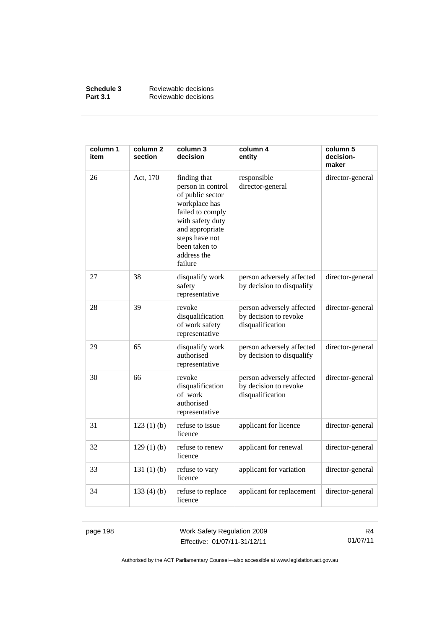| Schedule 3      | Reviewable decisions |
|-----------------|----------------------|
| <b>Part 3.1</b> | Reviewable decisions |

| column 1<br>item | column <sub>2</sub><br>section | column 3<br>decision                                                                                                                                                                           | column 4<br>entity                                                     | column 5<br>decision-<br>maker |
|------------------|--------------------------------|------------------------------------------------------------------------------------------------------------------------------------------------------------------------------------------------|------------------------------------------------------------------------|--------------------------------|
| 26               | Act, 170                       | finding that<br>person in control<br>of public sector<br>workplace has<br>failed to comply<br>with safety duty<br>and appropriate<br>steps have not<br>been taken to<br>address the<br>failure | responsible<br>director-general                                        | director-general               |
| 27               | 38                             | disqualify work<br>safety<br>representative                                                                                                                                                    | person adversely affected<br>by decision to disqualify                 | director-general               |
| 28               | 39                             | revoke<br>disqualification<br>of work safety<br>representative                                                                                                                                 | person adversely affected<br>by decision to revoke<br>disqualification | director-general               |
| 29               | 65                             | disqualify work<br>authorised<br>representative                                                                                                                                                | person adversely affected<br>by decision to disqualify                 | director-general               |
| 30               | 66                             | revoke<br>disqualification<br>of work<br>authorised<br>representative                                                                                                                          | person adversely affected<br>by decision to revoke<br>disqualification | director-general               |
| 31               | 123(1)(b)                      | refuse to issue<br>licence                                                                                                                                                                     | applicant for licence                                                  | director-general               |
| 32               | 129(1)(b)                      | refuse to renew<br>licence                                                                                                                                                                     | applicant for renewal                                                  | director-general               |
| 33               | 131 $(1)$ $(b)$                | refuse to vary<br>licence                                                                                                                                                                      | applicant for variation                                                | director-general               |
| 34               | 133 $(4)$ $(b)$                | refuse to replace<br>licence                                                                                                                                                                   | applicant for replacement                                              | director-general               |

page 198 Work Safety Regulation 2009 Effective: 01/07/11-31/12/11

R4 01/07/11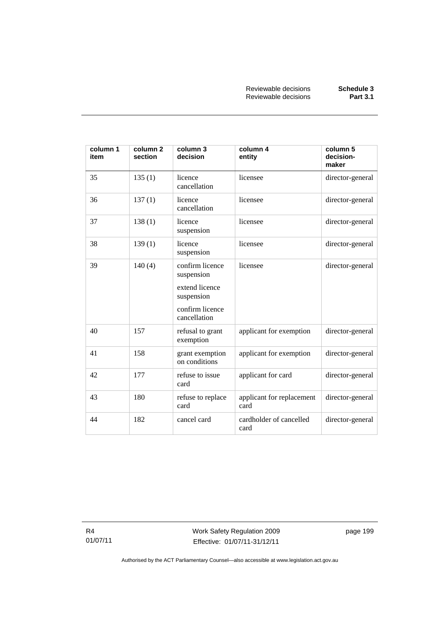| column 1<br>item | column <sub>2</sub><br>section | column 3<br>decision                                                                             | column 4<br>entity                | column 5<br>decision-<br>maker |
|------------------|--------------------------------|--------------------------------------------------------------------------------------------------|-----------------------------------|--------------------------------|
| 35               | 135(1)                         | licence<br>cancellation                                                                          | licensee                          | director-general               |
| 36               | 137(1)                         | licence<br>cancellation                                                                          | licensee                          | director-general               |
| 37               | 138(1)                         | licence<br>suspension                                                                            | licensee                          | director-general               |
| 38               | 139(1)                         | licence<br>suspension                                                                            | licensee                          | director-general               |
| 39               | 140(4)                         | confirm licence<br>suspension<br>extend licence<br>suspension<br>confirm licence<br>cancellation | licensee                          | director-general               |
| 40               | 157                            | refusal to grant<br>exemption                                                                    | applicant for exemption           | director-general               |
| 41               | 158                            | grant exemption<br>on conditions                                                                 | applicant for exemption           | director-general               |
| 42               | 177                            | refuse to issue<br>card                                                                          | applicant for card                | director-general               |
| 43               | 180                            | refuse to replace<br>card                                                                        | applicant for replacement<br>card | director-general               |
| 44               | 182                            | cancel card                                                                                      | cardholder of cancelled<br>card   | director-general               |

Work Safety Regulation 2009 Effective: 01/07/11-31/12/11

page 199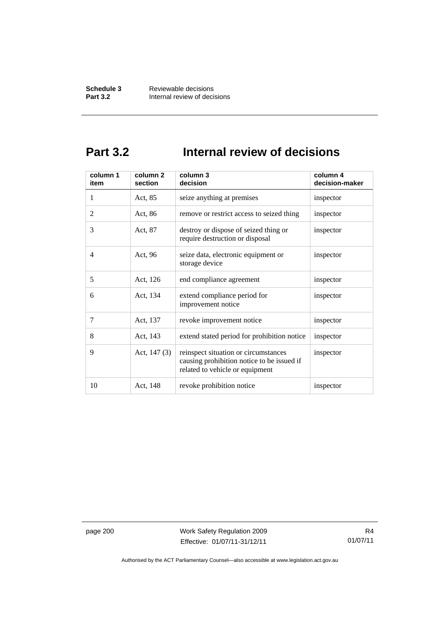## **Part 3.2 Internal review of decisions**

| column 1<br>item | column 2<br>section | column 3<br>decision                                                                                                  | column 4<br>decision-maker |
|------------------|---------------------|-----------------------------------------------------------------------------------------------------------------------|----------------------------|
| 1                | Act, 85             | seize anything at premises                                                                                            | inspector                  |
| $\overline{2}$   | Act, 86             | remove or restrict access to seized thing                                                                             | inspector                  |
| 3                | Act, 87             | destroy or dispose of seized thing or<br>require destruction or disposal                                              | inspector                  |
| 4                | Act, 96             | seize data, electronic equipment or<br>storage device                                                                 | inspector                  |
| 5                | Act, 126            | end compliance agreement                                                                                              | inspector                  |
| 6                | Act, 134            | extend compliance period for<br>improvement notice                                                                    | inspector                  |
| 7                | Act, 137            | revoke improvement notice                                                                                             | inspector                  |
| 8                | Act, 143            | extend stated period for prohibition notice                                                                           | inspector                  |
| 9                | Act, $147(3)$       | reinspect situation or circumstances<br>causing prohibition notice to be issued if<br>related to vehicle or equipment | inspector                  |
| 10               | Act, 148            | revoke prohibition notice                                                                                             | inspector                  |

page 200 Work Safety Regulation 2009 Effective: 01/07/11-31/12/11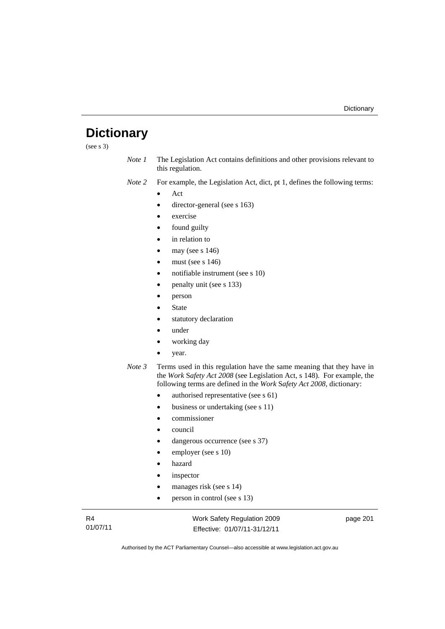## **Dictionary**

(see s 3)

- *Note 1* The Legislation Act contains definitions and other provisions relevant to this regulation.
- *Note 2* For example, the Legislation Act, dict, pt 1, defines the following terms:
	- Act
	- director-general (see s 163)
	- exercise
	- found guilty
	- in relation to
	- may (see s 146)
	- must (see s 146)
	- notifiable instrument (see s 10)
	- penalty unit (see s 133)
	- person
	- State
	- statutory declaration
	- under
	- working day
	- year.
- *Note 3* Terms used in this regulation have the same meaning that they have in the *Work* S*afety Act 2008* (see Legislation Act, s 148). For example, the following terms are defined in the *Work* S*afety Act 2008*, dictionary:
	- authorised representative (see s 61)
	- business or undertaking (see s 11)
	- commissioner
	- council
	- dangerous occurrence (see s 37)
	- employer (see s 10)
	- hazard
	- inspector
	- manages risk (see s 14)
	- person in control (see s 13)

R4 01/07/11 Work Safety Regulation 2009 Effective: 01/07/11-31/12/11

page 201

Authorised by the ACT Parliamentary Counsel—also accessible at www.legislation.act.gov.au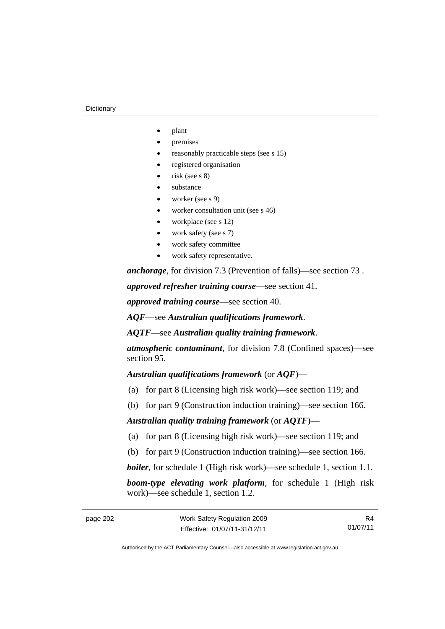#### **Dictionary**

- plant
- premises
- reasonably practicable steps (see s 15)
- registered organisation
- risk (see s 8)
- substance
- worker (see s 9)
- worker consultation unit (see s 46)
- workplace (see s 12)
- work safety (see s 7)
- work safety committee
- work safety representative.

*anchorage*, for division 7.3 (Prevention of falls)—see section 73 .

*approved refresher training course*—see section 41.

*approved training course*—see section 40.

*AQF*—see *Australian qualifications framework*.

*AQTF*—see *Australian quality training framework*.

*atmospheric contaminant*, for division 7.8 (Confined spaces)—see section 95.

*Australian qualifications framework* (or *AQF*)—

- (a) for part 8 (Licensing high risk work)—see section 119; and
- (b) for part 9 (Construction induction training)—see section 166.

#### *Australian quality training framework* (or *AQTF*)—

- (a) for part 8 (Licensing high risk work)—see section 119; and
- (b) for part 9 (Construction induction training)—see section 166.

*boiler*, for schedule 1 (High risk work)—see schedule 1, section 1.1.

*boom-type elevating work platform*, for schedule 1 (High risk work)—see schedule 1, section 1.2.

R4 01/07/11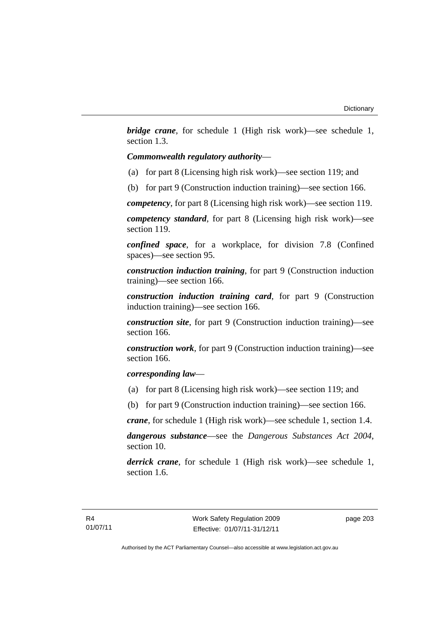*bridge crane*, for schedule 1 (High risk work)—see schedule 1, section 1.3.

## *Commonwealth regulatory authority*—

- (a) for part 8 (Licensing high risk work)—see section 119; and
- (b) for part 9 (Construction induction training)—see section 166.

*competency*, for part 8 (Licensing high risk work)—see section 119.

*competency standard*, for part 8 (Licensing high risk work)—see section 119.

*confined space*, for a workplace, for division 7.8 (Confined spaces)—see section 95.

*construction induction training*, for part 9 (Construction induction training)—see section 166.

*construction induction training card*, for part 9 (Construction induction training)—see section 166.

*construction site*, for part 9 (Construction induction training)—see section 166.

*construction work*, for part 9 (Construction induction training)—see section 166.

## *corresponding law*—

(a) for part 8 (Licensing high risk work)—see section 119; and

(b) for part 9 (Construction induction training)—see section 166.

*crane*, for schedule 1 (High risk work)—see schedule 1, section 1.4.

*dangerous substance*—see the *Dangerous Substances Act 2004*, section 10.

*derrick crane*, for schedule 1 (High risk work)—see schedule 1, section 1.6.

page 203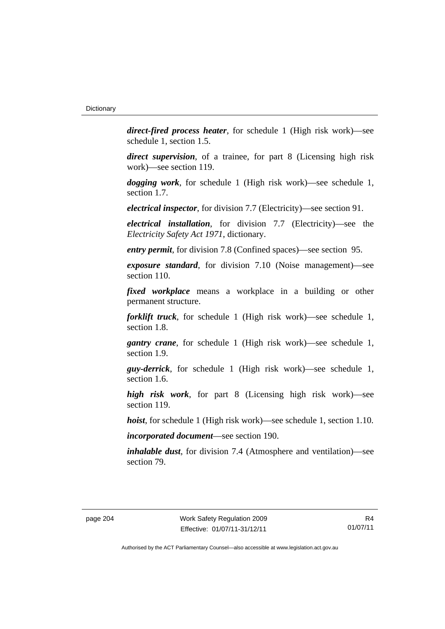*direct-fired process heater*, for schedule 1 (High risk work)—see schedule 1, section 1.5.

*direct supervision*, of a trainee, for part 8 (Licensing high risk work)—see section 119.

*dogging work*, for schedule 1 (High risk work)—see schedule 1, section 1.7.

*electrical inspector*, for division 7.7 (Electricity)—see section 91.

*electrical installation*, for division 7.7 (Electricity)—see the *Electricity Safety Act 1971*, dictionary.

*entry permit*, for division 7.8 (Confined spaces)—see section 95.

*exposure standard*, for division 7.10 (Noise management)—see section 110.

*fixed workplace* means a workplace in a building or other permanent structure.

*forklift truck*, for schedule 1 (High risk work)—see schedule 1, section 1.8.

*gantry crane*, for schedule 1 (High risk work)—see schedule 1, section 1.9.

*guy-derrick*, for schedule 1 (High risk work)—see schedule 1, section 1.6.

*high risk work*, for part 8 (Licensing high risk work)—see section 119.

*hoist*, for schedule 1 (High risk work)—see schedule 1, section 1.10.

*incorporated document*—see section 190.

*inhalable dust*, for division 7.4 (Atmosphere and ventilation)—see section 79.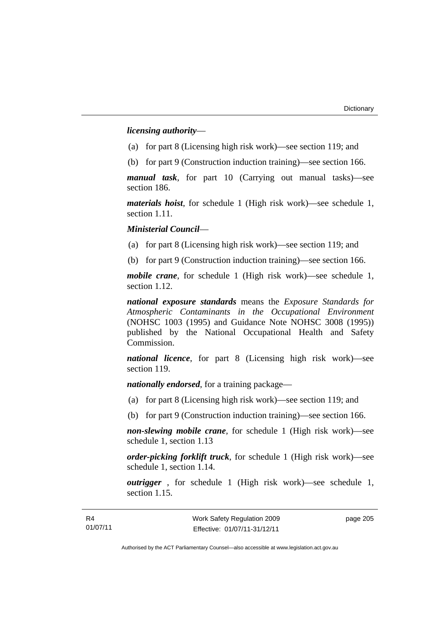*licensing authority*—

- (a) for part 8 (Licensing high risk work)—see section 119; and
- (b) for part 9 (Construction induction training)—see section 166.

*manual task*, for part 10 (Carrying out manual tasks)—see section 186.

*materials hoist*, for schedule 1 (High risk work)—see schedule 1, section 1.11.

*Ministerial Council*—

(a) for part 8 (Licensing high risk work)—see section 119; and

(b) for part 9 (Construction induction training)—see section 166.

*mobile crane*, for schedule 1 (High risk work)—see schedule 1, section 1.12.

*national exposure standards* means the *Exposure Standards for Atmospheric Contaminants in the Occupational Environment* (NOHSC 1003 (1995) and Guidance Note NOHSC 3008 (1995)) published by the National Occupational Health and Safety Commission.

*national licence*, for part 8 (Licensing high risk work)—see section 119.

*nationally endorsed*, for a training package—

- (a) for part 8 (Licensing high risk work)—see section 119; and
- (b) for part 9 (Construction induction training)—see section 166.

*non-slewing mobile crane*, for schedule 1 (High risk work)—see schedule 1, section 1.13

*order-picking forklift truck*, for schedule 1 (High risk work)—see schedule 1, section 1.14.

*outrigger* , for schedule 1 (High risk work)—see schedule 1, section 1.15.

page 205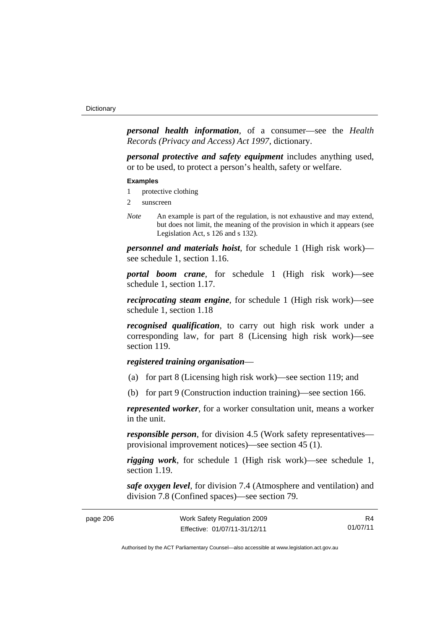*personal health information*, of a consumer—see the *Health Records (Privacy and Access) Act 1997*, dictionary.

*personal protective and safety equipment* includes anything used, or to be used, to protect a person's health, safety or welfare.

#### **Examples**

- 1 protective clothing
- 2 sunscreen
- *Note* An example is part of the regulation, is not exhaustive and may extend, but does not limit, the meaning of the provision in which it appears (see Legislation Act, s 126 and s 132).

*personnel and materials hoist*, for schedule 1 (High risk work) see schedule 1, section 1.16.

*portal boom crane*, for schedule 1 (High risk work)—see schedule 1, section 1.17.

*reciprocating steam engine*, for schedule 1 (High risk work)—see schedule 1, section 1.18

*recognised qualification*, to carry out high risk work under a corresponding law, for part 8 (Licensing high risk work)—see section 119.

## *registered training organisation*—

- (a) for part 8 (Licensing high risk work)—see section 119; and
- (b) for part 9 (Construction induction training)—see section 166.

*represented worker*, for a worker consultation unit, means a worker in the unit.

*responsible person*, for division 4.5 (Work safety representatives provisional improvement notices)—see section 45 (1).

*rigging work*, for schedule 1 (High risk work)—see schedule 1, section 1.19.

*safe oxygen level*, for division 7.4 (Atmosphere and ventilation) and division 7.8 (Confined spaces)—see section 79.

| Work Safety Regulation 2009<br>page 206 |                              | R4       |
|-----------------------------------------|------------------------------|----------|
|                                         | Effective: 01/07/11-31/12/11 | 01/07/11 |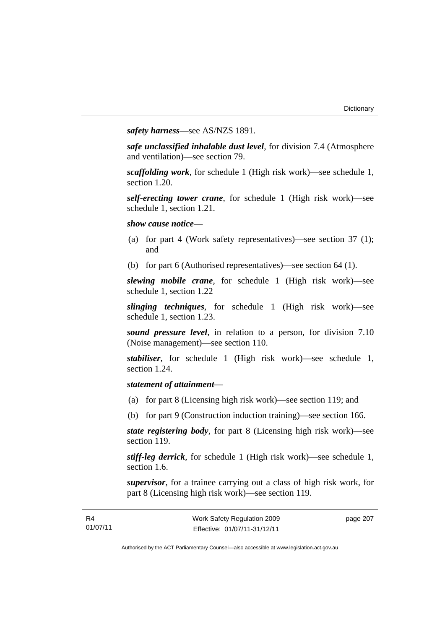*safety harness*—see AS/NZS 1891.

*safe unclassified inhalable dust level*, for division 7.4 (Atmosphere and ventilation)—see section 79.

*scaffolding work*, for schedule 1 (High risk work)—see schedule 1, section 1.20.

*self-erecting tower crane*, for schedule 1 (High risk work)—see schedule 1, section 1.21.

*show cause notice*—

- (a) for part 4 (Work safety representatives)—see section 37 (1); and
- (b) for part 6 (Authorised representatives)—see section 64 (1).

*slewing mobile crane*, for schedule 1 (High risk work)—see schedule 1, section 1.22

*slinging techniques*, for schedule 1 (High risk work)—see schedule 1, section 1.23.

*sound pressure level*, in relation to a person, for division 7.10 (Noise management)—see section 110.

*stabiliser*, for schedule 1 (High risk work)—see schedule 1, section 1.24.

## *statement of attainment*—

R4 01/07/11

- (a) for part 8 (Licensing high risk work)—see section 119; and
- (b) for part 9 (Construction induction training)—see section 166.

*state registering body*, for part 8 (Licensing high risk work)—see section 119.

*stiff-leg derrick*, for schedule 1 (High risk work)—see schedule 1, section 1.6.

*supervisor*, for a trainee carrying out a class of high risk work, for part 8 (Licensing high risk work)—see section 119.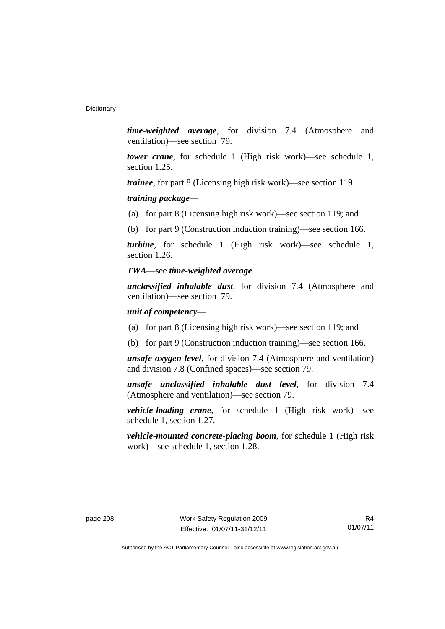*time-weighted average*, for division 7.4 (Atmosphere and ventilation)—see section 79.

*tower crane*, for schedule 1 (High risk work)—see schedule 1, section 1.25.

*trainee*, for part 8 (Licensing high risk work)—see section 119.

*training package*—

(a) for part 8 (Licensing high risk work)—see section 119; and

(b) for part 9 (Construction induction training)—see section 166.

*turbine*, for schedule 1 (High risk work)—see schedule 1, section 1.26.

#### *TWA*—see *time-weighted average*.

*unclassified inhalable dust*, for division 7.4 (Atmosphere and ventilation)—see section 79.

#### *unit of competency*—

- (a) for part 8 (Licensing high risk work)—see section 119; and
- (b) for part 9 (Construction induction training)—see section 166.

*unsafe oxygen level*, for division 7.4 (Atmosphere and ventilation) and division 7.8 (Confined spaces)—see section 79.

*unsafe unclassified inhalable dust level*, for division 7.4 (Atmosphere and ventilation)—see section 79.

*vehicle-loading crane*, for schedule 1 (High risk work)—see schedule 1, section 1.27.

*vehicle-mounted concrete-placing boom*, for schedule 1 (High risk work)—see schedule 1, section 1.28.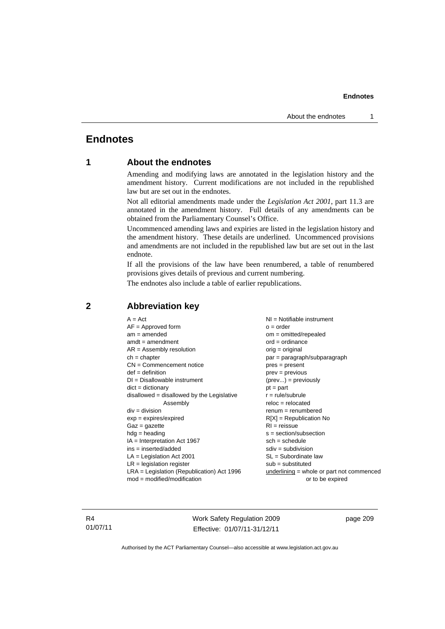# **Endnotes**

# **1 About the endnotes**

Amending and modifying laws are annotated in the legislation history and the amendment history. Current modifications are not included in the republished law but are set out in the endnotes.

Not all editorial amendments made under the *Legislation Act 2001*, part 11.3 are annotated in the amendment history. Full details of any amendments can be obtained from the Parliamentary Counsel's Office.

Uncommenced amending laws and expiries are listed in the legislation history and the amendment history. These details are underlined. Uncommenced provisions and amendments are not included in the republished law but are set out in the last endnote.

If all the provisions of the law have been renumbered, a table of renumbered provisions gives details of previous and current numbering.

The endnotes also include a table of earlier republications.

| $A = Act$                                    | $NI = Notifiable$ instrument                |
|----------------------------------------------|---------------------------------------------|
| $AF =$ Approved form                         | $o = order$                                 |
| $am = amended$                               | $om = omitted/repealed$                     |
| $amdt = amendment$                           | $ord = ordinance$                           |
| $AR = Assembly resolution$                   | orig = original                             |
| $ch = chapter$                               | $par = paragraph/subparagraph$              |
| $CN =$ Commencement notice                   | $pres = present$                            |
| $def = definition$                           | $prev = previous$                           |
| $DI = Disallowable instrument$               | $(\text{prev}) = \text{previously}$         |
| $dict = dictionary$                          | $pt = part$                                 |
| disallowed = disallowed by the Legislative   | $r = rule/subrule$                          |
| Assembly                                     | $reloc = relocated$                         |
| $div = division$                             | $renum = renumbered$                        |
| $exp = expires/expired$                      | $R[X]$ = Republication No                   |
| $Gaz = gazette$                              | $RI = reissue$                              |
| $hdg = heading$                              | $s = section/subsection$                    |
| $IA = Interpretation Act 1967$               | $sch = schedule$                            |
| $ins = inserted/added$                       | $sdiv = subdivision$                        |
| $LA =$ Legislation Act 2001                  | $SL = Subordinate$ law                      |
| $LR =$ legislation register                  | $sub =$ substituted                         |
| $LRA =$ Legislation (Republication) Act 1996 | $underlining = whole or part not commenced$ |
| $mod = modified/mol$                         | or to be expired                            |
|                                              |                                             |

# **2 Abbreviation key**

R4 01/07/11 Work Safety Regulation 2009 Effective: 01/07/11-31/12/11

page 209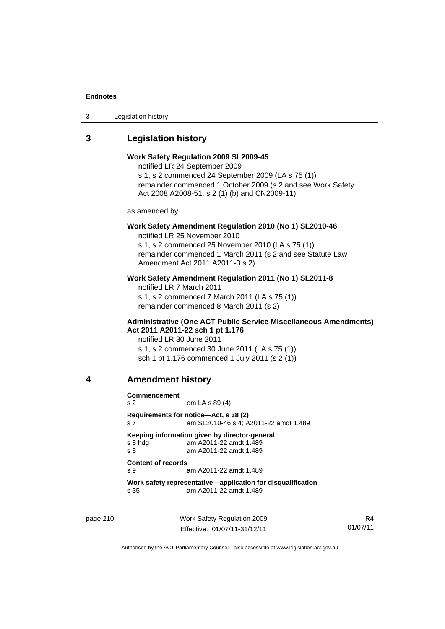3 Legislation history

# **3 Legislation history**

## **Work Safety Regulation 2009 SL2009-45**

notified LR 24 September 2009

s 1, s 2 commenced 24 September 2009 (LA s 75 (1)) remainder commenced 1 October 2009 (s 2 and see Work Safety Act 2008 A2008-51, s 2 (1) (b) and CN2009-11)

as amended by

# **Work Safety Amendment Regulation 2010 (No 1) SL2010-46**

notified LR 25 November 2010

s 1, s 2 commenced 25 November 2010 (LA s 75 (1)) remainder commenced 1 March 2011 (s 2 and see Statute Law Amendment Act 2011 A2011-3 s 2)

### **Work Safety Amendment Regulation 2011 (No 1) SL2011-8**

notified LR 7 March 2011 s 1, s 2 commenced 7 March 2011 (LA s 75 (1)) remainder commenced 8 March 2011 (s 2)

#### **Administrative (One ACT Public Service Miscellaneous Amendments) Act 2011 A2011-22 sch 1 pt 1.176**

notified LR 30 June 2011 s 1, s 2 commenced 30 June 2011 (LA s 75 (1)) sch 1 pt 1.176 commenced 1 July 2011 (s 2 (1))

## **4 Amendment history**

**Commencement** 

s 2 om LA s 89 (4) **Requirements for notice—Act, s 38 (2)** 

s 7 am SL2010-46 s 4; A2011-22 amdt 1.489

#### **Keeping information given by director-general**<br>
s 8 hdq am A2011-22 amdt 1.489 am A2011-22 amdt 1.489

s 8 am A2011-22 amdt 1.489

## **Content of records**

s 9 am A2011-22 amdt 1.489

**Work safety representative—application for disqualification**  s 35 am A2011-22 amdt 1.489

page 210 Work Safety Regulation 2009 Effective: 01/07/11-31/12/11

R4 01/07/11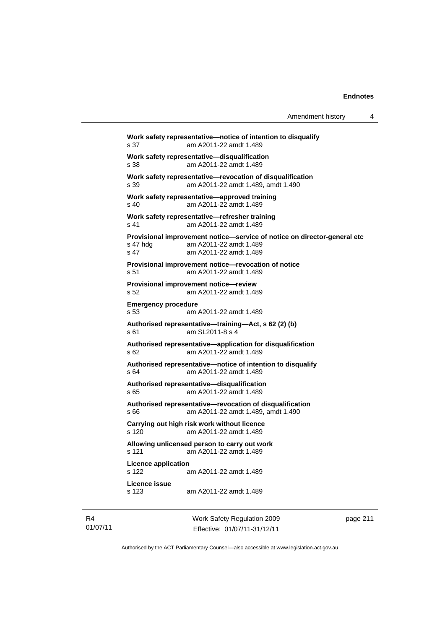| Amendment history |  |
|-------------------|--|
|-------------------|--|

**Work safety representative—notice of intention to disqualify**  s 37 am A2011-22 amdt 1.489 **Work safety representative—disqualification**  s 38 am A2011-22 amdt 1.489 **Work safety representative—revocation of disqualification**  s 39 am A2011-22 amdt 1.489, amdt 1.490 **Work safety representative—approved training**  s 40 am A2011-22 amdt 1.489 **Work safety representative—refresher training**  s 41 am A2011-22 amdt 1.489 **Provisional improvement notice—service of notice on director-general etc**  s 47 hdg am A2011-22 amdt 1.489 s 47 am A2011-22 amdt 1.489 **Provisional improvement notice—revocation of notice**  s 51 am A2011-22 amdt 1.489 **Provisional improvement notice—review**  s 52 am A2011-22 amdt 1.489 **Emergency procedure**  s 53 am A2011-22 amdt 1.489 **Authorised representative—training—Act, s 62 (2) (b)**  s 61 am SL2011-8 s 4 **Authorised representative—application for disqualification**  s 62 am A2011-22 amdt 1.489 **Authorised representative—notice of intention to disqualify**  s 64 am A2011-22 amdt 1.489 **Authorised representative—disqualification**  s 65 am A2011-22 amdt 1.489 **Authorised representative—revocation of disqualification**  s 66 am A2011-22 amdt 1.489, amdt 1.490 **Carrying out high risk work without licence**  s 120 am A2011-22 amdt 1.489 **Allowing unlicensed person to carry out work**  s 121 am A2011-22 amdt 1.489 **Licence application**  s 122 am A2011-22 amdt 1.489 **Licence issue**  am A2011-22 amdt 1.489

R4 01/07/11 Work Safety Regulation 2009 Effective: 01/07/11-31/12/11

page 211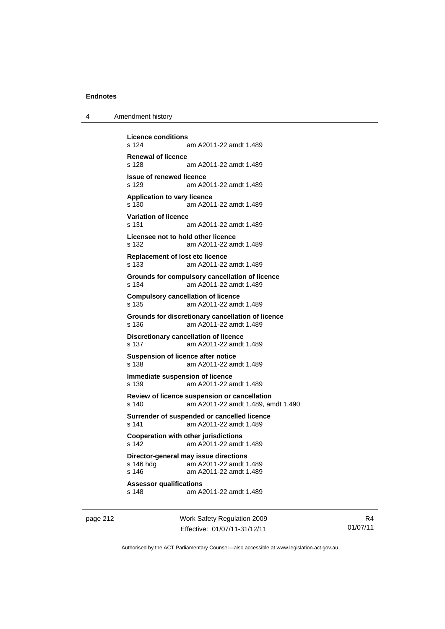| 4 | Amendment history |
|---|-------------------|
|---|-------------------|

**Licence conditions**  am A2011-22 amdt 1.489 **Renewal of licence**  s 128 am A2011-22 amdt 1.489 **Issue of renewed licence**  s 129 am A2011-22 amdt 1.489 **Application to vary licence**  s 130 am A2011-22 amdt 1.489 **Variation of licence**  am A2011-22 amdt 1.489 **Licensee not to hold other licence**  s 132 am A2011-22 amdt 1.489 **Replacement of lost etc licence**  s 133 am A2011-22 amdt 1.489 **Grounds for compulsory cancellation of licence**  s 134 am A2011-22 amdt 1.489 **Compulsory cancellation of licence**  s 135 am A2011-22 amdt 1.489 **Grounds for discretionary cancellation of licence**  s 136 am A2011-22 amdt 1.489 **Discretionary cancellation of licence**  s 137 am A2011-22 amdt 1.489 **Suspension of licence after notice**  s 138 am A2011-22 amdt 1.489 **Immediate suspension of licence**  s 139 am A2011-22 amdt 1.489 **Review of licence suspension or cancellation**  s 140 am A2011-22 amdt 1.489, amdt 1.490 **Surrender of suspended or cancelled licence**  s 141 am A2011-22 amdt 1.489 **Cooperation with other jurisdictions**  s 142 am A2011-22 amdt 1.489 **Director-general may issue directions**  am A2011-22 amdt 1.489 s 146 am A2011-22 amdt 1.489 **Assessor qualifications**  s 148 am A2011-22 amdt 1.489

page 212 Work Safety Regulation 2009 Effective: 01/07/11-31/12/11

R4 01/07/11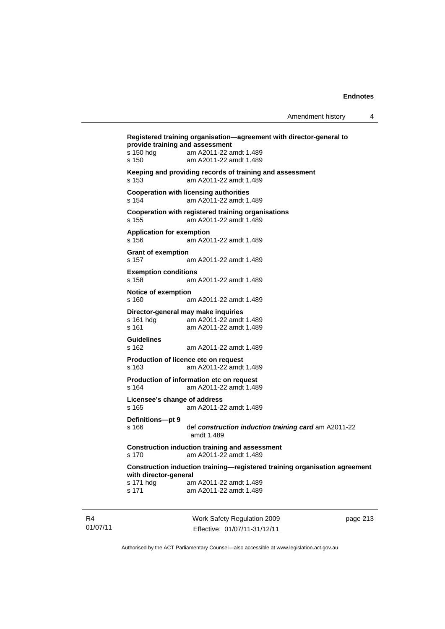|                                           | Registered training organisation-agreement with director-general to                |
|-------------------------------------------|------------------------------------------------------------------------------------|
| provide training and assessment           |                                                                                    |
| s 150 hdg<br>s 150                        | am A2011-22 amdt 1.489<br>am A2011-22 amdt 1.489                                   |
| s 153                                     | Keeping and providing records of training and assessment<br>am A2011-22 amdt 1.489 |
| s 154                                     | <b>Cooperation with licensing authorities</b><br>am A2011-22 amdt 1.489            |
| s 155                                     | Cooperation with registered training organisations<br>am A2011-22 amdt 1.489       |
| <b>Application for exemption</b><br>s 156 | am A2011-22 amdt 1.489                                                             |
| <b>Grant of exemption</b><br>s 157        | am A2011-22 amdt 1.489                                                             |
| <b>Exemption conditions</b><br>s 158      | am A2011-22 amdt 1.489                                                             |
| Notice of exemption<br>s 160              | am A2011-22 amdt 1.489                                                             |
|                                           | Director-general may make inquiries                                                |
| s 161 hdg<br>s 161                        | am A2011-22 amdt 1.489<br>am A2011-22 amdt 1.489                                   |
| <b>Guidelines</b><br>s 162                | am A2011-22 amdt 1.489                                                             |
| s 163                                     | Production of licence etc on request<br>am A2011-22 amdt 1.489                     |
| s 164                                     | Production of information etc on request<br>am A2011-22 amdt 1.489                 |
| Licensee's change of address<br>s 165     | am A2011-22 amdt 1.489                                                             |
| Definitions-pt 9<br>s 166                 | def construction induction training card am A2011-22<br>amdt 1.489                 |
| s 170                                     | <b>Construction induction training and assessment</b><br>am A2011-22 amdt 1.489    |
| with director-general                     | Construction induction training—registered training organisation agreement         |
| s 171 hdg<br>s 171                        | am A2011-22 amdt 1.489<br>am A2011-22 amdt 1.489                                   |
|                                           |                                                                                    |

R4 01/07/11 Work Safety Regulation 2009 Effective: 01/07/11-31/12/11

page 213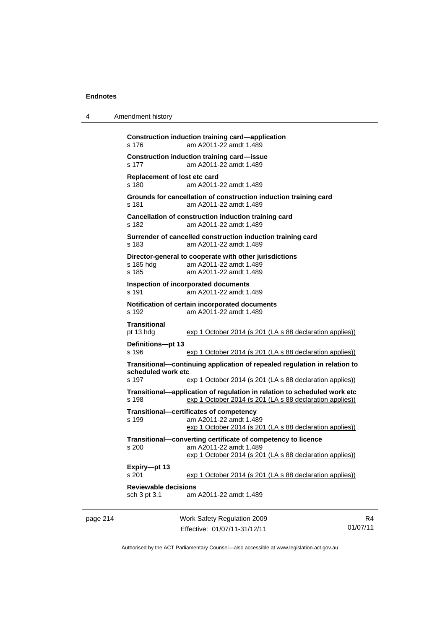| 4        | Amendment history                                                                                                                                                    |                                                                                                                                                    |    |  |
|----------|----------------------------------------------------------------------------------------------------------------------------------------------------------------------|----------------------------------------------------------------------------------------------------------------------------------------------------|----|--|
|          | s 176                                                                                                                                                                | Construction induction training card—application<br>am A2011-22 amdt 1.489                                                                         |    |  |
|          | s 177                                                                                                                                                                | <b>Construction induction training card-issue</b><br>am A2011-22 amdt 1.489                                                                        |    |  |
|          | Replacement of lost etc card<br>s 180                                                                                                                                | am A2011-22 amdt 1.489                                                                                                                             |    |  |
|          | s 181                                                                                                                                                                | Grounds for cancellation of construction induction training card<br>am A2011-22 amdt 1.489                                                         |    |  |
|          | s 182                                                                                                                                                                | Cancellation of construction induction training card<br>am A2011-22 amdt 1.489                                                                     |    |  |
|          | s 183                                                                                                                                                                | Surrender of cancelled construction induction training card<br>am A2011-22 amdt 1.489                                                              |    |  |
|          | s 185 hdg<br>s 185                                                                                                                                                   | Director-general to cooperate with other jurisdictions<br>am A2011-22 amdt 1.489<br>am A2011-22 amdt 1.489                                         |    |  |
|          | s 191                                                                                                                                                                | Inspection of incorporated documents<br>am A2011-22 amdt 1.489                                                                                     |    |  |
|          | s 192                                                                                                                                                                | Notification of certain incorporated documents<br>am A2011-22 amdt 1.489                                                                           |    |  |
|          | <b>Transitional</b><br>pt 13 hdg                                                                                                                                     | exp 1 October 2014 (s 201 (LA s 88 declaration applies))                                                                                           |    |  |
|          | Definitions-pt 13<br>s 196                                                                                                                                           | exp 1 October 2014 (s 201 (LA s 88 declaration applies))                                                                                           |    |  |
|          | Transitional-continuing application of repealed regulation in relation to<br>scheduled work etc<br>s 197<br>exp 1 October 2014 (s 201 (LA s 88 declaration applies)) |                                                                                                                                                    |    |  |
|          | s 198                                                                                                                                                                | Transitional—application of regulation in relation to scheduled work etc<br>exp 1 October 2014 (s 201 (LA s 88 declaration applies))               |    |  |
|          | s 199                                                                                                                                                                | Transitional-certificates of competency<br>am A2011-22 amdt 1.489<br>exp 1 October 2014 (s 201 (LA s 88 declaration applies))                      |    |  |
|          | s 200                                                                                                                                                                | Transitional-converting certificate of competency to licence<br>am A2011-22 amdt 1.489<br>exp 1 October 2014 (s 201 (LA s 88 declaration applies)) |    |  |
|          | Expiry-pt 13<br>s 201                                                                                                                                                | exp 1 October 2014 (s 201 (LA s 88 declaration applies))                                                                                           |    |  |
|          | <b>Reviewable decisions</b><br>sch 3 pt 3.1                                                                                                                          | am A2011-22 amdt 1.489                                                                                                                             |    |  |
| page 214 |                                                                                                                                                                      | Work Safety Regulation 2009                                                                                                                        | R4 |  |

Authorised by the ACT Parliamentary Counsel—also accessible at www.legislation.act.gov.au

01/07/11

Effective: 01/07/11-31/12/11